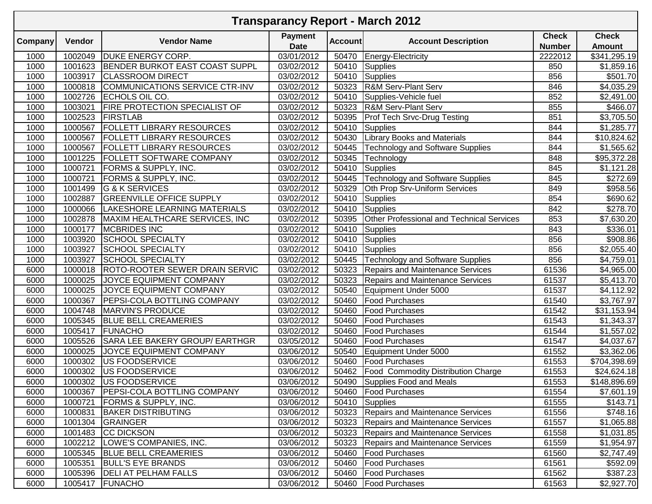|         | <b>Transparency Report - March 2012</b> |                                       |                               |                |                                           |                               |                               |  |  |  |  |
|---------|-----------------------------------------|---------------------------------------|-------------------------------|----------------|-------------------------------------------|-------------------------------|-------------------------------|--|--|--|--|
| Company | Vendor                                  | <b>Vendor Name</b>                    | <b>Payment</b><br><b>Date</b> | <b>Account</b> | <b>Account Description</b>                | <b>Check</b><br><b>Number</b> | <b>Check</b><br><b>Amount</b> |  |  |  |  |
| 1000    | 1002049                                 | <b>DUKE ENERGY CORP.</b>              | 03/01/2012                    | 50470          | <b>Energy-Electricity</b>                 | 2222012                       | \$341,295.19                  |  |  |  |  |
| 1000    | 1001623                                 | <b>BENDER BURKOT EAST COAST SUPPL</b> | 03/02/2012                    | 50410          | Supplies                                  | 850                           | \$1,859.16                    |  |  |  |  |
| 1000    | 1003917                                 | <b>CLASSROOM DIRECT</b>               | 03/02/2012                    | 50410          | Supplies                                  | 856                           | \$501.70                      |  |  |  |  |
| 1000    | 1000818                                 | COMMUNICATIONS SERVICE CTR-INV        | 03/02/2012                    | 50323          | R&M Serv-Plant Serv                       | 846                           | \$4,035.29                    |  |  |  |  |
| 1000    | 1002726                                 | ECHOLS OIL CO.                        | 03/02/2012                    | 50410          | Supplies-Vehicle fuel                     | 852                           | \$2,491.00                    |  |  |  |  |
| 1000    | 1003021                                 | <b>FIRE PROTECTION SPECIALIST OF</b>  | 03/02/2012                    | 50323          | <b>R&amp;M Serv-Plant Serv</b>            | 855                           | \$466.07                      |  |  |  |  |
| 1000    | 1002523                                 | <b>FIRSTLAB</b>                       | 03/02/2012                    | 50395          | <b>Prof Tech Srvc-Drug Testing</b>        | 851                           | \$3,705.50                    |  |  |  |  |
| 1000    | 1000567                                 | FOLLETT LIBRARY RESOURCES             | 03/02/2012                    | 50410          | Supplies                                  | 844                           | \$1,285.77                    |  |  |  |  |
| 1000    | 1000567                                 | <b>FOLLETT LIBRARY RESOURCES</b>      | 03/02/2012                    | 50430          | <b>Library Books and Materials</b>        | 844                           | \$10,824.62                   |  |  |  |  |
| 1000    | 1000567                                 | <b>FOLLETT LIBRARY RESOURCES</b>      | 03/02/2012                    | 50445          | <b>Technology and Software Supplies</b>   | 844                           | \$1,565.62                    |  |  |  |  |
| 1000    | 1001225                                 | FOLLETT SOFTWARE COMPANY              | 03/02/2012                    | 50345          | Technology                                | 848                           | \$95,372.28                   |  |  |  |  |
| 1000    | 1000721                                 | FORMS & SUPPLY, INC.                  | 03/02/2012                    | 50410          | Supplies                                  | 845                           | \$1,121.28                    |  |  |  |  |
| 1000    | 1000721                                 | FORMS & SUPPLY, INC.                  | 03/02/2012                    | 50445          | <b>Technology and Software Supplies</b>   | 845                           | \$272.69                      |  |  |  |  |
| 1000    | 1001499                                 | <b>G &amp; K SERVICES</b>             | 03/02/2012                    | 50329          | Oth Prop Srv-Uniform Services             | 849                           | \$958.56                      |  |  |  |  |
| 1000    | 1002887                                 | <b>GREENVILLE OFFICE SUPPLY</b>       | 03/02/2012                    | 50410          | Supplies                                  | 854                           | \$690.62                      |  |  |  |  |
| 1000    | 1000066                                 | LAKESHORE LEARNING MATERIALS          | 03/02/2012                    | 50410          | Supplies                                  | 842                           | \$278.70                      |  |  |  |  |
| 1000    | 1002878                                 | MAXIM HEALTHCARE SERVICES, INC        | 03/02/2012                    | 50395          | Other Professional and Technical Services | 853                           | \$7,630.20                    |  |  |  |  |
| 1000    | 1000177                                 | <b>MCBRIDES INC</b>                   | 03/02/2012                    | 50410          | Supplies                                  | 843                           | \$336.01                      |  |  |  |  |
| 1000    | 1003920                                 | <b>SCHOOL SPECIALTY</b>               | 03/02/2012                    | 50410          | Supplies                                  | 856                           | \$908.86                      |  |  |  |  |
| 1000    | 1003927                                 | <b>SCHOOL SPECIALTY</b>               | $\overline{03/02}/2012$       | 50410          | Supplies                                  | 856                           | $\overline{$2,055.40}$        |  |  |  |  |
| 1000    | 1003927                                 | <b>SCHOOL SPECIALTY</b>               | 03/02/2012                    | 50445          | Technology and Software Supplies          | 856                           | \$4,759.01                    |  |  |  |  |
| 6000    | 1000018                                 | <b>ROTO-ROOTER SEWER DRAIN SERVIC</b> | 03/02/2012                    | 50323          | Repairs and Maintenance Services          | 61536                         | \$4,965.00                    |  |  |  |  |
| 6000    | 1000025                                 | JOYCE EQUIPMENT COMPANY               | 03/02/2012                    | 50323          | Repairs and Maintenance Services          | 61537                         | \$5,413.70                    |  |  |  |  |
| 6000    | 1000025                                 | JOYCE EQUIPMENT COMPANY               | 03/02/2012                    | 50540          | Equipment Under 5000                      | 61537                         | \$4,112.92                    |  |  |  |  |
| 6000    | 1000367                                 | PEPSI-COLA BOTTLING COMPANY           | 03/02/2012                    | 50460          | <b>Food Purchases</b>                     | 61540                         | \$3,767.97                    |  |  |  |  |
| 6000    | 1004748                                 | <b>MARVIN'S PRODUCE</b>               | 03/02/2012                    | 50460          | <b>Food Purchases</b>                     | 61542                         | \$31,153.94                   |  |  |  |  |
| 6000    | 1005345                                 | <b>BLUE BELL CREAMERIES</b>           | 03/02/2012                    | 50460          | <b>Food Purchases</b>                     | 61543                         | \$1,343.37                    |  |  |  |  |
| 6000    | 1005417                                 | <b>FUNACHO</b>                        | 03/02/2012                    | 50460          | <b>Food Purchases</b>                     | 61544                         | \$1,557.02                    |  |  |  |  |
| 6000    | 1005526                                 | SARA LEE BAKERY GROUP/ EARTHGR        | 03/05/2012                    | 50460          | <b>Food Purchases</b>                     | 61547                         | \$4,037.67                    |  |  |  |  |
| 6000    | 1000025                                 | JOYCE EQUIPMENT COMPANY               | 03/06/2012                    | 50540          | Equipment Under 5000                      | 61552                         | \$3,362.06                    |  |  |  |  |
| 6000    | 1000302                                 | <b>US FOODSERVICE</b>                 | 03/06/2012                    | 50460          | <b>Food Purchases</b>                     | 61553                         | \$704,398.69                  |  |  |  |  |
| 6000    | 1000302                                 | <b>US FOODSERVICE</b>                 | 03/06/2012                    | 50462          | <b>Food Commodity Distribution Charge</b> | 61553                         | \$24,624.18                   |  |  |  |  |
| 6000    | 1000302                                 | <b>US FOODSERVICE</b>                 | 03/06/2012                    |                | 50490 Supplies Food and Meals             | 61553                         | \$148,896.69                  |  |  |  |  |
| 6000    | 1000367                                 | <b>PEPSI-COLA BOTTLING COMPANY</b>    | 03/06/2012                    | 50460          | <b>Food Purchases</b>                     | 61554                         | \$7,601.19                    |  |  |  |  |
| 6000    | 1000721                                 | <b>FORMS &amp; SUPPLY, INC.</b>       | 03/06/2012                    | 50410          | Supplies                                  | 61555                         | \$143.71                      |  |  |  |  |
| 6000    | 1000831                                 | <b>BAKER DISTRIBUTING</b>             | 03/06/2012                    | 50323          | <b>Repairs and Maintenance Services</b>   | 61556                         | \$748.16                      |  |  |  |  |
| 6000    | 1001304                                 | <b>GRAINGER</b>                       | 03/06/2012                    | 50323          | Repairs and Maintenance Services          | 61557                         | \$1,065.88                    |  |  |  |  |
| 6000    | 1001483                                 | <b>CC DICKSON</b>                     | 03/06/2012                    | 50323          | Repairs and Maintenance Services          | 61558                         | \$1,031.85                    |  |  |  |  |
| 6000    | 1002212                                 | LOWE'S COMPANIES, INC.                | 03/06/2012                    | 50323          | Repairs and Maintenance Services          | 61559                         | \$1,954.97                    |  |  |  |  |
| 6000    | 1005345                                 | <b>BLUE BELL CREAMERIES</b>           | 03/06/2012                    | 50460          | <b>Food Purchases</b>                     | 61560                         | \$2,747.49                    |  |  |  |  |
| 6000    | 1005351                                 | <b>BULL'S EYE BRANDS</b>              | 03/06/2012                    | 50460          | <b>Food Purchases</b>                     | 61561                         | \$592.09                      |  |  |  |  |
| 6000    | 1005396                                 | <b>DELI AT PELHAM FALLS</b>           | 03/06/2012                    | 50460          | <b>Food Purchases</b>                     | 61562                         | \$387.23                      |  |  |  |  |
| 6000    | 1005417                                 | FUNACHO                               | 03/06/2012                    | 50460          | <b>Food Purchases</b>                     | 61563                         | \$2,927.70                    |  |  |  |  |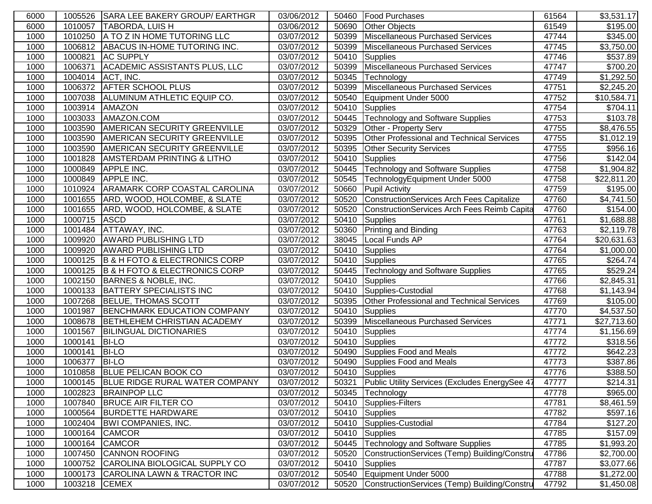| 6000 |         | 1005526 SARA LEE BAKERY GROUP/ EARTHGR       | 03/06/2012 |       | 50460 Food Purchases                               | 61564 | \$3,531.17           |
|------|---------|----------------------------------------------|------------|-------|----------------------------------------------------|-------|----------------------|
| 6000 | 1010057 | <b>TABORDA, LUIS H</b>                       | 03/06/2012 | 50690 | <b>Other Objects</b>                               | 61549 | \$195.00             |
| 1000 | 1010250 | A TO Z IN HOME TUTORING LLC                  | 03/07/2012 | 50399 | Miscellaneous Purchased Services                   | 47744 | \$345.00             |
| 1000 | 1006812 | ABACUS IN-HOME TUTORING INC.                 | 03/07/2012 | 50399 | Miscellaneous Purchased Services                   | 47745 | \$3,750.00           |
| 1000 | 1000821 | <b>AC SUPPLY</b>                             | 03/07/2012 | 50410 | <b>Supplies</b>                                    | 47746 | \$537.89             |
| 1000 | 1006371 | <b>ACADEMIC ASSISTANTS PLUS, LLC</b>         | 03/07/2012 | 50399 | Miscellaneous Purchased Services                   | 47747 | \$700.20             |
| 1000 | 1004014 | ACT, INC.                                    | 03/07/2012 | 50345 | Technology                                         | 47749 | \$1,292.50           |
| 1000 | 1006372 | <b>AFTER SCHOOL PLUS</b>                     | 03/07/2012 | 50399 | Miscellaneous Purchased Services                   | 47751 | \$2,245.20           |
| 1000 | 1007038 | ALUMINUM ATHLETIC EQUIP CO.                  | 03/07/2012 | 50540 | Equipment Under 5000                               | 47752 | \$10,584.71          |
| 1000 | 1003914 | <b>AMAZON</b>                                | 03/07/2012 | 50410 | Supplies                                           | 47754 | \$704.11             |
| 1000 | 1003033 | AMAZON.COM                                   | 03/07/2012 | 50445 | Technology and Software Supplies                   | 47753 | \$103.78             |
| 1000 | 1003590 | <b>AMERICAN SECURITY GREENVILLE</b>          | 03/07/2012 | 50329 | Other - Property Serv                              | 47755 | \$8,476.55           |
| 1000 | 1003590 | AMERICAN SECURITY GREENVILLE                 | 03/07/2012 | 50395 | Other Professional and Technical Services          | 47755 | \$1,012.19           |
| 1000 | 1003590 | <b>AMERICAN SECURITY GREENVILLE</b>          | 03/07/2012 | 50395 | <b>Other Security Services</b>                     | 47755 | $\overline{$956.16}$ |
| 1000 | 1001828 | <b>AMSTERDAM PRINTING &amp; LITHO</b>        | 03/07/2012 | 50410 | Supplies                                           | 47756 | \$142.04             |
| 1000 | 1000849 | <b>APPLE INC.</b>                            | 03/07/2012 | 50445 | Technology and Software Supplies                   | 47758 | \$1,904.82           |
| 1000 | 1000849 | <b>APPLE INC.</b>                            | 03/07/2012 | 50545 | TechnologyEquipment Under 5000                     | 47758 | \$22,811.20          |
| 1000 | 1010924 | <b>ARAMARK CORP COASTAL CAROLINA</b>         | 03/07/2012 | 50660 | <b>Pupil Activity</b>                              | 47759 | \$195.00             |
| 1000 | 1001655 | ARD, WOOD, HOLCOMBE, & SLATE                 | 03/07/2012 | 50520 | ConstructionServices Arch Fees Capitalize          | 47760 | \$4,741.50           |
| 1000 | 1001655 | ARD, WOOD, HOLCOMBE, & SLATE                 | 03/07/2012 | 50520 | <b>ConstructionServices Arch Fees Reimb Capita</b> | 47760 | $\overline{$}154.00$ |
| 1000 | 1000715 | <b>ASCD</b>                                  | 03/07/2012 | 50410 | <b>Supplies</b>                                    | 47761 | \$1,688.88           |
| 1000 | 1001484 | ATTAWAY, INC.                                | 03/07/2012 | 50360 | <b>Printing and Binding</b>                        | 47763 | \$2,119.78           |
| 1000 | 1009920 | <b>AWARD PUBLISHING LTD</b>                  | 03/07/2012 | 38045 | Local Funds AP                                     | 47764 | \$20,631.63          |
| 1000 | 1009920 | <b>AWARD PUBLISHING LTD</b>                  | 03/07/2012 | 50410 | <b>Supplies</b>                                    | 47764 | \$1,000.00           |
| 1000 | 1000125 | <b>B &amp; H FOTO &amp; ELECTRONICS CORP</b> | 03/07/2012 | 50410 | Supplies                                           | 47765 | \$264.74             |
| 1000 | 1000125 | B & H FOTO & ELECTRONICS CORP                | 03/07/2012 | 50445 | <b>Technology and Software Supplies</b>            | 47765 | \$529.24             |
| 1000 | 1002150 | BARNES & NOBLE, INC.                         | 03/07/2012 | 50410 | Supplies                                           | 47766 | \$2,845.31           |
| 1000 | 1000133 | <b>BATTERY SPECIALISTS INC</b>               | 03/07/2012 | 50410 | Supplies-Custodial                                 | 47768 | \$1,143.94           |
| 1000 |         | 1007268 BELUE, THOMAS SCOTT                  | 03/07/2012 | 50395 | Other Professional and Technical Services          | 47769 | \$105.00             |
| 1000 | 1001987 | <b>BENCHMARK EDUCATION COMPANY</b>           | 03/07/2012 | 50410 | Supplies                                           | 47770 | \$4,537.50           |
| 1000 | 1008678 | BETHLEHEM CHRISTIAN ACADEMY                  | 03/07/2012 | 50399 | Miscellaneous Purchased Services                   | 47771 | \$27,713.60          |
| 1000 | 1001567 | <b>BILINGUAL DICTIONARIES</b>                | 03/07/2012 | 50410 | Supplies                                           | 47774 | \$1,156.69           |
| 1000 | 1000141 | <b>BI-LO</b>                                 | 03/07/2012 | 50410 | Supplies                                           | 47772 | \$318.56             |
| 1000 | 1000141 | <b>BI-LO</b>                                 | 03/07/2012 | 50490 | Supplies Food and Meals                            | 47772 | \$642.23             |
| 1000 | 1006377 | <b>BI-LO</b>                                 | 03/07/2012 | 50490 | Supplies Food and Meals                            | 47773 | \$387.86             |
| 1000 | 1010858 | <b>BLUE PELICAN BOOK CO</b>                  | 03/07/2012 | 50410 | Supplies                                           | 47776 | \$388.50             |
| 1000 | 1000145 | <b>BLUE RIDGE RURAL WATER COMPANY</b>        | 03/07/2012 | 50321 | Public Utility Services (Excludes EnergySee 47     | 47777 | \$214.31             |
| 1000 | 1002823 | <b>BRAINPOP LLC</b>                          | 03/07/2012 | 50345 | Technology                                         | 47778 | \$965.00             |
| 1000 | 1007840 | <b>BRUCE AIR FILTER CO</b>                   | 03/07/2012 | 50410 | Supplies-Filters                                   | 47781 | \$8,461.59           |
| 1000 | 1000564 | <b>BURDETTE HARDWARE</b>                     | 03/07/2012 | 50410 | Supplies                                           | 47782 | \$597.16             |
| 1000 | 1002404 | <b>BWI COMPANIES, INC.</b>                   | 03/07/2012 | 50410 | Supplies-Custodial                                 | 47784 | \$127.20             |
| 1000 | 1000164 | <b>CAMCOR</b>                                | 03/07/2012 | 50410 | Supplies                                           | 47785 | \$157.09             |
| 1000 | 1000164 | <b>CAMCOR</b>                                | 03/07/2012 | 50445 | Technology and Software Supplies                   | 47785 | \$1,993.20           |
| 1000 | 1007450 | <b>CANNON ROOFING</b>                        | 03/07/2012 | 50520 | ConstructionServices (Temp) Building/Constru       | 47786 | \$2,700.00           |
| 1000 | 1000752 | CAROLINA BIOLOGICAL SUPPLY CO                | 03/07/2012 | 50410 | Supplies                                           | 47787 | \$3,077.66           |
| 1000 | 1000173 | CAROLINA LAWN & TRACTOR INC                  | 03/07/2012 | 50540 | Equipment Under 5000                               | 47788 | \$1,272.00           |
| 1000 | 1003218 | <b>CEMEX</b>                                 | 03/07/2012 | 50520 | ConstructionServices (Temp) Building/Constru       | 47792 | \$1,450.08           |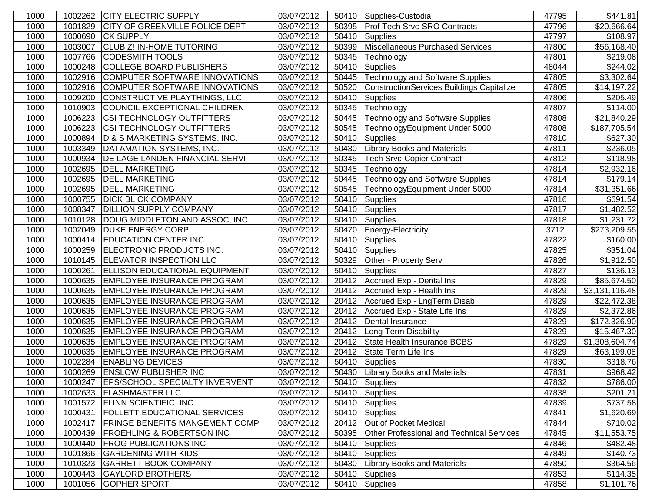| 1000 | 1002262 | <b>CITY ELECTRIC SUPPLY</b>            | 03/07/2012              |       | 50410 Supplies-Custodial                         | 47795 | \$441.81             |
|------|---------|----------------------------------------|-------------------------|-------|--------------------------------------------------|-------|----------------------|
| 1000 | 1001829 | <b>CITY OF GREENVILLE POLICE DEPT</b>  | 03/07/2012              | 50395 | <b>Prof Tech Srvc-SRO Contracts</b>              | 47796 | \$20,666.64          |
| 1000 | 1000690 | <b>CK SUPPLY</b>                       | 03/07/2012              | 50410 | Supplies                                         | 47797 | \$108.97             |
| 1000 | 1003007 | <b>CLUB Z! IN-HOME TUTORING</b>        | 03/07/2012              | 50399 | Miscellaneous Purchased Services                 | 47800 | \$56,168.40          |
| 1000 | 1007766 | <b>CODESMITH TOOLS</b>                 | 03/07/2012              | 50345 | Technology                                       | 47801 | \$219.08             |
| 1000 | 1000248 | <b>COLLEGE BOARD PUBLISHERS</b>        | 03/07/2012              | 50410 | Supplies                                         | 48044 | \$244.02             |
| 1000 | 1002916 | COMPUTER SOFTWARE INNOVATIONS          | 03/07/2012              | 50445 | Technology and Software Supplies                 | 47805 | \$3,302.64           |
| 1000 | 1002916 | COMPUTER SOFTWARE INNOVATIONS          | 03/07/2012              | 50520 | ConstructionServices Buildings Capitalize        | 47805 | \$14,197.22          |
| 1000 | 1009200 | CONSTRUCTIVE PLAYTHINGS, LLC           | 03/07/2012              | 50410 | Supplies                                         | 47806 | \$205.49             |
| 1000 | 1010903 | COUNCIL EXCEPTIONAL CHILDREN           | 03/07/2012              | 50345 | Technology                                       | 47807 | \$114.00             |
| 1000 | 1006223 | <b>CSI TECHNOLOGY OUTFITTERS</b>       | 03/07/2012              | 50445 | <b>Technology and Software Supplies</b>          | 47808 | \$21,840.29          |
| 1000 | 1006223 | <b>CSI TECHNOLOGY OUTFITTERS</b>       | 03/07/2012              | 50545 | TechnologyEquipment Under 5000                   | 47808 | \$187,705.54         |
| 1000 | 1000894 | D & S MARKETING SYSTEMS, INC.          | 03/07/2012              | 50410 | Supplies                                         | 47810 | $\overline{$}627.30$ |
| 1000 | 1003349 | DATAMATION SYSTEMS, INC.               | 03/07/2012              | 50430 | <b>Library Books and Materials</b>               | 47811 | \$236.05             |
| 1000 | 1000934 | <b>DE LAGE LANDEN FINANCIAL SERVI</b>  | 03/07/2012              | 50345 | <b>Tech Srvc-Copier Contract</b>                 | 47812 | $\overline{$}118.98$ |
| 1000 | 1002695 | <b>DELL MARKETING</b>                  | 03/07/2012              | 50345 | Technology                                       | 47814 | \$2,932.16           |
| 1000 | 1002695 | <b>DELL MARKETING</b>                  | 03/07/2012              | 50445 | Technology and Software Supplies                 | 47814 | \$179.14             |
| 1000 | 1002695 | <b>DELL MARKETING</b>                  | 03/07/2012              | 50545 | TechnologyEquipment Under 5000                   | 47814 | \$31,351.66          |
| 1000 | 1000755 | <b>DICK BLICK COMPANY</b>              | 03/07/2012              | 50410 | Supplies                                         | 47816 | \$691.54             |
| 1000 | 1008347 | <b>DILLION SUPPLY COMPANY</b>          | 03/07/2012              | 50410 | Supplies                                         | 47817 | \$1,482.52           |
| 1000 | 1010128 | DOUG MIDDLETON AND ASSOC, INC          | 03/07/2012              | 50410 | Supplies                                         | 47818 | \$1,231.72           |
| 1000 | 1002049 | <b>DUKE ENERGY CORP.</b>               | 03/07/2012              | 50470 | Energy-Electricity                               | 3712  | \$273,209.55         |
| 1000 | 1000414 | <b>EDUCATION CENTER INC</b>            | 03/07/2012              | 50410 | Supplies                                         | 47822 | \$160.00             |
| 1000 | 1000259 | ELECTRONIC PRODUCTS INC.               | 03/07/2012              | 50410 | Supplies                                         | 47825 | $\overline{$}351.04$ |
| 1000 | 1010145 | <b>ELEVATOR INSPECTION LLC</b>         | 03/07/2012              | 50329 | Other - Property Serv                            | 47826 | \$1,912.50           |
| 1000 | 1000261 | <b>ELLISON EDUCATIONAL EQUIPMENT</b>   | 03/07/2012              | 50410 | Supplies                                         | 47827 | \$136.13             |
| 1000 |         | 1000635 EMPLOYEE INSURANCE PROGRAM     | 03/07/2012              | 20412 | Accrued Exp - Dental Ins                         | 47829 | \$85,674.50          |
| 1000 | 1000635 | <b>EMPLOYEE INSURANCE PROGRAM</b>      | 03/07/2012              | 20412 | Accrued Exp - Health Ins                         | 47829 | \$3,131,116.48       |
| 1000 |         | 1000635 EMPLOYEE INSURANCE PROGRAM     | 03/07/2012              |       | 20412 Accrued Exp - LngTerm Disab                | 47829 | \$22,472.38          |
| 1000 |         | 1000635 EMPLOYEE INSURANCE PROGRAM     | 03/07/2012              | 20412 | Accrued Exp - State Life Ins                     | 47829 | \$2,372.86           |
| 1000 | 1000635 | <b>EMPLOYEE INSURANCE PROGRAM</b>      | $\overline{03/07}/2012$ | 20412 | Dental Insurance                                 | 47829 | \$172,326.90         |
| 1000 | 1000635 | <b>EMPLOYEE INSURANCE PROGRAM</b>      | 03/07/2012              | 20412 | Long Term Disability                             | 47829 | \$15,467.30          |
| 1000 | 1000635 | <b>EMPLOYEE INSURANCE PROGRAM</b>      | 03/07/2012              | 20412 | State Health Insurance BCBS                      | 47829 | \$1,308,604.74       |
| 1000 | 1000635 | <b>EMPLOYEE INSURANCE PROGRAM</b>      | 03/07/2012              | 20412 | State Term Life Ins                              | 47829 | \$63,199.08          |
| 1000 | 1002284 | <b>ENABLING DEVICES</b>                | 03/07/2012              | 50410 | Supplies                                         | 47830 | \$318.76             |
| 1000 | 1000269 | <b>ENSLOW PUBLISHER INC</b>            | 03/07/2012              | 50430 | <b>Library Books and Materials</b>               | 47831 | \$968.42             |
| 1000 |         | 1000247 EPS/SCHOOL SPECIALTY INVERVENT | 03/07/2012              |       | 50410 Supplies                                   | 47832 | \$786.00             |
| 1000 |         | 1002633 FLASHMASTER LLC                | 03/07/2012              | 50410 | Supplies                                         | 47838 | \$201.21             |
| 1000 | 1001572 | <b>FLINN SCIENTIFIC, INC.</b>          | 03/07/2012              | 50410 | Supplies                                         | 47839 | \$737.58             |
| 1000 | 1000431 | <b>FOLLETT EDUCATIONAL SERVICES</b>    | 03/07/2012              | 50410 | Supplies                                         | 47841 | \$1,620.69           |
| 1000 | 1002417 | <b>FRINGE BENEFITS MANGEMENT COMP</b>  | 03/07/2012              |       | 20412 Out of Pocket Medical                      | 47844 | \$710.02             |
| 1000 | 1000439 | <b>FROEHLING &amp; ROBERTSON INC</b>   | 03/07/2012              | 50395 | <b>Other Professional and Technical Services</b> | 47845 | \$11,553.75          |
| 1000 | 1000440 | <b>FROG PUBLICATIONS INC</b>           | 03/07/2012              | 50410 | Supplies                                         | 47846 | \$482.48]            |
| 1000 | 1001866 | <b>GARDENING WITH KIDS</b>             | 03/07/2012              | 50410 | Supplies                                         | 47849 | \$140.73             |
| 1000 | 1010323 | <b>GARRETT BOOK COMPANY</b>            | 03/07/2012              | 50430 | <b>Library Books and Materials</b>               | 47850 | \$364.56             |
| 1000 | 1000443 | <b>GAYLORD BROTHERS</b>                | $\overline{03/07}/2012$ | 50410 | Supplies                                         | 47853 | \$114.35             |
| 1000 | 1001056 | <b>GOPHER SPORT</b>                    | 03/07/2012              | 50410 | Supplies                                         | 47858 | \$1,101.76           |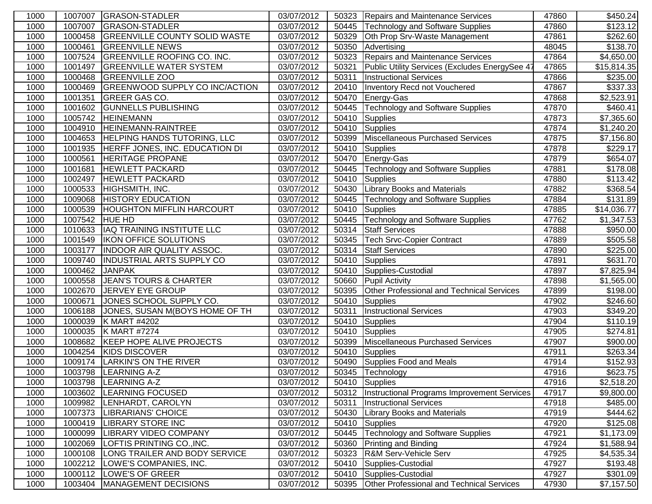| 1000 | 1007007 | <b>GRASON-STADLER</b>                 | 03/07/2012 |       | 50323 Repairs and Maintenance Services         | 47860 | \$450.24                |
|------|---------|---------------------------------------|------------|-------|------------------------------------------------|-------|-------------------------|
| 1000 | 1007007 | <b>GRASON-STADLER</b>                 | 03/07/2012 | 50445 | Technology and Software Supplies               | 47860 | \$123.12                |
| 1000 | 1000458 | <b>GREENVILLE COUNTY SOLID WASTE</b>  | 03/07/2012 | 50329 | Oth Prop Srv-Waste Management                  | 47861 | \$262.60                |
| 1000 | 1000461 | <b>GREENVILLE NEWS</b>                | 03/07/2012 | 50350 | Advertising                                    | 48045 | \$138.70                |
| 1000 | 1007524 | <b>GREENVILLE ROOFING CO. INC.</b>    | 03/07/2012 | 50323 | Repairs and Maintenance Services               | 47864 | \$4,650.00              |
| 1000 | 1001497 | <b>GREENVILLE WATER SYSTEM</b>        | 03/07/2012 | 50321 | Public Utility Services (Excludes EnergySee 47 | 47865 | \$15,814.35             |
| 1000 | 1000468 | <b>GREENVILLE ZOO</b>                 | 03/07/2012 | 50311 | <b>Instructional Services</b>                  | 47866 | \$235.00                |
| 1000 | 1000469 | <b>GREENWOOD SUPPLY CO INC/ACTION</b> | 03/07/2012 | 20410 | Inventory Recd not Vouchered                   | 47867 | \$337.33                |
| 1000 | 1001351 | <b>GREER GAS CO.</b>                  | 03/07/2012 | 50470 | Energy-Gas                                     | 47868 | \$2,523.91              |
| 1000 | 1001602 | <b>GUNNELLS PUBLISHING</b>            | 03/07/2012 | 50445 | <b>Technology and Software Supplies</b>        | 47870 | \$460.41                |
| 1000 | 1005742 | <b>HEINEMANN</b>                      | 03/07/2012 | 50410 | Supplies                                       | 47873 | \$7,365.60              |
| 1000 | 1004910 | <b>HEINEMANN-RAINTREE</b>             | 03/07/2012 | 50410 | Supplies                                       | 47874 | \$1,240.20              |
| 1000 | 1004653 | <b>HELPING HANDS TUTORING, LLC</b>    | 03/07/2012 | 50399 | Miscellaneous Purchased Services               | 47875 | \$7,156.80              |
| 1000 | 1001935 | HERFF JONES, INC. EDUCATION DI        | 03/07/2012 | 50410 | Supplies                                       | 47878 | $\overline{$}229.17$    |
| 1000 | 1000561 | <b>HERITAGE PROPANE</b>               | 03/07/2012 | 50470 | Energy-Gas                                     | 47879 | \$654.07                |
| 1000 | 1001681 | <b>HEWLETT PACKARD</b>                | 03/07/2012 | 50445 | Technology and Software Supplies               | 47881 | \$178.08                |
| 1000 | 1002497 | <b>HEWLETT PACKARD</b>                | 03/07/2012 | 50410 | Supplies                                       | 47880 | \$113.42                |
| 1000 | 1000533 | HIGHSMITH, INC.                       | 03/07/2012 | 50430 | <b>Library Books and Materials</b>             | 47882 | \$368.54                |
| 1000 | 1009068 | <b>HISTORY EDUCATION</b>              | 03/07/2012 | 50445 | <b>Technology and Software Supplies</b>        | 47884 | \$131.89                |
| 1000 | 1000539 | <b>HOUGHTON MIFFLIN HARCOURT</b>      | 03/07/2012 | 50410 | Supplies                                       | 47885 | \$14,036.77             |
| 1000 | 1007542 | <b>HUE HD</b>                         | 03/07/2012 | 50445 | Technology and Software Supplies               | 47762 | \$1,347.53              |
| 1000 | 1010633 | IAQ TRAINING INSTITUTE LLC            | 03/07/2012 | 50314 | <b>Staff Services</b>                          | 47888 | \$950.00                |
| 1000 | 1001549 | <b>IKON OFFICE SOLUTIONS</b>          | 03/07/2012 | 50345 | Tech Srvc-Copier Contract                      | 47889 | \$505.58                |
| 1000 | 1003177 | <b>INDOOR AIR QUALITY ASSOC.</b>      | 03/07/2012 | 50314 | <b>Staff Services</b>                          | 47890 | \$225.00                |
| 1000 | 1009740 | INDUSTRIAL ARTS SUPPLY CO             | 03/07/2012 | 50410 | Supplies                                       | 47891 | \$631.70                |
| 1000 | 1000462 | <b>JANPAK</b>                         | 03/07/2012 | 50410 | Supplies-Custodial                             | 47897 | \$7,825.94              |
| 1000 | 1000558 | JEAN'S TOURS & CHARTER                | 03/07/2012 | 50660 | <b>Pupil Activity</b>                          | 47898 | \$1,565.00              |
| 1000 | 1002670 | <b>JERVEY EYE GROUP</b>               | 03/07/2012 | 50395 | Other Professional and Technical Services      | 47899 | $\overline{$}198.00$    |
| 1000 | 1000671 | JONES SCHOOL SUPPLY CO.               | 03/07/2012 | 50410 | Supplies                                       | 47902 | $\overline{$}246.60$    |
| 1000 | 1006188 | JONES, SUSAN M(BOYS HOME OF TH        | 03/07/2012 | 50311 | <b>Instructional Services</b>                  | 47903 | \$349.20                |
| 1000 | 1000039 | K MART #4202                          | 03/07/2012 | 50410 | Supplies                                       | 47904 | $\overline{$}110.19$    |
| 1000 | 1000035 | K MART #7274                          | 03/07/2012 | 50410 | Supplies                                       | 47905 | \$274.81                |
| 1000 | 1008682 | KEEP HOPE ALIVE PROJECTS              | 03/07/2012 | 50399 | Miscellaneous Purchased Services               | 47907 | \$900.00                |
| 1000 | 1004254 | <b>KIDS DISCOVER</b>                  | 03/07/2012 | 50410 | Supplies                                       | 47911 | \$263.34                |
| 1000 | 1009174 | <b>LARKIN'S ON THE RIVER</b>          | 03/07/2012 | 50490 | Supplies Food and Meals                        | 47914 | \$152.93                |
| 1000 | 1003798 | <b>LEARNING A-Z</b>                   | 03/07/2012 | 50345 | Technology                                     | 47916 | \$623.75                |
| 1000 | 1003798 | <b>LEARNING A-Z</b>                   | 03/07/2012 |       | 50410 Supplies                                 | 47916 | \$2,518.20              |
| 1000 | 1003602 | LEARNING FOCUSED                      | 03/07/2012 | 50312 | Instructional Programs Improvement Services    | 47917 | \$9,800.00              |
| 1000 | 1009982 | LENHARDT, CAROLYN                     | 03/07/2012 | 50311 | <b>Instructional Services</b>                  | 47918 | \$485.00                |
| 1000 | 1007373 | LIBRARIANS' CHOICE                    | 03/07/2012 | 50430 | <b>Library Books and Materials</b>             | 47919 | \$444.62                |
| 1000 | 1000419 | <b>LIBRARY STORE INC</b>              | 03/07/2012 | 50410 | Supplies                                       | 47920 | \$125.08                |
| 1000 | 1000099 | <b>LIBRARY VIDEO COMPANY</b>          | 03/07/2012 | 50445 | Technology and Software Supplies               | 47921 | \$1,173.09              |
| 1000 | 1002069 | LOFTIS PRINTING CO., INC.             | 03/07/2012 | 50360 | <b>Printing and Binding</b>                    | 47924 | \$1,588.94              |
| 1000 | 1000108 | LONG TRAILER AND BODY SERVICE         | 03/07/2012 | 50323 | R&M Serv-Vehicle Serv                          | 47925 | $$4,535.\overline{34}]$ |
| 1000 | 1002212 | LOWE'S COMPANIES, INC.                | 03/07/2012 | 50410 | Supplies-Custodial                             | 47927 | \$193.48                |
| 1000 | 1000112 | LOWE'S OF GREER                       | 03/07/2012 | 50410 | Supplies-Custodial                             | 47927 | \$301.09                |
| 1000 | 1003404 | MANAGEMENT DECISIONS                  | 03/07/2012 | 50395 | Other Professional and Technical Services      | 47930 | \$7,157.50              |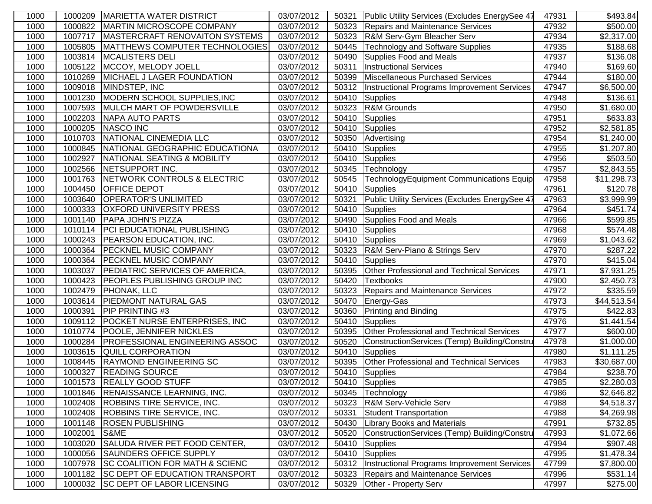| 1000 | 1000209 | <b>MARIETTA WATER DISTRICT</b>                     | 03/07/2012 | 50321 | Public Utility Services (Excludes EnergySee 47 | 47931 | $\overline{$}493.84$    |
|------|---------|----------------------------------------------------|------------|-------|------------------------------------------------|-------|-------------------------|
| 1000 | 1000822 | <b>MARTIN MICROSCOPE COMPANY</b>                   | 03/07/2012 | 50323 | <b>Repairs and Maintenance Services</b>        | 47932 | \$500.00                |
| 1000 | 1007717 | <b>MASTERCRAFT RENOVAITON SYSTEMS</b>              | 03/07/2012 | 50323 | R&M Serv-Gym Bleacher Serv                     | 47934 | \$2,317.00              |
| 1000 | 1005805 | MATTHEWS COMPUTER TECHNOLOGIES                     | 03/07/2012 | 50445 | Technology and Software Supplies               | 47935 | \$188.68                |
| 1000 | 1003814 | <b>MCALISTERS DELI</b>                             | 03/07/2012 | 50490 | Supplies Food and Meals                        | 47937 | \$136.08                |
| 1000 | 1005122 | MCCOY, MELODY JOELL                                | 03/07/2012 | 50311 | <b>Instructional Services</b>                  | 47940 | \$169.60                |
| 1000 | 1010269 | MICHAEL J LAGER FOUNDATION                         | 03/07/2012 | 50399 | Miscellaneous Purchased Services               | 47944 | \$180.00                |
| 1000 | 1009018 | MINDSTEP, INC                                      | 03/07/2012 | 50312 | Instructional Programs Improvement Services    | 47947 | \$6,500.00              |
| 1000 | 1001230 | MODERN SCHOOL SUPPLIES, INC                        | 03/07/2012 | 50410 | Supplies                                       | 47948 | \$136.61                |
| 1000 | 1007593 | MULCH MART OF POWDERSVILLE                         | 03/07/2012 | 50323 | R&M Grounds                                    | 47950 | \$1,680.00              |
| 1000 | 1002203 | <b>NAPA AUTO PARTS</b>                             | 03/07/2012 | 50410 | Supplies                                       | 47951 | \$633.83                |
| 1000 | 1000205 | <b>NASCO INC</b>                                   | 03/07/2012 | 50410 | Supplies                                       | 47952 | \$2,581.85              |
| 1000 | 1010703 | NATIONAL CINEMEDIA LLC                             | 03/07/2012 | 50350 | Advertising                                    | 47954 | \$1,240.00              |
| 1000 | 1000845 | NATIONAL GEOGRAPHIC EDUCATIONA                     | 03/07/2012 | 50410 | Supplies                                       | 47955 | \$1,207.80              |
| 1000 | 1002927 | NATIONAL SEATING & MOBILITY                        | 03/07/2012 | 50410 | Supplies                                       | 47956 | \$503.50                |
| 1000 | 1002566 | NETSUPPORT INC.                                    | 03/07/2012 | 50345 | Technology                                     | 47957 | $\overline{$2,843.55}$  |
| 1000 | 1001763 | NETWORK CONTROLS & ELECTRIC                        | 03/07/2012 | 50545 | TechnologyEquipment Communications Equip       | 47958 | \$11,298.73             |
| 1000 | 1004450 | OFFICE DEPOT                                       | 03/07/2012 | 50410 | Supplies                                       | 47961 | \$120.78                |
| 1000 | 1003640 | <b>OPERATOR'S UNLIMITED</b>                        | 03/07/2012 | 50321 | Public Utility Services (Excludes EnergySee 47 | 47963 | \$3,999.99              |
| 1000 | 1000333 | <b>OXFORD UNIVERSITY PRESS</b>                     | 03/07/2012 | 50410 | Supplies                                       | 47964 | \$451.74                |
| 1000 | 1001140 | PAPA JOHN'S PIZZA                                  | 03/07/2012 | 50490 | Supplies Food and Meals                        | 47966 | \$599.85                |
| 1000 | 1010114 | <b>PCI EDUCATIONAL PUBLISHING</b>                  | 03/07/2012 | 50410 | Supplies                                       | 47968 | \$574.48                |
| 1000 | 1000243 | <b>PEARSON EDUCATION, INC.</b>                     | 03/07/2012 | 50410 | Supplies                                       | 47969 | \$1,043.62              |
| 1000 | 1000364 | PECKNEL MUSIC COMPANY                              | 03/07/2012 | 50323 | R&M Serv-Piano & Strings Serv                  | 47970 | \$287.22                |
| 1000 | 1000364 | <b>PECKNEL MUSIC COMPANY</b>                       | 03/07/2012 | 50410 | Supplies                                       | 47970 | \$415.04                |
| 1000 | 1003037 | <b>PEDIATRIC SERVICES OF AMERICA,</b>              | 03/07/2012 | 50395 | Other Professional and Technical Services      | 47971 | \$7,931.25              |
| 1000 | 1000423 | <b>PEOPLES PUBLISHING GROUP INC</b>                | 03/07/2012 | 50420 | Textbooks                                      | 47900 | \$2,450.73              |
| 1000 | 1002479 | PHONAK, LLC                                        | 03/07/2012 | 50323 | Repairs and Maintenance Services               | 47972 | \$335.59                |
| 1000 | 1003614 | <b>PIEDMONT NATURAL GAS</b>                        | 03/07/2012 | 50470 | Energy-Gas                                     | 47973 | \$44,513.54             |
| 1000 | 1000391 | <b>PIP PRINTING #3</b>                             | 03/07/2012 | 50360 | <b>Printing and Binding</b>                    | 47975 | \$422.83                |
| 1000 | 1009112 | POCKET NURSE ENTERPRISES, INC                      | 03/07/2012 | 50410 | Supplies                                       | 47976 | $\overline{\$1,}441.54$ |
| 1000 | 1010774 | POOLE, JENNIFER NICKLES                            | 03/07/2012 | 50395 | Other Professional and Technical Services      | 47977 | \$600.00                |
| 1000 | 1000284 | <b>PROFESSIONAL ENGINEERING ASSOC</b>              | 03/07/2012 | 50520 | ConstructionServices (Temp) Building/Constru   | 47978 | \$1,000.00              |
| 1000 | 1003615 | QUILL CORPORATION                                  | 03/07/2012 | 50410 | Supplies                                       | 47980 | \$1,111.25              |
| 1000 | 1008445 | <b>RAYMOND ENGINEERING SC</b>                      | 03/07/2012 | 50395 | Other Professional and Technical Services      | 47983 | \$30,687.00             |
| 1000 | 1000327 | <b>READING SOURCE</b><br>1001573 REALLY GOOD STUFF | 03/07/2012 | 50410 | Supplies                                       | 47984 | $\overline{$}238.70$    |
| 1000 |         |                                                    | 03/07/2012 |       | 50410 Supplies                                 | 47985 | \$2,280.03              |
| 1000 | 1001846 | <b>RENAISSANCE LEARNING, INC.</b>                  | 03/07/2012 | 50345 | Technology                                     | 47986 | \$2,646.82              |
| 1000 | 1002408 | <b>ROBBINS TIRE SERVICE, INC.</b>                  | 03/07/2012 | 50323 | R&M Serv-Vehicle Serv                          | 47988 | \$4,518.37              |
| 1000 | 1002408 | ROBBINS TIRE SERVICE, INC.                         | 03/07/2012 | 50331 | Student Transportation                         | 47988 | \$4,269.98              |
| 1000 | 1001148 | <b>ROSEN PUBLISHING</b>                            | 03/07/2012 | 50430 | <b>Library Books and Materials</b>             | 47991 | \$732.85                |
| 1000 | 1002001 | S&ME                                               | 03/07/2012 | 50520 | ConstructionServices (Temp) Building/Constru   | 47993 | \$1,072.66              |
| 1000 | 1003020 | SALUDA RIVER PET FOOD CENTER,                      | 03/07/2012 | 50410 | Supplies                                       | 47994 | \$907.48]               |
| 1000 | 1000056 | <b>SAUNDERS OFFICE SUPPLY</b>                      | 03/07/2012 | 50410 | Supplies                                       | 47995 | \$1,478.34              |
| 1000 | 1007978 | <b>SC COALITION FOR MATH &amp; SCIENC</b>          | 03/07/2012 | 50312 | Instructional Programs Improvement Services    | 47799 | \$7,800.00              |
| 1000 | 1001182 | <b>SC DEPT OF EDUCATION TRANSPORT</b>              | 03/07/2012 | 50323 | Repairs and Maintenance Services               | 47996 | \$531.14                |
| 1000 | 1000032 | <b>SC DEPT OF LABOR LICENSING</b>                  | 03/07/2012 | 50329 | Other - Property Serv                          | 47997 | \$275.00                |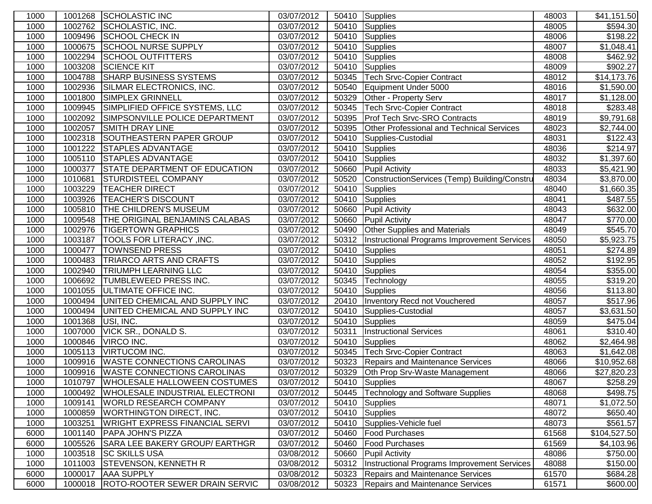| 1000 |         | 1001268 SCHOLASTIC INC                  | 03/07/2012              |       | 50410 Supplies                                   | 48003 | \$41,151.50          |
|------|---------|-----------------------------------------|-------------------------|-------|--------------------------------------------------|-------|----------------------|
| 1000 | 1002762 | SCHOLASTIC, INC.                        | 03/07/2012              | 50410 | Supplies                                         | 48005 | \$594.30             |
| 1000 | 1009496 | <b>SCHOOL CHECK IN</b>                  | 03/07/2012              | 50410 | Supplies                                         | 48006 | \$198.22             |
| 1000 | 1000675 | <b>SCHOOL NURSE SUPPLY</b>              | 03/07/2012              | 50410 | Supplies                                         | 48007 | \$1,048.41           |
| 1000 | 1002294 | <b>SCHOOL OUTFITTERS</b>                | 03/07/2012              | 50410 | Supplies                                         | 48008 | \$462.92             |
| 1000 | 1003208 | <b>SCIENCE KIT</b>                      | 03/07/2012              | 50410 | Supplies                                         | 48009 | \$902.27             |
| 1000 | 1004788 | <b>SHARP BUSINESS SYSTEMS</b>           | 03/07/2012              | 50345 | <b>Tech Srvc-Copier Contract</b>                 | 48012 | \$14,173.76          |
| 1000 | 1002936 | SILMAR ELECTRONICS, INC.                | 03/07/2012              | 50540 | Equipment Under 5000                             | 48016 | \$1,590.00           |
| 1000 | 1001800 | <b>SIMPLEX GRINNELL</b>                 | 03/07/2012              | 50329 | Other - Property Serv                            | 48017 | \$1,128.00           |
| 1000 | 1009945 | SIMPLIFIED OFFICE SYSTEMS, LLC          | 03/07/2012              | 50345 | <b>Tech Srvc-Copier Contract</b>                 | 48018 | \$283.48             |
| 1000 | 1002092 | SIMPSONVILLE POLICE DEPARTMENT          | 03/07/2012              | 50395 | <b>Prof Tech Srvc-SRO Contracts</b>              | 48019 | \$9,791.68           |
| 1000 | 1002057 | <b>SMITH DRAY LINE</b>                  | 03/07/2012              | 50395 | <b>Other Professional and Technical Services</b> | 48023 | \$2,744.00           |
| 1000 | 1002318 | SOUTHEASTERN PAPER GROUP                | 03/07/2012              | 50410 | Supplies-Custodial                               | 48031 | \$122.43             |
| 1000 | 1001222 | <b>STAPLES ADVANTAGE</b>                | 03/07/2012              | 50410 | Supplies                                         | 48036 | \$214.97             |
| 1000 | 1005110 | <b>STAPLES ADVANTAGE</b>                | 03/07/2012              | 50410 | Supplies                                         | 48032 | \$1,397.60           |
| 1000 | 1000377 | <b>STATE DEPARTMENT OF EDUCATION</b>    | 03/07/2012              | 50660 | <b>Pupil Activity</b>                            | 48033 | \$5,421.90           |
| 1000 | 1010681 | <b>STURDISTEEL COMPANY</b>              | 03/07/2012              | 50520 | ConstructionServices (Temp) Building/Constru     | 48034 | \$3,870.00           |
| 1000 | 1003229 | <b>TEACHER DIRECT</b>                   | 03/07/2012              | 50410 | <b>Supplies</b>                                  | 48040 | \$1,660.35           |
| 1000 | 1003926 | <b>TEACHER'S DISCOUNT</b>               | 03/07/2012              | 50410 | Supplies                                         | 48041 | \$487.55             |
| 1000 | 1005810 | <b>THE CHILDREN'S MUSEUM</b>            | 03/07/2012              | 50660 | <b>Pupil Activity</b>                            | 48043 | \$632.00             |
| 1000 | 1009548 | THE ORIGINAL BENJAMINS CALABAS          | 03/07/2012              | 50660 | <b>Pupil Activity</b>                            | 48047 | \$770.00             |
| 1000 | 1002976 | <b>TIGERTOWN GRAPHICS</b>               | 03/07/2012              | 50490 | <b>Other Supplies and Materials</b>              | 48049 | \$545.70             |
| 1000 | 1003187 | TOOLS FOR LITERACY , INC.               | 03/07/2012              | 50312 | Instructional Programs Improvement Services      | 48050 | \$5,923.75           |
| 1000 | 1000477 | <b>TOWNSEND PRESS</b>                   | 03/07/2012              | 50410 | Supplies                                         | 48051 | \$274.89             |
| 1000 | 1000483 | <b>TRIARCO ARTS AND CRAFTS</b>          | 03/07/2012              | 50410 | Supplies                                         | 48052 | \$192.95             |
| 1000 | 1002940 | <b>TRIUMPH LEARNING LLC</b>             | 03/07/2012              | 50410 | Supplies                                         | 48054 | \$355.00             |
| 1000 | 1006692 | <b>TUMBLEWEED PRESS INC.</b>            | 03/07/2012              | 50345 | Technology                                       | 48055 | \$319.20             |
| 1000 | 1001055 | <b>ULTIMATE OFFICE INC.</b>             | 03/07/2012              | 50410 | Supplies                                         | 48056 | \$113.80             |
| 1000 | 1000494 | UNITED CHEMICAL AND SUPPLY INC          | 03/07/2012              | 20410 | Inventory Recd not Vouchered                     | 48057 | \$517.96             |
| 1000 | 1000494 | UNITED CHEMICAL AND SUPPLY INC          | $\overline{03/07}/2012$ | 50410 | Supplies-Custodial                               | 48057 | \$3,631.50           |
| 1000 | 1001368 | USI, INC.                               | 03/07/2012              | 50410 | Supplies                                         | 48059 | \$475.04             |
| 1000 | 1007000 | <b>VICK SR., DONALD S.</b>              | 03/07/2012              | 50311 | <b>Instructional Services</b>                    | 48061 | $\overline{$}310.40$ |
| 1000 | 1000846 | VIRCO INC.                              | 03/07/2012              | 50410 | Supplies                                         | 48062 | \$2,464.98           |
| 1000 | 1005113 | <b>VIRTUCOM INC.</b>                    | 03/07/2012              | 50345 | <b>Tech Srvc-Copier Contract</b>                 | 48063 | \$1,642.08           |
| 1000 | 1009916 | <b>WASTE CONNECTIONS CAROLINAS</b>      | 03/07/2012              | 50323 | Repairs and Maintenance Services                 | 48066 | \$10,952.68          |
| 1000 | 1009916 | <b>WASTE CONNECTIONS CAROLINAS</b>      | 03/07/2012              | 50329 | <b>Oth Prop Srv-Waste Management</b>             | 48066 | \$27,820.23          |
| 1000 | 1010797 | WHOLESALE HALLOWEEN COSTUMES            | 03/07/2012              |       | 50410 Supplies                                   | 48067 | \$258.29             |
| 1000 | 1000492 | WHOLESALE INDUSTRIAL ELECTRONI          | 03/07/2012              | 50445 | Technology and Software Supplies                 | 48068 | \$498.75             |
| 1000 | 1009141 | <b>WORLD RESEARCH COMPANY</b>           | 03/07/2012              | 50410 | Supplies                                         | 48071 | \$1,072.50           |
| 1000 | 1000859 | <b>WORTHINGTON DIRECT, INC.</b>         | 03/07/2012              | 50410 | Supplies                                         | 48072 | \$650.40             |
| 1000 | 1003251 | <b>WRIGHT EXPRESS FINANCIAL SERVI</b>   | 03/07/2012              | 50410 | Supplies-Vehicle fuel                            | 48073 | \$561.57             |
| 6000 | 1001140 | <b>PAPA JOHN'S PIZZA</b>                | 03/07/2012              | 50460 | <b>Food Purchases</b>                            | 61568 | \$104,527.50         |
| 6000 | 1005526 | SARA LEE BAKERY GROUP/ EARTHGR          | 03/07/2012              | 50460 | <b>Food Purchases</b>                            | 61569 | \$4,103.96           |
| 1000 |         | 1003518 SC SKILLS USA                   | 03/08/2012              | 50660 | <b>Pupil Activity</b>                            | 48086 | \$750.00             |
| 1000 |         | 1011003 STEVENSON, KENNETH R            | 03/08/2012              | 50312 | Instructional Programs Improvement Services      | 48088 | \$150.00             |
| 6000 | 1000017 | <b>AAA SUPPLY</b>                       | 03/08/2012              | 50323 | Repairs and Maintenance Services                 | 61570 | \$684.28             |
| 6000 |         | 1000018  ROTO-ROOTER SEWER DRAIN SERVIC | 03/08/2012              | 50323 | Repairs and Maintenance Services                 | 61571 | \$600.00             |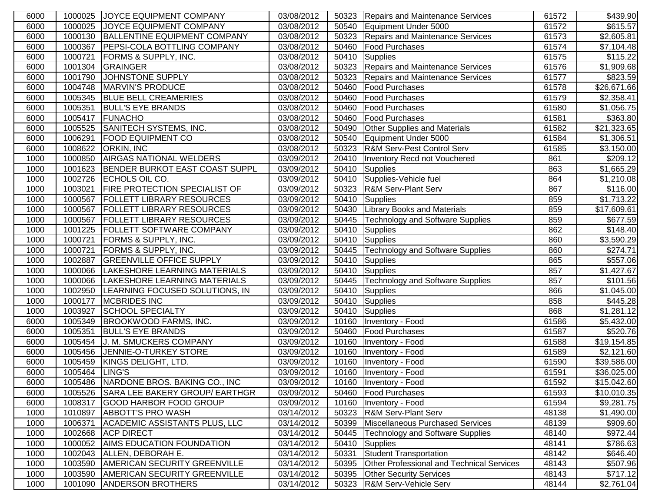| 6000 |                | 1000025 JOYCE EQUIPMENT COMPANY        | 03/08/2012 |       | 50323   Repairs and Maintenance Services         | 61572 | \$439.90                |
|------|----------------|----------------------------------------|------------|-------|--------------------------------------------------|-------|-------------------------|
| 6000 |                | 1000025 JOYCE EQUIPMENT COMPANY        | 03/08/2012 | 50540 | Equipment Under 5000                             | 61572 | \$615.57                |
| 6000 |                | 1000130 BALLENTINE EQUIPMENT COMPANY   | 03/08/2012 | 50323 | Repairs and Maintenance Services                 | 61573 | \$2,605.81              |
| 6000 | 1000367        | <b>PEPSI-COLA BOTTLING COMPANY</b>     | 03/08/2012 | 50460 | <b>Food Purchases</b>                            | 61574 | \$7,104.48              |
| 6000 | 1000721        | <b>FORMS &amp; SUPPLY, INC.</b>        | 03/08/2012 | 50410 | Supplies                                         | 61575 | $\overline{$}115.22$    |
| 6000 | 1001304        | <b>GRAINGER</b>                        | 03/08/2012 | 50323 | Repairs and Maintenance Services                 | 61576 | \$1,909.68              |
| 6000 | 1001790        | JOHNSTONE SUPPLY                       | 03/08/2012 | 50323 | Repairs and Maintenance Services                 | 61577 | \$823.59                |
| 6000 | 1004748        | MARVIN'S PRODUCE                       | 03/08/2012 | 50460 | <b>Food Purchases</b>                            | 61578 | \$26,671.66             |
| 6000 | 1005345        | <b>BLUE BELL CREAMERIES</b>            | 03/08/2012 | 50460 | Food Purchases                                   | 61579 | \$2,358.41              |
| 6000 | 1005351        | <b>BULL'S EYE BRANDS</b>               | 03/08/2012 | 50460 | <b>TFood Purchases</b>                           | 61580 | \$1,056.75              |
| 6000 | 1005417        | FUNACHO                                | 03/08/2012 | 50460 | <b>IFood Purchases</b>                           | 61581 | \$363.80                |
| 6000 |                | 1005525 SANITECH SYSTEMS, INC.         | 03/08/2012 | 50490 | <b>Other Supplies and Materials</b>              | 61582 | \$21,323.65             |
| 6000 | 1006291        | <b>FOOD EQUIPMENT CO</b>               | 03/08/2012 | 50540 | Equipment Under 5000                             | 61584 | \$1,306.51              |
| 6000 | 1008622        | <b>ORKIN, INC</b>                      | 03/08/2012 | 50323 | <b>R&amp;M Serv-Pest Control Serv</b>            | 61585 | \$3,150.00              |
| 1000 | 1000850        | <b>AIRGAS NATIONAL WELDERS</b>         | 03/09/2012 | 20410 | Inventory Recd not Vouchered                     | 861   | $\overline{$}209.12$    |
| 1000 | 1001623        | BENDER BURKOT EAST COAST SUPPL         | 03/09/2012 | 50410 | Supplies                                         | 863   | \$1,665.29              |
| 1000 |                | 1002726 ECHOLS OIL CO.                 | 03/09/2012 | 50410 | Supplies-Vehicle fuel                            | 864   | \$1,210.08              |
| 1000 | 1003021        | <b>FIRE PROTECTION SPECIALIST OF</b>   | 03/09/2012 | 50323 | <b>R&amp;M Serv-Plant Serv</b>                   | 867   | \$116.00                |
| 1000 | 1000567        | <b>FOLLETT LIBRARY RESOURCES</b>       | 03/09/2012 | 50410 | Supplies                                         | 859   | \$1,713.22              |
| 1000 | 1000567        | <b>FOLLETT LIBRARY RESOURCES</b>       | 03/09/2012 | 50430 | <b>Library Books and Materials</b>               | 859   | \$17,609.61             |
| 1000 | 1000567        | <b>FOLLETT LIBRARY RESOURCES</b>       | 03/09/2012 | 50445 | <b>Technology and Software Supplies</b>          | 859   | $\overline{$677.59}$    |
| 1000 | 1001225        | <b>FOLLETT SOFTWARE COMPANY</b>        | 03/09/2012 | 50410 | Supplies                                         | 862   | \$148.40                |
| 1000 | 1000721        | <b>FORMS &amp; SUPPLY, INC.</b>        | 03/09/2012 | 50410 | Supplies                                         | 860   | \$3,590.29              |
| 1000 | 1000721        | <b>FORMS &amp; SUPPLY, INC.</b>        | 03/09/2012 | 50445 | Technology and Software Supplies                 | 860   | \$274.71                |
| 1000 | 1002887        | <b>GREENVILLE OFFICE SUPPLY</b>        | 03/09/2012 | 50410 | Supplies                                         | 865   | \$557.06                |
| 1000 | 1000066        | LAKESHORE LEARNING MATERIALS           | 03/09/2012 | 50410 | Supplies                                         | 857   | \$1,427.67              |
| 1000 |                | 1000066  LAKESHORE LEARNING MATERIALS  | 03/09/2012 | 50445 | Technology and Software Supplies                 | 857   | \$101.56                |
| 1000 | 1002950        | LEARNING FOCUSED SOLUTIONS, IN         | 03/09/2012 | 50410 | Supplies                                         | 866   | \$1,045.00              |
| 1000 | 1000177        | <b>MCBRIDES INC</b>                    | 03/09/2012 | 50410 | Supplies                                         | 858   | \$445.28                |
| 1000 | 1003927        | <b>SCHOOL SPECIALTY</b>                | 03/09/2012 | 50410 | Supplies                                         | 868   | \$1,281.12              |
| 6000 |                | 1005349 BROOKWOOD FARMS, INC.          | 03/09/2012 | 10160 | Inventory - Food                                 | 61586 | \$5,432.00              |
| 6000 | 1005351        | <b>BULL'S EYE BRANDS</b>               | 03/09/2012 | 50460 | <b>Food Purchases</b>                            | 61587 | \$520.76                |
| 6000 | 1005454        | J. M. SMUCKERS COMPANY                 | 03/09/2012 | 10160 | Inventory - Food                                 | 61588 | $\overline{$19,154.85}$ |
| 6000 |                | 1005456 JENNIE-O-TURKEY STORE          | 03/09/2012 | 10160 | Inventory - Food                                 | 61589 | \$2,121.60              |
| 6000 | 1005459        | KINGS DELIGHT, LTD.                    | 03/09/2012 | 10160 | Inventory - Food                                 | 61590 | \$39,586.00             |
| 6000 | 1005464 LING'S |                                        | 03/09/2012 |       | 10160   Inventory - Food                         | 61591 | \$36,025.00             |
| 6000 |                | 1005486 NARDONE BROS. BAKING CO., INC  | 03/09/2012 |       | 10160 Inventory - Food                           | 61592 | \$15,042.60             |
| 6000 |                | 1005526 SARA LEE BAKERY GROUP/ EARTHGR | 03/09/2012 | 50460 | <b>Food Purchases</b>                            | 61593 | \$10,010.35             |
| 6000 | 1008317        | <b>GOOD HARBOR FOOD GROUP</b>          | 03/09/2012 | 10160 | Inventory - Food                                 | 61594 | \$9,281.75              |
| 1000 | 1010897        | <b>ABBOTT'S PRO WASH</b>               | 03/14/2012 | 50323 | <b>R&amp;M Serv-Plant Serv</b>                   | 48138 | \$1,490.00              |
| 1000 | 1006371        | ACADEMIC ASSISTANTS PLUS, LLC          | 03/14/2012 | 50399 | Miscellaneous Purchased Services                 | 48139 | \$909.60                |
| 1000 | 1002668        | <b>ACP DIRECT</b>                      | 03/14/2012 | 50445 | Technology and Software Supplies                 | 48140 | \$972.44]               |
| 1000 | 1000052        | <b>AIMS EDUCATION FOUNDATION</b>       | 03/14/2012 | 50410 | Supplies                                         | 48141 | \$786.63                |
| 1000 | 1002043        | ALLEN, DEBORAH E.                      | 03/14/2012 | 50331 | Student Transportation                           | 48142 | \$646.40                |
| 1000 | 1003590        | <b>AMERICAN SECURITY GREENVILLE</b>    | 03/14/2012 | 50395 | <b>Other Professional and Technical Services</b> | 48143 | \$507.96                |
| 1000 | 1003590        | <b>AMERICAN SECURITY GREENVILLE</b>    | 03/14/2012 | 50395 | <b>Other Security Services</b>                   | 48143 | \$717.12]               |
| 1000 |                | 1001090 ANDERSON BROTHERS              | 03/14/2012 | 50323 | R&M Serv-Vehicle Serv                            | 48144 | \$2,761.04              |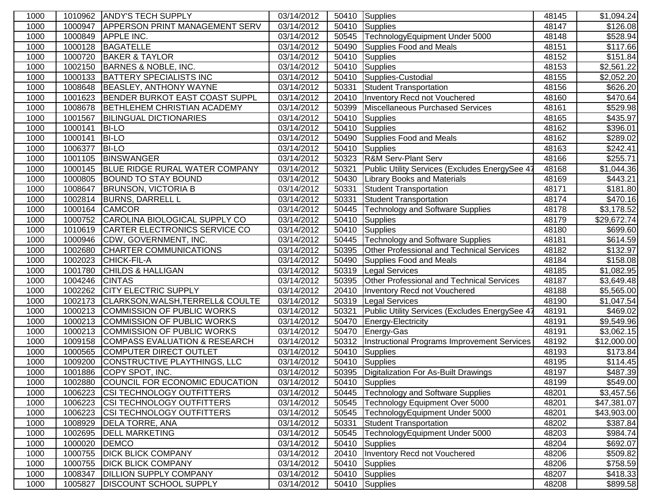| 1000 |         | 1010962 ANDY'S TECH SUPPLY             | 03/14/2012 |       | 50410 Supplies                                     | 48145 | \$1,094.24             |
|------|---------|----------------------------------------|------------|-------|----------------------------------------------------|-------|------------------------|
| 1000 | 1000947 | <b>APPERSON PRINT MANAGEMENT SERV</b>  | 03/14/2012 | 50410 | Supplies                                           | 48147 | \$126.08               |
| 1000 | 1000849 | <b>APPLE INC.</b>                      | 03/14/2012 | 50545 | TechnologyEquipment Under 5000                     | 48148 | \$528.94               |
| 1000 | 1000128 | <b>BAGATELLE</b>                       | 03/14/2012 | 50490 | Supplies Food and Meals                            | 48151 | \$117.66               |
| 1000 | 1000720 | <b>BAKER &amp; TAYLOR</b>              | 03/14/2012 | 50410 | <b>Supplies</b>                                    | 48152 | \$151.84               |
| 1000 | 1002150 | <b>BARNES &amp; NOBLE, INC.</b>        | 03/14/2012 | 50410 | Supplies                                           | 48153 | \$2,561.22             |
| 1000 | 1000133 | <b>BATTERY SPECIALISTS INC</b>         | 03/14/2012 | 50410 | Supplies-Custodial                                 | 48155 | \$2,052.20             |
| 1000 | 1008648 | BEASLEY, ANTHONY WAYNE                 | 03/14/2012 | 50331 | <b>Student Transportation</b>                      | 48156 | \$626.20               |
| 1000 | 1001623 | BENDER BURKOT EAST COAST SUPPL         | 03/14/2012 | 20410 | Inventory Recd not Vouchered                       | 48160 | \$470.64               |
| 1000 | 1008678 | BETHLEHEM CHRISTIAN ACADEMY            | 03/14/2012 | 50399 | Miscellaneous Purchased Services                   | 48161 | \$529.98               |
| 1000 | 1001567 | <b>BILINGUAL DICTIONARIES</b>          | 03/14/2012 | 50410 | Supplies                                           | 48165 | \$435.97               |
| 1000 | 1000141 | <b>BI-LO</b>                           | 03/14/2012 | 50410 | Supplies                                           | 48162 | \$396.01               |
| 1000 | 1000141 | <b>BI-LO</b>                           | 03/14/2012 | 50490 | Supplies Food and Meals                            | 48162 | \$289.02               |
| 1000 | 1006377 | <b>BI-LO</b>                           | 03/14/2012 | 50410 | Supplies                                           | 48163 | \$242.41               |
| 1000 | 1001105 | BINSWANGER                             | 03/14/2012 | 50323 | <b>R&amp;M Serv-Plant Serv</b>                     | 48166 | \$255.71               |
| 1000 | 1000145 | BLUE RIDGE RURAL WATER COMPANY         | 03/14/2012 | 50321 | Public Utility Services (Excludes EnergySee 41     | 48168 | $\overline{$}1,044.36$ |
| 1000 | 1000805 | <b>BOUND TO STAY BOUND</b>             | 03/14/2012 | 50430 | <b>Library Books and Materials</b>                 | 48169 | $\overline{$}443.21$   |
| 1000 | 1008647 | <b>BRUNSON, VICTORIA B</b>             | 03/14/2012 | 50331 | <b>Student Transportation</b>                      | 48171 | \$181.80               |
| 1000 | 1002814 | <b>BURNS, DARRELL L</b>                | 03/14/2012 | 50331 | Student Transportation                             | 48174 | \$470.16               |
| 1000 | 1000164 | <b>CAMCOR</b>                          | 03/14/2012 | 50445 | Technology and Software Supplies                   | 48178 | \$3,178.52             |
| 1000 | 1000752 | CAROLINA BIOLOGICAL SUPPLY CO          | 03/14/2012 | 50410 | <b>Supplies</b>                                    | 48179 | \$29,672.74            |
| 1000 | 1010619 | CARTER ELECTRONICS SERVICE CO          | 03/14/2012 | 50410 | Supplies                                           | 48180 | \$699.60               |
| 1000 | 1000946 | CDW, GOVERNMENT, INC.                  | 03/14/2012 | 50445 | Technology and Software Supplies                   | 48181 | \$614.59               |
| 1000 | 1002680 | CHARTER COMMUNICATIONS                 | 03/14/2012 | 50395 | Other Professional and Technical Services          | 48182 | \$132.97               |
| 1000 | 1002023 | <b>CHICK-FIL-A</b>                     | 03/14/2012 | 50490 | Supplies Food and Meals                            | 48184 | \$158.08               |
| 1000 | 1001780 | <b>CHILDS &amp; HALLIGAN</b>           | 03/14/2012 | 50319 | <b>Legal Services</b>                              | 48185 | \$1,082.95             |
| 1000 | 1004246 | <b>CINTAS</b>                          | 03/14/2012 | 50395 | Other Professional and Technical Services          | 48187 | \$3,649.48             |
| 1000 | 1002262 | <b>CITY ELECTRIC SUPPLY</b>            | 03/14/2012 | 20410 | Inventory Recd not Vouchered                       | 48188 | \$5,565.00             |
| 1000 | 1002173 | CLARKSON, WALSH, TERRELL& COULTE       | 03/14/2012 | 50319 | <b>Legal Services</b>                              | 48190 | \$1,047.54             |
| 1000 | 1000213 | COMMISSION OF PUBLIC WORKS             | 03/14/2012 | 50321 | Public Utility Services (Excludes EnergySee 47     | 48191 | \$469.02               |
| 1000 | 1000213 | COMMISSION OF PUBLIC WORKS             | 03/14/2012 | 50470 | Energy-Electricity                                 | 48191 | \$9,549.96             |
| 1000 | 1000213 | COMMISSION OF PUBLIC WORKS             | 03/14/2012 | 50470 | Energy-Gas                                         | 48191 | \$3,062.15             |
| 1000 | 1009158 | COMPASS EVALUATION & RESEARCH          | 03/14/2012 | 50312 | <b>Instructional Programs Improvement Services</b> | 48192 | \$12,000.00            |
| 1000 | 1000565 | <b>COMPUTER DIRECT OUTLET</b>          | 03/14/2012 | 50410 | Supplies                                           | 48193 | \$173.84               |
| 1000 | 1009200 | CONSTRUCTIVE PLAYTHINGS, LLC           | 03/14/2012 | 50410 | Supplies                                           | 48195 | \$114.45               |
| 1000 | 1001886 | COPY SPOT, INC.                        | 03/14/2012 |       | 50395   Digitalization For As-Built Drawings       | 48197 | \$487.39               |
| 1000 |         | 1002880 COUNCIL FOR ECONOMIC EDUCATION | 03/14/2012 |       | 50410 Supplies                                     | 48199 | \$549.00               |
| 1000 | 1006223 | <b>CSI TECHNOLOGY OUTFITTERS</b>       | 03/14/2012 |       | 50445   Technology and Software Supplies           | 48201 | \$3,457.56             |
| 1000 | 1006223 | <b>CSI TECHNOLOGY OUTFITTERS</b>       | 03/14/2012 | 50545 | Technology Equipment Over 5000                     | 48201 | \$47,381.07            |
| 1000 | 1006223 | <b>CSI TECHNOLOGY OUTFITTERS</b>       | 03/14/2012 | 50545 | TechnologyEquipment Under 5000                     | 48201 | \$43,903.00            |
| 1000 | 1008929 | <b>DELA TORRE, ANA</b>                 | 03/14/2012 | 50331 | Student Transportation                             | 48202 | \$387.84               |
| 1000 | 1002695 | <b>DELL MARKETING</b>                  | 03/14/2012 | 50545 | TechnologyEquipment Under 5000                     | 48203 | \$984.74               |
| 1000 | 1000020 | <b>DEMCO</b>                           | 03/14/2012 | 50410 | Supplies                                           | 48204 | \$692.07               |
| 1000 | 1000755 | <b>DICK BLICK COMPANY</b>              | 03/14/2012 | 20410 | Inventory Recd not Vouchered                       | 48206 | \$509.82               |
| 1000 | 1000755 | <b>DICK BLICK COMPANY</b>              | 03/14/2012 | 50410 | Supplies                                           | 48206 | \$758.59               |
| 1000 | 1008347 | <b>DILLION SUPPLY COMPANY</b>          | 03/14/2012 | 50410 | Supplies                                           | 48207 | \$418.33               |
| 1000 | 1005827 | <b>DISCOUNT SCHOOL SUPPLY</b>          | 03/14/2012 | 50410 | Supplies                                           | 48208 | \$899.58               |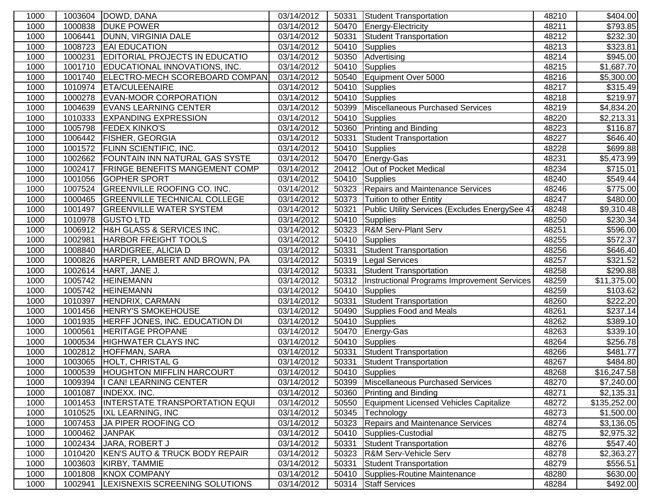| 1000 |         | 1003604   DOWD, DANA                   | 03/14/2012 | 50331 | Student Transportation                         | 48210 | \$404.00               |
|------|---------|----------------------------------------|------------|-------|------------------------------------------------|-------|------------------------|
| 1000 | 1000838 | <b>DUKE POWER</b>                      | 03/14/2012 | 50470 | Energy-Electricity                             | 48211 | \$793.85               |
| 1000 | 1006441 | DUNN, VIRGINIA DALE                    | 03/14/2012 | 50331 | Student Transportation                         | 48212 | \$232.30               |
| 1000 | 1008723 | <b>EAI EDUCATION</b>                   | 03/14/2012 | 50410 | Supplies                                       | 48213 | \$323.81               |
| 1000 | 1000231 | <b>EDITORIAL PROJECTS IN EDUCATIO</b>  | 03/14/2012 | 50350 | Advertising                                    | 48214 | \$945.00               |
| 1000 | 1001710 | EDUCATIONAL INNOVATIONS, INC.          | 03/14/2012 | 50410 | Supplies                                       | 48215 | \$1,687.70             |
| 1000 | 1001740 | ELECTRO-MECH SCOREBOARD COMPAN         | 03/14/2012 | 50540 | Equipment Over 5000                            | 48216 | \$5,300.00             |
| 1000 | 1010974 | <b>ETA/CULEENAIRE</b>                  | 03/14/2012 | 50410 | Supplies                                       | 48217 | \$315.49               |
| 1000 |         | 1000278 EVAN-MOOR CORPORATION          | 03/14/2012 | 50410 | Supplies                                       | 48218 | \$219.97               |
| 1000 |         | 1004639 EVANS LEARNING CENTER          | 03/14/2012 | 50399 | Miscellaneous Purchased Services               | 48219 | \$4,834.20             |
| 1000 |         | 1010333 EXPANDING EXPRESSION           | 03/14/2012 | 50410 | Supplies                                       | 48220 | \$2,213.31             |
| 1000 | 1005798 | <b>FEDEX KINKO'S</b>                   | 03/14/2012 | 50360 | <b>Printing and Binding</b>                    | 48223 | \$116.87               |
| 1000 |         | 1006442 FISHER, GEORGIA                | 03/14/2012 | 50331 | <b>Student Transportation</b>                  | 48227 | \$646.40               |
| 1000 | 1001572 | <b>FLINN SCIENTIFIC, INC.</b>          | 03/14/2012 | 50410 | Supplies                                       | 48228 | \$699.88               |
| 1000 |         | 1002662 FOUNTAIN INN NATURAL GAS SYSTE | 03/14/2012 | 50470 | Energy-Gas                                     | 48231 | $\overline{$}5,473.99$ |
| 1000 | 1002417 | <b>FRINGE BENEFITS MANGEMENT COMP</b>  | 03/14/2012 | 20412 | Out of Pocket Medical                          | 48234 | \$715.01               |
| 1000 | 1001056 | <b>GOPHER SPORT</b>                    | 03/14/2012 | 50410 | Supplies                                       | 48240 | \$549.44               |
| 1000 | 1007524 | GREENVILLE ROOFING CO. INC.            | 03/14/2012 | 50323 | Repairs and Maintenance Services               | 48246 | \$775.00               |
| 1000 | 1000465 | <b>GREENVILLE TECHNICAL COLLEGE</b>    | 03/14/2012 | 50373 | Tuition to other Entity                        | 48247 | \$480.00               |
| 1000 | 1001497 | <b>GREENVILLE WATER SYSTEM</b>         | 03/14/2012 | 50321 | Public Utility Services (Excludes EnergySee 47 | 48248 | \$9,310.48             |
| 1000 | 1010978 | <b>GUSTO LTD</b>                       | 03/14/2012 | 50410 | Supplies                                       | 48250 | \$230.34               |
| 1000 | 1006912 | H&H GLASS & SERVICES INC.              | 03/14/2012 | 50323 | <b>R&amp;M Serv-Plant Serv</b>                 | 48251 | \$596.00               |
| 1000 | 1002981 | <b>HARBOR FREIGHT TOOLS</b>            | 03/14/2012 | 50410 | Supplies                                       | 48255 | \$572.37               |
| 1000 | 1008840 | HARDIGREE, ALICIA D                    | 03/14/2012 | 50331 | <b>Student Transportation</b>                  | 48256 | \$646.40               |
| 1000 | 1000826 | HARPER, LAMBERT AND BROWN, PA          | 03/14/2012 | 50319 | <b>Legal Services</b>                          | 48257 | \$321.52               |
| 1000 | 1002614 | HART, JANE J.                          | 03/14/2012 | 50331 | <b>Student Transportation</b>                  | 48258 | \$290.88               |
| 1000 | 1005742 | <b>HEINEMANN</b>                       | 03/14/2012 | 50312 | Instructional Programs Improvement Services    | 48259 | \$11,375.00            |
| 1000 | 1005742 | <b>HEINEMANN</b>                       | 03/14/2012 | 50410 | Supplies                                       | 48259 | \$103.62               |
| 1000 |         | 1010397 HENDRIX, CARMAN                | 03/14/2012 | 50331 | <b>Student Transportation</b>                  | 48260 | \$222.20               |
| 1000 |         | 1001456 HENRY'S SMOKEHOUSE             | 03/14/2012 | 50490 | Supplies Food and Meals                        | 48261 | \$237.14               |
| 1000 |         | 1001935 HERFF JONES, INC. EDUCATION DI | 03/14/2012 | 50410 | Supplies                                       | 48262 | \$389.10               |
| 1000 | 1000561 | <b>HERITAGE PROPANE</b>                | 03/14/2012 | 50470 | Energy-Gas                                     | 48263 | 3339.10                |
| 1000 | 1000534 | <b>HIGHWATER CLAYS INC</b>             | 03/14/2012 | 50410 | Supplies                                       | 48264 | $\overline{$}256.78$   |
| 1000 | 1002812 | <b>HOFFMAN, SARA</b>                   | 03/14/2012 | 50331 | <b>Student Transportation</b>                  | 48266 | \$481.77               |
| 1000 | 1003065 | <b>HOLT, CHRISTAL G</b>                | 03/14/2012 | 50331 | Student Transportation                         | 48267 | \$484.80               |
| 1000 | 1000539 | <b>HOUGHTON MIFFLIN HARCOURT</b>       | 03/14/2012 | 50410 | Supplies                                       | 48268 | \$16,247.58            |
| 1000 |         | 1009394  I CAN! LEARNING CENTER        | 03/14/2012 | 50399 | Miscellaneous Purchased Services               | 48270 | \$7,240.00             |
| 1000 | 1001087 | <b>INDEXX. INC.</b>                    | 03/14/2012 | 50360 | <b>Printing and Binding</b>                    | 48271 | \$2,135.31             |
| 1000 | 1001453 | <b>INTERSTATE TRANSPORTATION EQUI</b>  | 03/14/2012 | 50550 | Equipment Licensed Vehicles Capitalize         | 48272 | \$135,252.00           |
| 1000 | 1010525 | <b>IXL LEARNING, INC</b>               | 03/14/2012 | 50345 | Technology                                     | 48273 | \$1,500.00             |
| 1000 | 1007453 | JA PIPER ROOFING CO                    | 03/14/2012 | 50323 | Repairs and Maintenance Services               | 48274 | \$3,136.05             |
| 1000 | 1000462 | <b>JANPAK</b>                          | 03/14/2012 | 50410 | Supplies-Custodial                             | 48275 | \$2,975.32             |
| 1000 | 1002434 | JARA, ROBERT J                         | 03/14/2012 | 50331 | Student Transportation                         | 48276 | \$547.40               |
| 1000 | 1010420 | KEN'S AUTO & TRUCK BODY REPAIR         | 03/14/2012 | 50323 | R&M Serv-Vehicle Serv                          | 48278 | \$2,363.27             |
| 1000 | 1003603 | KIRBY, TAMMIE                          | 03/14/2012 | 50331 | Student Transportation                         | 48279 | \$556.51               |
| 1000 | 1001808 | <b>KNOX COMPANY</b>                    | 03/14/2012 | 50410 | Supplies-Routine Maintenance                   | 48280 | \$630.00               |
| 1000 | 1002941 | LEXISNEXIS SCREENING SOLUTIONS         | 03/14/2012 | 50314 | <b>Staff Services</b>                          | 48284 | \$492.00               |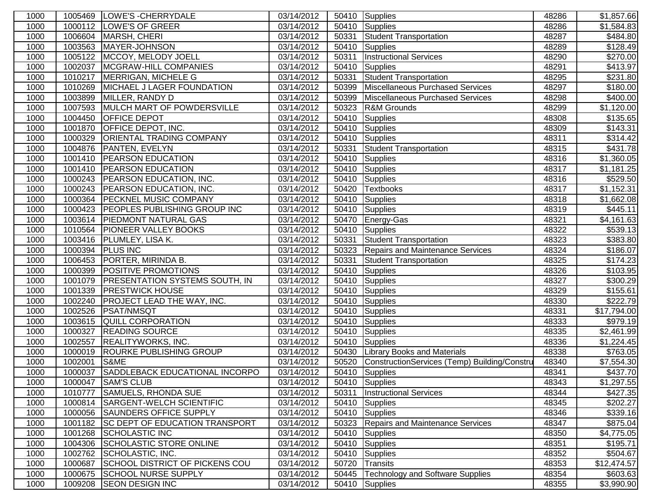| 1000 | 1005469 | LOWE'S - CHERRYDALE                   | 03/14/2012 |       | 50410 Supplies                               | 48286 | \$1,857.66              |
|------|---------|---------------------------------------|------------|-------|----------------------------------------------|-------|-------------------------|
| 1000 | 1000112 | <b>LOWE'S OF GREER</b>                | 03/14/2012 | 50410 | Supplies                                     | 48286 | \$1,584.83              |
| 1000 | 1006604 | <b>MARSH, CHERI</b>                   | 03/14/2012 | 50331 | <b>Student Transportation</b>                | 48287 | \$484.80                |
| 1000 | 1003563 | MAYER-JOHNSON                         | 03/14/2012 | 50410 | Supplies                                     | 48289 | \$128.49                |
| 1000 | 1005122 | MCCOY, MELODY JOELL                   | 03/14/2012 | 50311 | <b>Instructional Services</b>                | 48290 | \$270.00                |
| 1000 | 1002037 | MCGRAW-HILL COMPANIES                 | 03/14/2012 | 50410 | Supplies                                     | 48291 | \$413.97                |
| 1000 | 1010217 | MERRIGAN, MICHELE G                   | 03/14/2012 | 50331 | Student Transportation                       | 48295 | \$231.80                |
| 1000 | 1010269 | MICHAEL J LAGER FOUNDATION            | 03/14/2012 | 50399 | Miscellaneous Purchased Services             | 48297 | $\overline{$}180.00$    |
| 1000 | 1003899 | MILLER, RANDY D                       | 03/14/2012 | 50399 | Miscellaneous Purchased Services             | 48298 | $\overline{$}400.00$    |
| 1000 | 1007593 | MULCH MART OF POWDERSVILLE            | 03/14/2012 | 50323 | R&M Grounds                                  | 48299 | \$1,120.00              |
| 1000 | 1004450 | <b>OFFICE DEPOT</b>                   | 03/14/2012 | 50410 | Supplies                                     | 48308 | \$135.65                |
| 1000 | 1001870 | <b>OFFICE DEPOT, INC.</b>             | 03/14/2012 | 50410 | Supplies                                     | 48309 | \$143.31                |
| 1000 | 1000329 | <b>ORIENTAL TRADING COMPANY</b>       | 03/14/2012 | 50410 | Supplies                                     | 48311 | \$314.42                |
| 1000 | 1004876 | PANTEN, EVELYN                        | 03/14/2012 | 50331 | Student Transportation                       | 48315 | \$431.78                |
| 1000 | 1001410 | <b>PEARSON EDUCATION</b>              | 03/14/2012 | 50410 | Supplies                                     | 48316 | \$1,360.05              |
| 1000 | 1001410 | <b>PEARSON EDUCATION</b>              | 03/14/2012 | 50410 | Supplies                                     | 48317 | \$1,181.25              |
| 1000 | 1000243 | PEARSON EDUCATION, INC.               | 03/14/2012 | 50410 | Supplies                                     | 48316 | \$529.50                |
| 1000 | 1000243 | <b>PEARSON EDUCATION, INC.</b>        | 03/14/2012 | 50420 | <b>Textbooks</b>                             | 48317 | $\overline{\$1,152.31}$ |
| 1000 | 1000364 | <b>PECKNEL MUSIC COMPANY</b>          | 03/14/2012 | 50410 | Supplies                                     | 48318 | \$1,662.08              |
| 1000 | 1000423 | <b>PEOPLES PUBLISHING GROUP INC</b>   | 03/14/2012 | 50410 | Supplies                                     | 48319 | \$445.11                |
| 1000 | 1003614 | <b>PIEDMONT NATURAL GAS</b>           | 03/14/2012 | 50470 | Energy-Gas                                   | 48321 | \$4,161.63              |
| 1000 | 1010564 | <b>PIONEER VALLEY BOOKS</b>           | 03/14/2012 | 50410 | Supplies                                     | 48322 | $\overline{$}539.13$    |
| 1000 | 1003416 | PLUMLEY, LISA K.                      | 03/14/2012 | 50331 | <b>Student Transportation</b>                | 48323 | \$383.80                |
| 1000 | 1000394 | <b>PLUS INC</b>                       | 03/14/2012 | 50323 | Repairs and Maintenance Services             | 48324 | \$186.07                |
| 1000 | 1006453 | PORTER, MIRINDA B.                    | 03/14/2012 | 50331 | Student Transportation                       | 48325 | \$174.23                |
| 1000 | 1000399 | <b>POSITIVE PROMOTIONS</b>            | 03/14/2012 | 50410 | Supplies                                     | 48326 | \$103.95                |
| 1000 | 1001079 | <b>PRESENTATION SYSTEMS SOUTH, IN</b> | 03/14/2012 | 50410 | Supplies                                     | 48327 | \$300.29                |
| 1000 | 1001339 | <b>PRESTWICK HOUSE</b>                | 03/14/2012 | 50410 | Supplies                                     | 48329 | \$155.61                |
| 1000 | 1002240 | <b>PROJECT LEAD THE WAY, INC.</b>     | 03/14/2012 | 50410 | Supplies                                     | 48330 | \$222.79                |
| 1000 | 1002526 | <b>PSAT/NMSQT</b>                     | 03/14/2012 | 50410 | Supplies                                     | 48331 | \$17,794.00             |
| 1000 | 1003615 | QUILL CORPORATION                     | 03/14/2012 | 50410 | Supplies                                     | 48333 | \$979.19                |
| 1000 | 1000327 | <b>READING SOURCE</b>                 | 03/14/2012 | 50410 | Supplies                                     | 48335 | \$2,461.99              |
| 1000 | 1002557 | <b>REALITYWORKS, INC.</b>             | 03/14/2012 | 50410 | Supplies                                     | 48336 | \$1,224.45              |
| 1000 | 1000019 | <b>ROURKE PUBLISHING GROUP</b>        | 03/14/2012 | 50430 | <b>Library Books and Materials</b>           | 48338 | \$763.05                |
| 1000 | 1002001 | S&ME                                  | 03/14/2012 | 50520 | ConstructionServices (Temp) Building/Constru | 48340 | \$7,554.30              |
| 1000 | 1000037 | SADDLEBACK EDUCATIONAL INCORPO        | 03/14/2012 | 50410 | Supplies                                     | 48341 | \$437.70                |
| 1000 | 1000047 | <b>ISAM'S CLUB</b>                    | 03/14/2012 |       | 50410 Supplies                               | 48343 | \$1,297.55              |
| 1000 | 1010777 | <b>SAMUELS, RHONDA SUE</b>            | 03/14/2012 | 50311 | <b>Instructional Services</b>                | 48344 | $\sqrt{$427.35}$        |
| 1000 | 1000814 | <b>SARGENT-WELCH SCIENTIFIC</b>       | 03/14/2012 | 50410 | Supplies                                     | 48345 | \$202.27                |
| 1000 | 1000056 | <b>SAUNDERS OFFICE SUPPLY</b>         | 03/14/2012 | 50410 | Supplies                                     | 48346 | \$339.16                |
| 1000 | 1001182 | <b>SC DEPT OF EDUCATION TRANSPORT</b> | 03/14/2012 | 50323 | Repairs and Maintenance Services             | 48347 | \$875.04                |
| 1000 | 1001268 | <b>SCHOLASTIC INC</b>                 | 03/14/2012 | 50410 | Supplies                                     | 48350 | \$4,775.05              |
| 1000 | 1004306 | <b>SCHOLASTIC STORE ONLINE</b>        | 03/14/2012 | 50410 | Supplies                                     | 48351 | \$195.71                |
| 1000 | 1002762 | SCHOLASTIC, INC.                      | 03/14/2012 | 50410 | Supplies                                     | 48352 | \$504.67                |
| 1000 | 1000687 | <b>SCHOOL DISTRICT OF PICKENS COU</b> | 03/14/2012 | 50720 | Transits                                     | 48353 | \$12,474.57             |
| 1000 | 1000675 | <b>SCHOOL NURSE SUPPLY</b>            | 03/14/2012 | 50445 | Technology and Software Supplies             | 48354 | \$603.63                |
| 1000 | 1009208 | <b>SEON DESIGN INC</b>                | 03/14/2012 | 50410 | Supplies                                     | 48355 | \$3,990.90              |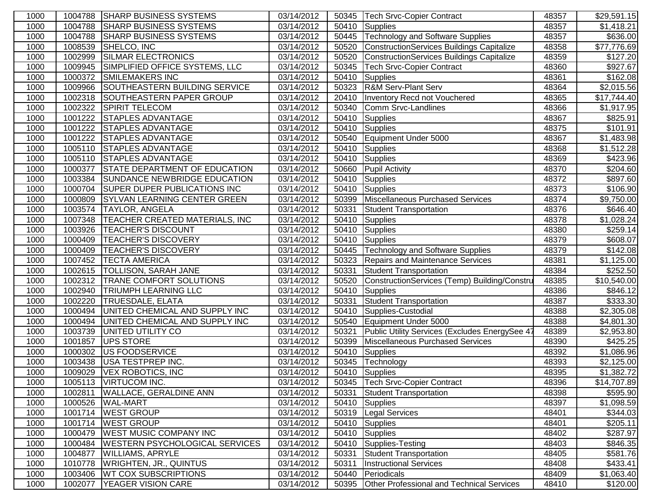| 1000 |         | 1004788 SHARP BUSINESS SYSTEMS        | 03/14/2012 |       | 50345   Tech Srvc-Copier Contract              | 48357 | \$29,591.15             |
|------|---------|---------------------------------------|------------|-------|------------------------------------------------|-------|-------------------------|
| 1000 | 1004788 | <b>SHARP BUSINESS SYSTEMS</b>         | 03/14/2012 | 50410 | Supplies                                       | 48357 | \$1,418.21              |
| 1000 | 1004788 | <b>SHARP BUSINESS SYSTEMS</b>         | 03/14/2012 | 50445 | Technology and Software Supplies               | 48357 | \$636.00                |
| 1000 | 1008539 | SHELCO, INC                           | 03/14/2012 | 50520 | ConstructionServices Buildings Capitalize      | 48358 | \$77,776.69             |
| 1000 | 1002999 | SILMAR ELECTRONICS                    | 03/14/2012 | 50520 | ConstructionServices Buildings Capitalize      | 48359 | \$127.20                |
| 1000 | 1009945 | SIMPLIFIED OFFICE SYSTEMS, LLC        | 03/14/2012 | 50345 | <b>Tech Srvc-Copier Contract</b>               | 48360 | \$927.67                |
| 1000 | 1000372 | <b>SMILEMAKERS INC</b>                | 03/14/2012 | 50410 | Supplies                                       | 48361 | \$162.08                |
| 1000 | 1009966 | SOUTHEASTERN BUILDING SERVICE         | 03/14/2012 | 50323 | <b>R&amp;M Serv-Plant Serv</b>                 | 48364 | \$2,015.56              |
| 1000 | 1002318 | SOUTHEASTERN PAPER GROUP              | 03/14/2012 | 20410 | Inventory Recd not Vouchered                   | 48365 | $\overline{$}17,744.40$ |
| 1000 | 1002322 | <b>SPIRIT TELECOM</b>                 | 03/14/2012 | 50340 | Comm Srvc-Landlines                            | 48366 | \$1,917.95              |
| 1000 | 1001222 | <b>STAPLES ADVANTAGE</b>              | 03/14/2012 | 50410 | Supplies                                       | 48367 | \$825.91                |
| 1000 | 1001222 | <b>STAPLES ADVANTAGE</b>              | 03/14/2012 | 50410 | Supplies                                       | 48375 | \$101.91                |
| 1000 |         | 1001222 STAPLES ADVANTAGE             | 03/14/2012 | 50540 | Equipment Under 5000                           | 48367 | \$1,483.98              |
| 1000 | 1005110 | <b>STAPLES ADVANTAGE</b>              | 03/14/2012 | 50410 | Supplies                                       | 48368 | \$1,512.28              |
| 1000 | 1005110 | <b>STAPLES ADVANTAGE</b>              | 03/14/2012 | 50410 | Supplies                                       | 48369 | $\overline{$}423.96$    |
| 1000 | 1000377 | <b>STATE DEPARTMENT OF EDUCATION</b>  | 03/14/2012 | 50660 | <b>Pupil Activity</b>                          | 48370 | \$204.60                |
| 1000 | 1003384 | SUNDANCE NEWBRIDGE EDUCATION          | 03/14/2012 | 50410 | Supplies                                       | 48372 | \$897.60                |
| 1000 | 1000704 | <b>SUPER DUPER PUBLICATIONS INC</b>   | 03/14/2012 | 50410 | Supplies                                       | 48373 | \$106.90                |
| 1000 | 1000809 | <b>SYLVAN LEARNING CENTER GREEN</b>   | 03/14/2012 | 50399 | Miscellaneous Purchased Services               | 48374 | \$9,750.00              |
| 1000 | 1003574 | <b>TAYLOR, ANGELA</b>                 | 03/14/2012 | 50331 | <b>Student Transportation</b>                  | 48376 | \$646.40                |
| 1000 | 1007348 | <b>TEACHER CREATED MATERIALS, INC</b> | 03/14/2012 | 50410 | Supplies                                       | 48378 | \$1,028.24              |
| 1000 | 1003926 | <b>TEACHER'S DISCOUNT</b>             | 03/14/2012 | 50410 | <b>Supplies</b>                                | 48380 | \$259.14                |
| 1000 | 1000409 | <b>TEACHER'S DISCOVERY</b>            | 03/14/2012 | 50410 | Supplies                                       | 48379 | \$608.07                |
| 1000 | 1000409 | <b>TEACHER'S DISCOVERY</b>            | 03/14/2012 | 50445 | Technology and Software Supplies               | 48379 | \$142.08                |
| 1000 | 1007452 | <b>TECTA AMERICA</b>                  | 03/14/2012 | 50323 | Repairs and Maintenance Services               | 48381 | \$1,125.00              |
| 1000 | 1002615 | <b>TOLLISON, SARAH JANE</b>           | 03/14/2012 | 50331 | Student Transportation                         | 48384 | \$252.50                |
| 1000 | 1002312 | <b>TRANE COMFORT SOLUTIONS</b>        | 03/14/2012 | 50520 | ConstructionServices (Temp) Building/Constru   | 48385 | \$10,540.00             |
| 1000 | 1002940 | <b>TRIUMPH LEARNING LLC</b>           | 03/14/2012 | 50410 | <b>Supplies</b>                                | 48386 | \$846.12                |
| 1000 | 1002220 | <b>TRUESDALE, ELATA</b>               | 03/14/2012 | 50331 | <b>Student Transportation</b>                  | 48387 | \$333.30                |
| 1000 | 1000494 | UNITED CHEMICAL AND SUPPLY INC        | 03/14/2012 | 50410 | Supplies-Custodial                             | 48388 | \$2,305.08              |
| 1000 | 1000494 | UNITED CHEMICAL AND SUPPLY INC        | 03/14/2012 | 50540 | Equipment Under 5000                           | 48388 | \$4,801.30              |
| 1000 | 1003739 | <b>UNITED UTILITY CO</b>              | 03/14/2012 | 50321 | Public Utility Services (Excludes EnergySee 47 | 48389 | \$2,953.80              |
| 1000 | 1001857 | <b>UPS STORE</b>                      | 03/14/2012 | 50399 | Miscellaneous Purchased Services               | 48390 | $\overline{$}425.25$    |
| 1000 | 1000302 | US FOODSERVICE                        | 03/14/2012 | 50410 | Supplies                                       | 48392 | \$1,086.96              |
| 1000 | 1003438 | USA TESTPREP INC.                     | 03/14/2012 | 50345 | Technology                                     | 48393 | \$2,125.00              |
| 1000 | 1009029 | <b>VEX ROBOTICS, INC</b>              | 03/14/2012 |       | $\overline{50410}$ Supplies                    | 48395 | \$1,382.72              |
| 1000 |         | 1005113 VIRTUCOM INC.                 | 03/14/2012 |       | 50345 Tech Srvc-Copier Contract                | 48396 | \$14,707.89             |
| 1000 | 1002811 | <b>WALLACE, GERALDINE ANN</b>         | 03/14/2012 | 50331 | Student Transportation                         | 48398 | \$595.90                |
| 1000 | 1000526 | <b>WAL-MART</b>                       | 03/14/2012 | 50410 | Supplies                                       | 48397 | \$1,098.59              |
| 1000 | 1001714 | <b>WEST GROUP</b>                     | 03/14/2012 | 50319 | <b>Legal Services</b>                          | 48401 | \$344.03                |
| 1000 | 1001714 | <b>WEST GROUP</b>                     | 03/14/2012 | 50410 | Supplies                                       | 48401 | \$205.11                |
| 1000 | 1000479 | <b>WEST MUSIC COMPANY INC</b>         | 03/14/2012 | 50410 | Supplies                                       | 48402 | \$287.97                |
| 1000 | 1000484 | <b>WESTERN PSYCHOLOGICAL SERVICES</b> | 03/14/2012 | 50410 | Supplies-Testing                               | 48403 | \$846.35                |
| 1000 | 1004877 | <b>WILLIAMS, APRYLE</b>               | 03/14/2012 | 50331 | Student Transportation                         | 48405 | $\overline{$}581.76$    |
| 1000 | 1010778 | <b>WRIGHTEN, JR., QUINTUS</b>         | 03/14/2012 | 50311 | <b>Instructional Services</b>                  | 48408 | \$433.41                |
| 1000 | 1003406 | <b>WT COX SUBSCRIPTIONS</b>           | 03/14/2012 | 50440 | Periodicals                                    | 48409 | \$1,063.40              |
| 1000 | 1002077 | <b>YEAGER VISION CARE</b>             | 03/14/2012 | 50395 | Other Professional and Technical Services      | 48410 | \$120.00                |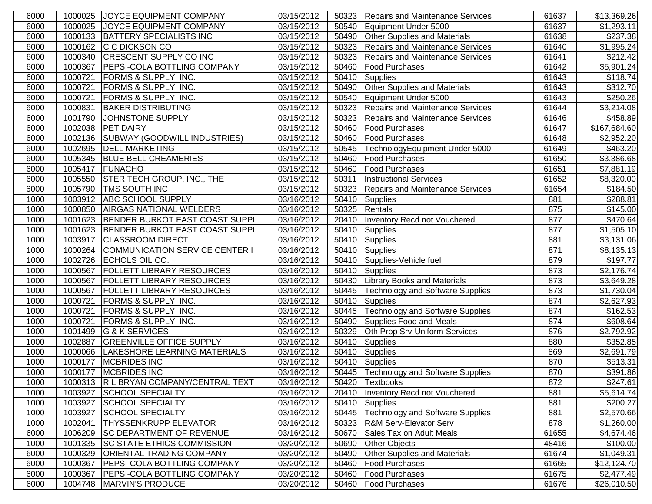| 6000 |         | 1000025 JOYCE EQUIPMENT COMPANY        | 03/15/2012 |       | 50323 Repairs and Maintenance Services   | 61637 | \$13,369.26             |
|------|---------|----------------------------------------|------------|-------|------------------------------------------|-------|-------------------------|
| 6000 |         | 1000025 JOYCE EQUIPMENT COMPANY        | 03/15/2012 | 50540 | Equipment Under 5000                     | 61637 | \$1,293.11              |
| 6000 |         | 1000133 BATTERY SPECIALISTS INC        | 03/15/2012 | 50490 | <b>Other Supplies and Materials</b>      | 61638 | \$237.38                |
| 6000 |         | 1000162 C C DICKSON CO                 | 03/15/2012 | 50323 | Repairs and Maintenance Services         | 61640 | \$1,995.24              |
| 6000 | 1000340 | <b>CRESCENT SUPPLY CO INC</b>          | 03/15/2012 | 50323 | Repairs and Maintenance Services         | 61641 | \$212.42]               |
| 6000 | 1000367 | <b>PEPSI-COLA BOTTLING COMPANY</b>     | 03/15/2012 | 50460 | <b>Food Purchases</b>                    | 61642 | \$5,901.24              |
| 6000 | 1000721 | <b>FORMS &amp; SUPPLY, INC.</b>        | 03/15/2012 | 50410 | Supplies                                 | 61643 | \$118.74                |
| 6000 | 1000721 | <b>FORMS &amp; SUPPLY, INC.</b>        | 03/15/2012 | 50490 | <b>Other Supplies and Materials</b>      | 61643 | \$312.70                |
| 6000 | 1000721 | <b>FORMS &amp; SUPPLY, INC.</b>        | 03/15/2012 | 50540 | Equipment Under 5000                     | 61643 | \$250.26                |
| 6000 | 1000831 | <b>BAKER DISTRIBUTING</b>              | 03/15/2012 |       | 50323 Repairs and Maintenance Services   | 61644 | \$3,214.08              |
| 6000 | 1001790 | JOHNSTONE SUPPLY                       | 03/15/2012 | 50323 | Repairs and Maintenance Services         | 61646 | \$458.89                |
| 6000 |         | 1002038 PET DAIRY                      | 03/15/2012 | 50460 | <b>Food Purchases</b>                    | 61647 | \$167,684.60            |
| 6000 |         | 1002136 SUBWAY (GOODWILL INDUSTRIES)   | 03/15/2012 | 50460 | <b>Food Purchases</b>                    | 61648 | \$2,952.20              |
| 6000 |         | 1002695  DELL MARKETING                | 03/15/2012 | 50545 | TechnologyEquipment Under 5000           | 61649 | \$463.20                |
| 6000 |         | 1005345 BLUE BELL CREAMERIES           | 03/15/2012 | 50460 | <b>Food Purchases</b>                    | 61650 | \$3,386.68              |
| 6000 |         | 1005417 FUNACHO                        | 03/15/2012 | 50460 | <b>Food Purchases</b>                    | 61651 | \$7,881.19              |
| 6000 |         | 1005550 STERITECH GROUP, INC., THE     | 03/15/2012 | 50311 | <b>Instructional Services</b>            | 61652 | \$8,320.00              |
| 6000 | 1005790 | <b>TMS SOUTH INC</b>                   | 03/15/2012 | 50323 | Repairs and Maintenance Services         | 61654 | \$184.50                |
| 1000 | 1003912 | <b>ABC SCHOOL SUPPLY</b>               | 03/16/2012 | 50410 | Supplies                                 | 881   | \$288.81                |
| 1000 | 1000850 | <b>AIRGAS NATIONAL WELDERS</b>         | 03/16/2012 | 50325 | Rentals                                  | 875   | $\overline{$}145.00$    |
| 1000 | 1001623 | BENDER BURKOT EAST COAST SUPPL         | 03/16/2012 | 20410 | Inventory Recd not Vouchered             | 877   | \$470.64                |
| 1000 | 1001623 | BENDER BURKOT EAST COAST SUPPL         | 03/16/2012 | 50410 | Supplies                                 | 877   | $\overline{\$1,505.10}$ |
| 1000 | 1003917 | <b>CLASSROOM DIRECT</b>                | 03/16/2012 | 50410 | Supplies                                 | 881   | \$3,131.06              |
| 1000 | 1000264 | COMMUNICATION SERVICE CENTER I         | 03/16/2012 | 50410 | Supplies                                 | 871   | \$8,135.13              |
| 1000 | 1002726 | ECHOLS OIL CO.                         | 03/16/2012 |       | 50410 Supplies-Vehicle fuel              | 879   | \$197.77                |
| 1000 |         | 1000567   FOLLETT LIBRARY RESOURCES    | 03/16/2012 |       | 50410 Supplies                           | 873   | \$2,176.74              |
| 1000 |         | 1000567   FOLLETT LIBRARY RESOURCES    | 03/16/2012 |       | 50430 Library Books and Materials        | 873   | \$3,649.28              |
| 1000 | 1000567 | <b>FOLLETT LIBRARY RESOURCES</b>       | 03/16/2012 |       | 50445   Technology and Software Supplies | 873   | \$1,730.04              |
| 1000 | 1000721 | <b>FORMS &amp; SUPPLY, INC.</b>        | 03/16/2012 | 50410 | Supplies                                 | 874   | \$2,627.93              |
| 1000 | 1000721 | <b>FORMS &amp; SUPPLY, INC.</b>        | 03/16/2012 | 50445 | <b>Technology and Software Supplies</b>  | 874   | \$162.53                |
| 1000 | 1000721 | <b>FORMS &amp; SUPPLY, INC.</b>        | 03/16/2012 | 50490 | Supplies Food and Meals                  | 874   | \$608.64                |
| 1000 |         | 1001499 G & K SERVICES                 | 03/16/2012 | 50329 | Oth Prop Srv-Uniform Services            | 876   | \$2,792.92              |
| 1000 |         | 1002887 GREENVILLE OFFICE SUPPLY       | 03/16/2012 | 50410 | Supplies                                 | 880   | \$352.85                |
| 1000 |         | 1000066 LAKESHORE LEARNING MATERIALS   | 03/16/2012 | 50410 | Supplies                                 | 869   | \$2,691.79              |
| 1000 | 1000177 | <b>MCBRIDES INC</b>                    | 03/16/2012 |       | 50410 Supplies                           | 870   | \$513.31                |
| 1000 | 1000177 | <b>MCBRIDES INC</b>                    | 03/16/2012 |       | 50445   Technology and Software Supplies | 870   | \$391.86                |
| 1000 |         | 1000313 R L BRYAN COMPANY/CENTRAL TEXT | 03/16/2012 |       | 50420 Textbooks                          | 872   | \$247.61                |
| 1000 | 1003927 | SCHOOL SPECIALTY                       | 03/16/2012 | 20410 | Inventory Recd not Vouchered             | 881   | \$5,614.74              |
| 1000 | 1003927 | <b>SCHOOL SPECIALTY</b>                | 03/16/2012 | 50410 | Supplies                                 | 881   | \$200.27                |
| 1000 | 1003927 | <b>SCHOOL SPECIALTY</b>                | 03/16/2012 | 50445 | <b>Technology and Software Supplies</b>  | 881   | \$2,570.66              |
| 1000 | 1002041 | <b>THYSSENKRUPP ELEVATOR</b>           | 03/16/2012 | 50323 | <b>R&amp;M Serv-Elevator Serv</b>        | 878   | \$1,260.00              |
| 6000 | 1006209 | <b>SC DEPARTMENT OF REVENUE</b>        | 03/16/2012 | 50670 | Sales Tax on Adult Meals                 | 61655 | \$4,674.46              |
| 1000 |         | 1001335 SC STATE ETHICS COMMISSION     | 03/20/2012 | 50690 | Other Objects                            | 48416 | \$100.00                |
| 6000 | 1000329 | <b>ORIENTAL TRADING COMPANY</b>        | 03/20/2012 | 50490 | <b>Other Supplies and Materials</b>      | 61674 | \$1,049.31              |
| 6000 | 1000367 | <b>PEPSI-COLA BOTTLING COMPANY</b>     | 03/20/2012 | 50460 | <b>Food Purchases</b>                    | 61665 | \$12,124.70             |
| 6000 |         | 1000367 PEPSI-COLA BOTTLING COMPANY    | 03/20/2012 | 50460 | <b>Food Purchases</b>                    | 61675 | \$2,477.49              |
| 6000 |         | 1004748 MARVIN'S PRODUCE               | 03/20/2012 | 50460 | <b>Food Purchases</b>                    | 61676 | \$26,010.50             |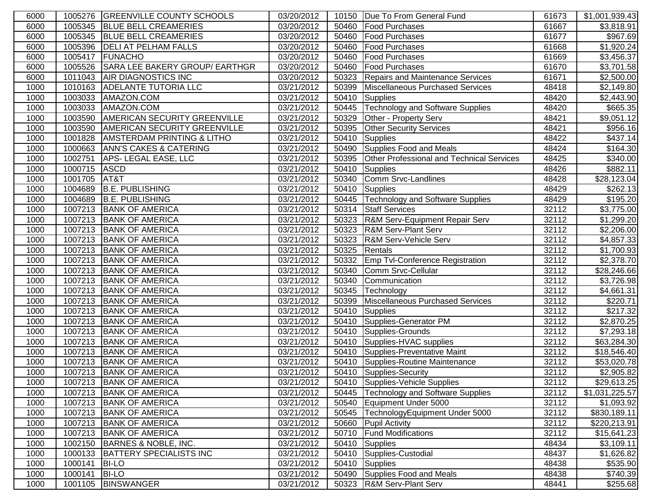| 6000 |         | 1005276 GREENVILLE COUNTY SCHOOLS     | 03/20/2012              |       | 10150   Due To From General Fund          | 61673 | \$1,001,939.43       |
|------|---------|---------------------------------------|-------------------------|-------|-------------------------------------------|-------|----------------------|
| 6000 |         | 1005345 BLUE BELL CREAMERIES          | 03/20/2012              | 50460 | <b>Food Purchases</b>                     | 61667 | \$3,818.91           |
| 6000 |         | 1005345 BLUE BELL CREAMERIES          | 03/20/2012              | 50460 | <b>Food Purchases</b>                     | 61677 | \$967.69             |
| 6000 | 1005396 | <b>DELI AT PELHAM FALLS</b>           | 03/20/2012              | 50460 | <b>Food Purchases</b>                     | 61668 | \$1,920.24           |
| 6000 | 1005417 | <b>FUNACHO</b>                        | 03/20/2012              | 50460 | <b>Food Purchases</b>                     | 61669 | \$3,456.37           |
| 6000 | 1005526 | SARA LEE BAKERY GROUP/ EARTHGR        | 03/20/2012              | 50460 | <b>Food Purchases</b>                     | 61670 | \$3,701.58           |
| 6000 | 1011043 | <b>AIR DIAGNOSTICS INC</b>            | 03/20/2012              | 50323 | Repairs and Maintenance Services          | 61671 | \$2,500.00           |
| 1000 | 1010163 | <b>ADELANTE TUTORIA LLC</b>           | 03/21/2012              | 50399 | Miscellaneous Purchased Services          | 48418 | \$2,149.80           |
| 1000 | 1003033 | AMAZON.COM                            | 03/21/2012              | 50410 | Supplies                                  | 48420 | \$2,443.90           |
| 1000 | 1003033 | AMAZON.COM                            | 03/21/2012              | 50445 | Technology and Software Supplies          | 48420 | \$665.35             |
| 1000 | 1003590 | AMERICAN SECURITY GREENVILLE          | 03/21/2012              | 50329 | Other - Property Serv                     | 48421 | \$9,051.12           |
| 1000 | 1003590 | <b>AMERICAN SECURITY GREENVILLE</b>   | 03/21/2012              | 50395 | <b>Other Security Services</b>            | 48421 | \$956.16             |
| 1000 | 1001828 | <b>AMSTERDAM PRINTING &amp; LITHO</b> | 03/21/2012              | 50410 | Supplies                                  | 48422 | \$437.14             |
| 1000 | 1000663 | <b>ANN'S CAKES &amp; CATERING</b>     | 03/21/2012              | 50490 | Supplies Food and Meals                   | 48424 | \$164.30             |
| 1000 | 1002751 | APS-LEGAL EASE, LLC                   | 03/21/2012              | 50395 | Other Professional and Technical Services | 48425 | \$340.00             |
| 1000 | 1000715 | <b>ASCD</b>                           | 03/21/2012              | 50410 | Supplies                                  | 48426 | \$882.11             |
| 1000 | 1001705 | AT&T                                  | 03/21/2012              | 50340 | Comm Srvc-Landlines                       | 48428 | \$28,123.04          |
| 1000 | 1004689 | <b>B.E. PUBLISHING</b>                | 03/21/2012              | 50410 | Supplies                                  | 48429 | \$262.13             |
| 1000 | 1004689 | <b>B.E. PUBLISHING</b>                | 03/21/2012              | 50445 | Technology and Software Supplies          | 48429 | \$195.20             |
| 1000 | 1007213 | <b>BANK OF AMERICA</b>                | 03/21/2012              | 50314 | <b>Staff Services</b>                     | 32112 | \$3,775.00           |
| 1000 | 1007213 | <b>BANK OF AMERICA</b>                | 03/21/2012              | 50323 | R&M Serv-Equipment Repair Serv            | 32112 | \$1,299.20           |
| 1000 | 1007213 | <b>BANK OF AMERICA</b>                | 03/21/2012              | 50323 | <b>R&amp;M Serv-Plant Serv</b>            | 32112 | \$2,206.00           |
| 1000 | 1007213 | <b>BANK OF AMERICA</b>                | 03/21/2012              | 50323 | R&M Serv-Vehicle Serv                     | 32112 | \$4,857.33           |
| 1000 | 1007213 | <b>BANK OF AMERICA</b>                | 03/21/2012              | 50325 | Rentals                                   | 32112 | \$1,700.93           |
| 1000 | 1007213 | <b>BANK OF AMERICA</b>                | 03/21/2012              | 50332 | <b>Emp Tvl-Conference Registration</b>    | 32112 | \$2,378.70           |
| 1000 | 1007213 | <b>BANK OF AMERICA</b>                | 03/21/2012              | 50340 | Comm Srvc-Cellular                        | 32112 | \$28,246.66          |
| 1000 |         | 1007213 BANK OF AMERICA               | 03/21/2012              | 50340 | <b>Communication</b>                      | 32112 | \$3,726.98           |
| 1000 |         | 1007213 BANK OF AMERICA               | 03/21/2012              | 50345 | Technology                                | 32112 | \$4,661.31           |
| 1000 |         | 1007213 BANK OF AMERICA               | 03/21/2012              | 50399 | Miscellaneous Purchased Services          | 32112 | $\overline{$}220.71$ |
| 1000 |         | 1007213 BANK OF AMERICA               | 03/21/2012              | 50410 | Supplies                                  | 32112 | \$217.32             |
| 1000 |         | 1007213 BANK OF AMERICA               | $\overline{03/21}/2012$ | 50410 | Supplies-Generator PM                     | 32112 | \$2,870.25           |
| 1000 |         | 1007213 BANK OF AMERICA               | 03/21/2012              | 50410 | Supplies-Grounds                          | 32112 | \$7,293.18           |
| 1000 |         | 1007213 BANK OF AMERICA               | 03/21/2012              | 50410 | Supplies-HVAC supplies                    | 32112 | \$63,284.30          |
| 1000 |         | 1007213 BANK OF AMERICA               | 03/21/2012              | 50410 | Supplies-Preventative Maint               | 32112 | \$18,546.40          |
| 1000 |         | 1007213 BANK OF AMERICA               | 03/21/2012              | 50410 | Supplies-Routine Maintenance              | 32112 | \$53,020.78          |
| 1000 |         | 1007213 BANK OF AMERICA               | 03/21/2012              |       | 50410 Supplies-Security                   | 32112 | \$2,905.82           |
| 1000 |         | 1007213 BANK OF AMERICA               | 03/21/2012              |       | 50410 Supplies-Vehicle Supplies           | 32112 | \$29,613.25          |
| 1000 |         | 1007213 BANK OF AMERICA               | 03/21/2012              | 50445 | Technology and Software Supplies          | 32112 | \$1,031,225.57       |
| 1000 |         | 1007213 BANK OF AMERICA               | 03/21/2012              | 50540 | Equipment Under 5000                      | 32112 | \$1,093.92           |
| 1000 |         | 1007213 BANK OF AMERICA               | 03/21/2012              | 50545 | TechnologyEquipment Under 5000            | 32112 | \$830,189.11         |
| 1000 |         | 1007213 BANK OF AMERICA               | 03/21/2012              | 50660 | <b>Pupil Activity</b>                     | 32112 | \$220,213.91         |
| 1000 |         | 1007213 BANK OF AMERICA               | 03/21/2012              | 50710 | <b>Fund Modifications</b>                 | 32112 | \$15,641.23          |
| 1000 | 1002150 | BARNES & NOBLE, INC.                  | 03/21/2012              | 50410 | Supplies                                  | 48434 | \$3,109.11           |
| 1000 | 1000133 | <b>BATTERY SPECIALISTS INC</b>        | 03/21/2012              | 50410 | Supplies-Custodial                        | 48437 | \$1,626.82           |
| 1000 | 1000141 | <b>BI-LO</b>                          | 03/21/2012              | 50410 | Supplies                                  | 48438 | \$535.90             |
| 1000 | 1000141 | <b>BI-LO</b>                          | 03/21/2012              | 50490 | Supplies Food and Meals                   | 48438 | \$740.39             |
| 1000 |         | 1001105 BINSWANGER                    | 03/21/2012              |       | 50323 R&M Serv-Plant Serv                 | 48441 | \$255.68             |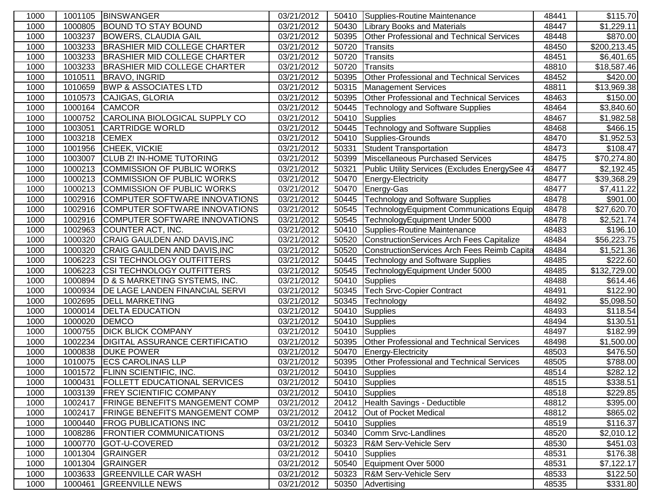| 1000 |               | 1001105 BINSWANGER                    | 03/21/2012 |       | 50410 Supplies-Routine Maintenance               | 48441 | \$115.70             |
|------|---------------|---------------------------------------|------------|-------|--------------------------------------------------|-------|----------------------|
| 1000 | 1000805       | <b>BOUND TO STAY BOUND</b>            | 03/21/2012 | 50430 | <b>Library Books and Materials</b>               | 48447 | \$1,229.11           |
| 1000 | 1003237       | <b>BOWERS, CLAUDIA GAIL</b>           | 03/21/2012 | 50395 | Other Professional and Technical Services        | 48448 | \$870.00             |
| 1000 | 1003233       | <b>BRASHIER MID COLLEGE CHARTER</b>   | 03/21/2012 | 50720 | Transits                                         | 48450 | \$200,213.45         |
| 1000 | 1003233       | <b>BRASHIER MID COLLEGE CHARTER</b>   | 03/21/2012 | 50720 | Transits                                         | 48451 | \$6,401.65           |
| 1000 | 1003233       | <b>BRASHIER MID COLLEGE CHARTER</b>   | 03/21/2012 | 50720 | Transits                                         | 48810 | \$18,587.46          |
| 1000 | 1010511       | <b>BRAVO, INGRID</b>                  | 03/21/2012 | 50395 | Other Professional and Technical Services        | 48452 | \$420.00             |
| 1000 | 1010659       | <b>BWP &amp; ASSOCIATES LTD</b>       | 03/21/2012 | 50315 | <b>Management Services</b>                       | 48811 | \$13,969.38          |
| 1000 | 1010573       | CAJIGAS, GLORIA                       | 03/21/2012 | 50395 | <b>Other Professional and Technical Services</b> | 48463 | \$150.00             |
| 1000 | 1000164       | <b>CAMCOR</b>                         | 03/21/2012 | 50445 | <b>Technology and Software Supplies</b>          | 48464 | \$3,840.60           |
| 1000 | 1000752       | CAROLINA BIOLOGICAL SUPPLY CO         | 03/21/2012 | 50410 | Supplies                                         | 48467 | \$1,982.58           |
| 1000 | 1003051       | <b>CARTRIDGE WORLD</b>                | 03/21/2012 | 50445 | Technology and Software Supplies                 | 48468 | \$466.15             |
| 1000 | 1003218 CEMEX |                                       | 03/21/2012 | 50410 | Supplies-Grounds                                 | 48470 | \$1,952.53           |
| 1000 |               | 1001956 CHEEK, VICKIE                 | 03/21/2012 | 50331 | Student Transportation                           | 48473 | \$108.47             |
| 1000 | 1003007       | <b>CLUB Z! IN-HOME TUTORING</b>       | 03/21/2012 | 50399 | Miscellaneous Purchased Services                 | 48475 | \$70,274.80          |
| 1000 | 1000213       | COMMISSION OF PUBLIC WORKS            | 03/21/2012 | 50321 | Public Utility Services (Excludes EnergySee 4)   | 48477 | \$2,192.45           |
| 1000 | 1000213       | COMMISSION OF PUBLIC WORKS            | 03/21/2012 | 50470 | Energy-Electricity                               | 48477 | \$39,368.29          |
| 1000 | 1000213       | COMMISSION OF PUBLIC WORKS            | 03/21/2012 | 50470 | Energy-Gas                                       | 48477 | \$7,411.22           |
| 1000 | 1002916       | COMPUTER SOFTWARE INNOVATIONS         | 03/21/2012 | 50445 | Technology and Software Supplies                 | 48478 | \$901.00             |
| 1000 | 1002916       | COMPUTER SOFTWARE INNOVATIONS         | 03/21/2012 | 50545 | TechnologyEquipment Communications Equip         | 48478 | \$27,620.70          |
| 1000 | 1002916       | COMPUTER SOFTWARE INNOVATIONS         | 03/21/2012 | 50545 | TechnologyEquipment Under 5000                   | 48478 | \$2,521.74           |
| 1000 | 1002963       | COUNTER ACT, INC.                     | 03/21/2012 | 50410 | Supplies-Routine Maintenance                     | 48483 | \$196.10             |
| 1000 | 1000320       | CRAIG GAULDEN AND DAVIS, INC          | 03/21/2012 | 50520 | ConstructionServices Arch Fees Capitalize        | 48484 | \$56,223.75          |
| 1000 | 1000320       | CRAIG GAULDEN AND DAVIS, INC          | 03/21/2012 | 50520 | ConstructionServices Arch Fees Reimb Capita      | 48484 | \$1,521.36           |
| 1000 | 1006223       | <b>CSI TECHNOLOGY OUTFITTERS</b>      | 03/21/2012 | 50445 | Technology and Software Supplies                 | 48485 | \$222.60             |
| 1000 | 1006223       | <b>CSI TECHNOLOGY OUTFITTERS</b>      | 03/21/2012 | 50545 | TechnologyEquipment Under 5000                   | 48485 | \$132,729.00         |
| 1000 | 1000894       | D & S MARKETING SYSTEMS, INC.         | 03/21/2012 | 50410 | Supplies                                         | 48488 | \$614.46             |
| 1000 | 1000934       | <b>DE LAGE LANDEN FINANCIAL SERVI</b> | 03/21/2012 | 50345 | Tech Srvc-Copier Contract                        | 48491 | \$122.90             |
| 1000 | 1002695       | <b>DELL MARKETING</b>                 | 03/21/2012 | 50345 | Technology                                       | 48492 | \$5,098.50           |
| 1000 | 1000014       | <b>DELTA EDUCATION</b>                | 03/21/2012 | 50410 | <b>Supplies</b>                                  | 48493 | \$118.54             |
| 1000 | 1000020       | DEMCO                                 | 03/21/2012 | 50410 | Supplies                                         | 48494 | \$130.51             |
| 1000 | 1000755       | <b>DICK BLICK COMPANY</b>             | 03/21/2012 | 50410 | Supplies                                         | 48497 | \$182.99             |
| 1000 | 1002234       | <b>DIGITAL ASSURANCE CERTIFICATIO</b> | 03/21/2012 | 50395 | Other Professional and Technical Services        | 48498 | \$1,500.00           |
| 1000 | 1000838       | <b>DUKE POWER</b>                     | 03/21/2012 | 50470 | Energy-Electricity                               | 48503 | \$476.50             |
| 1000 | 1010075       | <b>ECS CAROLINAS LLP</b>              | 03/21/2012 | 50395 | Other Professional and Technical Services        | 48505 | \$788.00             |
| 1000 | 1001572       | <b>FLINN SCIENTIFIC, INC.</b>         | 03/21/2012 | 50410 | Supplies                                         | 48514 | $\overline{$}282.12$ |
| 1000 |               | 1000431 FOLLETT EDUCATIONAL SERVICES  | 03/21/2012 |       | 50410 Supplies                                   | 48515 | \$338.51             |
| 1000 |               | 1003139 FREY SCIENTIFIC COMPANY       | 03/21/2012 |       | 50410 Supplies                                   | 48518 | \$229.85             |
| 1000 | 1002417       | <b>FRINGE BENEFITS MANGEMENT COMP</b> | 03/21/2012 | 20412 | Health Savings - Deductible                      | 48812 | \$395.00             |
| 1000 | 1002417       | <b>FRINGE BENEFITS MANGEMENT COMP</b> | 03/21/2012 | 20412 | Out of Pocket Medical                            | 48812 | \$865.02             |
| 1000 | 1000440       | <b>FROG PUBLICATIONS INC</b>          | 03/21/2012 | 50410 | Supplies                                         | 48519 | \$116.37             |
| 1000 | 1008286       | <b>FRONTIER COMMUNICATIONS</b>        | 03/21/2012 | 50340 | Comm Srvc-Landlines                              | 48520 | \$2,010.12           |
| 1000 | 1000770       | GOT-U-COVERED                         | 03/21/2012 | 50323 | R&M Serv-Vehicle Serv                            | 48530 | \$451.03             |
| 1000 | 1001304       | <b>GRAINGER</b>                       | 03/21/2012 | 50410 | Supplies                                         | 48531 | \$176.38             |
| 1000 | 1001304       | <b>GRAINGER</b>                       | 03/21/2012 | 50540 | Equipment Over 5000                              | 48531 | \$7,122.17           |
| 1000 | 1003633       | <b>GREENVILLE CAR WASH</b>            | 03/21/2012 | 50323 | <b>R&amp;M Serv-Vehicle Serv</b>                 | 48533 | \$122.50             |
| 1000 | 1000461       | <b>GREENVILLE NEWS</b>                | 03/21/2012 | 50350 | Advertising                                      | 48535 | \$331.80             |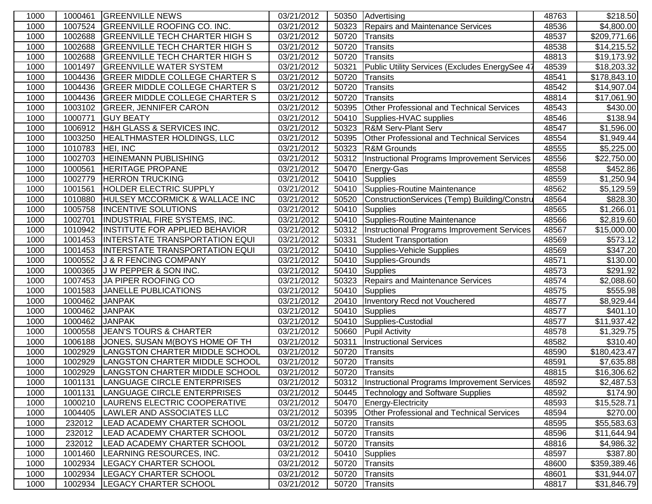| 1000 | 1000461 | <b>GREENVILLE NEWS</b>                | 03/21/2012              | 50350 | Advertising                                         | 48763 | \$218.50                |
|------|---------|---------------------------------------|-------------------------|-------|-----------------------------------------------------|-------|-------------------------|
| 1000 | 1007524 | <b>GREENVILLE ROOFING CO. INC.</b>    | 03/21/2012              | 50323 | Repairs and Maintenance Services                    | 48536 | \$4,800.00              |
| 1000 | 1002688 | <b>GREENVILLE TECH CHARTER HIGH S</b> | 03/21/2012              | 50720 | Transits                                            | 48537 | \$209,771.66            |
| 1000 | 1002688 | <b>GREENVILLE TECH CHARTER HIGH S</b> | 03/21/2012              | 50720 | Transits                                            | 48538 | \$14,215.52             |
| 1000 | 1002688 | <b>GREENVILLE TECH CHARTER HIGH S</b> | 03/21/2012              | 50720 | Transits                                            | 48813 | \$19,173.92             |
| 1000 | 1001497 | <b>GREENVILLE WATER SYSTEM</b>        | 03/21/2012              | 50321 | Public Utility Services (Excludes EnergySee 4)      | 48539 | \$18,203.32             |
| 1000 | 1004436 | <b>GREER MIDDLE COLLEGE CHARTER S</b> | 03/21/2012              | 50720 | Transits                                            | 48541 | \$178,843.10            |
| 1000 | 1004436 | <b>GREER MIDDLE COLLEGE CHARTER S</b> | 03/21/2012              | 50720 | Transits                                            | 48542 | \$14,907.04             |
| 1000 | 1004436 | <b>GREER MIDDLE COLLEGE CHARTER S</b> | 03/21/2012              | 50720 | Transits                                            | 48814 | \$17,061.90             |
| 1000 | 1003102 | <b>GREER, JENNIFER CARON</b>          | 03/21/2012              | 50395 | Other Professional and Technical Services           | 48543 | \$430.00                |
| 1000 | 1000771 | <b>GUY BEATY</b>                      | 03/21/2012              | 50410 | Supplies-HVAC supplies                              | 48546 | \$138.94                |
| 1000 | 1006912 | H&H GLASS & SERVICES INC.             | 03/21/2012              | 50323 | <b>R&amp;M Serv-Plant Serv</b>                      | 48547 | \$1,596.00              |
| 1000 | 1003250 | HEALTHMASTER HOLDINGS, LLC            | 03/21/2012              | 50395 | Other Professional and Technical Services           | 48554 | \$1,949.44              |
| 1000 | 1010783 | HEI, INC                              | 03/21/2012              | 50323 | <b>R&amp;M Grounds</b>                              | 48555 | \$5,225.00              |
| 1000 | 1002703 | <b>HEINEMANN PUBLISHING</b>           | 03/21/2012              | 50312 | Instructional Programs Improvement Services         | 48556 | \$22,750.00             |
| 1000 | 1000561 | <b>HERITAGE PROPANE</b>               | 03/21/2012              | 50470 | Energy-Gas                                          | 48558 | \$452.86                |
| 1000 | 1002779 | <b>HERRON TRUCKING</b>                | 03/21/2012              | 50410 | Supplies                                            | 48559 | \$1,250.94              |
| 1000 | 1001561 | HOLDER ELECTRIC SUPPLY                | 03/21/2012              | 50410 | Supplies-Routine Maintenance                        | 48562 | \$5,129.59              |
| 1000 | 1010880 | HULSEY MCCORMICK & WALLACE INC        | 03/21/2012              | 50520 | ConstructionServices (Temp) Building/Constru        | 48564 | \$828.30                |
| 1000 | 1005758 | <b>INCENTIVE SOLUTIONS</b>            | 03/21/2012              | 50410 | <b>Supplies</b>                                     | 48565 | \$1,266.01              |
| 1000 | 1002701 | <b>INDUSTRIAL FIRE SYSTEMS, INC.</b>  | 03/21/2012              | 50410 | Supplies-Routine Maintenance                        | 48566 | \$2,819.60              |
| 1000 | 1010942 | <b>INSTITUTE FOR APPLIED BEHAVIOR</b> | 03/21/2012              | 50312 | Instructional Programs Improvement Services         | 48567 | \$15,000.00             |
| 1000 | 1001453 | <b>INTERSTATE TRANSPORTATION EQUI</b> | 03/21/2012              | 50331 | <b>Student Transportation</b>                       | 48569 | \$573.12                |
| 1000 | 1001453 | <b>INTERSTATE TRANSPORTATION EQUI</b> | $\overline{03}/21/2012$ | 50410 | Supplies-Vehicle Supplies                           | 48569 | \$347.20                |
| 1000 | 1000552 | J & R FENCING COMPANY                 | 03/21/2012              | 50410 | Supplies-Grounds                                    | 48571 | \$130.00                |
| 1000 | 1000365 | J W PEPPER & SON INC.                 | 03/21/2012              | 50410 | Supplies                                            | 48573 | $\sqrt{$291.92}$        |
| 1000 | 1007453 | JA PIPER ROOFING CO                   | 03/21/2012              | 50323 | Repairs and Maintenance Services                    | 48574 | \$2,088.60              |
| 1000 | 1001583 | JANELLE PUBLICATIONS                  | 03/21/2012              | 50410 | <b>Supplies</b>                                     | 48575 | \$555.98                |
| 1000 | 1000462 | <b>JANPAK</b>                         | 03/21/2012              | 20410 | Inventory Recd not Vouchered                        | 48577 | \$8,929.44              |
| 1000 | 1000462 | <b>JANPAK</b>                         | 03/21/2012              | 50410 | Supplies                                            | 48577 | \$401.10                |
| 1000 | 1000462 | <b>JANPAK</b>                         | 03/21/2012              | 50410 | Supplies-Custodial                                  | 48577 | \$11,937.42             |
| 1000 | 1000558 | <b>JEAN'S TOURS &amp; CHARTER</b>     | 03/21/2012              | 50660 | <b>Pupil Activity</b>                               | 48578 | \$1,329.75              |
| 1000 | 1006188 | JONES, SUSAN M(BOYS HOME OF TH        | 03/21/2012              | 50311 | <b>Instructional Services</b>                       | 48582 | \$310.40                |
| 1000 | 1002929 | LANGSTON CHARTER MIDDLE SCHOOL        | 03/21/2012              | 50720 | <b>Transits</b>                                     | 48590 | \$180,423.47            |
| 1000 | 1002929 | LANGSTON CHARTER MIDDLE SCHOOL        | 03/21/2012              | 50720 | Transits                                            | 48591 | \$7,635.88              |
| 1000 | 1002929 | LANGSTON CHARTER MIDDLE SCHOOL        | 03/21/2012              | 50720 | Transits                                            | 48815 | $\overline{$}16,306.62$ |
| 1000 | 1001131 | LANGUAGE CIRCLE ENTERPRISES           | 03/21/2012              |       | 50312   Instructional Programs Improvement Services | 48592 | \$2,487.53              |
| 1000 | 1001131 | LANGUAGE CIRCLE ENTERPRISES           | 03/21/2012              | 50445 | <b>Technology and Software Supplies</b>             | 48592 | \$174.90                |
| 1000 | 1000210 | LAURENS ELECTRIC COOPERATIVE          | 03/21/2012              | 50470 | Energy-Electricity                                  | 48593 | \$15,528.71             |
| 1000 | 1004405 | LAWLER AND ASSOCIATES LLC             | 03/21/2012              | 50395 | Other Professional and Technical Services           | 48594 | \$270.00                |
| 1000 | 232012  | LEAD ACADEMY CHARTER SCHOOL           | 03/21/2012              | 50720 | Transits                                            | 48595 | \$55,583.63             |
| 1000 | 232012  | LEAD ACADEMY CHARTER SCHOOL           | 03/21/2012              | 50720 | Transits                                            | 48596 | \$11,644.94             |
| 1000 | 232012  | LEAD ACADEMY CHARTER SCHOOL           | 03/21/2012              | 50720 | Transits                                            | 48816 | \$4,986.32              |
| 1000 | 1001460 | LEARNING RESOURCES, INC.              | 03/21/2012              | 50410 | Supplies                                            | 48597 | \$387.80                |
| 1000 | 1002934 | LEGACY CHARTER SCHOOL                 | 03/21/2012              | 50720 | Transits                                            | 48600 | \$359,389.46            |
| 1000 | 1002934 | <b>LEGACY CHARTER SCHOOL</b>          | 03/21/2012              | 50720 | <b>Transits</b>                                     | 48601 | \$31,944.07             |
| 1000 | 1002934 | <b>LEGACY CHARTER SCHOOL</b>          | 03/21/2012              | 50720 | Transits                                            | 48817 | \$31,846.79             |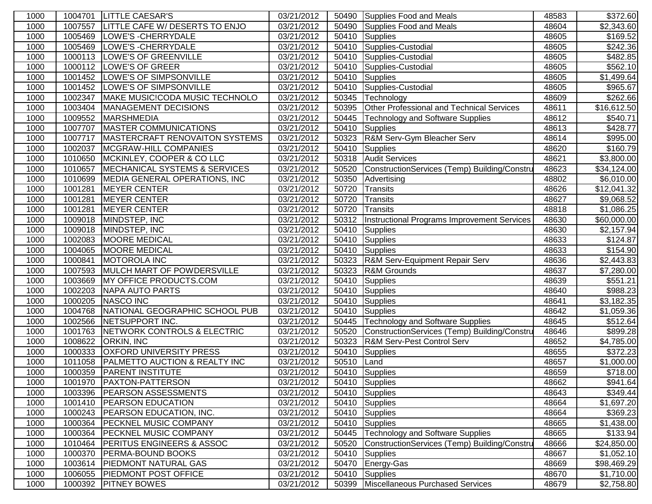| 1000 |         | 1004701 LITTLE CAESAR'S                   | 03/21/2012 |       | 50490 Supplies Food and Meals                | 48583 | \$372.60               |
|------|---------|-------------------------------------------|------------|-------|----------------------------------------------|-------|------------------------|
| 1000 | 1007557 | LITTLE CAFE W/ DESERTS TO ENJO            | 03/21/2012 | 50490 | Supplies Food and Meals                      | 48604 | \$2,343.60             |
| 1000 | 1005469 | <b>LOWE'S - CHERRYDALE</b>                | 03/21/2012 | 50410 | Supplies                                     | 48605 | \$169.52               |
| 1000 | 1005469 | <b>LOWE'S - CHERRYDALE</b>                | 03/21/2012 | 50410 | Supplies-Custodial                           | 48605 | \$242.36               |
| 1000 | 1000113 | <b>LOWE'S OF GREENVILLE</b>               | 03/21/2012 | 50410 | Supplies-Custodial                           | 48605 | \$482.85               |
| 1000 | 1000112 | LOWE'S OF GREER                           | 03/21/2012 | 50410 | Supplies-Custodial                           | 48605 | \$562.10               |
| 1000 | 1001452 | <b>LOWE'S OF SIMPSONVILLE</b>             | 03/21/2012 | 50410 | Supplies                                     | 48605 | \$1,499.64             |
| 1000 | 1001452 | LOWE'S OF SIMPSONVILLE                    | 03/21/2012 | 50410 | Supplies-Custodial                           | 48605 | \$965.67               |
| 1000 | 1002347 | MAKE MUSIC!CODA MUSIC TECHNOLO            | 03/21/2012 | 50345 | Technology                                   | 48609 | \$262.66               |
| 1000 | 1003404 | MANAGEMENT DECISIONS                      | 03/21/2012 | 50395 | Other Professional and Technical Services    | 48611 | \$16,612.50            |
| 1000 | 1009552 | <b>MARSHMEDIA</b>                         | 03/21/2012 | 50445 | <b>Technology and Software Supplies</b>      | 48612 | \$540.71               |
| 1000 | 1007707 | MASTER COMMUNICATIONS                     | 03/21/2012 | 50410 | Supplies                                     | 48613 | \$428.77               |
| 1000 | 1007717 | <b>MASTERCRAFT RENOVAITON SYSTEMS</b>     | 03/21/2012 | 50323 | R&M Serv-Gym Bleacher Serv                   | 48614 | \$995.00               |
| 1000 | 1002037 | MCGRAW-HILL COMPANIES                     | 03/21/2012 | 50410 | Supplies                                     | 48620 | \$160.79               |
| 1000 | 1010650 | MCKINLEY, COOPER & CO LLC                 | 03/21/2012 | 50318 | Audit Services                               | 48621 | \$3,800.00             |
| 1000 | 1010657 | <b>IMECHANICAL SYSTEMS &amp; SERVICES</b> | 03/21/2012 | 50520 | ConstructionServices (Temp) Building/Constru | 48623 | \$34,124.00            |
| 1000 | 1010699 | MEDIA GENERAL OPERATIONS, INC             | 03/21/2012 | 50350 | Advertising                                  | 48802 | \$6,010.00             |
| 1000 | 1001281 | <b>MEYER CENTER</b>                       | 03/21/2012 | 50720 | Transits                                     | 48626 | \$12,041.32            |
| 1000 | 1001281 | <b>MEYER CENTER</b>                       | 03/21/2012 | 50720 | Transits                                     | 48627 | \$9,068.52             |
| 1000 | 1001281 | <b>MEYER CENTER</b>                       | 03/21/2012 | 50720 | Transits                                     | 48818 | \$1,086.25             |
| 1000 | 1009018 | MINDSTEP, INC                             | 03/21/2012 | 50312 | Instructional Programs Improvement Services  | 48630 | \$60,000.00            |
| 1000 | 1009018 | MINDSTEP, INC                             | 03/21/2012 | 50410 | Supplies                                     | 48630 | \$2,157.94             |
| 1000 | 1002083 | <b>MOORE MEDICAL</b>                      | 03/21/2012 | 50410 | <b>Supplies</b>                              | 48633 | \$124.87               |
| 1000 | 1004065 | <b>MOORE MEDICAL</b>                      | 03/21/2012 | 50410 | Supplies                                     | 48633 | $\overline{$}154.90$   |
| 1000 | 1000841 | <b>MOTOROLA INC</b>                       | 03/21/2012 | 50323 | <b>R&amp;M Serv-Equipment Repair Serv</b>    | 48636 | \$2,443.83             |
| 1000 | 1007593 | MULCH MART OF POWDERSVILLE                | 03/21/2012 | 50323 | R&M Grounds                                  | 48637 | \$7,280.00             |
| 1000 | 1003669 | MY OFFICE PRODUCTS.COM                    | 03/21/2012 | 50410 | Supplies                                     | 48639 | \$551.21               |
| 1000 | 1002203 | NAPA AUTO PARTS                           | 03/21/2012 | 50410 | Supplies                                     | 48640 | \$988.23               |
| 1000 | 1000205 | NASCO INC                                 | 03/21/2012 | 50410 | Supplies                                     | 48641 | \$3,182.35             |
| 1000 | 1004768 | NATIONAL GEOGRAPHIC SCHOOL PUB            | 03/21/2012 | 50410 | Supplies                                     | 48642 | \$1,059.36             |
| 1000 | 1002566 | <b>NETSUPPORT INC.</b>                    | 03/21/2012 | 50445 | <b>Technology and Software Supplies</b>      | 48645 | \$512.64               |
| 1000 | 1001763 | NETWORK CONTROLS & ELECTRIC               | 03/21/2012 | 50520 | ConstructionServices (Temp) Building/Constru | 48646 | \$899.28               |
| 1000 | 1008622 | <b>ORKIN, INC</b>                         | 03/21/2012 | 50323 | <b>R&amp;M Serv-Pest Control Serv</b>        | 48652 | \$4,785.00             |
| 1000 | 1000333 | <b>OXFORD UNIVERSITY PRESS</b>            | 03/21/2012 | 50410 | Supplies                                     | 48655 | \$372.23               |
| 1000 | 1011058 | <b>PALMETTO AUCTION &amp; REALTY INC</b>  | 03/21/2012 | 50510 | Land                                         | 48657 | \$1,000.00             |
| 1000 | 1000359 | <b>PARENT INSTITUTE</b>                   | 03/21/2012 | 50410 | Supplies                                     | 48659 | $\overline{$}718.00$   |
| 1000 |         | 1001970 PAXTON-PATTERSON                  | 03/21/2012 |       | 50410 Supplies                               | 48662 | \$941.64               |
| 1000 |         | 1003396 PEARSON ASSESSMENTS               | 03/21/2012 | 50410 | Supplies                                     | 48643 | \$349.44               |
| 1000 | 1001410 | <b>PEARSON EDUCATION</b>                  | 03/21/2012 | 50410 | Supplies                                     | 48664 | \$1,697.20             |
| 1000 | 1000243 | <b>PEARSON EDUCATION, INC.</b>            | 03/21/2012 | 50410 | Supplies                                     | 48664 | \$369.23               |
| 1000 | 1000364 | <b>PECKNEL MUSIC COMPANY</b>              | 03/21/2012 | 50410 | Supplies                                     | 48665 | \$1,438.00             |
| 1000 | 1000364 | <b>PECKNEL MUSIC COMPANY</b>              | 03/21/2012 | 50445 | Technology and Software Supplies             | 48665 | \$133.94               |
| 1000 | 1010464 | <b>PERITUS ENGINEERS &amp; ASSOC</b>      | 03/21/2012 | 50520 | ConstructionServices (Temp) Building/Constru | 48666 | \$24,850.00            |
| 1000 | 1000370 | <b>PERMA-BOUND BOOKS</b>                  | 03/21/2012 | 50410 | Supplies                                     | 48667 | \$1,052.10             |
| 1000 | 1003614 | <b>PIEDMONT NATURAL GAS</b>               | 03/21/2012 | 50470 | Energy-Gas                                   | 48669 | \$98,469.29            |
| 1000 |         | 1006055 PIEDMONT POST OFFICE              | 03/21/2012 | 50410 | Supplies                                     | 48670 | \$1,710.00             |
| 1000 |         | 1000392 PITNEY BOWES                      | 03/21/2012 | 50399 | Miscellaneous Purchased Services             | 48679 | $\overline{$2,758.80}$ |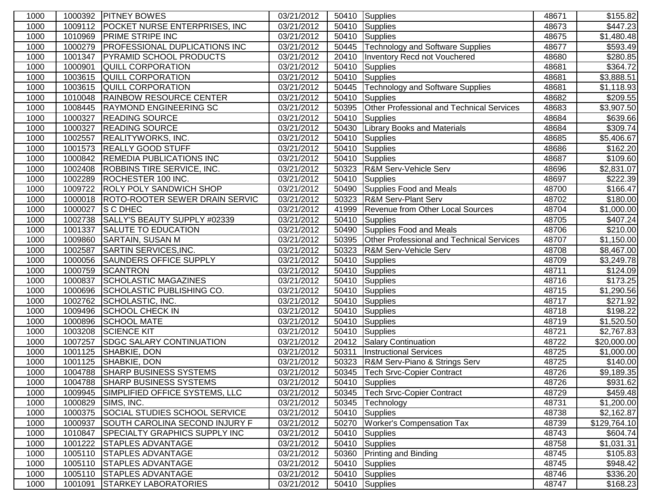| 1000 | 1000392 | <b>PITNEY BOWES</b>                   | 03/21/2012              |       | 50410 Supplies                            | 48671 | \$155.82     |
|------|---------|---------------------------------------|-------------------------|-------|-------------------------------------------|-------|--------------|
| 1000 | 1009112 | POCKET NURSE ENTERPRISES, INC         | 03/21/2012              | 50410 | Supplies                                  | 48673 | \$447.23     |
| 1000 | 1010969 | <b>PRIME STRIPE INC</b>               | 03/21/2012              | 50410 | Supplies                                  | 48675 | \$1,480.48   |
| 1000 | 1000279 | <b>PROFESSIONAL DUPLICATIONS INC</b>  | 03/21/2012              | 50445 | <b>Technology and Software Supplies</b>   | 48677 | \$593.49     |
| 1000 | 1001347 | <b>PYRAMID SCHOOL PRODUCTS</b>        | 03/21/2012              | 20410 | Inventory Recd not Vouchered              | 48680 | \$280.85     |
| 1000 | 1000901 | <b>QUILL CORPORATION</b>              | 03/21/2012              | 50410 | Supplies                                  | 48681 | \$364.72     |
| 1000 | 1003615 | QUILL CORPORATION                     | 03/21/2012              | 50410 | Supplies                                  | 48681 | \$3,888.51   |
| 1000 | 1003615 | QUILL CORPORATION                     | 03/21/2012              | 50445 | Technology and Software Supplies          | 48681 | \$1,118.93   |
| 1000 | 1010048 | <b>RAINBOW RESOURCE CENTER</b>        | 03/21/2012              | 50410 | Supplies                                  | 48682 | \$209.55     |
| 1000 | 1008445 | <b>RAYMOND ENGINEERING SC</b>         | 03/21/2012              | 50395 | Other Professional and Technical Services | 48683 | \$3,907.50   |
| 1000 | 1000327 | <b>READING SOURCE</b>                 | 03/21/2012              | 50410 | Supplies                                  | 48684 | \$639.66     |
| 1000 | 1000327 | <b>READING SOURCE</b>                 | 03/21/2012              | 50430 | <b>Library Books and Materials</b>        | 48684 | \$309.74     |
| 1000 | 1002557 | <b>REALITYWORKS, INC.</b>             | 03/21/2012              | 50410 | Supplies                                  | 48685 | \$5,406.67   |
| 1000 | 1001573 | <b>REALLY GOOD STUFF</b>              | 03/21/2012              | 50410 | Supplies                                  | 48686 | \$162.20     |
| 1000 | 1000842 | <b>REMEDIA PUBLICATIONS INC</b>       | 03/21/2012              | 50410 | Supplies                                  | 48687 | \$109.60     |
| 1000 | 1002408 | <b>ROBBINS TIRE SERVICE, INC.</b>     | 03/21/2012              | 50323 | R&M Serv-Vehicle Serv                     | 48696 | \$2,831.07   |
| 1000 | 1002289 | ROCHESTER 100 INC.                    | 03/21/2012              | 50410 | Supplies                                  | 48697 | \$222.39     |
| 1000 | 1009722 | <b>ROLY POLY SANDWICH SHOP</b>        | 03/21/2012              | 50490 | Supplies Food and Meals                   | 48700 | \$166.47     |
| 1000 | 1000018 | <b>ROTO-ROOTER SEWER DRAIN SERVIC</b> | 03/21/2012              | 50323 | <b>R&amp;M Serv-Plant Serv</b>            | 48702 | \$180.00     |
| 1000 | 1000027 | <b>S C DHEC</b>                       | 03/21/2012              | 41999 | Revenue from Other Local Sources          | 48704 | \$1,000.00   |
| 1000 | 1002738 | SALLY'S BEAUTY SUPPLY #02339          | 03/21/2012              | 50410 | Supplies                                  | 48705 | \$407.24     |
| 1000 | 1001337 | SALUTE TO EDUCATION                   | 03/21/2012              | 50490 | Supplies Food and Meals                   | 48706 | \$210.00     |
| 1000 | 1009860 | <b>SARTAIN, SUSAN M</b>               | 03/21/2012              | 50395 | Other Professional and Technical Services | 48707 | \$1,150.00   |
| 1000 | 1002587 | <b>SARTIN SERVICES, INC.</b>          | 03/21/2012              | 50323 | R&M Serv-Vehicle Serv                     | 48708 | \$8,467.00   |
| 1000 | 1000056 | <b>SAUNDERS OFFICE SUPPLY</b>         | 03/21/2012              | 50410 | Supplies                                  | 48709 | \$3,249.78   |
| 1000 | 1000759 | <b>SCANTRON</b>                       | 03/21/2012              | 50410 | Supplies                                  | 48711 | \$124.09     |
| 1000 | 1000837 | <b>SCHOLASTIC MAGAZINES</b>           | 03/21/2012              | 50410 | Supplies                                  | 48716 | \$173.25     |
| 1000 | 1000696 | SCHOLASTIC PUBLISHING CO.             | $\overline{03/21}/2012$ | 50410 | Supplies                                  | 48715 | \$1,290.56   |
| 1000 | 1002762 | SCHOLASTIC, INC.                      | 03/21/2012              | 50410 | Supplies                                  | 48717 | \$271.92     |
| 1000 | 1009496 | <b>SCHOOL CHECK IN</b>                | 03/21/2012              | 50410 | Supplies                                  | 48718 | \$198.22     |
| 1000 | 1000896 | <b>SCHOOL MATE</b>                    | 03/21/2012              | 50410 | Supplies                                  | 48719 | \$1,520.50   |
| 1000 | 1003208 | <b>SCIENCE KIT</b>                    | 03/21/2012              | 50410 | Supplies                                  | 48721 | \$2,767.83   |
| 1000 | 1007257 | <b>SDGC SALARY CONTINUATION</b>       | 03/21/2012              | 20412 | Salary Continuation                       | 48722 | \$20,000.00  |
| 1000 | 1001125 | SHABKIE, DON                          | 03/21/2012              | 50311 | <b>Instructional Services</b>             | 48725 | \$1,000.00   |
| 1000 | 1001125 | SHABKIE, DON                          | 03/21/2012              | 50323 | R&M Serv-Piano & Strings Serv             | 48725 | \$140.00     |
| 1000 | 1004788 | <b>SHARP BUSINESS SYSTEMS</b>         | 03/21/2012              | 50345 | <b>Tech Srvc-Copier Contract</b>          | 48726 | \$9,189.35   |
| 1000 | 1004788 | <b>SHARP BUSINESS SYSTEMS</b>         | 03/21/2012              |       | 50410 Supplies                            | 48726 | \$931.62     |
| 1000 | 1009945 | SIMPLIFIED OFFICE SYSTEMS, LLC        | 03/21/2012              | 50345 | Tech Srvc-Copier Contract                 | 48729 | \$459.48]    |
| 1000 | 1000829 | SIMS, INC.                            | 03/21/2012              | 50345 | Technology                                | 48731 | \$1,200.00   |
| 1000 | 1000375 | SOCIAL STUDIES SCHOOL SERVICE         | 03/21/2012              | 50410 | Supplies                                  | 48738 | \$2,162.87   |
| 1000 | 1000937 | SOUTH CAROLINA SECOND INJURY F        | 03/21/2012              | 50270 | <b>Worker's Compensation Tax</b>          | 48739 | \$129,764.10 |
| 1000 | 1010847 | <b>SPECIALTY GRAPHICS SUPPLY INC</b>  | 03/21/2012              | 50410 | Supplies                                  | 48743 | \$604.74     |
| 1000 | 1001222 | <b>STAPLES ADVANTAGE</b>              | 03/21/2012              | 50410 | Supplies                                  | 48758 | \$1,031.31   |
| 1000 | 1005110 | <b>STAPLES ADVANTAGE</b>              | 03/21/2012              | 50360 | <b>Printing and Binding</b>               | 48745 | \$105.83     |
| 1000 | 1005110 | <b>STAPLES ADVANTAGE</b>              | 03/21/2012              | 50410 | Supplies                                  | 48745 | \$948.42     |
| 1000 | 1005110 | <b>STAPLES ADVANTAGE</b>              | 03/21/2012              | 50410 | Supplies                                  | 48746 | \$336.20     |
| 1000 | 1001091 | <b>STARKEY LABORATORIES</b>           | 03/21/2012              |       | 50410 Supplies                            | 48747 | \$168.23     |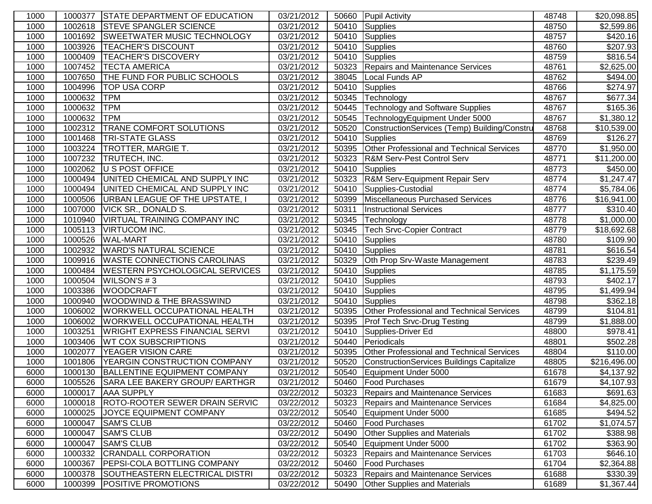| 1000 | 1000377 | <b>STATE DEPARTMENT OF EDUCATION</b>   | 03/21/2012 |       | 50660 Pupil Activity                         | 48748 | \$20,098.85            |
|------|---------|----------------------------------------|------------|-------|----------------------------------------------|-------|------------------------|
| 1000 | 1002618 | <b>STEVE SPANGLER SCIENCE</b>          | 03/21/2012 | 50410 | Supplies                                     | 48750 | $\overline{$}2,599.86$ |
| 1000 | 1001692 | <b>SWEETWATER MUSIC TECHNOLOGY</b>     | 03/21/2012 | 50410 | Supplies                                     | 48757 | $\overline{$}420.16$   |
| 1000 | 1003926 | <b>TEACHER'S DISCOUNT</b>              | 03/21/2012 | 50410 | Supplies                                     | 48760 | $\overline{$}207.93$   |
| 1000 | 1000409 | <b>TEACHER'S DISCOVERY</b>             | 03/21/2012 | 50410 | Supplies                                     | 48759 | \$816.54               |
| 1000 | 1007452 | <b>TECTA AMERICA</b>                   | 03/21/2012 | 50323 | Repairs and Maintenance Services             | 48761 | \$2,625.00             |
| 1000 | 1007650 | THE FUND FOR PUBLIC SCHOOLS            | 03/21/2012 | 38045 | Local Funds AP                               | 48762 | \$494.00               |
| 1000 | 1004996 | <b>TOP USA CORP</b>                    | 03/21/2012 | 50410 | Supplies                                     | 48766 | \$274.97               |
| 1000 | 1000632 | <b>TPM</b>                             | 03/21/2012 | 50345 | Technology                                   | 48767 | \$677.34               |
| 1000 | 1000632 | <b>TPM</b>                             | 03/21/2012 | 50445 | <b>Technology and Software Supplies</b>      | 48767 | \$165.36               |
| 1000 | 1000632 | <b>TPM</b>                             | 03/21/2012 | 50545 | TechnologyEquipment Under 5000               | 48767 | \$1,380.12             |
| 1000 | 1002312 | <b>TRANE COMFORT SOLUTIONS</b>         | 03/21/2012 | 50520 | ConstructionServices (Temp) Building/Constru | 48768 | \$10,539.00            |
| 1000 | 1001468 | <b>TRI-STATE GLASS</b>                 | 03/21/2012 | 50410 | Supplies                                     | 48769 | \$126.27               |
| 1000 | 1003224 | <b>TROTTER, MARGIE T.</b>              | 03/21/2012 | 50395 | Other Professional and Technical Services    | 48770 | \$1,950.00             |
| 1000 | 1007232 | TRUTECH, INC.                          | 03/21/2012 | 50323 | <b>R&amp;M Serv-Pest Control Serv</b>        | 48771 | \$11,200.00            |
| 1000 | 1002062 | U S POST OFFICE                        | 03/21/2012 | 50410 | Supplies                                     | 48773 | \$450.00               |
| 1000 | 1000494 | UNITED CHEMICAL AND SUPPLY INC         | 03/21/2012 | 50323 | R&M Serv-Equipment Repair Serv               | 48774 | \$1,247.47             |
| 1000 | 1000494 | UNITED CHEMICAL AND SUPPLY INC         | 03/21/2012 | 50410 | Supplies-Custodial                           | 48774 | \$5,784.06             |
| 1000 | 1000506 | <b>URBAN LEAGUE OF THE UPSTATE, I</b>  | 03/21/2012 | 50399 | Miscellaneous Purchased Services             | 48776 | \$16,941.00            |
| 1000 | 1007000 | <b>VICK SR., DONALD S.</b>             | 03/21/2012 | 50311 | <b>Instructional Services</b>                | 48777 | $\overline{$}310.40$   |
| 1000 | 1010940 | <b>VIRTUAL TRAINING COMPANY INC</b>    | 03/21/2012 | 50345 | Technology                                   | 48778 | \$1,000.00             |
| 1000 | 1005113 | <b>VIRTUCOM INC.</b>                   | 03/21/2012 | 50345 | <b>Tech Srvc-Copier Contract</b>             | 48779 | \$18,692.68            |
| 1000 | 1000526 | <b>WAL-MART</b>                        | 03/21/2012 | 50410 | Supplies                                     | 48780 | \$109.90               |
| 1000 | 1002932 | <b>WARD'S NATURAL SCIENCE</b>          | 03/21/2012 | 50410 | Supplies                                     | 48781 | \$616.54               |
| 1000 | 1009916 | <b>WASTE CONNECTIONS CAROLINAS</b>     | 03/21/2012 | 50329 | Oth Prop Srv-Waste Management                | 48783 | $\overline{$}239.49$   |
| 1000 | 1000484 | <b>WESTERN PSYCHOLOGICAL SERVICES</b>  | 03/21/2012 | 50410 | Supplies                                     | 48785 | \$1,175.59             |
| 1000 | 1000504 | WILSON'S #3                            | 03/21/2012 | 50410 | Supplies                                     | 48793 | \$402.17               |
| 1000 | 1003386 | <b>WOODCRAFT</b>                       | 03/21/2012 | 50410 | Supplies                                     | 48795 | \$1,499.94             |
| 1000 | 1000940 | <b>WOODWIND &amp; THE BRASSWIND</b>    | 03/21/2012 | 50410 | Supplies                                     | 48798 | \$362.18               |
| 1000 | 1006002 | <b>WORKWELL OCCUPATIONAL HEALTH</b>    | 03/21/2012 | 50395 | Other Professional and Technical Services    | 48799 | $\overline{$}104.81$   |
| 1000 | 1006002 | <b>WORKWELL OCCUPATIONAL HEALTH</b>    | 03/21/2012 | 50395 | <b>Prof Tech Srvc-Drug Testing</b>           | 48799 | \$1,888.00             |
| 1000 | 1003251 | <b>WRIGHT EXPRESS FINANCIAL SERVI</b>  | 03/21/2012 | 50410 | Supplies-Driver Ed                           | 48800 | 3978.41                |
| 1000 | 1003406 | <b>WT COX SUBSCRIPTIONS</b>            | 03/21/2012 | 50440 | Periodicals                                  | 48801 | \$502.28               |
| 1000 | 1002077 | <b>YEAGER VISION CARE</b>              | 03/21/2012 | 50395 | Other Professional and Technical Services    | 48804 | \$110.00               |
| 1000 | 1001806 | YEARGIN CONSTRUCTION COMPANY           | 03/21/2012 | 50520 | ConstructionServices Buildings Capitalize    | 48805 | \$216,496.00           |
| 6000 | 1000130 | BALLENTINE EQUIPMENT COMPANY           | 03/21/2012 | 50540 | Equipment Under 5000                         | 61678 | \$4,137.92             |
| 6000 |         | 1005526 SARA LEE BAKERY GROUP/ EARTHGR | 03/21/2012 |       | 50460 Food Purchases                         | 61679 | \$4,107.93             |
| 6000 | 1000017 | <b>AAA SUPPLY</b>                      | 03/22/2012 | 50323 | Repairs and Maintenance Services             | 61683 | \$691.63               |
| 6000 | 1000018 | <b>ROTO-ROOTER SEWER DRAIN SERVIC</b>  | 03/22/2012 | 50323 | Repairs and Maintenance Services             | 61684 | \$4,825.00             |
| 6000 | 1000025 | JOYCE EQUIPMENT COMPANY                | 03/22/2012 | 50540 | Equipment Under 5000                         | 61685 | \$494.52               |
| 6000 | 1000047 | <b>SAM'S CLUB</b>                      | 03/22/2012 | 50460 | <b>Food Purchases</b>                        | 61702 | \$1,074.57             |
| 6000 | 1000047 | <b>SAM'S CLUB</b>                      | 03/22/2012 | 50490 | <b>Other Supplies and Materials</b>          | 61702 | \$388.98               |
| 6000 | 1000047 | <b>SAM'S CLUB</b>                      | 03/22/2012 | 50540 | Equipment Under 5000                         | 61702 | \$363.90               |
| 6000 | 1000332 | <b>CRANDALL CORPORATION</b>            | 03/22/2012 | 50323 | Repairs and Maintenance Services             | 61703 | \$646.10               |
| 6000 | 1000367 | <b>PEPSI-COLA BOTTLING COMPANY</b>     | 03/22/2012 | 50460 | <b>Food Purchases</b>                        | 61704 | \$2,364.88             |
| 6000 | 1000378 | SOUTHEASTERN ELECTRICAL DISTRI         | 03/22/2012 | 50323 | Repairs and Maintenance Services             | 61688 | \$330.39               |
| 6000 | 1000399 | <b>POSITIVE PROMOTIONS</b>             | 03/22/2012 | 50490 | <b>Other Supplies and Materials</b>          | 61689 | \$1,367.44             |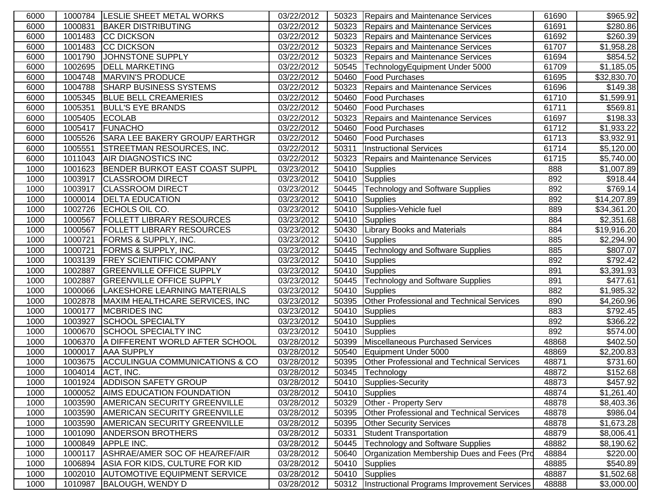| 6000 |         | 1000784   LESLIE SHEET METAL WORKS        | 03/22/2012 |       | 50323 Repairs and Maintenance Services           | 61690 | \$965.92               |
|------|---------|-------------------------------------------|------------|-------|--------------------------------------------------|-------|------------------------|
| 6000 | 1000831 | <b>BAKER DISTRIBUTING</b>                 | 03/22/2012 | 50323 | Repairs and Maintenance Services                 | 61691 | \$280.86               |
| 6000 | 1001483 | <b>CC DICKSON</b>                         | 03/22/2012 | 50323 | <b>Repairs and Maintenance Services</b>          | 61692 | \$260.39               |
| 6000 | 1001483 | <b>CC DICKSON</b>                         | 03/22/2012 | 50323 | Repairs and Maintenance Services                 | 61707 | \$1,958.28             |
| 6000 | 1001790 | JOHNSTONE SUPPLY                          | 03/22/2012 | 50323 | <b>Repairs and Maintenance Services</b>          | 61694 | \$854.52               |
| 6000 | 1002695 | <b>DELL MARKETING</b>                     | 03/22/2012 | 50545 | TechnologyEquipment Under 5000                   | 61709 | \$1,185.05             |
| 6000 | 1004748 | <b>MARVIN'S PRODUCE</b>                   | 03/22/2012 | 50460 | <b>Food Purchases</b>                            | 61695 | \$32,830.70            |
| 6000 | 1004788 | <b>SHARP BUSINESS SYSTEMS</b>             | 03/22/2012 | 50323 | Repairs and Maintenance Services                 | 61696 | \$149.38               |
| 6000 | 1005345 | <b>BLUE BELL CREAMERIES</b>               | 03/22/2012 | 50460 | <b>Food Purchases</b>                            | 61710 | \$1,599.91             |
| 6000 | 1005351 | <b>BULL'S EYE BRANDS</b>                  | 03/22/2012 | 50460 | <b>Food Purchases</b>                            | 61711 | \$569.81               |
| 6000 | 1005405 | <b>ECOLAB</b>                             | 03/22/2012 | 50323 | Repairs and Maintenance Services                 | 61697 | \$198.33               |
| 6000 | 1005417 | FUNACHO                                   | 03/22/2012 | 50460 | <b>Food Purchases</b>                            | 61712 | \$1,933.22             |
| 6000 | 1005526 | SARA LEE BAKERY GROUP/ EARTHGR            | 03/22/2012 | 50460 | <b>Food Purchases</b>                            | 61713 | \$3,932.91             |
| 6000 | 1005551 | <b>STREETMAN RESOURCES, INC.</b>          | 03/22/2012 | 50311 | <b>Instructional Services</b>                    | 61714 | \$5,120.00             |
| 6000 | 1011043 | <b>AIR DIAGNOSTICS INC</b>                | 03/22/2012 | 50323 | Repairs and Maintenance Services                 | 61715 | $\overline{$}5,740.00$ |
| 1000 | 1001623 | <b>BENDER BURKOT EAST COAST SUPPL</b>     | 03/23/2012 | 50410 | Supplies                                         | 888   | \$1,007.89             |
| 1000 | 1003917 | <b>CLASSROOM DIRECT</b>                   | 03/23/2012 | 50410 | Supplies                                         | 892   | \$918.44               |
| 1000 | 1003917 | <b>CLASSROOM DIRECT</b>                   | 03/23/2012 | 50445 | Technology and Software Supplies                 | 892   | \$769.14               |
| 1000 | 1000014 | <b>DELTA EDUCATION</b>                    | 03/23/2012 | 50410 | <b>Supplies</b>                                  | 892   | \$14,207.89            |
| 1000 | 1002726 | ECHOLS OIL CO.                            | 03/23/2012 | 50410 | Supplies-Vehicle fuel                            | 889   | \$34,361.20            |
| 1000 | 1000567 | <b>FOLLETT LIBRARY RESOURCES</b>          | 03/23/2012 | 50410 | <b>Supplies</b>                                  | 884   | \$2,351.68             |
| 1000 | 1000567 | <b>FOLLETT LIBRARY RESOURCES</b>          | 03/23/2012 | 50430 | <b>Library Books and Materials</b>               | 884   | \$19,916.20            |
| 1000 | 1000721 | <b>FORMS &amp; SUPPLY, INC.</b>           | 03/23/2012 | 50410 | <b>Supplies</b>                                  | 885   | \$2,294.90             |
| 1000 | 1000721 | <b>FORMS &amp; SUPPLY, INC.</b>           | 03/23/2012 | 50445 | Technology and Software Supplies                 | 885   | \$807.07               |
| 1000 |         | 1003139 FREY SCIENTIFIC COMPANY           | 03/23/2012 | 50410 | Supplies                                         | 892   | \$792.42               |
| 1000 | 1002887 | <b>GREENVILLE OFFICE SUPPLY</b>           | 03/23/2012 | 50410 | Supplies                                         | 891   | \$3,391.93             |
| 1000 | 1002887 | <b>GREENVILLE OFFICE SUPPLY</b>           | 03/23/2012 | 50445 | <b>Technology and Software Supplies</b>          | 891   | \$477.61               |
| 1000 | 1000066 | LAKESHORE LEARNING MATERIALS              | 03/23/2012 | 50410 | Supplies                                         | 882   | \$1,985.32             |
| 1000 | 1002878 | MAXIM HEALTHCARE SERVICES, INC            | 03/23/2012 | 50395 | Other Professional and Technical Services        | 890   | \$4,260.96             |
| 1000 | 1000177 | <b>MCBRIDES INC</b>                       | 03/23/2012 | 50410 | Supplies                                         | 883   | \$792.45               |
| 1000 | 1003927 | <b>SCHOOL SPECIALTY</b>                   | 03/23/2012 | 50410 | <b>Supplies</b>                                  | 892   | \$366.22               |
| 1000 | 1000670 | <b>SCHOOL SPECIALTY INC</b>               | 03/23/2012 | 50410 | Supplies                                         | 892   | \$574.00               |
| 1000 | 1006370 | A DIFFERENT WORLD AFTER SCHOOL            | 03/28/2012 | 50399 | Miscellaneous Purchased Services                 | 48868 | \$402.50               |
| 1000 | 1000017 | <b>AAA SUPPLY</b>                         | 03/28/2012 | 50540 | Equipment Under 5000                             | 48869 | \$2,200.83             |
| 1000 | 1003675 | <b>ACCULINGUA COMMUNICATIONS &amp; CO</b> | 03/28/2012 | 50395 | <b>Other Professional and Technical Services</b> | 48871 | \$731.60               |
| 1000 | 1004014 | ACT, INC.                                 | 03/28/2012 | 50345 | Technology                                       | 48872 | \$152.68               |
| 1000 |         | 1001924 ADDISON SAFETY GROUP              | 03/28/2012 |       | 50410 Supplies-Security                          | 48873 | \$457.92               |
| 1000 | 1000052 | <b>AIMS EDUCATION FOUNDATION</b>          | 03/28/2012 | 50410 | Supplies                                         | 48874 | \$1,261.40             |
| 1000 | 1003590 | <b>AMERICAN SECURITY GREENVILLE</b>       | 03/28/2012 | 50329 | Other - Property Serv                            | 48878 | \$8,403.36             |
| 1000 | 1003590 | <b>AMERICAN SECURITY GREENVILLE</b>       | 03/28/2012 | 50395 | <b>Other Professional and Technical Services</b> | 48878 | \$986.04               |
| 1000 | 1003590 | <b>AMERICAN SECURITY GREENVILLE</b>       | 03/28/2012 | 50395 | <b>Other Security Services</b>                   | 48878 | \$1,673.28             |
| 1000 | 1001090 | <b>ANDERSON BROTHERS</b>                  | 03/28/2012 | 50331 | Student Transportation                           | 48879 | \$8,006.41             |
| 1000 | 1000849 | <b>APPLE INC.</b>                         | 03/28/2012 | 50445 | Technology and Software Supplies                 | 48882 | \$8,190.62             |
| 1000 | 1000117 | ASHRAE/AMER SOC OF HEA/REF/AIR            | 03/28/2012 | 50640 | Organization Membership Dues and Fees (Prd       | 48884 | \$220.00               |
| 1000 | 1006894 | ASIA FOR KIDS, CULTURE FOR KID            | 03/28/2012 | 50410 | Supplies                                         | 48885 | \$540.89               |
| 1000 | 1002010 | <b>AUTOMOTIVE EQUIPMENT SERVICE</b>       | 03/28/2012 | 50410 | <b>Supplies</b>                                  | 48887 | \$1,502.68             |
| 1000 | 1010987 | <b>BALOUGH, WENDY D</b>                   | 03/28/2012 | 50312 | Instructional Programs Improvement Services      | 48888 | \$3,000.00             |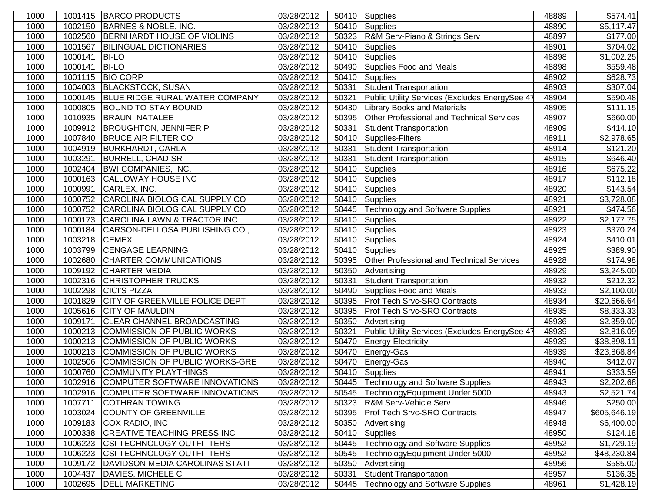| 1000 |         | 1001415 BARCO PRODUCTS                | 03/28/2012 |       | 50410 Supplies                                 | 48889 | \$574.41               |
|------|---------|---------------------------------------|------------|-------|------------------------------------------------|-------|------------------------|
| 1000 | 1002150 | BARNES & NOBLE, INC.                  | 03/28/2012 | 50410 | Supplies                                       | 48890 | $\overline{$}5,117.47$ |
| 1000 | 1002560 | BERNHARDT HOUSE OF VIOLINS            | 03/28/2012 | 50323 | R&M Serv-Piano & Strings Serv                  | 48897 | \$177.00               |
| 1000 | 1001567 | <b>BILINGUAL DICTIONARIES</b>         | 03/28/2012 | 50410 | Supplies                                       | 48901 | \$704.02               |
| 1000 | 1000141 | <b>BI-LO</b>                          | 03/28/2012 | 50410 | Supplies                                       | 48898 | \$1,002.25             |
| 1000 | 1000141 | <b>BI-LO</b>                          | 03/28/2012 | 50490 | Supplies Food and Meals                        | 48898 | \$559.48               |
| 1000 | 1001115 | <b>BIO CORP</b>                       | 03/28/2012 | 50410 | Supplies                                       | 48902 | \$628.73               |
| 1000 | 1004003 | <b>BLACKSTOCK, SUSAN</b>              | 03/28/2012 | 50331 | <b>Student Transportation</b>                  | 48903 | \$307.04               |
| 1000 | 1000145 | BLUE RIDGE RURAL WATER COMPANY        | 03/28/2012 | 50321 | Public Utility Services (Excludes EnergySee 47 | 48904 | \$590.48               |
| 1000 | 1000805 | <b>BOUND TO STAY BOUND</b>            | 03/28/2012 | 50430 | <b>Library Books and Materials</b>             | 48905 | $\overline{\$111.15}$  |
| 1000 | 1010935 | <b>BRAUN, NATALEE</b>                 | 03/28/2012 | 50395 | Other Professional and Technical Services      | 48907 | \$660.00               |
| 1000 | 1009912 | <b>BROUGHTON, JENNIFER P</b>          | 03/28/2012 | 50331 | <b>Student Transportation</b>                  | 48909 | \$414.10               |
| 1000 | 1007840 | <b>BRUCE AIR FILTER CO</b>            | 03/28/2012 | 50410 | Supplies-Filters                               | 48911 | $\overline{$}2,978.65$ |
| 1000 | 1004919 | <b>BURKHARDT, CARLA</b>               | 03/28/2012 | 50331 | Student Transportation                         | 48914 | $\overline{$}121.20$   |
| 1000 | 1003291 | <b>BURRELL, CHAD SR</b>               | 03/28/2012 | 50331 | <b>Student Transportation</b>                  | 48915 | \$646.40               |
| 1000 | 1002404 | <b>BWI COMPANIES, INC.</b>            | 03/28/2012 | 50410 | Supplies                                       | 48916 | $\overline{$}675.22$   |
| 1000 | 1000163 | <b>CALLOWAY HOUSE INC</b>             | 03/28/2012 | 50410 | Supplies                                       | 48917 | \$112.18               |
| 1000 | 1000991 | CARLEX, INC.                          | 03/28/2012 | 50410 | Supplies                                       | 48920 | \$143.54               |
| 1000 | 1000752 | CAROLINA BIOLOGICAL SUPPLY CO         | 03/28/2012 | 50410 | Supplies                                       | 48921 | \$3,728.08             |
| 1000 | 1000752 | CAROLINA BIOLOGICAL SUPPLY CO         | 03/28/2012 | 50445 | Technology and Software Supplies               | 48921 | \$474.56               |
| 1000 | 1000173 | CAROLINA LAWN & TRACTOR INC           | 03/28/2012 | 50410 | Supplies                                       | 48922 | \$2,177.75             |
| 1000 | 1000184 | CARSON-DELLOSA PUBLISHING CO.,        | 03/28/2012 | 50410 | Supplies                                       | 48923 | $\overline{$}370.24$   |
| 1000 | 1003218 | <b>CEMEX</b>                          | 03/28/2012 | 50410 | Supplies                                       | 48924 | \$410.01               |
| 1000 | 1003799 | <b>CENGAGE LEARNING</b>               | 03/28/2012 | 50410 | Supplies                                       | 48925 | \$389.90               |
| 1000 | 1002680 | CHARTER COMMUNICATIONS                | 03/28/2012 | 50395 | Other Professional and Technical Services      | 48928 | $\overline{$}174.98$   |
| 1000 | 1009192 | <b>CHARTER MEDIA</b>                  | 03/28/2012 | 50350 | Advertising                                    | 48929 | \$3,245.00             |
| 1000 | 1002316 | <b>CHRISTOPHER TRUCKS</b>             | 03/28/2012 | 50331 | <b>Student Transportation</b>                  | 48932 | \$212.32               |
| 1000 | 1002298 | <b>CICI'S PIZZA</b>                   | 03/28/2012 | 50490 | Supplies Food and Meals                        | 48933 | \$2,100.00             |
| 1000 | 1001829 | <b>CITY OF GREENVILLE POLICE DEPT</b> | 03/28/2012 | 50395 | <b>Prof Tech Srvc-SRO Contracts</b>            | 48934 | \$20,666.64            |
| 1000 | 1005616 | <b>CITY OF MAULDIN</b>                | 03/28/2012 | 50395 | <b>Prof Tech Srvc-SRO Contracts</b>            | 48935 | \$8,333.33             |
| 1000 | 1009171 | <b>CLEAR CHANNEL BROADCASTING</b>     | 03/28/2012 | 50350 | Advertising                                    | 48936 | \$2,359.00             |
| 1000 | 1000213 | <b>COMMISSION OF PUBLIC WORKS</b>     | 03/28/2012 | 50321 | Public Utility Services (Excludes EnergySee 47 | 48939 | \$2,816.09             |
| 1000 | 1000213 | COMMISSION OF PUBLIC WORKS            | 03/28/2012 | 50470 | Energy-Electricity                             | 48939 | \$38,898.11            |
| 1000 | 1000213 | COMMISSION OF PUBLIC WORKS            | 03/28/2012 | 50470 | Energy-Gas                                     | 48939 | \$23,868.84            |
| 1000 | 1002506 | COMMISSION OF PUBLIC WORKS-GRE        | 03/28/2012 | 50470 | Energy-Gas                                     | 48940 | $\overline{$412.07}$   |
| 1000 | 1000760 | <b>COMMUNITY PLAYTHINGS</b>           | 03/28/2012 |       | 50410 Supplies                                 | 48941 | \$333.59               |
| 1000 |         | 1002916 COMPUTER SOFTWARE INNOVATIONS | 03/28/2012 |       | 50445 Technology and Software Supplies         | 48943 | \$2,202.68             |
| 1000 | 1002916 | COMPUTER SOFTWARE INNOVATIONS         | 03/28/2012 | 50545 | TechnologyEquipment Under 5000                 | 48943 | \$2,521.74             |
| 1000 | 1007711 | <b>COTHRAN TOWING</b>                 | 03/28/2012 | 50323 | <b>R&amp;M Serv-Vehicle Serv</b>               | 48946 | \$250.00               |
| 1000 | 1003024 | <b>COUNTY OF GREENVILLE</b>           | 03/28/2012 | 50395 | <b>Prof Tech Srvc-SRO Contracts</b>            | 48947 | \$605,646.19           |
| 1000 | 1009183 | COX RADIO, INC                        | 03/28/2012 | 50350 | Advertising                                    | 48948 | \$6,400.00             |
| 1000 | 1000338 | <b>CREATIVE TEACHING PRESS INC</b>    | 03/28/2012 | 50410 | Supplies                                       | 48950 | \$124.18               |
| 1000 | 1006223 | <b>CSI TECHNOLOGY OUTFITTERS</b>      | 03/28/2012 | 50445 | Technology and Software Supplies               | 48952 | \$1,729.19             |
| 1000 | 1006223 | <b>CSI TECHNOLOGY OUTFITTERS</b>      | 03/28/2012 | 50545 | TechnologyEquipment Under 5000                 | 48952 | \$48,230.84            |
| 1000 | 1009172 | DAVIDSON MEDIA CAROLINAS STATI        | 03/28/2012 | 50350 | Advertising                                    | 48956 | \$585.00               |
| 1000 | 1004437 | DAVIES, MICHELE C                     | 03/28/2012 | 50331 | <b>Student Transportation</b>                  | 48957 | \$136.35               |
| 1000 |         | 1002695  DELL MARKETING               | 03/28/2012 |       | 50445   Technology and Software Supplies       | 48961 | \$1,428.19             |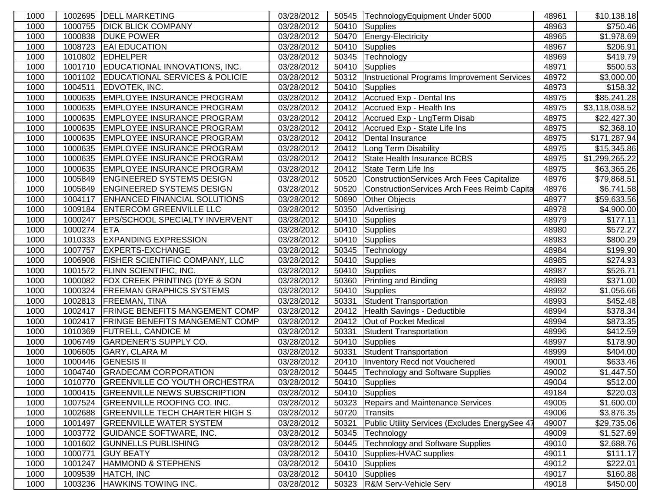| 1000 | 1002695 | <b>DELL MARKETING</b>                     | 03/28/2012 |       | 50545  TechnologyEquipment Under 5000          | 48961 | \$10,138.18          |
|------|---------|-------------------------------------------|------------|-------|------------------------------------------------|-------|----------------------|
| 1000 | 1000755 | <b>DICK BLICK COMPANY</b>                 | 03/28/2012 | 50410 | Supplies                                       | 48963 | \$750.46             |
| 1000 | 1000838 | <b>DUKE POWER</b>                         | 03/28/2012 | 50470 | Energy-Electricity                             | 48965 | \$1,978.69           |
| 1000 | 1008723 | <b>EAI EDUCATION</b>                      | 03/28/2012 | 50410 | Supplies                                       | 48967 | \$206.91             |
| 1000 | 1010802 | <b>EDHELPER</b>                           | 03/28/2012 | 50345 | Technology                                     | 48969 | \$419.79             |
| 1000 | 1001710 | EDUCATIONAL INNOVATIONS, INC.             | 03/28/2012 | 50410 | <b>Supplies</b>                                | 48971 | \$500.53             |
| 1000 | 1001102 | <b>EDUCATIONAL SERVICES &amp; POLICIE</b> | 03/28/2012 | 50312 | Instructional Programs Improvement Services    | 48972 | \$3,000.00           |
| 1000 | 1004511 | EDVOTEK, INC.                             | 03/28/2012 | 50410 | Supplies                                       | 48973 | \$158.32             |
| 1000 | 1000635 | <b>EMPLOYEE INSURANCE PROGRAM</b>         | 03/28/2012 | 20412 | Accrued Exp - Dental Ins                       | 48975 | \$85,241.28          |
| 1000 | 1000635 | <b>EMPLOYEE INSURANCE PROGRAM</b>         | 03/28/2012 |       | 20412 Accrued Exp - Health Ins                 | 48975 | \$3,118,038.52       |
| 1000 | 1000635 | <b>EMPLOYEE INSURANCE PROGRAM</b>         | 03/28/2012 |       | 20412 Accrued Exp - LngTerm Disab              | 48975 | \$22,427.30          |
| 1000 | 1000635 | <b>EMPLOYEE INSURANCE PROGRAM</b>         | 03/28/2012 | 20412 | Accrued Exp - State Life Ins                   | 48975 | \$2,368.10           |
| 1000 | 1000635 | <b>EMPLOYEE INSURANCE PROGRAM</b>         | 03/28/2012 | 20412 | Dental Insurance                               | 48975 | \$171,287.94         |
| 1000 | 1000635 | <b>EMPLOYEE INSURANCE PROGRAM</b>         | 03/28/2012 | 20412 | Long Term Disability                           | 48975 | \$15,345.86          |
| 1000 | 1000635 | <b>EMPLOYEE INSURANCE PROGRAM</b>         | 03/28/2012 | 20412 | State Health Insurance BCBS                    | 48975 | \$1,299,265.22       |
| 1000 | 1000635 | <b>EMPLOYEE INSURANCE PROGRAM</b>         | 03/28/2012 | 20412 | State Term Life Ins                            | 48975 | \$63,365.26          |
| 1000 | 1005849 | <b>ENGINEERED SYSTEMS DESIGN</b>          | 03/28/2012 | 50520 | ConstructionServices Arch Fees Capitalize      | 48976 | \$79,868.51          |
| 1000 | 1005849 | <b>ENGINEERED SYSTEMS DESIGN</b>          | 03/28/2012 | 50520 | ConstructionServices Arch Fees Reimb Capita    | 48976 | \$6,741.58           |
| 1000 | 1004117 | <b>ENHANCED FINANCIAL SOLUTIONS</b>       | 03/28/2012 | 50690 | <b>Other Objects</b>                           | 48977 | \$59,633.56          |
| 1000 | 1009184 | <b>ENTERCOM GREENVILLE LLC</b>            | 03/28/2012 | 50350 | Advertising                                    | 48978 | \$4,900.00           |
| 1000 | 1000247 | <b>EPS/SCHOOL SPECIALTY INVERVENT</b>     | 03/28/2012 | 50410 | Supplies                                       | 48979 | \$177.11             |
| 1000 | 1000274 | <b>ETA</b>                                | 03/28/2012 | 50410 | Supplies                                       | 48980 | \$572.27             |
| 1000 | 1010333 | <b>EXPANDING EXPRESSION</b>               | 03/28/2012 | 50410 | Supplies                                       | 48983 | \$800.29             |
| 1000 | 1007757 | <b>EXPERTS-EXCHANGE</b>                   | 03/28/2012 | 50345 | Technology                                     | 48984 | \$199.90             |
| 1000 | 1006908 | <b>FISHER SCIENTIFIC COMPANY, LLC</b>     | 03/28/2012 | 50410 | Supplies                                       | 48985 | \$274.93             |
| 1000 | 1001572 | <b>FLINN SCIENTIFIC, INC.</b>             | 03/28/2012 | 50410 | Supplies                                       | 48987 | \$526.71             |
| 1000 | 1000082 | <b>FOX CREEK PRINTING (DYE &amp; SON</b>  | 03/28/2012 | 50360 | <b>Printing and Binding</b>                    | 48989 | \$371.00             |
| 1000 | 1000324 | <b>FREEMAN GRAPHICS SYSTEMS</b>           | 03/28/2012 | 50410 | Supplies                                       | 48992 | \$1,056.66           |
| 1000 | 1002813 | <b>FREEMAN, TINA</b>                      | 03/28/2012 | 50331 | Student Transportation                         | 48993 | \$452.48             |
| 1000 | 1002417 | <b>FRINGE BENEFITS MANGEMENT COMP</b>     | 03/28/2012 | 20412 | Health Savings - Deductible                    | 48994 | \$378.34             |
| 1000 | 1002417 | <b>FRINGE BENEFITS MANGEMENT COMP</b>     | 03/28/2012 | 20412 | Out of Pocket Medical                          | 48994 | \$873.35             |
| 1000 | 1010369 | <b>FUTRELL, CANDICE M</b>                 | 03/28/2012 | 50331 | Student Transportation                         | 48996 | $\overline{$}412.59$ |
| 1000 | 1006749 | <b>GARDENER'S SUPPLY CO.</b>              | 03/28/2012 | 50410 | Supplies                                       | 48997 | \$178.90             |
| 1000 | 1006605 | <b>GARY, CLARA M</b>                      | 03/28/2012 | 50331 | Student Transportation                         | 48999 | \$404.00             |
| 1000 | 1000446 | <b>GENESIS II</b>                         | 03/28/2012 | 20410 | Inventory Recd not Vouchered                   | 49001 | \$633.46             |
| 1000 | 1004740 | <b>GRADECAM CORPORATION</b>               | 03/28/2012 |       | 50445   Technology and Software Supplies       | 49002 | \$1,447.50           |
| 1000 |         | 1010770 GREENVILLE CO YOUTH ORCHESTRA     | 03/28/2012 |       | 50410 Supplies                                 | 49004 | \$512.00             |
| 1000 | 1000415 | <b>GREENVILLE NEWS SUBSCRIPTION</b>       | 03/28/2012 | 50410 | Supplies                                       | 49184 | \$220.03             |
| 1000 | 1007524 | <b>GREENVILLE ROOFING CO. INC.</b>        | 03/28/2012 | 50323 | Repairs and Maintenance Services               | 49005 | \$1,600.00           |
| 1000 | 1002688 | <b>GREENVILLE TECH CHARTER HIGH S</b>     | 03/28/2012 | 50720 | Transits                                       | 49006 | \$3,876.35           |
| 1000 | 1001497 | <b>GREENVILLE WATER SYSTEM</b>            | 03/28/2012 | 50321 | Public Utility Services (Excludes EnergySee 47 | 49007 | \$29,735.06          |
| 1000 | 1003772 | <b>GUIDANCE SOFTWARE, INC.</b>            | 03/28/2012 | 50345 | Technology                                     | 49009 | \$1,527.69           |
| 1000 | 1001602 | <b>GUNNELLS PUBLISHING</b>                | 03/28/2012 | 50445 | <b>Technology and Software Supplies</b>        | 49010 | \$2,688.76           |
| 1000 | 1000771 | <b>GUY BEATY</b>                          | 03/28/2012 | 50410 | Supplies-HVAC supplies                         | 49011 | \$111.17             |
| 1000 | 1001247 | <b>HAMMOND &amp; STEPHENS</b>             | 03/28/2012 | 50410 | Supplies                                       | 49012 | \$222.01             |
| 1000 | 1009539 | HATCH, INC                                | 03/28/2012 | 50410 | Supplies                                       | 49017 | \$160.88             |
| 1000 | 1003236 | <b>HAWKINS TOWING INC.</b>                | 03/28/2012 |       | 50323   R&M Serv-Vehicle Serv                  | 49018 | \$450.00             |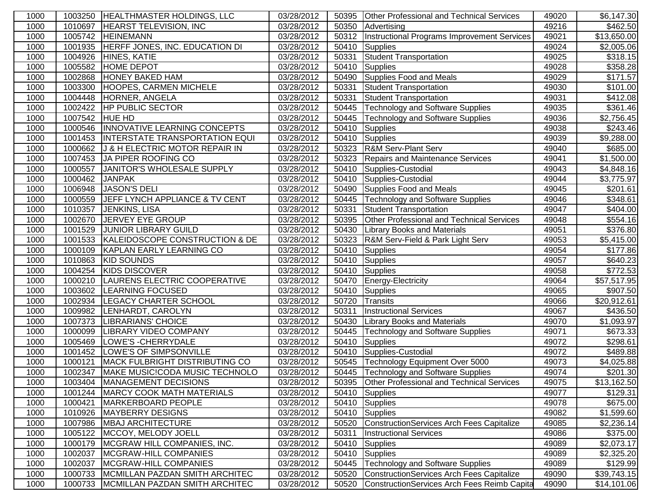| 1000 | 1003250 | <b>HEALTHMASTER HOLDINGS, LLC</b>     | 03/28/2012 | 50395 | <b>Other Professional and Technical Services</b> | 49020 | \$6,147.30           |
|------|---------|---------------------------------------|------------|-------|--------------------------------------------------|-------|----------------------|
| 1000 | 1010697 | <b>HEARST TELEVISION, INC</b>         | 03/28/2012 | 50350 | Advertising                                      | 49216 | \$462.50             |
| 1000 | 1005742 | <b>HEINEMANN</b>                      | 03/28/2012 | 50312 | Instructional Programs Improvement Services      | 49021 | \$13,650.00          |
| 1000 | 1001935 | HERFF JONES, INC. EDUCATION DI        | 03/28/2012 | 50410 | <b>Supplies</b>                                  | 49024 | \$2,005.06           |
| 1000 | 1004926 | HINES, KATIE                          | 03/28/2012 | 50331 | Student Transportation                           | 49025 | \$318.15             |
| 1000 | 1005582 | <b>HOME DEPOT</b>                     | 03/28/2012 | 50410 | Supplies                                         | 49028 | $\overline{$}358.28$ |
| 1000 | 1002868 | <b>HONEY BAKED HAM</b>                | 03/28/2012 | 50490 | Supplies Food and Meals                          | 49029 | \$171.57             |
| 1000 | 1003300 | <b>HOOPES, CARMEN MICHELE</b>         | 03/28/2012 | 50331 | <b>Student Transportation</b>                    | 49030 | \$101.00             |
| 1000 | 1004448 | HORNER, ANGELA                        | 03/28/2012 | 50331 | <b>Student Transportation</b>                    | 49031 | $\overline{$}412.08$ |
| 1000 | 1002422 | <b>HP PUBLIC SECTOR</b>               | 03/28/2012 | 50445 | Technology and Software Supplies                 | 49035 | \$361.46             |
| 1000 | 1007542 | <b>HUE HD</b>                         | 03/28/2012 | 50445 | <b>Technology and Software Supplies</b>          | 49036 | \$2,756.45           |
| 1000 | 1000546 | INNOVATIVE LEARNING CONCEPTS          | 03/28/2012 | 50410 | Supplies                                         | 49038 | \$243.46             |
| 1000 | 1001453 | INTERSTATE TRANSPORTATION EQUI        | 03/28/2012 | 50410 | Supplies                                         | 49039 | \$9,288.00           |
| 1000 | 1000662 | J & H ELECTRIC MOTOR REPAIR IN        | 03/28/2012 | 50323 | <b>R&amp;M Serv-Plant Serv</b>                   | 49040 | \$685.00             |
| 1000 | 1007453 | JA PIPER ROOFING CO                   | 03/28/2012 | 50323 | Repairs and Maintenance Services                 | 49041 | \$1,500.00           |
| 1000 | 1000557 | JANITOR'S WHOLESALE SUPPLY            | 03/28/2012 | 50410 | Supplies-Custodial                               | 49043 | \$4,848.16           |
| 1000 | 1000462 | <b>JANPAK</b>                         | 03/28/2012 | 50410 | Supplies-Custodial                               | 49044 | \$3,775.97           |
| 1000 | 1006948 | <b>JASON'S DELI</b>                   | 03/28/2012 | 50490 | Supplies Food and Meals                          | 49045 | \$201.61             |
| 1000 | 1000559 | JEFF LYNCH APPLIANCE & TV CENT        | 03/28/2012 | 50445 | Technology and Software Supplies                 | 49046 | \$348.61             |
| 1000 | 1010357 | JENKINS, LISA                         | 03/28/2012 | 50331 | Student Transportation                           | 49047 | $\sqrt{$404.00}$     |
| 1000 | 1002670 | JERVEY EYE GROUP                      | 03/28/2012 | 50395 | <b>Other Professional and Technical Services</b> | 49048 | \$554.16             |
| 1000 | 1001529 | <b>JUNIOR LIBRARY GUILD</b>           | 03/28/2012 | 50430 | <b>Library Books and Materials</b>               | 49051 | \$376.80             |
| 1000 | 1001533 | KALEIDOSCOPE CONSTRUCTION & DE        | 03/28/2012 | 50323 | R&M Serv-Field & Park Light Serv                 | 49053 | \$5,415.00           |
| 1000 | 1000109 | <b>KAPLAN EARLY LEARNING CO</b>       | 03/28/2012 | 50410 | Supplies                                         | 49054 | \$177.86             |
| 1000 | 1010863 | <b>KID SOUNDS</b>                     | 03/28/2012 | 50410 | Supplies                                         | 49057 | \$640.23             |
| 1000 | 1004254 | <b>KIDS DISCOVER</b>                  | 03/28/2012 |       | 50410 Supplies                                   | 49058 | \$772.53             |
| 1000 | 1000210 | LAURENS ELECTRIC COOPERATIVE          | 03/28/2012 | 50470 | Energy-Electricity                               | 49064 | \$57,517.95          |
| 1000 | 1003602 | <b>LEARNING FOCUSED</b>               | 03/28/2012 | 50410 | Supplies                                         | 49065 | \$907.50             |
| 1000 | 1002934 | <b>LEGACY CHARTER SCHOOL</b>          | 03/28/2012 | 50720 | Transits                                         | 49066 | \$20,912.61          |
| 1000 | 1009982 | LENHARDT, CAROLYN                     | 03/28/2012 | 50311 | <b>Instructional Services</b>                    | 49067 | \$436.50             |
| 1000 | 1007373 | LIBRARIANS' CHOICE                    | 03/28/2012 | 50430 | <b>Library Books and Materials</b>               | 49070 | \$1,093.97           |
| 1000 | 1000099 | <b>LIBRARY VIDEO COMPANY</b>          | 03/28/2012 | 50445 | <b>Technology and Software Supplies</b>          | 49071 | \$673.33             |
| 1000 | 1005469 | LOWE'S - CHERRYDALE                   | 03/28/2012 | 50410 | Supplies                                         | 49072 | \$298.61             |
| 1000 | 1001452 | LOWE'S OF SIMPSONVILLE                | 03/28/2012 | 50410 | Supplies-Custodial                               | 49072 | \$489.88             |
| 1000 | 1000121 | <b>MACK FULBRIGHT DISTRIBUTING CO</b> | 03/28/2012 | 50545 | Technology Equipment Over 5000                   | 49073 | \$4,025.88           |
| 1000 | 1002347 | MAKE MUSIC!CODA MUSIC TECHNOLO        | 03/28/2012 |       | 50445   Technology and Software Supplies         | 49074 | \$201.30             |
| 1000 | 1003404 | MANAGEMENT DECISIONS                  | 03/28/2012 | 50395 | Other Professional and Technical Services        | 49075 | \$13,162.50          |
| 1000 | 1001244 | <b>MARCY COOK MATH MATERIALS</b>      | 03/28/2012 | 50410 | Supplies                                         | 49077 | \$129.31             |
| 1000 | 1000421 | MARKERBOARD PEOPLE                    | 03/28/2012 | 50410 | Supplies                                         | 49078 | \$675.00             |
| 1000 | 1010926 | <b>MAYBERRY DESIGNS</b>               | 03/28/2012 | 50410 | Supplies                                         | 49082 | \$1,599.60           |
| 1000 | 1007986 | <b>MBAJ ARCHITECTURE</b>              | 03/28/2012 | 50520 | ConstructionServices Arch Fees Capitalize        | 49085 | \$2,236.14           |
| 1000 | 1005122 | MCCOY, MELODY JOELL                   | 03/28/2012 | 50311 | <b>Instructional Services</b>                    | 49086 | \$375.00             |
| 1000 | 1000179 | MCGRAW HILL COMPANIES, INC.           | 03/28/2012 | 50410 | Supplies                                         | 49089 | \$2,073.17           |
| 1000 | 1002037 | MCGRAW-HILL COMPANIES                 | 03/28/2012 | 50410 | Supplies                                         | 49089 | \$2,325.20           |
| 1000 | 1002037 | MCGRAW-HILL COMPANIES                 | 03/28/2012 | 50445 | Technology and Software Supplies<br>49089        |       | \$129.99             |
| 1000 | 1000733 | MCMILLAN PAZDAN SMITH ARCHITEC        | 03/28/2012 | 50520 | ConstructionServices Arch Fees Capitalize        | 49090 | \$39,743.15          |
| 1000 | 1000733 | MCMILLAN PAZDAN SMITH ARCHITEC        | 03/28/2012 | 50520 | ConstructionServices Arch Fees Reimb Capita      | 49090 | \$14,101.06          |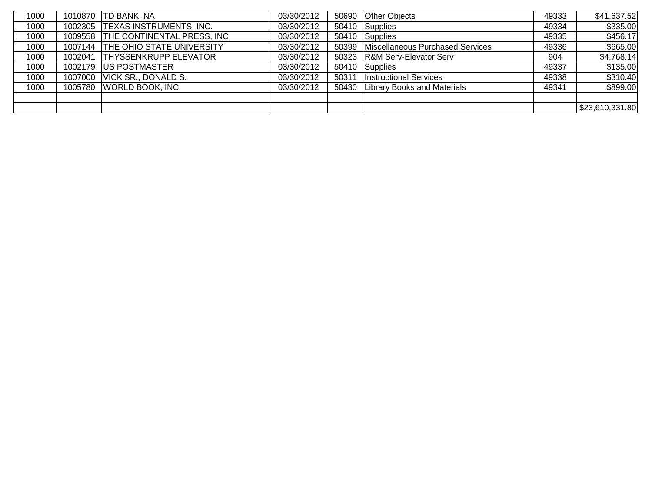| 1000 | 1010870 | TD BANK, NA                        | 03/30/2012 | 50690 Other Objects                    | 49333 | \$41,637.52     |
|------|---------|------------------------------------|------------|----------------------------------------|-------|-----------------|
| 1000 |         | 1002305 TEXAS INSTRUMENTS, INC.    | 03/30/2012 | 50410 Supplies                         | 49334 | \$335.00        |
| 1000 |         | 1009558 THE CONTINENTAL PRESS, INC | 03/30/2012 | 50410 Supplies                         | 49335 | \$456.17        |
| 1000 |         | 1007144 THE OHIO STATE UNIVERSITY  | 03/30/2012 | 50399 Miscellaneous Purchased Services | 49336 | \$665.00        |
| 1000 | 1002041 | <b>THYSSENKRUPP ELEVATOR</b>       | 03/30/2012 | 50323 R&M Serv-Elevator Serv           | 904   | \$4,768.14      |
| 1000 |         | 1002179 US POSTMASTER              | 03/30/2012 | 50410 Supplies                         | 49337 | \$135.00        |
| 1000 |         | 1007000 VICK SR., DONALD S.        | 03/30/2012 | 50311   Instructional Services         | 49338 | \$310.40        |
| 1000 |         | 1005780 WORLD BOOK, INC            | 03/30/2012 | 50430 Library Books and Materials      | 49341 | \$899.00        |
|      |         |                                    |            |                                        |       |                 |
|      |         |                                    |            |                                        |       | \$23,610,331.80 |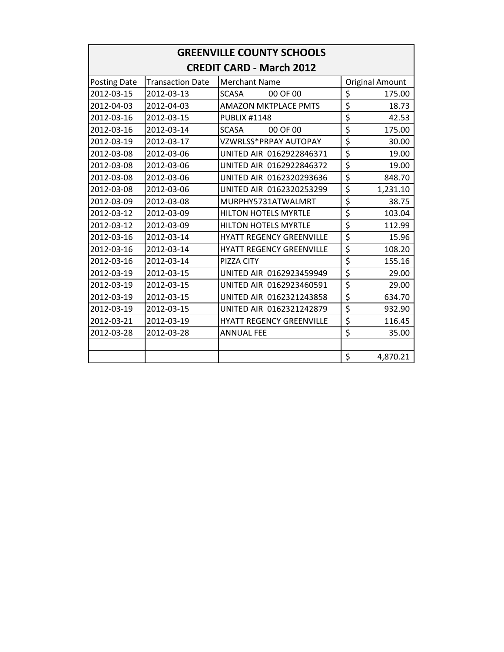| <b>GREENVILLE COUNTY SCHOOLS</b> |                         |                                 |                                     |                        |  |  |  |  |
|----------------------------------|-------------------------|---------------------------------|-------------------------------------|------------------------|--|--|--|--|
|                                  |                         | <b>CREDIT CARD - March 2012</b> |                                     |                        |  |  |  |  |
| Posting Date                     | <b>Transaction Date</b> | <b>Merchant Name</b>            |                                     | <b>Original Amount</b> |  |  |  |  |
| 2012-03-15                       | 2012-03-13              | 00 OF 00<br><b>SCASA</b>        | \$                                  | 175.00                 |  |  |  |  |
| 2012-04-03                       | 2012-04-03              | <b>AMAZON MKTPLACE PMTS</b>     | \$                                  | 18.73                  |  |  |  |  |
| 2012-03-16                       | 2012-03-15              | <b>PUBLIX #1148</b>             | \$                                  | 42.53                  |  |  |  |  |
| 2012-03-16                       | 2012-03-14              | <b>SCASA</b><br>00 OF 00        | \$                                  | 175.00                 |  |  |  |  |
| 2012-03-19                       | 2012-03-17              | VZWRLSS*PRPAY AUTOPAY           | \$                                  | 30.00                  |  |  |  |  |
| 2012-03-08                       | 2012-03-06              | UNITED AIR 0162922846371        | \$                                  | 19.00                  |  |  |  |  |
| 2012-03-08                       | 2012-03-06              | UNITED AIR 0162922846372        | \$                                  | 19.00                  |  |  |  |  |
| 2012-03-08                       | 2012-03-06              | UNITED AIR 0162320293636        | $\overline{\xi}$                    | 848.70                 |  |  |  |  |
| 2012-03-08                       | 2012-03-06              | UNITED AIR 0162320253299        | \$                                  | 1,231.10               |  |  |  |  |
| 2012-03-09                       | 2012-03-08              | MURPHY5731ATWALMRT              | $\overline{\xi}$                    | 38.75                  |  |  |  |  |
| 2012-03-12                       | 2012-03-09              | <b>HILTON HOTELS MYRTLE</b>     | \$                                  | 103.04                 |  |  |  |  |
| 2012-03-12                       | 2012-03-09              | <b>HILTON HOTELS MYRTLE</b>     | \$                                  | 112.99                 |  |  |  |  |
| 2012-03-16                       | 2012-03-14              | <b>HYATT REGENCY GREENVILLE</b> | \$                                  | 15.96                  |  |  |  |  |
| 2012-03-16                       | 2012-03-14              | <b>HYATT REGENCY GREENVILLE</b> | $\overline{\boldsymbol{\varsigma}}$ | 108.20                 |  |  |  |  |
| 2012-03-16                       | 2012-03-14              | PIZZA CITY                      | \$                                  | 155.16                 |  |  |  |  |
| 2012-03-19                       | 2012-03-15              | UNITED AIR 0162923459949        | \$                                  | 29.00                  |  |  |  |  |
| 2012-03-19                       | 2012-03-15              | UNITED AIR 0162923460591        | \$                                  | 29.00                  |  |  |  |  |
| 2012-03-19                       | 2012-03-15              | UNITED AIR 0162321243858        | \$                                  | 634.70                 |  |  |  |  |
| 2012-03-19                       | 2012-03-15              | UNITED AIR 0162321242879        | $\overline{\boldsymbol{\varsigma}}$ | 932.90                 |  |  |  |  |
| 2012-03-21                       | 2012-03-19              | <b>HYATT REGENCY GREENVILLE</b> | \$                                  | 116.45                 |  |  |  |  |
| 2012-03-28                       | 2012-03-28              | <b>ANNUAL FEE</b>               | \$                                  | 35.00                  |  |  |  |  |
|                                  |                         |                                 |                                     |                        |  |  |  |  |
|                                  |                         |                                 | \$                                  | 4,870.21               |  |  |  |  |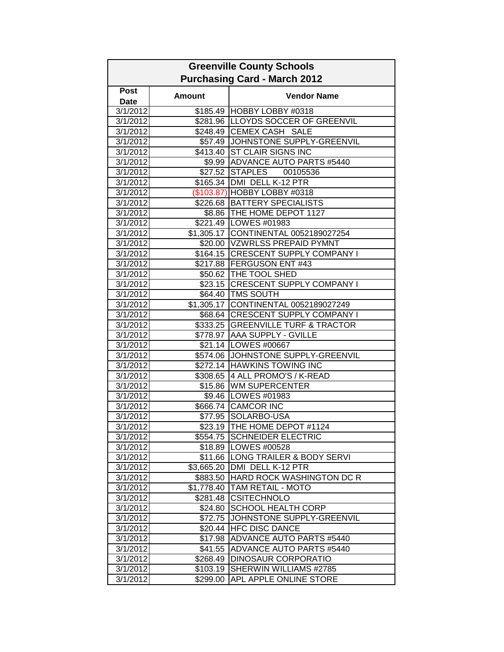| <b>Greenville County Schools</b><br><b>Purchasing Card - March 2012</b> |                        |                                      |
|-------------------------------------------------------------------------|------------------------|--------------------------------------|
|                                                                         |                        |                                      |
| Post<br><b>Date</b>                                                     | <b>Amount</b>          | <b>Vendor Name</b>                   |
| 3/1/2012                                                                |                        | \$185.49 HOBBY LOBBY #0318           |
| 3/1/2012                                                                |                        | \$281.96 LLOYDS SOCCER OF GREENVIL   |
| 3/1/2012                                                                |                        | \$248.49 CEMEX CASH SALE             |
| 3/1/2012                                                                |                        | \$57.49 JOHNSTONE SUPPLY-GREENVIL    |
| 3/1/2012                                                                | \$413.40               | <b>ST CLAIR SIGNS INC</b>            |
| 3/1/2012                                                                |                        | \$9.99 ADVANCE AUTO PARTS #5440      |
| 3/1/2012                                                                | \$27.52                | <b>STAPLES</b><br>00105536           |
| 3/1/2012                                                                | \$165.34               | DMI DELL K-12 PTR                    |
| 3/1/2012                                                                |                        | (\$103.87) HOBBY LOBBY #0318         |
| 3/1/2012                                                                |                        | \$226.68   BATTERY SPECIALISTS       |
| 3/1/2012                                                                |                        | \$8.86   THE HOME DEPOT 1127         |
| 3/1/2012                                                                |                        | \$221.49 LOWES #01983                |
| 3/1/2012                                                                |                        | \$1,305.17 CONTINENTAL 0052189027254 |
| 3/1/2012                                                                |                        | \$20.00 VZWRLSS PREPAID PYMNT        |
| 3/1/2012                                                                |                        | \$164.15 CRESCENT SUPPLY COMPANY I   |
| 3/1/2012                                                                |                        | \$217.88 FERGUSON ENT #43            |
| 3/1/2012                                                                |                        | \$50.62 THE TOOL SHED                |
| 3/1/2012                                                                |                        | \$23.15 CRESCENT SUPPLY COMPANY I    |
| 3/1/2012                                                                |                        | \$64.40 TMS SOUTH                    |
| 3/1/2012                                                                | $\overline{$}1,305.17$ | CONTINENTAL 0052189027249            |
| 3/1/2012                                                                |                        | \$68.64 CRESCENT SUPPLY COMPANY I    |
| 3/1/2012                                                                |                        | \$333.25 GREENVILLE TURF & TRACTOR   |
| 3/1/2012                                                                | \$778.97               | AAA SUPPLY - GVILLE                  |
| 3/1/2012                                                                |                        | \$21.14   LOWES #00667               |
| 3/1/2012                                                                | \$574.06               | JOHNSTONE SUPPLY-GREENVIL            |
| 3/1/2012                                                                | \$272.14               | <b>HAWKINS TOWING INC</b>            |
| 3/1/2012                                                                |                        | \$308.65 4 ALL PROMO'S / K-READ      |
| 3/1/2012                                                                |                        | \$15.86 WM SUPERCENTER               |
| 3/1/2012                                                                |                        | \$9.46   LOWES #01983                |
| 3/1/2012                                                                |                        | \$666.74 CAMCOR INC                  |
| 3/1/2012                                                                |                        | \$77.95 SOLARBO-USA                  |
| 3/1/2012                                                                |                        | \$23.19 THE HOME DEPOT #1124         |
| 3/1/2012                                                                |                        | \$554.75 SCHNEIDER ELECTRIC          |
| 3/1/2012                                                                |                        | \$18.89   LOWES #00528               |
| 3/1/2012                                                                |                        | \$11.66 LONG TRAILER & BODY SERVI    |
| 3/1/2012                                                                |                        | \$3,665.20 DMI DELL K-12 PTR         |
| 3/1/2012                                                                |                        | \$883.50 HARD ROCK WASHINGTON DC R   |
| 3/1/2012                                                                |                        | \$1,778.40   TAM RETAIL - MOTO       |
| 3/1/2012                                                                |                        | \$281.48 CSITECHNOLO                 |
| 3/1/2012                                                                | \$24.80                | <b>SCHOOL HEALTH CORP</b>            |
| 3/1/2012                                                                | \$72.75                | JOHNSTONE SUPPLY-GREENVIL            |
| 3/1/2012                                                                | \$20.44                | <b>HFC DISC DANCE</b>                |
| 3/1/2012                                                                | \$17.98                | ADVANCE AUTO PARTS #5440             |
| 3/1/2012                                                                | \$41.55                | ADVANCE AUTO PARTS #5440             |
| 3/1/2012                                                                | \$268.49               | DINOSAUR CORPORATIO                  |
| 3/1/2012                                                                | \$103.19               | SHERWIN WILLIAMS #2785               |
| 3/1/2012                                                                | \$299.00               | APL APPLE ONLINE STORE               |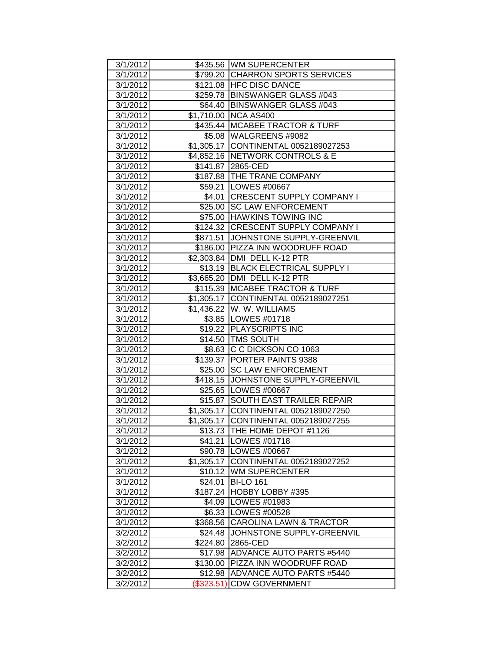| 3/1/2012             |                       | \$435.56 WM SUPERCENTER                           |
|----------------------|-----------------------|---------------------------------------------------|
| 3/1/2012             |                       | \$799.20 CHARRON SPORTS SERVICES                  |
| 3/1/2012             |                       | \$121.08 HFC DISC DANCE                           |
| 3/1/2012             |                       | \$259.78   BINSWANGER GLASS #043                  |
| 3/1/2012             |                       | \$64.40 BINSWANGER GLASS #043                     |
| 3/1/2012             |                       | \$1,710.00 NCA AS400                              |
| 3/1/2012             |                       | \$435.44 MCABEE TRACTOR & TURF                    |
| 3/1/2012             |                       | \$5.08 WALGREENS #9082                            |
| 3/1/2012             |                       | \$1,305.17 CONTINENTAL 0052189027253              |
| 3/1/2012             |                       | \$4,852.16 NETWORK CONTROLS & E                   |
| 3/1/2012             |                       | \$141.87 2865-CED                                 |
| 3/1/2012             |                       | \$187.88 THE TRANE COMPANY                        |
| 3/1/2012             |                       | \$59.21   LOWES #00667                            |
| 3/1/2012             |                       | \$4.01 CRESCENT SUPPLY COMPANY I                  |
| 3/1/2012             |                       | \$25.00 SC LAW ENFORCEMENT                        |
| 3/1/2012             |                       | \$75.00 HAWKINS TOWING INC                        |
| 3/1/2012             |                       | \$124.32 CRESCENT SUPPLY COMPANY I                |
| 3/1/2012             |                       | \$871.51 JOHNSTONE SUPPLY-GREENVIL                |
| 3/1/2012             |                       | \$186.00 PIZZA INN WOODRUFF ROAD                  |
| 3/1/2012             |                       | \$2,303.84 DMI DELL K-12 PTR                      |
| 3/1/2012             |                       | \$13.19 BLACK ELECTRICAL SUPPLY I                 |
| 3/1/2012             |                       | \$3,665.20 DMI DELL K-12 PTR                      |
| 3/1/2012             |                       | \$115.39   MCABEE TRACTOR & TURF                  |
| 3/1/2012             |                       | \$1,305.17 CONTINENTAL 0052189027251              |
| 3/1/2012             |                       | \$1,436.22 W. W. WILLIAMS                         |
| 3/1/2012             |                       | \$3.85   LOWES #01718                             |
| 3/1/2012             |                       | \$19.22 PLAYSCRIPTS INC                           |
|                      |                       |                                                   |
| 3/1/2012             |                       | \$14.50 TMS SOUTH                                 |
| 3/1/2012             |                       | \$8.63 C C DICKSON CO 1063                        |
| 3/1/2012             |                       | \$139.37 PORTER PAINTS 9388                       |
| 3/1/2012             |                       | \$25.00 SC LAW ENFORCEMENT                        |
| 3/1/2012             |                       | \$418.15 JOHNSTONE SUPPLY-GREENVIL                |
| 3/1/2012             |                       | \$25.65   LOWES #00667                            |
| 3/1/2012             |                       | \$15.87 SOUTH EAST TRAILER REPAIR                 |
| 3/1/2012             |                       | \$1,305.17 CONTINENTAL 0052189027250              |
| 3/1/2012             |                       | \$1,305.17 CONTINENTAL 0052189027255              |
| 3/1/2012             |                       | \$13.73 THE HOME DEPOT #1126                      |
| 3/1/2012             |                       | \$41.21   LOWES #01718                            |
| 3/1/2012             |                       | \$90.78   LOWES #00667                            |
| 3/1/2012             |                       | \$1,305.17 CONTINENTAL 0052189027252              |
| 3/1/2012             |                       | \$10.12 WM SUPERCENTER                            |
| 3/1/2012             | \$24.01               | <b>BI-LO 161</b>                                  |
| 3/1/2012             | \$187.24              | HOBBY LOBBY #395                                  |
| 3/1/2012             | \$4.09                | LOWES #01983                                      |
| 3/1/2012             | \$6.33                | <b>ILOWES #00528</b>                              |
| 3/1/2012             | \$368.56              | <b>CAROLINA LAWN &amp; TRACTOR</b>                |
| 3/2/2012             | \$24.48               | JOHNSTONE SUPPLY-GREENVIL                         |
| 3/2/2012             | \$224.80              | 2865-CED                                          |
| 3/2/2012             | \$17.98               | ADVANCE AUTO PARTS #5440                          |
| 3/2/2012             | \$130.00              | <b>PIZZA INN WOODRUFF ROAD</b>                    |
| 3/2/2012<br>3/2/2012 | \$12.98<br>(\$323.51) | ADVANCE AUTO PARTS #5440<br><b>CDW GOVERNMENT</b> |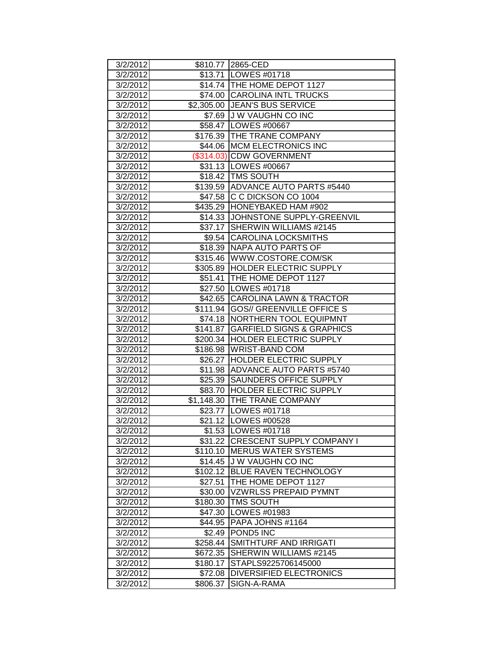| 3/2/2012 |          | \$810.77 2865-CED                    |
|----------|----------|--------------------------------------|
| 3/2/2012 |          | \$13.71   LOWES #01718               |
| 3/2/2012 |          | \$14.74 THE HOME DEPOT 1127          |
| 3/2/2012 |          | \$74.00 CAROLINA INTL TRUCKS         |
| 3/2/2012 |          | \$2,305.00 JEAN'S BUS SERVICE        |
| 3/2/2012 |          | \$7.69 J W VAUGHN CO INC             |
| 3/2/2012 |          | \$58.47   LOWES #00667               |
| 3/2/2012 |          | \$176.39 THE TRANE COMPANY           |
| 3/2/2012 |          | \$44.06 MCM ELECTRONICS INC          |
| 3/2/2012 |          | (\$314.03) CDW GOVERNMENT            |
| 3/2/2012 |          | \$31.13   LOWES #00667               |
| 3/2/2012 |          | \$18.42   TMS SOUTH                  |
| 3/2/2012 |          | \$139.59 ADVANCE AUTO PARTS #5440    |
| 3/2/2012 |          | \$47.58 C C DICKSON CO 1004          |
| 3/2/2012 |          | \$435.29 HONEYBAKED HAM #902         |
| 3/2/2012 | \$14.33  | JOHNSTONE SUPPLY-GREENVIL            |
| 3/2/2012 |          | \$37.17 SHERWIN WILLIAMS #2145       |
| 3/2/2012 |          | \$9.54 CAROLINA LOCKSMITHS           |
| 3/2/2012 |          | \$18.39 NAPA AUTO PARTS OF           |
| 3/2/2012 |          | \$315.46   WWW.COSTORE.COM/SK        |
| 3/2/2012 |          | \$305.89 HOLDER ELECTRIC SUPPLY      |
| 3/2/2012 | \$51.41  | THE HOME DEPOT 1127                  |
| 3/2/2012 |          | \$27.50   LOWES #01718               |
| 3/2/2012 |          | \$42.65 CAROLINA LAWN & TRACTOR      |
| 3/2/2012 |          | \$111.94 GOS// GREENVILLE OFFICE S   |
| 3/2/2012 | \$74.18  | NORTHERN TOOL EQUIPMNT               |
| 3/2/2012 | \$141.87 | <b>GARFIELD SIGNS &amp; GRAPHICS</b> |
| 3/2/2012 |          | \$200.34 HOLDER ELECTRIC SUPPLY      |
| 3/2/2012 |          | \$186.98 WRIST-BAND COM              |
| 3/2/2012 | \$26.27  | <b>HOLDER ELECTRIC SUPPLY</b>        |
| 3/2/2012 | \$11.98  | <b>ADVANCE AUTO PARTS #5740</b>      |
| 3/2/2012 | \$25.39  | <b>SAUNDERS OFFICE SUPPLY</b>        |
| 3/2/2012 | \$83.70  | <b>HOLDER ELECTRIC SUPPLY</b>        |
| 3/2/2012 |          | \$1,148.30 THE TRANE COMPANY         |
| 3/2/2012 |          | \$23.77   LOWES #01718               |
| 3/2/2012 |          | \$21.12   LOWES #00528               |
| 3/2/2012 |          | \$1.53   LOWES #01718                |
| 3/2/2012 |          | \$31.22 CRESCENT SUPPLY COMPANY I    |
| 3/2/2012 |          | \$110.10 MERUS WATER SYSTEMS         |
| 3/2/2012 |          | \$14.45 J W VAUGHN CO INC            |
| 3/2/2012 | \$102.12 | <b>BLUE RAVEN TECHNOLOGY</b>         |
| 3/2/2012 | \$27.51  | THE HOME DEPOT 1127                  |
| 3/2/2012 | \$30.00  | <b>VZWRLSS PREPAID PYMNT</b>         |
| 3/2/2012 | \$180.30 | <b>TMS SOUTH</b>                     |
| 3/2/2012 | \$47.30  | LOWES #01983                         |
| 3/2/2012 | \$44.95  | PAPA JOHNS #1164                     |
| 3/2/2012 | \$2.49   | <b>POND5 INC</b>                     |
| 3/2/2012 | \$258.44 | SMITHTURF AND IRRIGATI               |
| 3/2/2012 | \$672.35 | <b>SHERWIN WILLIAMS #2145</b>        |
| 3/2/2012 | \$180.17 | STAPLS9225706145000                  |
| 3/2/2012 | \$72.08  | <b>IDIVERSIFIED ELECTRONICS</b>      |
| 3/2/2012 | \$806.37 | SIGN-A-RAMA                          |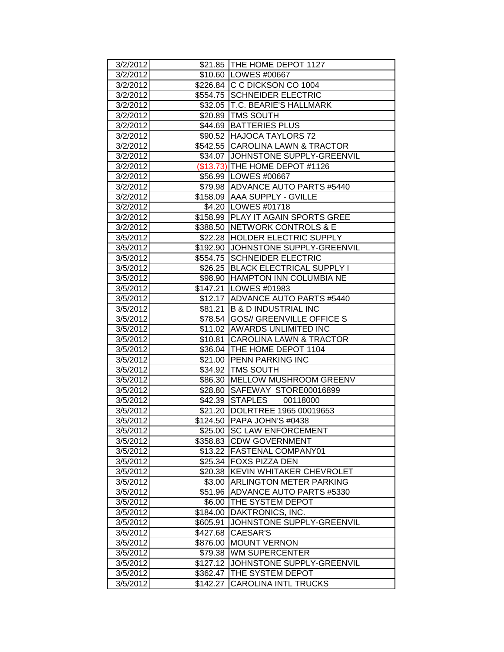| 3/2/2012 |          | \$21.85 THE HOME DEPOT 1127        |
|----------|----------|------------------------------------|
| 3/2/2012 |          | \$10.60 LOWES #00667               |
| 3/2/2012 |          | \$226.84 C C DICKSON CO 1004       |
| 3/2/2012 |          | \$554.75 SCHNEIDER ELECTRIC        |
| 3/2/2012 |          | \$32.05 T.C. BEARIE'S HALLMARK     |
| 3/2/2012 |          | \$20.89 TMS SOUTH                  |
| 3/2/2012 |          | \$44.69 BATTERIES PLUS             |
| 3/2/2012 |          | \$90.52 HAJOCA TAYLORS 72          |
| 3/2/2012 |          | \$542.55 CAROLINA LAWN & TRACTOR   |
| 3/2/2012 |          | \$34.07 JJOHNSTONE SUPPLY-GREENVIL |
| 3/2/2012 |          | (\$13.73) THE HOME DEPOT #1126     |
| 3/2/2012 |          | \$56.99 LOWES #00667               |
| 3/2/2012 |          | \$79.98 ADVANCE AUTO PARTS #5440   |
| 3/2/2012 |          | \$158.09 AAA SUPPLY - GVILLE       |
| 3/2/2012 |          | \$4.20   LOWES #01718              |
| 3/2/2012 |          | \$158.99 PLAY IT AGAIN SPORTS GREE |
| 3/2/2012 |          | \$388.50 NETWORK CONTROLS & E      |
| 3/5/2012 |          | \$22.28 HOLDER ELECTRIC SUPPLY     |
| 3/5/2012 |          | \$192.90 JOHNSTONE SUPPLY-GREENVIL |
| 3/5/2012 |          | \$554.75 SCHNEIDER ELECTRIC        |
| 3/5/2012 |          | \$26.25 BLACK ELECTRICAL SUPPLY I  |
| 3/5/2012 |          | \$98.90 HAMPTON INN COLUMBIA NE    |
| 3/5/2012 |          | \$147.21   LOWES #01983            |
| 3/5/2012 |          | \$12.17 ADVANCE AUTO PARTS #5440   |
| 3/5/2012 | \$81.21  | <b>B &amp; D INDUSTRIAL INC</b>    |
| 3/5/2012 |          | \$78.54 GOS// GREENVILLE OFFICE S  |
| 3/5/2012 |          | \$11.02 AWARDS UNLIMITED INC       |
| 3/5/2012 |          | \$10.81 CAROLINA LAWN & TRACTOR    |
| 3/5/2012 |          | \$36.04 THE HOME DEPOT 1104        |
| 3/5/2012 |          | \$21.00 PENN PARKING INC           |
| 3/5/2012 |          | \$34.92   TMS SOUTH                |
| 3/5/2012 | \$86.30  | MELLOW MUSHROOM GREENV             |
| 3/5/2012 |          | \$28.80 SAFEWAY STORE00016899      |
| 3/5/2012 |          | \$42.39 STAPLES 00118000           |
| 3/5/2012 |          | \$21.20 DOLRTREE 1965 00019653     |
| 3/5/2012 |          | \$124.50 PAPA JOHN'S #0438         |
| 3/5/2012 |          | \$25.00 SC LAW ENFORCEMENT         |
| 3/5/2012 |          | \$358.83 CDW GOVERNMENT            |
| 3/5/2012 | \$13.22  | <b>FASTENAL COMPANY01</b>          |
| 3/5/2012 | \$25.34  | <b>FOXS PIZZA DEN</b>              |
| 3/5/2012 | \$20.38  | <b>KEVIN WHITAKER CHEVROLET</b>    |
| 3/5/2012 | \$3.00   | <b>ARLINGTON METER PARKING</b>     |
| 3/5/2012 | \$51.96  | <b>ADVANCE AUTO PARTS #5330</b>    |
| 3/5/2012 | \$6.00   | <b>THE SYSTEM DEPOT</b>            |
| 3/5/2012 | \$184.00 | DAKTRONICS, INC.                   |
| 3/5/2012 | \$605.91 | JOHNSTONE SUPPLY-GREENVIL          |
| 3/5/2012 | \$427.68 | <b>CAESAR'S</b>                    |
| 3/5/2012 | \$876.00 | <b>MOUNT VERNON</b>                |
| 3/5/2012 | \$79.38  | <b>WM SUPERCENTER</b>              |
| 3/5/2012 | \$127.12 | JOHNSTONE SUPPLY-GREENVIL          |
| 3/5/2012 | \$362.47 | THE SYSTEM DEPOT                   |
| 3/5/2012 | \$142.27 | <b>CAROLINA INTL TRUCKS</b>        |
|          |          |                                    |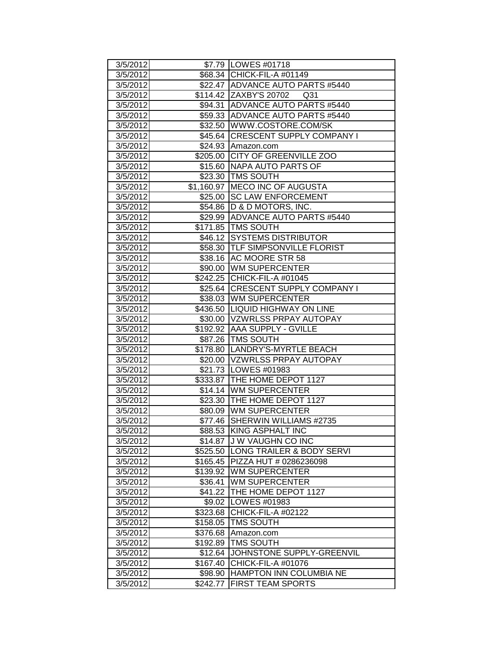| 3/5/2012 |            | \$7.79   LOWES #01718                     |
|----------|------------|-------------------------------------------|
| 3/5/2012 |            | \$68.34 CHICK-FIL-A #01149                |
| 3/5/2012 |            | \$22.47   ADVANCE AUTO PARTS #5440        |
| 3/5/2012 |            | \$114.42 ZAXBY'S 20702<br>Q <sub>31</sub> |
| 3/5/2012 |            | \$94.31 ADVANCE AUTO PARTS #5440          |
| 3/5/2012 |            | \$59.33 ADVANCE AUTO PARTS #5440          |
| 3/5/2012 |            | \$32.50 WWW.COSTORE.COM/SK                |
| 3/5/2012 | \$45.64    | <b>CRESCENT SUPPLY COMPANY I</b>          |
| 3/5/2012 | \$24.93    | Amazon.com                                |
| 3/5/2012 | \$205.00   | CITY OF GREENVILLE ZOO                    |
| 3/5/2012 | \$15.60    | NAPA AUTO PARTS OF                        |
| 3/5/2012 | \$23.30    | <b>TMS SOUTH</b>                          |
| 3/5/2012 | \$1,160.97 | <b>MECO INC OF AUGUSTA</b>                |
| 3/5/2012 | \$25.00    | <b>SC LAW ENFORCEMENT</b>                 |
| 3/5/2012 | \$54.86    | D & D MOTORS, INC.                        |
| 3/5/2012 | \$29.99    | <b>ADVANCE AUTO PARTS #5440</b>           |
| 3/5/2012 |            | \$171.85   TMS SOUTH                      |
| 3/5/2012 | $$46.12$   | <b>SYSTEMS DISTRIBUTOR</b>                |
| 3/5/2012 |            | \$58.30 TLF SIMPSONVILLE FLORIST          |
| 3/5/2012 |            | \$38.16 AC MOORE STR 58                   |
| 3/5/2012 |            | \$90.00 WM SUPERCENTER                    |
| 3/5/2012 |            | \$242.25 CHICK-FIL-A #01045               |
| 3/5/2012 |            | \$25.64 CRESCENT SUPPLY COMPANY I         |
| 3/5/2012 |            | \$38.03 WM SUPERCENTER                    |
| 3/5/2012 | \$436.50   | <b>LIQUID HIGHWAY ON LINE</b>             |
| 3/5/2012 | \$30.00    | VZWRLSS PRPAY AUTOPAY                     |
| 3/5/2012 | \$192.92   | <b>AAA SUPPLY - GVILLE</b>                |
| 3/5/2012 |            | \$87.26   TMS SOUTH                       |
| 3/5/2012 |            | \$178.80  LANDRY'S-MYRTLE BEACH           |
| 3/5/2012 |            | \$20.00 VZWRLSS PRPAY AUTOPAY             |
| 3/5/2012 |            | \$21.73   LOWES #01983                    |
| 3/5/2012 |            | \$333.87   THE HOME DEPOT 1127            |
| 3/5/2012 | \$14.14    | <b>WM SUPERCENTER</b>                     |
| 3/5/2012 | \$23.30    | <b>THE HOME DEPOT 1127</b>                |
| 3/5/2012 |            | \$80.09 WM SUPERCENTER                    |
| 3/5/2012 | \$77.46    | SHERWIN WILLIAMS #2735                    |
| 3/5/2012 | \$88.53    | KING ASPHALT INC                          |
| 3/5/2012 | \$14.87    | J W VAUGHN CO INC                         |
| 3/5/2012 | \$525.50   | LONG TRAILER & BODY SERVI                 |
| 3/5/2012 | \$165.45   | PIZZA HUT # 0286236098                    |
| 3/5/2012 | \$139.92   | <b>WM SUPERCENTER</b>                     |
| 3/5/2012 | \$36.41    | <b>WM SUPERCENTER</b>                     |
| 3/5/2012 | \$41.22    | THE HOME DEPOT 1127                       |
| 3/5/2012 | \$9.02     | LOWES #01983                              |
| 3/5/2012 | \$323.68   | CHICK-FIL-A #02122                        |
| 3/5/2012 | \$158.05   | TMS SOUTH                                 |
| 3/5/2012 | \$376.68   | Amazon.com                                |
| 3/5/2012 | \$192.89   | TMS SOUTH                                 |
| 3/5/2012 | \$12.64    | JOHNSTONE SUPPLY-GREENVIL                 |
| 3/5/2012 | \$167.40   | CHICK-FIL-A #01076                        |
| 3/5/2012 | \$98.90    | <b>HAMPTON INN COLUMBIA NE</b>            |
| 3/5/2012 | \$242.77   | <b>FIRST TEAM SPORTS</b>                  |
|          |            |                                           |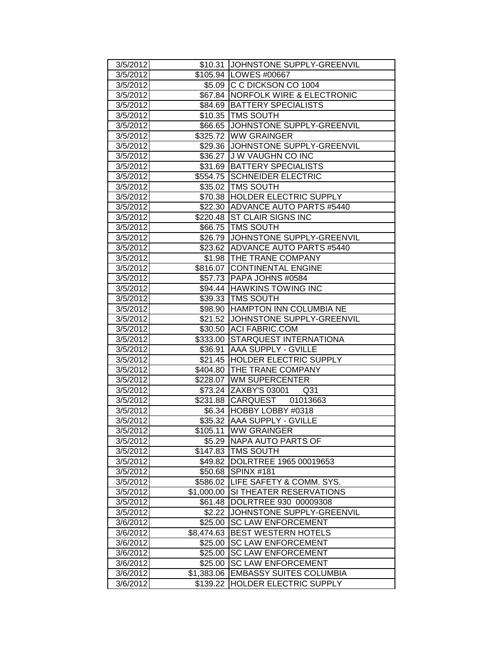| 3/5/2012             |                        | \$10.31 JOHNSTONE SUPPLY-GREENVIL                               |
|----------------------|------------------------|-----------------------------------------------------------------|
| 3/5/2012             |                        | \$105.94 LOWES #00667                                           |
| 3/5/2012             |                        | \$5.09 C C DICKSON CO 1004                                      |
| 3/5/2012             |                        | \$67.84   NORFOLK WIRE & ELECTRONIC                             |
| 3/5/2012             |                        | \$84.69   BATTERY SPECIALISTS                                   |
| 3/5/2012             |                        | \$10.35 TMS SOUTH                                               |
| 3/5/2012             |                        | \$66.65 JOHNSTONE SUPPLY-GREENVIL                               |
| 3/5/2012             |                        | \$325.72 WW GRAINGER                                            |
| 3/5/2012             |                        | \$29.36 JOHNSTONE SUPPLY-GREENVIL                               |
| 3/5/2012             | \$36.27                | J W VAUGHN CO INC                                               |
| 3/5/2012             |                        | \$31.69 BATTERY SPECIALISTS                                     |
| 3/5/2012             |                        | \$554.75 SCHNEIDER ELECTRIC                                     |
| 3/5/2012             |                        | \$35.02   TMS SOUTH                                             |
| 3/5/2012             |                        | \$70.38 HOLDER ELECTRIC SUPPLY                                  |
| 3/5/2012             |                        | \$22.30 ADVANCE AUTO PARTS #5440                                |
| 3/5/2012             |                        | \$220.48 ST CLAIR SIGNS INC                                     |
| 3/5/2012             |                        | \$66.75   TMS SOUTH                                             |
| 3/5/2012             |                        | \$26.79 JOHNSTONE SUPPLY-GREENVIL                               |
| 3/5/2012             |                        | \$23.62 ADVANCE AUTO PARTS #5440                                |
| 3/5/2012             |                        | \$1.98 THE TRANE COMPANY                                        |
| 3/5/2012             |                        | \$816.07 CONTINENTAL ENGINE                                     |
| 3/5/2012             |                        | \$57.73   PAPA JOHNS #0584                                      |
| 3/5/2012             |                        | \$94.44 HAWKINS TOWING INC                                      |
| 3/5/2012             |                        | \$39.33 TMS SOUTH                                               |
| 3/5/2012             | \$98.90                | HAMPTON INN COLUMBIA NE                                         |
| 3/5/2012             | \$21.52                | JOHNSTONE SUPPLY-GREENVIL                                       |
| 3/5/2012             | \$30.50                | <b>ACI FABRIC.COM</b>                                           |
| 3/5/2012             | \$333.00               | <b>STARQUEST INTERNATIONA</b>                                   |
| 3/5/2012             | \$36.91                | <b>AAA SUPPLY - GVILLE</b>                                      |
| 3/5/2012             |                        | \$21.45 HOLDER ELECTRIC SUPPLY                                  |
|                      |                        | \$404.80 THE TRANE COMPANY                                      |
| 3/5/2012             |                        |                                                                 |
| 3/5/2012             |                        | \$228.07 WM SUPERCENTER                                         |
| 3/5/2012             |                        | \$73.24 ZAXBY'S 03001<br>Q <sub>31</sub>                        |
| 3/5/2012             |                        | \$231.88 CARQUEST 01013663                                      |
| 3/5/2012             |                        | \$6.34 HOBBY LOBBY #0318                                        |
| 3/5/2012             |                        | \$35.32 AAA SUPPLY - GVILLE                                     |
| 3/5/2012             | \$105.11               | <b>WW GRAINGER</b>                                              |
| 3/5/2012             | \$5.29                 | NAPA AUTO PARTS OF                                              |
| 3/5/2012             | \$147.83               | <b>TMS SOUTH</b>                                                |
| 3/5/2012             | \$49.82                | DOLRTREE 1965 00019653                                          |
| 3/5/2012             | \$50.68                | <b>SPINX #181</b>                                               |
| 3/5/2012             | \$586.02               | LIFE SAFETY & COMM. SYS.                                        |
| 3/5/2012             | \$1,000.00             | SI THEATER RESERVATIONS                                         |
| 3/5/2012             | \$61.48                | DOLRTREE 930 00009308                                           |
| 3/5/2012             | \$2.22                 | JOHNSTONE SUPPLY-GREENVIL                                       |
| 3/6/2012             | \$25.00                | <b>SC LAW ENFORCEMENT</b>                                       |
| 3/6/2012             | \$8,474.63             | <b>BEST WESTERN HOTELS</b>                                      |
| 3/6/2012             | \$25.00                | <b>SC LAW ENFORCEMENT</b>                                       |
| 3/6/2012             | \$25.00                | <b>SC LAW ENFORCEMENT</b>                                       |
| 3/6/2012             | \$25.00                | <b>SC LAW ENFORCEMENT</b>                                       |
| 3/6/2012<br>3/6/2012 | \$1,383.06<br>\$139.22 | <b>EMBASSY SUITES COLUMBIA</b><br><b>HOLDER ELECTRIC SUPPLY</b> |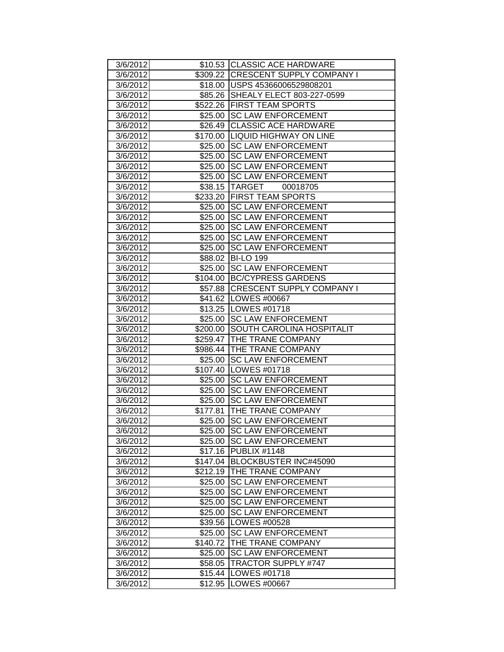| 3/6/2012 |          | \$10.53 CLASSIC ACE HARDWARE        |
|----------|----------|-------------------------------------|
| 3/6/2012 |          | \$309.22 CRESCENT SUPPLY COMPANY I  |
| 3/6/2012 |          | \$18.00   USPS 45366006529808201    |
| 3/6/2012 |          | \$85.26   SHEALY ELECT 803-227-0599 |
| 3/6/2012 |          | \$522.26 FIRST TEAM SPORTS          |
| 3/6/2012 |          | \$25.00 SC LAW ENFORCEMENT          |
| 3/6/2012 | \$26.49  | <b>CLASSIC ACE HARDWARE</b>         |
| 3/6/2012 | \$170.00 | <b>LIQUID HIGHWAY ON LINE</b>       |
| 3/6/2012 | \$25.00  | <b>SC LAW ENFORCEMENT</b>           |
| 3/6/2012 | \$25.00  | <b>SC LAW ENFORCEMENT</b>           |
| 3/6/2012 | \$25.00  | <b>SC LAW ENFORCEMENT</b>           |
| 3/6/2012 | \$25.00  | <b>SC LAW ENFORCEMENT</b>           |
| 3/6/2012 |          | \$38.15 TARGET<br>00018705          |
| 3/6/2012 |          | \$233.20 FIRST TEAM SPORTS          |
| 3/6/2012 | \$25.00  | <b>ISC LAW ENFORCEMENT</b>          |
| 3/6/2012 | \$25.00  | <b>SC LAW ENFORCEMENT</b>           |
| 3/6/2012 | \$25.00  | <b>SC LAW ENFORCEMENT</b>           |
| 3/6/2012 | \$25.00  | <b>SC LAW ENFORCEMENT</b>           |
| 3/6/2012 |          | \$25.00 SC LAW ENFORCEMENT          |
| 3/6/2012 |          | \$88.02 BI-LO 199                   |
| 3/6/2012 |          | \$25.00 SC LAW ENFORCEMENT          |
| 3/6/2012 |          | \$104.00 BC/CYPRESS GARDENS         |
| 3/6/2012 |          | \$57.88 CRESCENT SUPPLY COMPANY I   |
| 3/6/2012 |          | \$41.62   LOWES #00667              |
| 3/6/2012 |          | \$13.25   LOWES #01718              |
| 3/6/2012 | \$25.00  | <b>SC LAW ENFORCEMENT</b>           |
| 3/6/2012 | \$200.00 | <b>SOUTH CAROLINA HOSPITALIT</b>    |
| 3/6/2012 |          | \$259.47   THE TRANE COMPANY        |
| 3/6/2012 |          | \$986.44 THE TRANE COMPANY          |
| 3/6/2012 | \$25.00  | <b>SC LAW ENFORCEMENT</b>           |
| 3/6/2012 |          | \$107.40   LOWES #01718             |
| 3/6/2012 | \$25.00  | <b>SC LAW ENFORCEMENT</b>           |
| 3/6/2012 | \$25.00  | <b>SC LAW ENFORCEMENT</b>           |
| 3/6/2012 | \$25.00  | <b>SC LAW ENFORCEMENT</b>           |
| 3/6/2012 | \$177.81 | <b>THE TRANE COMPANY</b>            |
| 3/6/2012 | \$25.00  | <b>SC LAW ENFORCEMENT</b>           |
| 3/6/2012 |          | \$25.00 SC LAW ENFORCEMENT          |
| 3/6/2012 | \$25.00  | <b>SC LAW ENFORCEMENT</b>           |
| 3/6/2012 | \$17.16  | PUBLIX #1148                        |
| 3/6/2012 | \$147.04 | <b>BLOCKBUSTER INC#45090</b>        |
| 3/6/2012 | \$212.19 | <b>THE TRANE COMPANY</b>            |
| 3/6/2012 | \$25.00  | <b>SC LAW ENFORCEMENT</b>           |
| 3/6/2012 | \$25.00  | <b>SC LAW ENFORCEMENT</b>           |
| 3/6/2012 | \$25.00  | <b>SC LAW ENFORCEMENT</b>           |
| 3/6/2012 | \$25.00  | <b>SC LAW ENFORCEMENT</b>           |
| 3/6/2012 | \$39.56  | LOWES #00528                        |
| 3/6/2012 | \$25.00  | <b>SC LAW ENFORCEMENT</b>           |
| 3/6/2012 | \$140.72 | THE TRANE COMPANY                   |
| 3/6/2012 | \$25.00  | <b>SC LAW ENFORCEMENT</b>           |
| 3/6/2012 | \$58.05  | <b>TRACTOR SUPPLY #747</b>          |
| 3/6/2012 | \$15.44  | LOWES #01718                        |
| 3/6/2012 | \$12.95  | LOWES #00667                        |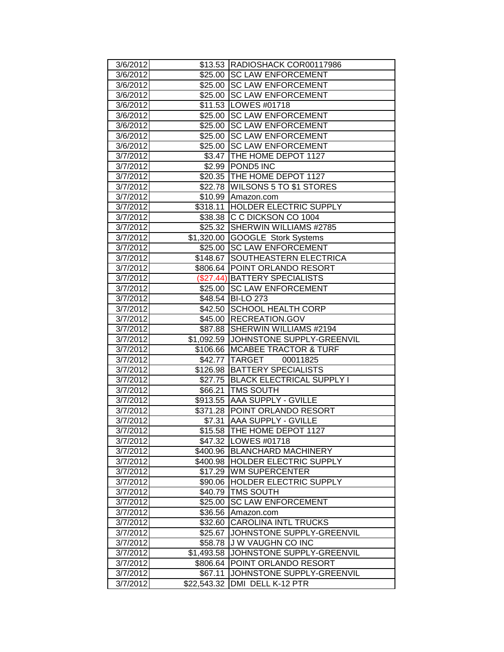| 3/6/2012 |             | \$13.53 RADIOSHACK COR00117986        |
|----------|-------------|---------------------------------------|
| 3/6/2012 |             | \$25.00 ISC LAW ENFORCEMENT           |
| 3/6/2012 |             | \$25.00 SC LAW ENFORCEMENT            |
| 3/6/2012 |             | \$25.00 SC LAW ENFORCEMENT            |
| 3/6/2012 |             | \$11.53   LOWES #01718                |
| 3/6/2012 | \$25.00     | <b>SC LAW ENFORCEMENT</b>             |
| 3/6/2012 | \$25.00     | <b>SC LAW ENFORCEMENT</b>             |
| 3/6/2012 | \$25.00     | <b>SC LAW ENFORCEMENT</b>             |
| 3/6/2012 | \$25.00     | <b>SC LAW ENFORCEMENT</b>             |
| 3/7/2012 | \$3.47      | THE HOME DEPOT 1127                   |
| 3/7/2012 | \$2.99      | <b>POND5 INC</b>                      |
| 3/7/2012 |             | \$20.35 THE HOME DEPOT 1127           |
| 3/7/2012 |             | \$22.78 WILSONS 5 TO \$1 STORES       |
| 3/7/2012 |             | \$10.99 Amazon.com                    |
| 3/7/2012 |             | \$318.11 HOLDER ELECTRIC SUPPLY       |
| 3/7/2012 |             | \$38.38 C C DICKSON CO 1004           |
| 3/7/2012 |             | \$25.32 SHERWIN WILLIAMS #2785        |
| 3/7/2012 |             | \$1,320.00 GOOGLE Stork Systems       |
| 3/7/2012 |             | \$25.00 SC LAW ENFORCEMENT            |
| 3/7/2012 |             | \$148.67 SOUTHEASTERN ELECTRICA       |
| 3/7/2012 | \$806.64    | <b>POINT ORLANDO RESORT</b>           |
| 3/7/2012 |             | (\$27.44) BATTERY SPECIALISTS         |
| 3/7/2012 | \$25.00     | <b>SC LAW ENFORCEMENT</b>             |
| 3/7/2012 | \$48.54     | <b>BI-LO 273</b>                      |
| 3/7/2012 | \$42.50     | <b>SCHOOL HEALTH CORP</b>             |
| 3/7/2012 | \$45.00     | <b>RECREATION.GOV</b>                 |
| 3/7/2012 | \$87.88     | SHERWIN WILLIAMS #2194                |
| 3/7/2012 |             | \$1,092.59 JJOHNSTONE SUPPLY-GREENVIL |
| 3/7/2012 | \$106.66    | <b>MCABEE TRACTOR &amp; TURF</b>      |
| 3/7/2012 |             | \$42.77 TARGET<br>00011825            |
| 3/7/2012 | \$126.98    | <b>BATTERY SPECIALISTS</b>            |
| 3/7/2012 |             | \$27.75 BLACK ELECTRICAL SUPPLY I     |
| 3/7/2012 | \$66.21     | <b>TMS SOUTH</b>                      |
| 3/7/2012 |             | \$913.55 AAA SUPPLY - GVILLE          |
| 3/7/2012 |             | \$371.28 POINT ORLANDO RESORT         |
| 3/7/2012 |             | \$7.31  AAA SUPPLY - GVILLE           |
| 3/7/2012 |             | \$15.58 THE HOME DEPOT 1127           |
| 3/7/2012 | \$47.32     | LOWES #01718                          |
| 3/7/2012 | \$400.96    | <b>BLANCHARD MACHINERY</b>            |
| 3/7/2012 | \$400.98    | <b>HOLDER ELECTRIC SUPPLY</b>         |
| 3/7/2012 | \$17.29     | <b>WM SUPERCENTER</b>                 |
| 3/7/2012 | \$90.06     | <b>HOLDER ELECTRIC SUPPLY</b>         |
| 3/7/2012 | \$40.79     | <b>TMS SOUTH</b>                      |
| 3/7/2012 | \$25.00     | <b>SC LAW ENFORCEMENT</b>             |
| 3/7/2012 | \$36.56     | Amazon.com                            |
| 3/7/2012 | \$32.60     | <b>CAROLINA INTL TRUCKS</b>           |
| 3/7/2012 | \$25.67     | JOHNSTONE SUPPLY-GREENVIL             |
| 3/7/2012 | \$58.78     | <b>J W VAUGHN CO INC</b>              |
| 3/7/2012 | \$1,493.58  | JOHNSTONE SUPPLY-GREENVIL             |
| 3/7/2012 | \$806.64    | <b>POINT ORLANDO RESORT</b>           |
| 3/7/2012 | \$67.11     | JOHNSTONE SUPPLY-GREENVIL             |
| 3/7/2012 | \$22,543.32 | DMI DELL K-12 PTR                     |
|          |             |                                       |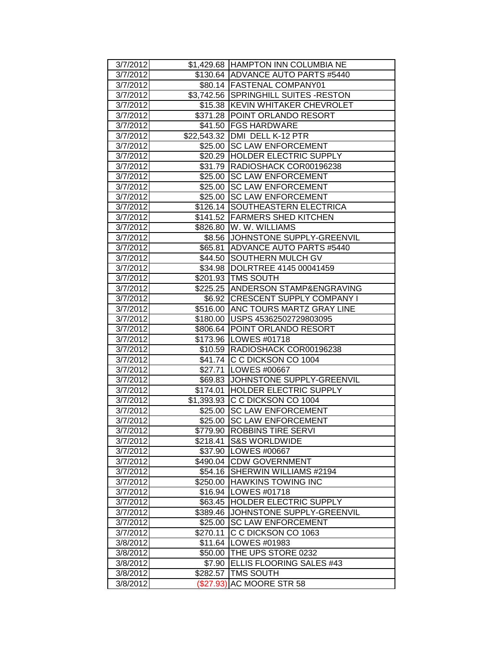| 3/7/2012 |           | \$1,429.68 HAMPTON INN COLUMBIA NE    |
|----------|-----------|---------------------------------------|
| 3/7/2012 |           | \$130.64 ADVANCE AUTO PARTS #5440     |
| 3/7/2012 |           | \$80.14 FASTENAL COMPANY01            |
| 3/7/2012 |           | \$3,742.56 SPRINGHILL SUITES - RESTON |
| 3/7/2012 |           | \$15.38 KEVIN WHITAKER CHEVROLET      |
| 3/7/2012 |           | \$371.28 POINT ORLANDO RESORT         |
| 3/7/2012 |           | \$41.50   FGS HARDWARE                |
| 3/7/2012 |           | \$22,543.32 DMI DELL K-12 PTR         |
| 3/7/2012 | \$25.00   | <b>SC LAW ENFORCEMENT</b>             |
| 3/7/2012 | \$20.29   | HOLDER ELECTRIC SUPPLY                |
| 3/7/2012 | \$31.79   | RADIOSHACK COR00196238                |
| 3/7/2012 | \$25.00   | <b>SC LAW ENFORCEMENT</b>             |
| 3/7/2012 |           | \$25.00   SC LAW ENFORCEMENT          |
| 3/7/2012 |           | \$25.00 SC LAW ENFORCEMENT            |
| 3/7/2012 |           | \$126.14 SOUTHEASTERN ELECTRICA       |
| 3/7/2012 |           | \$141.52   FARMERS SHED KITCHEN       |
| 3/7/2012 |           | \$826.80   W. W. WILLIAMS             |
| 3/7/2012 |           | \$8.56 JJOHNSTONE SUPPLY-GREENVIL     |
| 3/7/2012 |           | \$65.81 ADVANCE AUTO PARTS #5440      |
| 3/7/2012 |           | \$44.50 SOUTHERN MULCH GV             |
| 3/7/2012 |           | \$34.98  DOLRTREE 4145 00041459       |
| 3/7/2012 |           | \$201.93   TMS SOUTH                  |
| 3/7/2012 |           | \$225.25 ANDERSON STAMP&ENGRAVING     |
| 3/7/2012 |           | \$6.92 CRESCENT SUPPLY COMPANY I      |
| 3/7/2012 | \$516.00  | <b>ANC TOURS MARTZ GRAY LINE</b>      |
| 3/7/2012 | \$180.00  | USPS 45362502729803095                |
| 3/7/2012 |           | \$806.64 POINT ORLANDO RESORT         |
| 3/7/2012 |           | \$173.96 LOWES #01718                 |
| 3/7/2012 |           | \$10.59  RADIOSHACK COR00196238       |
| 3/7/2012 |           | \$41.74 C C DICKSON CO 1004           |
| 3/7/2012 |           | \$27.71   LOWES #00667                |
| 3/7/2012 |           | \$69.83 JJOHNSTONE SUPPLY-GREENVIL    |
| 3/7/2012 | \$174.01  | <b>HOLDER ELECTRIC SUPPLY</b>         |
| 3/7/2012 |           | \$1,393.93 C C DICKSON CO 1004        |
| 3/7/2012 | \$25.00   | <b>SC LAW ENFORCEMENT</b>             |
| 3/7/2012 |           | \$25.00 SC LAW ENFORCEMENT            |
| 3/7/2012 |           | \$779.90 ROBBINS TIRE SERVI           |
| 3/7/2012 | \$218.41  | <b>IS&amp;S WORLDWIDE</b>             |
| 3/7/2012 |           | \$37.90 LOWES #00667                  |
| 3/7/2012 |           | \$490.04 CDW GOVERNMENT               |
| 3/7/2012 | \$54.16   | SHERWIN WILLIAMS #2194                |
| 3/7/2012 | \$250.00  | <b>HAWKINS TOWING INC</b>             |
| 3/7/2012 | \$16.94   | LOWES #01718                          |
| 3/7/2012 | \$63.45   | <b>HOLDER ELECTRIC SUPPLY</b>         |
| 3/7/2012 | \$389.46  | JOHNSTONE SUPPLY-GREENVIL             |
| 3/7/2012 | \$25.00   | <b>SC LAW ENFORCEMENT</b>             |
| 3/7/2012 | \$270.11  | C C DICKSON CO 1063                   |
| 3/8/2012 | \$11.64   | LOWES #01983                          |
| 3/8/2012 | \$50.00   | THE UPS STORE 0232                    |
| 3/8/2012 | \$7.90    | ELLIS FLOORING SALES #43              |
| 3/8/2012 | \$282.57  | <b>TMS SOUTH</b>                      |
| 3/8/2012 | (\$27.93) | AC MOORE STR 58                       |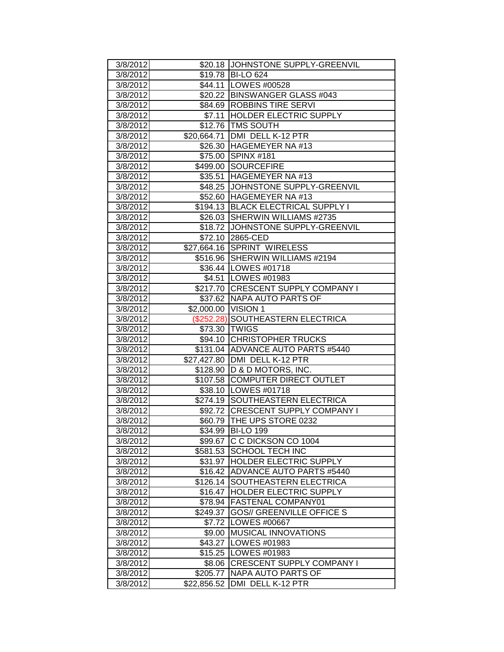| 3/8/2012 |                     | \$20.18 JOHNSTONE SUPPLY-GREENVIL  |
|----------|---------------------|------------------------------------|
| 3/8/2012 |                     | \$19.78 BI-LO 624                  |
| 3/8/2012 |                     | \$44.11   LOWES #00528             |
| 3/8/2012 |                     | \$20.22   BINSWANGER GLASS #043    |
| 3/8/2012 |                     | \$84.69 ROBBINS TIRE SERVI         |
| 3/8/2012 | \$7.11              | <b>HOLDER ELECTRIC SUPPLY</b>      |
| 3/8/2012 |                     | \$12.76 TMS SOUTH                  |
| 3/8/2012 | \$20,664.71         | DMI DELL K-12 PTR                  |
| 3/8/2012 | \$26.30             | HAGEMEYER NA #13                   |
| 3/8/2012 | \$75.00             | SPINX #181                         |
| 3/8/2012 | \$499.00            | SOURCEFIRE                         |
| 3/8/2012 | \$35.51             | HAGEMEYER NA #13                   |
| 3/8/2012 |                     | \$48.25 JJOHNSTONE SUPPLY-GREENVIL |
| 3/8/2012 |                     | \$52.60 HAGEMEYER NA #13           |
| 3/8/2012 |                     | \$194.13 BLACK ELECTRICAL SUPPLY I |
| 3/8/2012 |                     | \$26.03 SHERWIN WILLIAMS #2735     |
| 3/8/2012 |                     | \$18.72 JOHNSTONE SUPPLY-GREENVIL  |
| 3/8/2012 |                     | \$72.10 2865-CED                   |
| 3/8/2012 |                     | \$27,664.16 SPRINT WIRELESS        |
| 3/8/2012 |                     | \$516.96 SHERWIN WILLIAMS #2194    |
| 3/8/2012 |                     | \$36.44   LOWES #01718             |
| 3/8/2012 |                     | \$4.51   LOWES #01983              |
| 3/8/2012 |                     | \$217.70 CRESCENT SUPPLY COMPANY I |
| 3/8/2012 |                     | \$37.62   NAPA AUTO PARTS OF       |
| 3/8/2012 | \$2,000.00 VISION 1 |                                    |
| 3/8/2012 |                     | (\$252.28) SOUTHEASTERN ELECTRICA  |
| 3/8/2012 |                     | \$73.30 TWIGS                      |
| 3/8/2012 |                     | \$94.10 CHRISTOPHER TRUCKS         |
| 3/8/2012 |                     | \$131.04 ADVANCE AUTO PARTS #5440  |
| 3/8/2012 |                     | \$27,427.80 DMI DELL K-12 PTR      |
| 3/8/2012 |                     | \$128.90 D & D MOTORS, INC.        |
| 3/8/2012 |                     | \$107.58 COMPUTER DIRECT OUTLET    |
| 3/8/2012 |                     | \$38.10   LOWES #01718             |
| 3/8/2012 |                     | \$274.19 SOUTHEASTERN ELECTRICA    |
| 3/8/2012 |                     | \$92.72 CRESCENT SUPPLY COMPANY I  |
| 3/8/2012 |                     | \$60.79 THE UPS STORE 0232         |
| 3/8/2012 |                     | \$34.99 BI-LO 199                  |
| 3/8/2012 |                     | \$99.67 C C DICKSON CO 1004        |
| 3/8/2012 |                     | \$581.53 SCHOOL TECH INC           |
| 3/8/2012 | \$31.97             | <b>HOLDER ELECTRIC SUPPLY</b>      |
| 3/8/2012 | \$16.42             | ADVANCE AUTO PARTS #5440           |
| 3/8/2012 | \$126.14            | SOUTHEASTERN ELECTRICA             |
| 3/8/2012 | \$16.47             | <b>HOLDER ELECTRIC SUPPLY</b>      |
| 3/8/2012 | \$78.94             | <b>FASTENAL COMPANY01</b>          |
| 3/8/2012 | \$249.37            | <b>GOS// GREENVILLE OFFICE S</b>   |
| 3/8/2012 | \$7.72              | LOWES #00667                       |
| 3/8/2012 | \$9.00              | <b>MUSICAL INNOVATIONS</b>         |
| 3/8/2012 | \$43.27             | LOWES #01983                       |
| 3/8/2012 |                     | \$15.25   LOWES #01983             |
| 3/8/2012 | \$8.06              | <b>CRESCENT SUPPLY COMPANY I</b>   |
| 3/8/2012 | \$205.77            | INAPA AUTO PARTS OF                |
| 3/8/2012 | \$22,856.52         | DMI DELL K-12 PTR                  |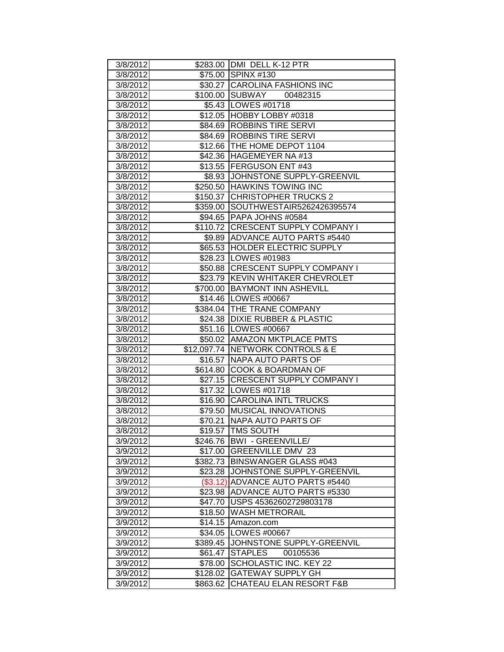| 3/8/2012             |                     | \$283.00 DMI DELL K-12 PTR                                |
|----------------------|---------------------|-----------------------------------------------------------|
| 3/8/2012             |                     | \$75.00 SPINX #130                                        |
| 3/8/2012             |                     | \$30.27 CAROLINA FASHIONS INC                             |
| 3/8/2012             |                     | \$100.00 SUBWAY 00482315                                  |
| 3/8/2012             |                     | \$5.43   LOWES #01718                                     |
| 3/8/2012             |                     | \$12.05 HOBBY LOBBY #0318                                 |
| 3/8/2012             |                     | \$84.69 ROBBINS TIRE SERVI                                |
| 3/8/2012             | \$84.69             | <b>ROBBINS TIRE SERVI</b>                                 |
| 3/8/2012             |                     | \$12.66 THE HOME DEPOT 1104                               |
| 3/8/2012             | \$42.36             | HAGEMEYER NA #13                                          |
| 3/8/2012             |                     | \$13.55 FERGUSON ENT #43                                  |
| 3/8/2012             |                     | \$8.93 JOHNSTONE SUPPLY-GREENVIL                          |
| 3/8/2012             |                     | \$250.50 HAWKINS TOWING INC                               |
| 3/8/2012             |                     | \$150.37 CHRISTOPHER TRUCKS 2                             |
| 3/8/2012             |                     | \$359.00 SOUTHWESTAIR5262426395574                        |
| 3/8/2012             |                     | \$94.65   PAPA JOHNS #0584                                |
| 3/8/2012             |                     | \$110.72 CRESCENT SUPPLY COMPANY I                        |
| 3/8/2012             |                     | \$9.89 ADVANCE AUTO PARTS #5440                           |
| 3/8/2012             |                     | \$65.53 HOLDER ELECTRIC SUPPLY                            |
| 3/8/2012             |                     | \$28.23   LOWES #01983                                    |
| 3/8/2012             |                     | \$50.88 CRESCENT SUPPLY COMPANY I                         |
| 3/8/2012             |                     | \$23.79 KEVIN WHITAKER CHEVROLET                          |
| 3/8/2012             |                     | \$700.00 BAYMONT INN ASHEVILL                             |
| 3/8/2012             |                     | \$14.46   LOWES #00667                                    |
| 3/8/2012             |                     | \$384.04 THE TRANE COMPANY                                |
| 3/8/2012             |                     | \$24.38 DIXIE RUBBER & PLASTIC                            |
| 3/8/2012             |                     | \$51.16 LOWES #00667                                      |
| 3/8/2012             |                     | \$50.02 AMAZON MKTPLACE PMTS                              |
| 3/8/2012             |                     | \$12,097.74 NETWORK CONTROLS & E                          |
| 3/8/2012             |                     | \$16.57 NAPA AUTO PARTS OF                                |
| 3/8/2012             |                     | \$614.80 COOK & BOARDMAN OF                               |
| 3/8/2012             |                     | \$27.15 CRESCENT SUPPLY COMPANY I                         |
| 3/8/2012             |                     | \$17.32   LOWES #01718                                    |
| 3/8/2012             |                     | \$16.90 CAROLINA INTL TRUCKS                              |
| 3/8/2012             |                     | \$79.50 MUSICAL INNOVATIONS                               |
| 3/8/2012             | \$70.21             | INAPA AUTO PARTS OF                                       |
| 3/8/2012             |                     | \$19.57   TMS SOUTH                                       |
| 3/9/2012             |                     | \$246.76   BWI - GREENVILLE/<br>\$17.00 GREENVILLE DMV 23 |
| 3/9/2012             |                     |                                                           |
| 3/9/2012<br>3/9/2012 | \$382.73<br>\$23.28 | <b>BINSWANGER GLASS #043</b><br>JOHNSTONE SUPPLY-GREENVIL |
| 3/9/2012             | (\$3.12)            | ADVANCE AUTO PARTS #5440                                  |
| 3/9/2012             | \$23.98             | ADVANCE AUTO PARTS #5330                                  |
| 3/9/2012             | \$47.70             | USPS 45362602729803178                                    |
| 3/9/2012             | \$18.50             | <b>WASH METRORAIL</b>                                     |
| 3/9/2012             | \$14.15             | Amazon.com                                                |
| 3/9/2012             | \$34.05             | <b>LOWES #00667</b>                                       |
| 3/9/2012             | \$389.45            | JOHNSTONE SUPPLY-GREENVIL                                 |
| 3/9/2012             | \$61.47             | <b>STAPLES</b><br>00105536                                |
| 3/9/2012             | \$78.00             | SCHOLASTIC INC. KEY 22                                    |
| 3/9/2012             | \$128.02            | <b>GATEWAY SUPPLY GH</b>                                  |
| 3/9/2012             | \$863.62            | <b>CHATEAU ELAN RESORT F&amp;B</b>                        |
|                      |                     |                                                           |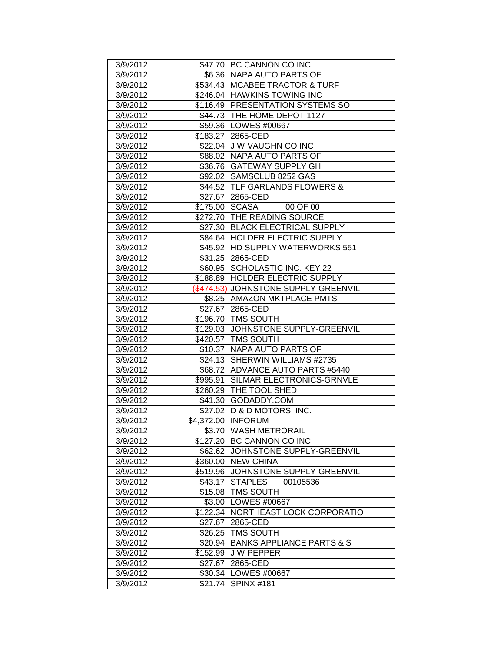| 3/9/2012 |                     | \$47.70 BC CANNON CO INC             |
|----------|---------------------|--------------------------------------|
| 3/9/2012 |                     | \$6.36 NAPA AUTO PARTS OF            |
| 3/9/2012 |                     | \$534.43 MCABEE TRACTOR & TURF       |
| 3/9/2012 |                     | \$246.04 HAWKINS TOWING INC          |
| 3/9/2012 |                     | \$116.49 PRESENTATION SYSTEMS SO     |
| 3/9/2012 |                     | \$44.73 THE HOME DEPOT 1127          |
| 3/9/2012 |                     | \$59.36 LOWES #00667                 |
| 3/9/2012 |                     | \$183.27 2865-CED                    |
| 3/9/2012 |                     | \$22.04 J W VAUGHN CO INC            |
| 3/9/2012 |                     | \$88.02 NAPA AUTO PARTS OF           |
| 3/9/2012 |                     | \$36.76   GATEWAY SUPPLY GH          |
| 3/9/2012 |                     | \$92.02 SAMSCLUB 8252 GAS            |
| 3/9/2012 |                     | \$44.52 TLF GARLANDS FLOWERS &       |
| 3/9/2012 |                     | \$27.67 2865-CED                     |
| 3/9/2012 |                     | \$175.00 SCASA<br>00 OF 00           |
| 3/9/2012 |                     | \$272.70 THE READING SOURCE          |
| 3/9/2012 |                     | \$27.30 BLACK ELECTRICAL SUPPLY I    |
| 3/9/2012 |                     | \$84.64   HOLDER ELECTRIC SUPPLY     |
| 3/9/2012 |                     | \$45.92  HD SUPPLY WATERWORKS 551    |
| 3/9/2012 |                     | \$31.25 2865-CED                     |
| 3/9/2012 |                     | \$60.95 SCHOLASTIC INC. KEY 22       |
| 3/9/2012 |                     | \$188.89 HOLDER ELECTRIC SUPPLY      |
| 3/9/2012 |                     | (\$474.53) JOHNSTONE SUPPLY-GREENVIL |
| 3/9/2012 |                     | \$8.25 AMAZON MKTPLACE PMTS          |
| 3/9/2012 |                     | \$27.67 2865-CED                     |
| 3/9/2012 |                     | \$196.70   TMS SOUTH                 |
| 3/9/2012 |                     | \$129.03 JJOHNSTONE SUPPLY-GREENVIL  |
| 3/9/2012 | \$420.57            | <b>TMS SOUTH</b>                     |
| 3/9/2012 |                     | \$10.37 NAPA AUTO PARTS OF           |
| 3/9/2012 |                     | \$24.13 SHERWIN WILLIAMS #2735       |
| 3/9/2012 |                     | \$68.72 ADVANCE AUTO PARTS #5440     |
| 3/9/2012 | \$995.91            | SILMAR ELECTRONICS-GRNVLE            |
| 3/9/2012 |                     | \$260.29   THE TOOL SHED             |
| 3/9/2012 |                     | \$41.30 GODADDY.COM                  |
| 3/9/2012 |                     | \$27.02 D & D MOTORS, INC.           |
| 3/9/2012 |                     | \$4,372.00 INFORUM                   |
| 3/9/2012 |                     | \$3.70 WASH METRORAIL                |
| 3/9/2012 |                     | \$127.20 BC CANNON CO INC            |
| 3/9/2012 | \$62.62             | JOHNSTONE SUPPLY-GREENVIL            |
| 3/9/2012 | \$360.00            | <b>NEW CHINA</b>                     |
| 3/9/2012 | \$519.96            | JOHNSTONE SUPPLY-GREENVIL            |
| 3/9/2012 | \$43.17             | <b>STAPLES</b><br>00105536           |
| 3/9/2012 | \$15.08             | <b>TMS SOUTH</b>                     |
| 3/9/2012 | \$3.00              | LOWES #00667                         |
| 3/9/2012 | \$122.34            | NORTHEAST LOCK CORPORATIO            |
| 3/9/2012 | \$27.67             | 2865-CED                             |
| 3/9/2012 | \$26.25             | <b>TMS SOUTH</b>                     |
| 3/9/2012 | \$20.94             | <b>BANKS APPLIANCE PARTS &amp; S</b> |
| 3/9/2012 | \$152.99            | <b>J W PEPPER</b>                    |
| 3/9/2012 | \$27.67             | 2865-CED                             |
| 3/9/2012 | \$30.34             | LOWES #00667                         |
|          | 3/9/2012<br>\$21.74 | <b>SPINX #181</b>                    |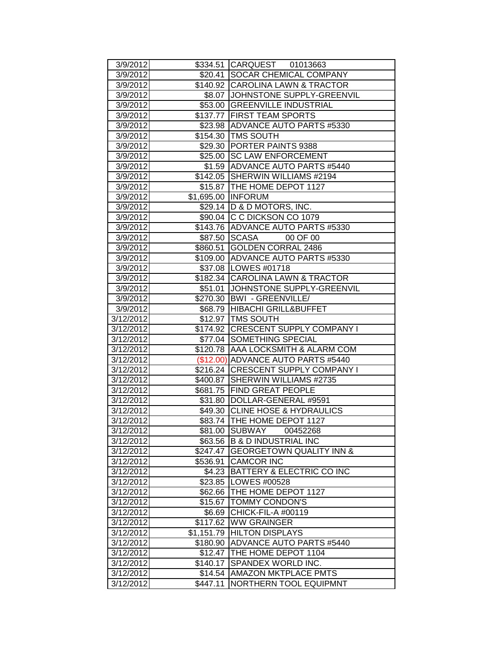| 3/9/2012  |            | \$334.51 CARQUEST 01013663           |
|-----------|------------|--------------------------------------|
| 3/9/2012  |            | \$20.41 SOCAR CHEMICAL COMPANY       |
| 3/9/2012  |            | \$140.92 CAROLINA LAWN & TRACTOR     |
| 3/9/2012  |            | \$8.07 JJOHNSTONE SUPPLY-GREENVIL    |
| 3/9/2012  |            | \$53.00 GREENVILLE INDUSTRIAL        |
| 3/9/2012  |            | \$137.77 FIRST TEAM SPORTS           |
| 3/9/2012  |            | \$23.98 ADVANCE AUTO PARTS #5330     |
| 3/9/2012  |            | \$154.30 TMS SOUTH                   |
| 3/9/2012  | \$29.30    | <b>PORTER PAINTS 9388</b>            |
| 3/9/2012  | \$25.00    | <b>SC LAW ENFORCEMENT</b>            |
| 3/9/2012  |            | \$1.59 ADVANCE AUTO PARTS #5440      |
| 3/9/2012  |            | \$142.05 SHERWIN WILLIAMS #2194      |
| 3/9/2012  |            | \$15.87 THE HOME DEPOT 1127          |
| 3/9/2012  |            | \$1,695.00 INFORUM                   |
| 3/9/2012  |            | \$29.14  D & D MOTORS, INC.          |
| 3/9/2012  |            | \$90.04 C C DICKSON CO 1079          |
| 3/9/2012  |            | \$143.76 ADVANCE AUTO PARTS #5330    |
| 3/9/2012  |            | \$87.50 SCASA<br>00 OF 00            |
| 3/9/2012  |            | \$860.51 GOLDEN CORRAL 2486          |
| 3/9/2012  |            | \$109.00 ADVANCE AUTO PARTS #5330    |
| 3/9/2012  |            | \$37.08   LOWES #01718               |
| 3/9/2012  |            | \$182.34 CAROLINA LAWN & TRACTOR     |
| 3/9/2012  |            | \$51.01 JOHNSTONE SUPPLY-GREENVIL    |
| 3/9/2012  | \$270.30   | <b>BWI - GREENVILLE/</b>             |
| 3/9/2012  |            | \$68.79 HIBACHI GRILL&BUFFET         |
| 3/12/2012 |            | \$12.97 TMS SOUTH                    |
| 3/12/2012 |            | \$174.92 CRESCENT SUPPLY COMPANY I   |
| 3/12/2012 |            | \$77.04 SOMETHING SPECIAL            |
| 3/12/2012 |            | \$120.78 AAA LOCKSMITH & ALARM COM   |
| 3/12/2012 |            | (\$12.00) ADVANCE AUTO PARTS #5440   |
| 3/12/2012 |            | \$216.24 CRESCENT SUPPLY COMPANY I   |
| 3/12/2012 |            | \$400.87 SHERWIN WILLIAMS #2735      |
| 3/12/2012 |            | \$681.75 FIND GREAT PEOPLE           |
| 3/12/2012 |            | \$31.80   DOLLAR-GENERAL #9591       |
| 3/12/2012 |            | \$49.30 CLINE HOSE & HYDRAULICS      |
| 3/12/2012 |            | \$83.74 THE HOME DEPOT 1127          |
| 3/12/2012 |            | \$81.00 SUBWAY<br>00452268           |
| 3/12/2012 | \$63.56    | <b>B &amp; D INDUSTRIAL INC</b>      |
| 3/12/2012 | \$247.47   | <b>GEORGETOWN QUALITY INN &amp;</b>  |
| 3/12/2012 | \$536.91   | <b>CAMCOR INC</b>                    |
| 3/12/2012 | \$4.23     | <b>BATTERY &amp; ELECTRIC CO INC</b> |
| 3/12/2012 | \$23.85    | LOWES #00528                         |
| 3/12/2012 | \$62.66    | THE HOME DEPOT 1127                  |
| 3/12/2012 | \$15.67    | <b>TOMMY CONDON'S</b>                |
| 3/12/2012 | \$6.69     | CHICK-FIL-A #00119                   |
| 3/12/2012 | \$117.62   | <b>WW GRAINGER</b>                   |
| 3/12/2012 | \$1,151.79 | <b>HILTON DISPLAYS</b>               |
| 3/12/2012 | \$180.90   | ADVANCE AUTO PARTS #5440             |
| 3/12/2012 | \$12.47    | THE HOME DEPOT 1104                  |
| 3/12/2012 | \$140.17   | SPANDEX WORLD INC.                   |
| 3/12/2012 | \$14.54    | <b>JAMAZON MKTPLACE PMTS</b>         |
| 3/12/2012 | \$447.11   | NORTHERN TOOL EQUIPMNT               |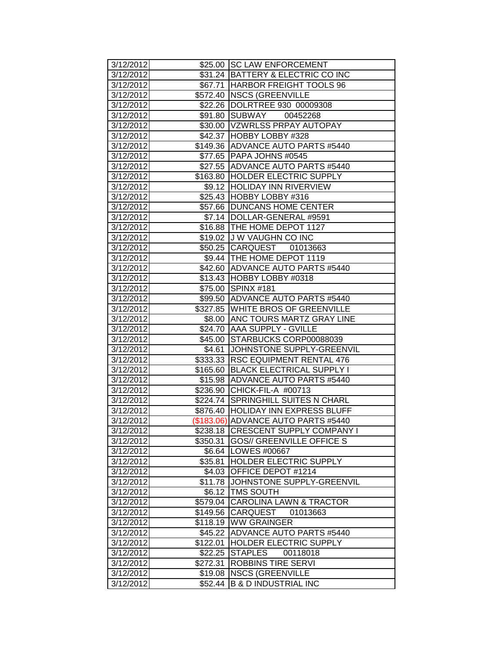| 3/12/2012<br>3/12/2012 |          | \$25.00 SC LAW ENFORCEMENT<br>\$31.24 BATTERY & ELECTRIC CO INC |
|------------------------|----------|-----------------------------------------------------------------|
|                        |          |                                                                 |
| 3/12/2012              |          | \$67.71 HARBOR FREIGHT TOOLS 96                                 |
| 3/12/2012              |          | \$572.40 NSCS (GREENVILLE                                       |
| 3/12/2012              |          | \$22.26 DOLRTREE 930 00009308                                   |
| 3/12/2012              |          | \$91.80 SUBWAY 00452268                                         |
| 3/12/2012              |          | \$30.00 VZWRLSS PRPAY AUTOPAY                                   |
| 3/12/2012              |          | \$42.37 HOBBY LOBBY #328                                        |
| 3/12/2012              |          | \$149.36 ADVANCE AUTO PARTS #5440                               |
| 3/12/2012              |          | \$77.65 PAPA JOHNS #0545                                        |
| 3/12/2012              |          | \$27.55 ADVANCE AUTO PARTS #5440                                |
| 3/12/2012              |          | \$163.80 HOLDER ELECTRIC SUPPLY                                 |
| 3/12/2012              |          | \$9.12  HOLIDAY INN RIVERVIEW                                   |
| 3/12/2012              |          | \$25.43 HOBBY LOBBY #316                                        |
| 3/12/2012              |          | \$57.66 DUNCANS HOME CENTER                                     |
| 3/12/2012              |          | \$7.14  DOLLAR-GENERAL #9591                                    |
| 3/12/2012              |          | \$16.88 THE HOME DEPOT 1127                                     |
| 3/12/2012              |          | \$19.02 J W VAUGHN CO INC                                       |
| 3/12/2012              |          | \$50.25 CARQUEST 01013663                                       |
| 3/12/2012              |          | \$9.44   THE HOME DEPOT 1119                                    |
| 3/12/2012              |          | \$42.60 ADVANCE AUTO PARTS #5440                                |
| 3/12/2012              |          | \$13.43 HOBBY LOBBY #0318                                       |
| 3/12/2012              |          | \$75.00 SPINX #181                                              |
| 3/12/2012              |          | \$99.50 ADVANCE AUTO PARTS #5440                                |
| 3/12/2012              |          | \$327.85 WHITE BROS OF GREENVILLE                               |
| 3/12/2012              | \$8.00   | <b>ANC TOURS MARTZ GRAY LINE</b>                                |
| 3/12/2012              |          | \$24.70 AAA SUPPLY - GVILLE                                     |
| 3/12/2012              |          | \$45.00 STARBUCKS CORP00088039                                  |
| 3/12/2012              |          | \$4.61 JOHNSTONE SUPPLY-GREENVIL                                |
| 3/12/2012              |          | \$333.33 RSC EQUIPMENT RENTAL 476                               |
| 3/12/2012              |          | \$165.60 BLACK ELECTRICAL SUPPLY I                              |
| 3/12/2012              |          | \$15.98 ADVANCE AUTO PARTS #5440                                |
| 3/12/2012              |          | \$236.90 CHICK-FIL-A #00713                                     |
| 3/12/2012              |          | \$224.74 SPRINGHILL SUITES N CHARL                              |
| 3/12/2012              |          | \$876.40  HOLIDAY INN EXPRESS BLUFF                             |
| 3/12/2012              |          | (\$183.06) ADVANCE AUTO PARTS #5440                             |
| 3/12/2012              |          | \$238.18 CRESCENT SUPPLY COMPANY I                              |
| 3/12/2012              |          | \$350.31 GOS// GREENVILLE OFFICE S                              |
| 3/12/2012              |          | \$6.64   LOWES #00667                                           |
| 3/12/2012              | \$35.81  | HOLDER ELECTRIC SUPPLY                                          |
| 3/12/2012              | \$4.03   | <b>OFFICE DEPOT #1214</b>                                       |
| 3/12/2012              |          | \$11.78 JOHNSTONE SUPPLY-GREENVIL                               |
| 3/12/2012              | \$6.12   | <b>TMS SOUTH</b>                                                |
| 3/12/2012              | \$579.04 | CAROLINA LAWN & TRACTOR                                         |
| 3/12/2012              | \$149.56 | <b>CARQUEST</b><br>01013663                                     |
| 3/12/2012              | \$118.19 | <b>WW GRAINGER</b>                                              |
| 3/12/2012              | \$45.22  | ADVANCE AUTO PARTS #5440                                        |
| 3/12/2012              | \$122.01 | <b>HOLDER ELECTRIC SUPPLY</b>                                   |
| 3/12/2012              | \$22.25  | <b>STAPLES</b><br>00118018                                      |
| 3/12/2012              | \$272.31 | <b>ROBBINS TIRE SERVI</b>                                       |
| 3/12/2012              | \$19.08  | <b>NSCS (GREENVILLE</b>                                         |
| 3/12/2012              | \$52.44  | <b>B &amp; D INDUSTRIAL INC</b>                                 |
|                        |          |                                                                 |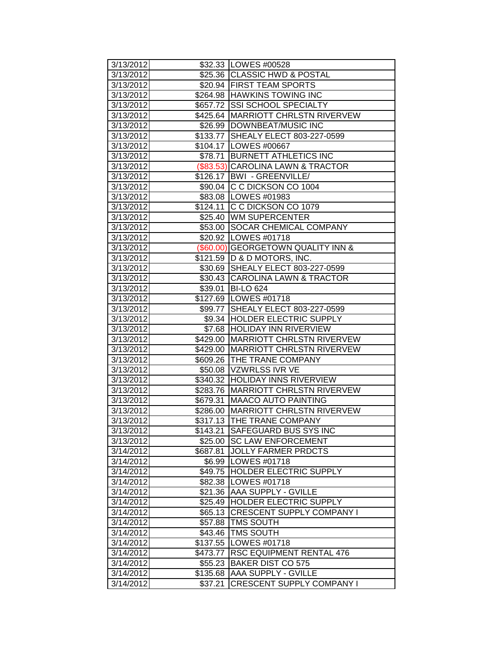| 3/13/2012 |          | \$32.33   LOWES #00528               |
|-----------|----------|--------------------------------------|
| 3/13/2012 |          | \$25.36 CLASSIC HWD & POSTAL         |
| 3/13/2012 |          | \$20.94 FIRST TEAM SPORTS            |
| 3/13/2012 |          | \$264.98 HAWKINS TOWING INC          |
| 3/13/2012 |          | \$657.72 SSI SCHOOL SPECIALTY        |
| 3/13/2012 |          | \$425.64 MARRIOTT CHRLSTN RIVERVEW   |
| 3/13/2012 |          | \$26.99 DOWNBEAT/MUSIC INC           |
| 3/13/2012 |          | \$133.77 SHEALY ELECT 803-227-0599   |
| 3/13/2012 |          | \$104.17 LOWES #00667                |
| 3/13/2012 |          | \$78.71 BURNETT ATHLETICS INC        |
| 3/13/2012 |          | (\$83.53) CAROLINA LAWN & TRACTOR    |
| 3/13/2012 |          | \$126.17   BWI - GREENVILLE/         |
| 3/13/2012 |          | \$90.04 C C DICKSON CO 1004          |
| 3/13/2012 |          | \$83.08   LOWES #01983               |
| 3/13/2012 |          | \$124.11 C C DICKSON CO 1079         |
| 3/13/2012 |          | \$25.40 WM SUPERCENTER               |
| 3/13/2012 |          | \$53.00 SOCAR CHEMICAL COMPANY       |
| 3/13/2012 |          | \$20.92   LOWES #01718               |
| 3/13/2012 |          | (\$60.00) GEORGETOWN QUALITY INN &   |
| 3/13/2012 |          | \$121.59   D & D MOTORS, INC.        |
| 3/13/2012 |          | \$30.69 SHEALY ELECT 803-227-0599    |
| 3/13/2012 |          | \$30.43 CAROLINA LAWN & TRACTOR      |
| 3/13/2012 | \$39.01  | <b>BI-LO 624</b>                     |
| 3/13/2012 |          | \$127.69   LOWES #01718              |
| 3/13/2012 |          | \$99.77 SHEALY ELECT 803-227-0599    |
| 3/13/2012 |          | \$9.34 HOLDER ELECTRIC SUPPLY        |
| 3/13/2012 | \$7.68   | <b>HOLIDAY INN RIVERVIEW</b>         |
| 3/13/2012 | \$429.00 | <b>MARRIOTT CHRLSTN RIVERVEW</b>     |
| 3/13/2012 |          | \$429.00 MARRIOTT CHRLSTN RIVERVEW   |
| 3/13/2012 |          | \$609.26 THE TRANE COMPANY           |
| 3/13/2012 |          | \$50.08 VZWRLSS IVR VE               |
| 3/13/2012 |          | \$340.32 HOLIDAY INNS RIVERVIEW      |
| 3/13/2012 |          | \$283.76   MARRIOTT CHRLSTN RIVERVEW |
| 3/13/2012 | \$679.31 | <b>MAACO AUTO PAINTING</b>           |
| 3/13/2012 |          | \$286.00 MARRIOTT CHRLSTN RIVERVEW   |
| 3/13/2012 |          | \$317.13 THE TRANE COMPANY           |
| 3/13/2012 |          | \$143.21 SAFEGUARD BUS SYS INC       |
| 3/13/2012 |          | \$25.00 SC LAW ENFORCEMENT           |
| 3/14/2012 | \$687.81 | <b>JOLLY FARMER PRDCTS</b>           |
| 3/14/2012 |          | \$6.99 LOWES #01718                  |
| 3/14/2012 | \$49.75  | <b>HOLDER ELECTRIC SUPPLY</b>        |
| 3/14/2012 | \$82.38  | LOWES #01718                         |
| 3/14/2012 | \$21.36  | <b>AAA SUPPLY - GVILLE</b>           |
| 3/14/2012 | \$25.49  | <b>HOLDER ELECTRIC SUPPLY</b>        |
| 3/14/2012 | \$65.13  | <b>CRESCENT SUPPLY COMPANY I</b>     |
| 3/14/2012 | \$57.88  | <b>TMS SOUTH</b>                     |
| 3/14/2012 | \$43.46  | <b>TMS SOUTH</b>                     |
| 3/14/2012 | \$137.55 | LOWES #01718                         |
| 3/14/2012 | \$473.77 | <b>RSC EQUIPMENT RENTAL 476</b>      |
| 3/14/2012 | \$55.23  | BAKER DIST CO 575                    |
| 3/14/2012 | \$135.68 | <b>AAA SUPPLY - GVILLE</b>           |
| 3/14/2012 | \$37.21  | <b>CRESCENT SUPPLY COMPANY I</b>     |
|           |          |                                      |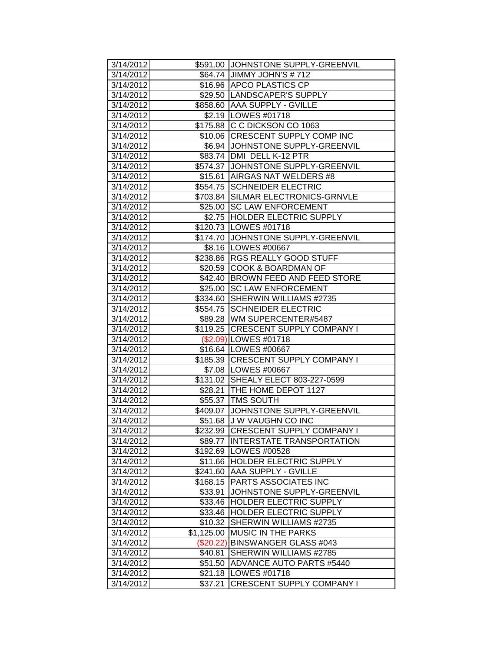| 3/14/2012 |             | \$591.00 JOHNSTONE SUPPLY-GREENVIL  |
|-----------|-------------|-------------------------------------|
| 3/14/2012 |             | \$64.74 JIMMY JOHN'S # 712          |
| 3/14/2012 |             | \$16.96 APCO PLASTICS CP            |
| 3/14/2012 |             | \$29.50  LANDSCAPER'S SUPPLY        |
| 3/14/2012 |             | \$858.60 AAA SUPPLY - GVILLE        |
| 3/14/2012 |             | \$2.19   LOWES #01718               |
| 3/14/2012 |             | \$175.88 C C DICKSON CO 1063        |
| 3/14/2012 |             | \$10.06 CRESCENT SUPPLY COMP INC    |
| 3/14/2012 |             | \$6.94 JOHNSTONE SUPPLY-GREENVIL    |
| 3/14/2012 |             | \$83.74 DMI DELL K-12 PTR           |
| 3/14/2012 |             | \$574.37 JJOHNSTONE SUPPLY-GREENVIL |
| 3/14/2012 |             | \$15.61 AIRGAS NAT WELDERS #8       |
| 3/14/2012 |             | \$554.75 SCHNEIDER ELECTRIC         |
| 3/14/2012 |             | \$703.84 SILMAR ELECTRONICS-GRNVLE  |
| 3/14/2012 |             | \$25.00 SC LAW ENFORCEMENT          |
| 3/14/2012 |             | \$2.75 HOLDER ELECTRIC SUPPLY       |
| 3/14/2012 |             | \$120.73   LOWES #01718             |
| 3/14/2012 |             | \$174.70 JJOHNSTONE SUPPLY-GREENVIL |
| 3/14/2012 |             | \$8.16   LOWES #00667               |
| 3/14/2012 |             | \$238.86 RGS REALLY GOOD STUFF      |
| 3/14/2012 |             | \$20.59  COOK & BOARDMAN OF         |
| 3/14/2012 |             | \$42.40 BROWN FEED AND FEED STORE   |
| 3/14/2012 |             | \$25.00 SC LAW ENFORCEMENT          |
| 3/14/2012 |             | \$334.60 SHERWIN WILLIAMS #2735     |
| 3/14/2012 |             | \$554.75 SCHNEIDER ELECTRIC         |
| 3/14/2012 |             | \$89.28   WM SUPERCENTER#5487       |
| 3/14/2012 |             | \$119.25 CRESCENT SUPPLY COMPANY I  |
| 3/14/2012 |             | (\$2.09) LOWES #01718               |
| 3/14/2012 |             | \$16.64 LOWES #00667                |
| 3/14/2012 |             | \$185.39 CRESCENT SUPPLY COMPANY I  |
| 3/14/2012 |             | \$7.08 LOWES #00667                 |
| 3/14/2012 |             | \$131.02 SHEALY ELECT 803-227-0599  |
| 3/14/2012 |             | \$28.21   THE HOME DEPOT 1127       |
| 3/14/2012 |             | \$55.37   TMS SOUTH                 |
| 3/14/2012 |             | \$409.07 JJOHNSTONE SUPPLY-GREENVIL |
| 3/14/2012 |             | \$51.68 JJ W VAUGHN CO INC          |
| 3/14/2012 |             | \$232.99 CRESCENT SUPPLY COMPANY I  |
| 3/14/2012 |             | \$89.77 IINTERSTATE TRANSPORTATION  |
| 3/14/2012 |             | \$192.69   LOWES #00528             |
| 3/14/2012 |             | \$11.66 HOLDER ELECTRIC SUPPLY      |
| 3/14/2012 | \$241.60    | <b>AAA SUPPLY - GVILLE</b>          |
| 3/14/2012 | \$168.15    | <b>PARTS ASSOCIATES INC</b>         |
| 3/14/2012 | \$33.91     | JOHNSTONE SUPPLY-GREENVIL           |
| 3/14/2012 | \$33.46     | <b>HOLDER ELECTRIC SUPPLY</b>       |
| 3/14/2012 | \$33.46     | <b>HOLDER ELECTRIC SUPPLY</b>       |
| 3/14/2012 | \$10.32     | SHERWIN WILLIAMS #2735              |
| 3/14/2012 | \$1,125.00  | <b>MUSIC IN THE PARKS</b>           |
| 3/14/2012 | $(\$20.22)$ | <b>BINSWANGER GLASS #043</b>        |
| 3/14/2012 | \$40.81     | SHERWIN WILLIAMS #2785              |
| 3/14/2012 | \$51.50     | ADVANCE AUTO PARTS #5440            |
| 3/14/2012 | \$21.18     | LOWES #01718                        |
| 3/14/2012 | \$37.21     | CRESCENT SUPPLY COMPANY I           |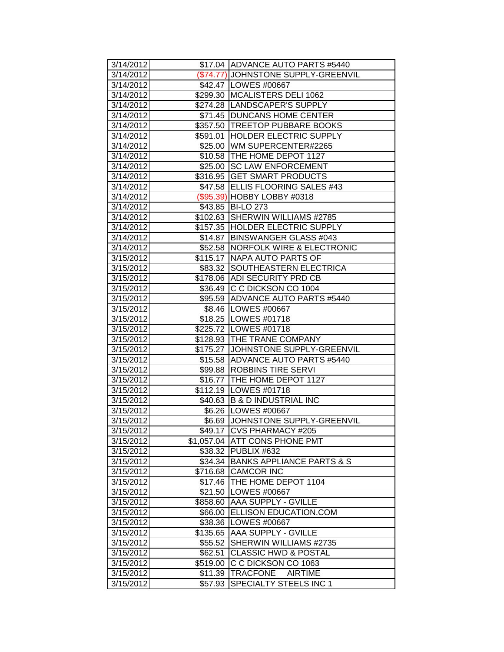| 3/14/2012              |                    | \$17.04 ADVANCE AUTO PARTS #5440                     |
|------------------------|--------------------|------------------------------------------------------|
| 3/14/2012              |                    | (\$74.77) JOHNSTONE SUPPLY-GREENVIL                  |
| 3/14/2012              |                    | \$42.47   LOWES #00667                               |
| 3/14/2012              |                    | \$299.30 MCALISTERS DELI 1062                        |
| 3/14/2012              |                    | \$274.28   LANDSCAPER'S SUPPLY                       |
| 3/14/2012              |                    | \$71.45 DUNCANS HOME CENTER                          |
| 3/14/2012              |                    | \$357.50 TREETOP PUBBARE BOOKS                       |
| 3/14/2012              | \$591.01           | <b>HOLDER ELECTRIC SUPPLY</b>                        |
| 3/14/2012              |                    | \$25.00 WM SUPERCENTER#2265                          |
| 3/14/2012              |                    | \$10.58 THE HOME DEPOT 1127                          |
| 3/14/2012              |                    | \$25.00 SC LAW ENFORCEMENT                           |
| 3/14/2012              |                    | \$316.95 GET SMART PRODUCTS                          |
| 3/14/2012              |                    | \$47.58 ELLIS FLOORING SALES #43                     |
| 3/14/2012              |                    | (\$95.39) HOBBY LOBBY #0318                          |
| 3/14/2012              |                    | \$43.85   BI-LO 273                                  |
| 3/14/2012              |                    | \$102.63 SHERWIN WILLIAMS #2785                      |
| 3/14/2012              |                    | \$157.35 HOLDER ELECTRIC SUPPLY                      |
| 3/14/2012              |                    | \$14.87   BINSWANGER GLASS #043                      |
| 3/14/2012              |                    | \$52.58 NORFOLK WIRE & ELECTRONIC                    |
| 3/15/2012              |                    | \$115.17 INAPA AUTO PARTS OF                         |
| 3/15/2012              |                    | \$83.32 SOUTHEASTERN ELECTRICA                       |
| 3/15/2012              |                    | \$178.06 ADI SECURITY PRD CB                         |
| 3/15/2012              |                    | \$36.49 C C DICKSON CO 1004                          |
| 3/15/2012              |                    | \$95.59 ADVANCE AUTO PARTS #5440                     |
| 3/15/2012              |                    | \$8.46 LOWES #00667                                  |
| 3/15/2012              |                    | \$18.25   LOWES #01718                               |
|                        |                    |                                                      |
| 3/15/2012              |                    | \$225.72 LOWES #01718                                |
| 3/15/2012              |                    | \$128.93 THE TRANE COMPANY                           |
| 3/15/2012              |                    | \$175.27 JJOHNSTONE SUPPLY-GREENVIL                  |
| 3/15/2012              |                    | \$15.58 ADVANCE AUTO PARTS #5440                     |
| 3/15/2012              |                    | \$99.88  ROBBINS TIRE SERVI                          |
| 3/15/2012              |                    | \$16.77 THE HOME DEPOT 1127                          |
| 3/15/2012              |                    | \$112.19   LOWES #01718                              |
| 3/15/2012              |                    | \$40.63 B & D INDUSTRIAL INC                         |
| 3/15/2012              |                    | \$6.26   LOWES #00667                                |
| 3/15/2012              |                    | \$6.69 JOHNSTONE SUPPLY-GREENVIL                     |
| 3/15/2012              |                    | \$49.17   CVS PHARMACY #205                          |
| 3/15/2012              |                    | \$1,057.04 ATT CONS PHONE PMT                        |
| 3/15/2012              |                    | \$38.32 PUBLIX #632                                  |
| 3/15/2012              |                    | \$34.34 BANKS APPLIANCE PARTS & S                    |
| 3/15/2012              | \$716.68           | <b>CAMCOR INC</b>                                    |
| 3/15/2012              | \$17.46            | THE HOME DEPOT 1104                                  |
| 3/15/2012              | \$21.50            | LOWES #00667                                         |
| 3/15/2012              | \$858.60           | <b>AAA SUPPLY - GVILLE</b>                           |
| 3/15/2012              | \$66.00            | <b>ELLISON EDUCATION.COM</b>                         |
| 3/15/2012              | \$38.36            | LOWES #00667                                         |
| 3/15/2012              | \$135.65           | <b>AAA SUPPLY - GVILLE</b>                           |
| 3/15/2012              | \$55.52            | SHERWIN WILLIAMS #2735                               |
| 3/15/2012              | \$62.51            | <b>CLASSIC HWD &amp; POSTAL</b>                      |
| 3/15/2012              | \$519.00           | C C DICKSON CO 1063                                  |
| 3/15/2012<br>3/15/2012 | \$11.39<br>\$57.93 | TRACFONE<br><b>AIRTIME</b><br>SPECIALTY STEELS INC 1 |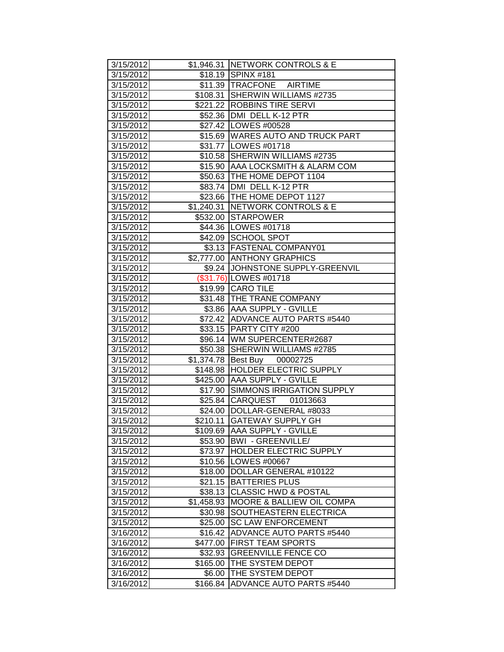| 3/15/2012              |                       | \$1,946.31 NETWORK CONTROLS & E                              |
|------------------------|-----------------------|--------------------------------------------------------------|
| 3/15/2012              |                       | \$18.19 SPINX #181                                           |
| 3/15/2012              |                       | \$11.39 TRACFONE AIRTIME                                     |
| 3/15/2012              |                       | \$108.31 SHERWIN WILLIAMS #2735                              |
| 3/15/2012              |                       | \$221.22 ROBBINS TIRE SERVI                                  |
| 3/15/2012              |                       | \$52.36 DMI DELL K-12 PTR                                    |
| 3/15/2012              |                       | \$27.42   LOWES #00528                                       |
| 3/15/2012              |                       | \$15.69 WARES AUTO AND TRUCK PART                            |
| 3/15/2012              |                       | \$31.77 LOWES #01718                                         |
| 3/15/2012              |                       | \$10.58 SHERWIN WILLIAMS #2735                               |
| 3/15/2012              |                       | \$15.90 AAA LOCKSMITH & ALARM COM                            |
| 3/15/2012              |                       | \$50.63   THE HOME DEPOT 1104                                |
| 3/15/2012              |                       | \$83.74   DMI DELL K-12 PTR                                  |
| 3/15/2012              |                       | \$23.66 THE HOME DEPOT 1127                                  |
| 3/15/2012              |                       | \$1,240.31 NETWORK CONTROLS & E                              |
| 3/15/2012              |                       | \$532.00 STARPOWER                                           |
| 3/15/2012              |                       | \$44.36   LOWES #01718                                       |
| 3/15/2012              |                       | \$42.09 SCHOOL SPOT                                          |
| 3/15/2012              |                       | \$3.13 FASTENAL COMPANY01                                    |
| 3/15/2012              |                       | \$2,777.00 ANTHONY GRAPHICS                                  |
| 3/15/2012              |                       | \$9.24 JJOHNSTONE SUPPLY-GREENVIL                            |
| 3/15/2012              |                       | (\$31.76) LOWES #01718                                       |
| 3/15/2012              |                       | \$19.99 CARO TILE                                            |
| 3/15/2012              |                       | \$31.48 THE TRANE COMPANY                                    |
| 3/15/2012              |                       | \$3.86 AAA SUPPLY - GVILLE                                   |
| 3/15/2012              |                       | \$72.42 ADVANCE AUTO PARTS #5440                             |
| 3/15/2012              |                       | \$33.15 PARTY CITY #200                                      |
| 3/15/2012              |                       | \$96.14   WM SUPERCENTER#2687                                |
| 3/15/2012              |                       | \$50.38 SHERWIN WILLIAMS #2785                               |
| 3/15/2012              |                       | \$1,374.78 Best Buy 00002725                                 |
| 3/15/2012              |                       | \$148.98 HOLDER ELECTRIC SUPPLY                              |
| 3/15/2012              |                       | \$425.00 AAA SUPPLY - GVILLE                                 |
| 3/15/2012              |                       | \$17.90 SIMMONS IRRIGATION SUPPLY                            |
| 3/15/2012              |                       | \$25.84 CARQUEST<br>01013663                                 |
| 3/15/2012              |                       | \$24.00   DOLLAR-GENERAL #8033                               |
| 3/15/2012              |                       | \$210.11 GATEWAY SUPPLY GH                                   |
| 3/15/2012              |                       | \$109.69 AAA SUPPLY - GVILLE                                 |
| 3/15/2012              |                       | \$53.90   BWI - GREENVILLE/<br><b>HOLDER ELECTRIC SUPPLY</b> |
| 3/15/2012<br>3/15/2012 | \$73.97               | \$10.56   LOWES #00667                                       |
| 3/15/2012              | \$18.00               | DOLLAR GENERAL #10122                                        |
| 3/15/2012              | \$21.15               | <b>BATTERIES PLUS</b>                                        |
| 3/15/2012              | \$38.13               | <b>CLASSIC HWD &amp; POSTAL</b>                              |
| 3/15/2012              |                       | <b>MOORE &amp; BALLIEW OIL COMPA</b>                         |
| 3/15/2012              | \$1,458.93<br>\$30.98 | <b>SOUTHEASTERN ELECTRICA</b>                                |
| 3/15/2012              | \$25.00               | <b>SC LAW ENFORCEMENT</b>                                    |
| 3/16/2012              | \$16.42               | ADVANCE AUTO PARTS #5440                                     |
| 3/16/2012              | \$477.00              | <b>FIRST TEAM SPORTS</b>                                     |
| 3/16/2012              | \$32.93               | <b>GREENVILLE FENCE CO</b>                                   |
| 3/16/2012              | \$165.00              | <b>THE SYSTEM DEPOT</b>                                      |
| 3/16/2012              | \$6.00                | THE SYSTEM DEPOT                                             |
| 3/16/2012              | \$166.84              | ADVANCE AUTO PARTS #5440                                     |
|                        |                       |                                                              |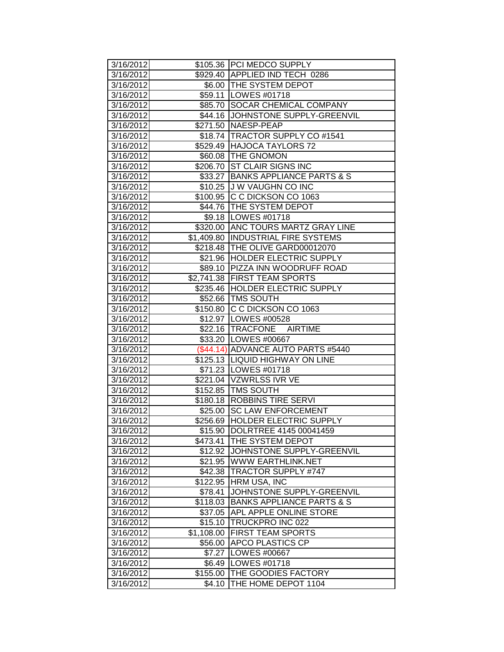| 3/16/2012              |                    | \$105.36 PCI MEDCO SUPPLY                  |
|------------------------|--------------------|--------------------------------------------|
| 3/16/2012              |                    | \$929.40 APPLIED IND TECH 0286             |
| 3/16/2012              |                    | \$6.00 THE SYSTEM DEPOT                    |
| 3/16/2012              |                    | \$59.11   LOWES #01718                     |
| 3/16/2012              |                    | \$85.70 SOCAR CHEMICAL COMPANY             |
| 3/16/2012              |                    | \$44.16 JOHNSTONE SUPPLY-GREENVIL          |
| 3/16/2012              |                    | \$271.50 NAESP-PEAP                        |
| 3/16/2012              |                    | \$18.74   TRACTOR SUPPLY CO #1541          |
| 3/16/2012              |                    | \$529.49 HAJOCA TAYLORS 72                 |
| 3/16/2012              |                    | \$60.08 THE GNOMON                         |
| 3/16/2012              | \$206.70           | <b>ST CLAIR SIGNS INC</b>                  |
| 3/16/2012              |                    | \$33.27 BANKS APPLIANCE PARTS & S          |
| 3/16/2012              |                    | \$10.25 J W VAUGHN CO INC                  |
| 3/16/2012              |                    | \$100.95 C C DICKSON CO 1063               |
| 3/16/2012              |                    | \$44.76 THE SYSTEM DEPOT                   |
| 3/16/2012              |                    | \$9.18   LOWES #01718                      |
| 3/16/2012              |                    | \$320.00 ANC TOURS MARTZ GRAY LINE         |
| 3/16/2012              |                    | \$1,409.80 INDUSTRIAL FIRE SYSTEMS         |
| 3/16/2012              |                    | \$218.48   THE OLIVE GARD00012070          |
| 3/16/2012              |                    | \$21.96 HOLDER ELECTRIC SUPPLY             |
| 3/16/2012              |                    | \$89.10 PIZZA INN WOODRUFF ROAD            |
| 3/16/2012              |                    | \$2,741.38 FIRST TEAM SPORTS               |
| 3/16/2012              |                    | \$235.46 HOLDER ELECTRIC SUPPLY            |
| 3/16/2012              |                    | \$52.66 TMS SOUTH                          |
| 3/16/2012              |                    | \$150.80 C C DICKSON CO 1063               |
| 3/16/2012              |                    | \$12.97 LOWES #00528                       |
| 3/16/2012              |                    | \$22.16 TRACFONE AIRTIME                   |
| 3/16/2012              |                    | \$33.20 LOWES #00667                       |
| 3/16/2012              |                    | (\$44.14) ADVANCE AUTO PARTS #5440         |
| 3/16/2012              |                    | \$125.13  LIQUID HIGHWAY ON LINE           |
| 3/16/2012              |                    | \$71.23 LOWES #01718                       |
| 3/16/2012              |                    | \$221.04 VZWRLSS IVR VE                    |
| 3/16/2012              |                    | \$152.85 TMS SOUTH                         |
| 3/16/2012              |                    | \$180.18 ROBBINS TIRE SERVI                |
| 3/16/2012              | \$25.00            | <b>SC LAW ENFORCEMENT</b>                  |
| 3/16/2012              |                    | \$256.69 HOLDER ELECTRIC SUPPLY            |
| 3/16/2012              |                    | \$15.90  DOLRTREE 4145 00041459            |
| 3/16/2012              | \$473.41           | <b>THE SYSTEM DEPOT</b>                    |
| 3/16/2012              |                    | \$12.92 JJOHNSTONE SUPPLY-GREENVIL         |
| 3/16/2012              |                    | \$21.95 WWW EARTHLINK.NET                  |
| 3/16/2012              | \$42.38            | <b>TRACTOR SUPPLY #747</b>                 |
| 3/16/2012              | \$122.95           | <b>HRM USA, INC</b>                        |
| 3/16/2012              | \$78.41            | JOHNSTONE SUPPLY-GREENVIL                  |
| 3/16/2012              | \$118.03           | <b>BANKS APPLIANCE PARTS &amp; S</b>       |
| 3/16/2012              | \$37.05            | <b>APL APPLE ONLINE STORE</b>              |
| 3/16/2012              | \$15.10            | <b>TRUCKPRO INC 022</b>                    |
| 3/16/2012              | \$1,108.00         | <b>FIRST TEAM SPORTS</b>                   |
|                        |                    |                                            |
| 3/16/2012              | \$56.00            | <b>APCO PLASTICS CP</b>                    |
| 3/16/2012              | \$7.27             | LOWES #00667                               |
| 3/16/2012              | \$6.49             | LOWES #01718                               |
| 3/16/2012<br>3/16/2012 | \$155.00<br>\$4.10 | THE GOODIES FACTORY<br>THE HOME DEPOT 1104 |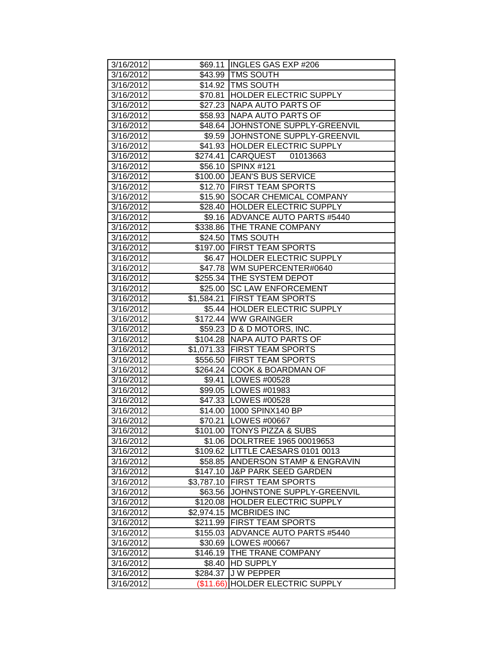| 3/16/2012 |             | \$69.11 INGLES GAS EXP #206         |
|-----------|-------------|-------------------------------------|
| 3/16/2012 |             | \$43.99 TMS SOUTH                   |
| 3/16/2012 |             | \$14.92   TMS SOUTH                 |
| 3/16/2012 |             | \$70.81 HOLDER ELECTRIC SUPPLY      |
| 3/16/2012 |             | \$27.23 NAPA AUTO PARTS OF          |
| 3/16/2012 |             | \$58.93 NAPA AUTO PARTS OF          |
| 3/16/2012 |             | \$48.64 JOHNSTONE SUPPLY-GREENVIL   |
| 3/16/2012 | \$9.59      | JOHNSTONE SUPPLY-GREENVIL           |
| 3/16/2012 |             | \$41.93 HOLDER ELECTRIC SUPPLY      |
| 3/16/2012 | \$274.41    | <b>CARQUEST</b><br>01013663         |
| 3/16/2012 | \$56.10     | $\overline{\text{SPINX #121}}$      |
| 3/16/2012 |             | \$100.00 JEAN'S BUS SERVICE         |
| 3/16/2012 |             | \$12.70 FIRST TEAM SPORTS           |
| 3/16/2012 | \$15.90     | <b>SOCAR CHEMICAL COMPANY</b>       |
| 3/16/2012 |             | \$28.40 HOLDER ELECTRIC SUPPLY      |
| 3/16/2012 |             | \$9.16 ADVANCE AUTO PARTS #5440     |
| 3/16/2012 |             | \$338.86 THE TRANE COMPANY          |
| 3/16/2012 |             | \$24.50 TMS SOUTH                   |
| 3/16/2012 |             | \$197.00 FIRST TEAM SPORTS          |
| 3/16/2012 |             | \$6.47 HOLDER ELECTRIC SUPPLY       |
| 3/16/2012 |             | \$47.78 WM SUPERCENTER#0640         |
| 3/16/2012 |             | \$255.34 THE SYSTEM DEPOT           |
| 3/16/2012 |             | \$25.00 SC LAW ENFORCEMENT          |
| 3/16/2012 | \$1,584.21  | <b>FIRST TEAM SPORTS</b>            |
| 3/16/2012 |             | \$5.44 HOLDER ELECTRIC SUPPLY       |
| 3/16/2012 |             | \$172.44 WW GRAINGER                |
| 3/16/2012 |             | \$59.23  D & D MOTORS, INC.         |
| 3/16/2012 |             | \$104.28 NAPA AUTO PARTS OF         |
| 3/16/2012 |             | \$1,071.33 FIRST TEAM SPORTS        |
| 3/16/2012 |             | \$556.50 FIRST TEAM SPORTS          |
| 3/16/2012 |             | \$264.24 COOK & BOARDMAN OF         |
| 3/16/2012 |             | \$9.41   LOWES #00528               |
| 3/16/2012 |             | \$99.05   LOWES #01983              |
| 3/16/2012 |             | \$47.33   LOWES #00528              |
| 3/16/2012 |             | \$14.00 1000 SPINX140 BP            |
| 3/16/2012 | \$70.21     | <b>LOWES #00667</b>                 |
| 3/16/2012 |             | \$101.00 TONYS PIZZA & SUBS         |
| 3/16/2012 |             | \$1.06 DOLRTREE 1965 00019653       |
| 3/16/2012 |             | \$109.62   LITTLE CAESARS 0101 0013 |
| 3/16/2012 |             | \$58.85 ANDERSON STAMP & ENGRAVIN   |
| 3/16/2012 | \$147.10    | <b>J&amp;P PARK SEED GARDEN</b>     |
| 3/16/2012 | \$3,787.10  | <b>FIRST TEAM SPORTS</b>            |
| 3/16/2012 | \$63.56     | JOHNSTONE SUPPLY-GREENVIL           |
| 3/16/2012 | \$120.08    | <b>HOLDER ELECTRIC SUPPLY</b>       |
| 3/16/2012 | \$2,974.15  | <b>MCBRIDES INC</b>                 |
| 3/16/2012 | \$211.99    | <b>FIRST TEAM SPORTS</b>            |
| 3/16/2012 | \$155.03    | ADVANCE AUTO PARTS #5440            |
| 3/16/2012 |             | \$30.69   LOWES #00667              |
| 3/16/2012 | \$146.19    | THE TRANE COMPANY                   |
| 3/16/2012 | \$8.40      | <b>HD SUPPLY</b>                    |
| 3/16/2012 | \$284.37    | <b>JW PEPPER</b>                    |
| 3/16/2012 | $(\$11.66)$ | <b>HOLDER ELECTRIC SUPPLY</b>       |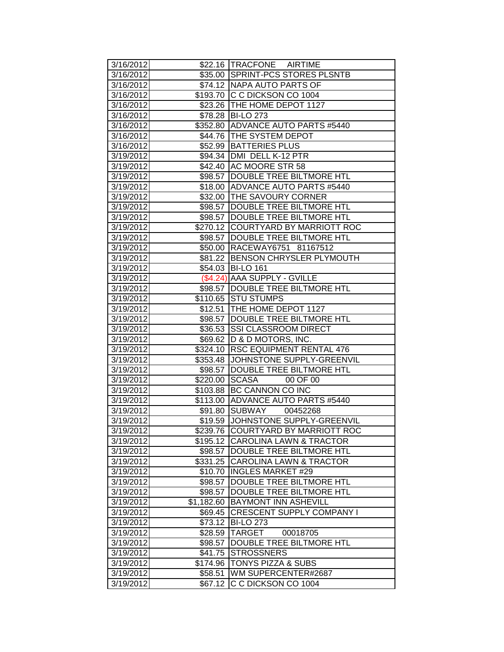| 3/16/2012              |                    | \$22.16 TRACFONE AIRTIME                                        |
|------------------------|--------------------|-----------------------------------------------------------------|
| 3/16/2012              |                    | \$35.00 SPRINT-PCS STORES PLSNTB                                |
| 3/16/2012              |                    | \$74.12 NAPA AUTO PARTS OF                                      |
| 3/16/2012              |                    | \$193.70 C C DICKSON CO 1004                                    |
| $\overline{3/16/2012}$ |                    | \$23.26 THE HOME DEPOT 1127                                     |
| 3/16/2012              |                    | \$78.28 BI-LO 273                                               |
| 3/16/2012              |                    | \$352.80 ADVANCE AUTO PARTS #5440                               |
| 3/16/2012              |                    | \$44.76 THE SYSTEM DEPOT                                        |
| 3/16/2012              |                    | \$52.99 BATTERIES PLUS                                          |
| 3/19/2012              |                    | \$94.34   DMI DELL K-12 PTR                                     |
| 3/19/2012              |                    | \$42.40 AC MOORE STR 58                                         |
| 3/19/2012              |                    | \$98.57 DOUBLE TREE BILTMORE HTL                                |
| 3/19/2012              |                    | \$18.00 ADVANCE AUTO PARTS #5440                                |
| 3/19/2012              |                    | \$32.00 THE SAVOURY CORNER                                      |
| 3/19/2012              |                    | \$98.57 DOUBLE TREE BILTMORE HTL                                |
| 3/19/2012              |                    | \$98.57  DOUBLE TREE BILTMORE HTL                               |
| 3/19/2012              |                    | \$270.12 COURTYARD BY MARRIOTT ROC                              |
| 3/19/2012              |                    | \$98.57 DOUBLE TREE BILTMORE HTL                                |
| 3/19/2012              |                    | \$50.00 RACEWAY6751 81167512                                    |
| 3/19/2012              |                    | \$81.22 BENSON CHRYSLER PLYMOUTH                                |
| 3/19/2012              |                    | \$54.03 BI-LO 161                                               |
| 3/19/2012              |                    | (\$4.24) AAA SUPPLY - GVILLE                                    |
| 3/19/2012              |                    | \$98.57  DOUBLE TREE BILTMORE HTL                               |
| 3/19/2012              |                    | \$110.65 STU STUMPS                                             |
| 3/19/2012              | \$12.51            | THE HOME DEPOT 1127                                             |
| 3/19/2012              |                    | \$98.57  DOUBLE TREE BILTMORE HTL                               |
| 3/19/2012              | \$36.53            | <b>SSI CLASSROOM DIRECT</b>                                     |
| 3/19/2012              |                    | \$69.62   D & D MOTORS, INC.                                    |
| 3/19/2012              | \$324.10           | <b>RSC EQUIPMENT RENTAL 476</b>                                 |
| 3/19/2012              |                    | \$353.48 JJOHNSTONE SUPPLY-GREENVIL                             |
| 3/19/2012              |                    | \$98.57  DOUBLE TREE BILTMORE HTL                               |
| 3/19/2012              | \$220.00           | <b>SCASA</b><br>00 OF 00                                        |
| 3/19/2012              | \$103.88           | <b>BC CANNON CO INC</b>                                         |
| 3/19/2012              | \$113.00           | ADVANCE AUTO PARTS #5440                                        |
| 3/19/2012              | \$91.80            | SUBWAY 00452268                                                 |
| 3/19/2012              | \$19.59            | JOHNSTONE SUPPLY-GREENVIL                                       |
| 3/19/2012              |                    | \$239.76  COURTYARD BY MARRIOTT ROC                             |
| 3/19/2012              |                    | \$195.12 CAROLINA LAWN & TRACTOR                                |
| 3/19/2012              |                    | \$98.57  DOUBLE TREE BILTMORE HTL                               |
| 3/19/2012              |                    | \$331.25 CAROLINA LAWN & TRACTOR                                |
| 3/19/2012              | \$10.70            | <b>INGLES MARKET #29</b>                                        |
| 3/19/2012              | \$98.57            | DOUBLE TREE BILTMORE HTL                                        |
| 3/19/2012              | \$98.57            | <b>DOUBLE TREE BILTMORE HTL</b>                                 |
| 3/19/2012              | \$1,182.60         | <b>BAYMONT INN ASHEVILL</b><br><b>CRESCENT SUPPLY COMPANY I</b> |
| 3/19/2012              | \$69.45            |                                                                 |
| 3/19/2012              | \$73.12            | <b>BI-LO 273</b><br><b>TARGET</b>                               |
| 3/19/2012<br>3/19/2012 | \$28.59            | 00018705<br>DOUBLE TREE BILTMORE HTL                            |
| 3/19/2012              | \$98.57<br>\$41.75 | <b>STROSSNERS</b>                                               |
| 3/19/2012              | \$174.96           | TONYS PIZZA & SUBS                                              |
| 3/19/2012              | \$58.51            | WM SUPERCENTER#2687                                             |
| 3/19/2012              | \$67.12            | C C DICKSON CO 1004                                             |
|                        |                    |                                                                 |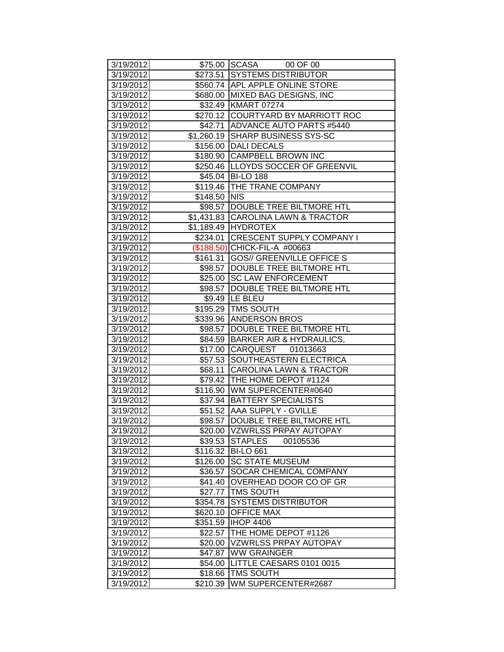| 3/19/2012              |                      | \$75.00 SCASA 00 OF 00                           |
|------------------------|----------------------|--------------------------------------------------|
| 3/19/2012              |                      | \$273.51 SYSTEMS DISTRIBUTOR                     |
| 3/19/2012              |                      | \$560.74 APL APPLE ONLINE STORE                  |
| 3/19/2012              | \$680.00             | <b>MIXED BAG DESIGNS, INC</b>                    |
| 3/19/2012              |                      | \$32.49 KMART 07274                              |
| 3/19/2012              |                      | \$270.12 COURTYARD BY MARRIOTT ROC               |
| 3/19/2012              | \$42.71              | <b>ADVANCE AUTO PARTS #5440</b>                  |
| 3/19/2012              | \$1,260.19           | <b>SHARP BUSINESS SYS-SC</b>                     |
| 3/19/2012              | \$156.00             | <b>DALI DECALS</b>                               |
| 3/19/2012              | \$180.90             | <b>CAMPBELL BROWN INC</b>                        |
| 3/19/2012              |                      | \$250.46  LLOYDS SOCCER OF GREENVIL              |
| 3/19/2012              | \$45.04              | <b>BI-LO 188</b>                                 |
| 3/19/2012              | \$119.46             | <b>THE TRANE COMPANY</b>                         |
| 3/19/2012              | \$148.50             | <b>NIS</b>                                       |
| 3/19/2012              |                      | \$98.57 DOUBLE TREE BILTMORE HTL                 |
| 3/19/2012              |                      | \$1,431.83 CAROLINA LAWN & TRACTOR               |
| 3/19/2012              |                      | \$1,189.49 HYDROTEX                              |
| 3/19/2012              | \$234.01             | <b>CRESCENT SUPPLY COMPANY I</b>                 |
| 3/19/2012              |                      | (\$188.50) CHICK-FIL-A #00663                    |
| 3/19/2012              | \$161.31             | <b>GOS// GREENVILLE OFFICE S</b>                 |
| 3/19/2012              | \$98.57              | <b>DOUBLE TREE BILTMORE HTL</b>                  |
| 3/19/2012              |                      | \$25.00 SC LAW ENFORCEMENT                       |
| 3/19/2012              | \$98.57              | <b>DOUBLE TREE BILTMORE HTL</b>                  |
| 3/19/2012              |                      | \$9.49  LE BLEU                                  |
| 3/19/2012              |                      | \$195.29 TMS SOUTH                               |
| 3/19/2012              | \$339.96             | <b>ANDERSON BROS</b>                             |
| 3/19/2012              | \$98.57              | DOUBLE TREE BILTMORE HTL                         |
| 3/19/2012              | \$84.59              | <b>BARKER AIR &amp; HYDRAULICS,</b>              |
| 3/19/2012              | \$17.00              | CARQUEST 01013663                                |
| 3/19/2012              |                      | \$57.53 SOUTHEASTERN ELECTRICA                   |
| 3/19/2012              | $\overline{$}68.11$  | <b>CAROLINA LAWN &amp; TRACTOR</b>               |
| 3/19/2012              |                      | \$79.42 THE HOME DEPOT #1124                     |
| 3/19/2012              | \$116.90             | WM SUPERCENTER#0640                              |
| 3/19/2012              | \$37.94              | <b>BATTERY SPECIALISTS</b>                       |
| 3/19/2012              |                      | \$51.52 AAA SUPPLY - GVILLE                      |
| 3/19/2012              | \$98.57              | DOUBLE TREE BILTMORE HTL                         |
| 3/19/2012              |                      | \$20.00  VZWRLSS PRPAY AUTOPAY                   |
| 3/19/2012              | \$39.53              | <b>STAPLES</b><br>00105536                       |
| 3/19/2012              | \$116.32             | <b>BI-LO 661</b>                                 |
| 3/19/2012              | \$126.00             | <b>SC STATE MUSEUM</b>                           |
| 3/19/2012              | \$36.57              | SOCAR CHEMICAL COMPANY<br>OVERHEAD DOOR CO OF GR |
| 3/19/2012<br>3/19/2012 | \$41.40              | <b>TMS SOUTH</b>                                 |
|                        | \$27.77              | <b>SYSTEMS DISTRIBUTOR</b>                       |
| 3/19/2012              | \$354.78             | <b>OFFICE MAX</b>                                |
| 3/19/2012<br>3/19/2012 | \$620.10<br>\$351.59 | <b>IHOP 4406</b>                                 |
| 3/19/2012              | \$22.57              | THE HOME DEPOT #1126                             |
| 3/19/2012              | \$20.00              | <b>VZWRLSS PRPAY AUTOPAY</b>                     |
| 3/19/2012              | \$47.87              | <b>WW GRAINGER</b>                               |
| 3/19/2012              | \$54.00              | LITTLE CAESARS 0101 0015                         |
| 3/19/2012              | \$18.66              | TMS SOUTH                                        |
| 3/19/2012              | \$210.39             | WM SUPERCENTER#2687                              |
|                        |                      |                                                  |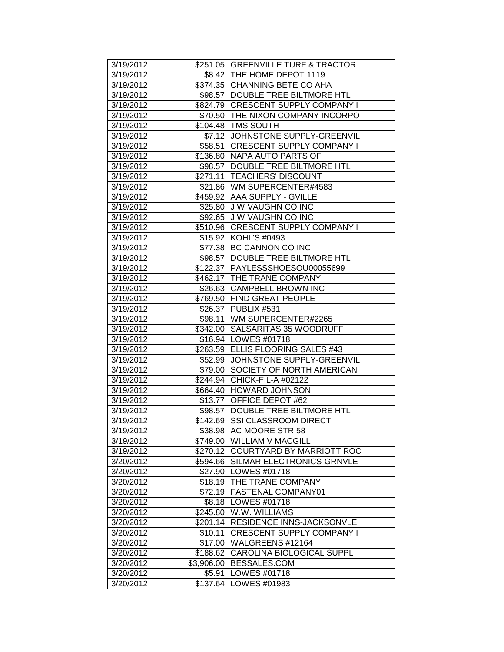| 3/19/2012 |            | \$251.05 GREENVILLE TURF & TRACTOR |
|-----------|------------|------------------------------------|
| 3/19/2012 |            | \$8.42   THE HOME DEPOT 1119       |
| 3/19/2012 |            | \$374.35 CHANNING BETE CO AHA      |
| 3/19/2012 |            | \$98.57  DOUBLE TREE BILTMORE HTL  |
| 3/19/2012 | \$824.79   | <b>CRESCENT SUPPLY COMPANY I</b>   |
| 3/19/2012 |            | \$70.50 THE NIXON COMPANY INCORPO  |
| 3/19/2012 |            | \$104.48 TMS SOUTH                 |
| 3/19/2012 | \$7.12     | JOHNSTONE SUPPLY-GREENVIL          |
| 3/19/2012 | \$58.51    | <b>CRESCENT SUPPLY COMPANY I</b>   |
| 3/19/2012 | \$136.80   | NAPA AUTO PARTS OF                 |
| 3/19/2012 | \$98.57    | DOUBLE TREE BILTMORE HTL           |
| 3/19/2012 | \$271.11   | <b>TEACHERS' DISCOUNT</b>          |
| 3/19/2012 |            | \$21.86   WM SUPERCENTER#4583      |
| 3/19/2012 |            | \$459.92 AAA SUPPLY - GVILLE       |
| 3/19/2012 |            | \$25.80 J W VAUGHN CO INC          |
|           |            |                                    |
| 3/19/2012 | \$92.65    | J W VAUGHN CO INC                  |
| 3/19/2012 | \$510.96   | <b>CRESCENT SUPPLY COMPANY I</b>   |
| 3/19/2012 | \$15.92    | KOHL'S #0493                       |
| 3/19/2012 | \$77.38    | BC CANNON CO INC                   |
| 3/19/2012 | \$98.57    | DOUBLE TREE BILTMORE HTL           |
| 3/19/2012 | \$122.37   | PAYLESSSHOESOU00055699             |
| 3/19/2012 |            | \$462.17 THE TRANE COMPANY         |
| 3/19/2012 |            | \$26.63 CAMPBELL BROWN INC         |
| 3/19/2012 | \$769.50   | <b>FIND GREAT PEOPLE</b>           |
| 3/19/2012 | \$26.37    | PUBLIX #531                        |
| 3/19/2012 | \$98.11    | WM SUPERCENTER#2265                |
| 3/19/2012 | \$342.00   | SALSARITAS 35 WOODRUFF             |
| 3/19/2012 | \$16.94    | LOWES #01718                       |
| 3/19/2012 |            | \$263.59 ELLIS FLOORING SALES #43  |
| 3/19/2012 | \$52.99    | JOHNSTONE SUPPLY-GREENVIL          |
| 3/19/2012 | \$79.00    | SOCIETY OF NORTH AMERICAN          |
| 3/19/2012 | \$244.94   | CHICK-FIL-A #02122                 |
| 3/19/2012 | \$664.40   | <b>HOWARD JOHNSON</b>              |
| 3/19/2012 | \$13.77    | OFFICE DEPOT #62                   |
| 3/19/2012 | \$98.57    | DOUBLE TREE BILTMORE HTL           |
| 3/19/2012 | \$142.69   | <b>SSI CLASSROOM DIRECT</b>        |
| 3/19/2012 |            | \$38.98 AC MOORE STR 58            |
| 3/19/2012 | \$749.00   | <b>WILLIAM V MACGILL</b>           |
| 3/19/2012 | \$270.12   | COURTYARD BY MARRIOTT ROC          |
| 3/20/2012 | \$594.66   | SILMAR ELECTRONICS-GRNVLE          |
| 3/20/2012 | \$27.90    | LOWES #01718                       |
| 3/20/2012 | \$18.19    | THE TRANE COMPANY                  |
| 3/20/2012 | \$72.19    | FASTENAL COMPANY01                 |
| 3/20/2012 | \$8.18     | LOWES #01718                       |
| 3/20/2012 | \$245.80   | W.W. WILLIAMS                      |
| 3/20/2012 | \$201.14   | RESIDENCE INNS-JACKSONVLE          |
| 3/20/2012 | \$10.11    | CRESCENT SUPPLY COMPANY I          |
| 3/20/2012 | \$17.00    | WALGREENS #12164                   |
| 3/20/2012 | \$188.62   | <b>CAROLINA BIOLOGICAL SUPPL</b>   |
| 3/20/2012 | \$3,906.00 | BESSALES.COM                       |
| 3/20/2012 | \$5.91     | LOWES #01718                       |
| 3/20/2012 | \$137.64   | LOWES #01983                       |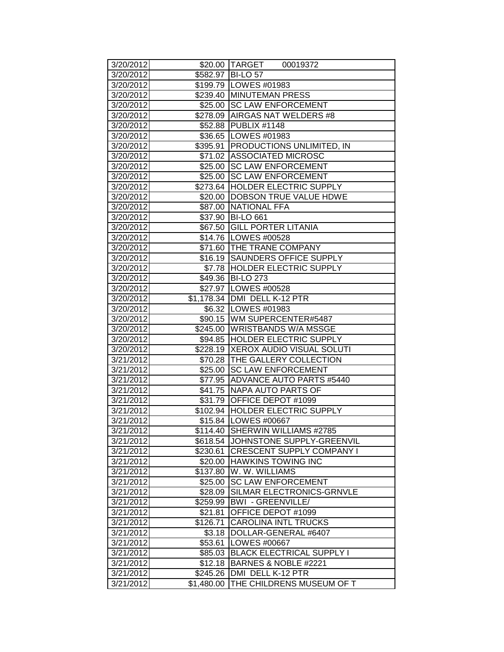| 3/20/2012              |                     | \$20.00 TARGET<br>00019372                            |
|------------------------|---------------------|-------------------------------------------------------|
| 3/20/2012              |                     | \$582.97 BI-LO 57                                     |
| 3/20/2012              |                     | \$199.79 LOWES #01983                                 |
| 3/20/2012              |                     | \$239.40 MINUTEMAN PRESS                              |
| 3/20/2012              |                     | \$25.00 SC LAW ENFORCEMENT                            |
| 3/20/2012              |                     | \$278.09 AIRGAS NAT WELDERS #8                        |
| 3/20/2012              |                     | \$52.88 PUBLIX #1148                                  |
| 3/20/2012              |                     | \$36.65 LOWES #01983                                  |
| 3/20/2012              |                     | \$395.91 PRODUCTIONS UNLIMITED, IN                    |
| 3/20/2012              |                     | \$71.02 ASSOCIATED MICROSC                            |
| 3/20/2012              | \$25.00             | <b>SC LAW ENFORCEMENT</b>                             |
| 3/20/2012              | \$25.00             | <b>SC LAW ENFORCEMENT</b>                             |
| 3/20/2012              |                     | \$273.64 HOLDER ELECTRIC SUPPLY                       |
| 3/20/2012              |                     | \$20.00  DOBSON TRUE VALUE HDWE                       |
| 3/20/2012              |                     | \$87.00 NATIONAL FFA                                  |
| 3/20/2012              |                     | \$37.90 BI-LO 661                                     |
| 3/20/2012              |                     | \$67.50 GILL PORTER LITANIA                           |
| 3/20/2012              |                     | \$14.76   LOWES #00528                                |
| 3/20/2012              |                     | \$71.60 THE TRANE COMPANY                             |
| 3/20/2012              |                     | \$16.19 SAUNDERS OFFICE SUPPLY                        |
| 3/20/2012              |                     | \$7.78 HOLDER ELECTRIC SUPPLY                         |
| 3/20/2012              |                     | \$49.36 BI-LO 273                                     |
| 3/20/2012              |                     | \$27.97   LOWES #00528                                |
| 3/20/2012              |                     | \$1,178.34 DMI DELL K-12 PTR                          |
| 3/20/2012              |                     | \$6.32 LOWES #01983                                   |
| 3/20/2012              |                     | \$90.15 WM SUPERCENTER#5487                           |
| 3/20/2012              |                     | \$245.00 WRISTBANDS W/A MSSGE                         |
| 3/20/2012              |                     | \$94.85 HOLDER ELECTRIC SUPPLY                        |
| 3/20/2012              |                     | \$228.19 XEROX AUDIO VISUAL SOLUTI                    |
| 3/21/2012              |                     | \$70.28 THE GALLERY COLLECTION                        |
| 3/21/2012              |                     | \$25.00 SC LAW ENFORCEMENT                            |
| 3/21/2012              |                     | \$77.95 ADVANCE AUTO PARTS #5440                      |
| 3/21/2012              |                     | \$41.75 NAPA AUTO PARTS OF                            |
| 3/21/2012              |                     | \$31.79 OFFICE DEPOT #1099                            |
| 3/21/2012              |                     | \$102.94 HOLDER ELECTRIC SUPPLY                       |
| 3/21/2012              |                     | \$15.84 LOWES #00667                                  |
| 3/21/2012              |                     | \$114.40 SHERWIN WILLIAMS #2785                       |
| 3/21/2012              |                     | \$618.54 JOHNSTONE SUPPLY-GREENVIL                    |
| 3/21/2012              | \$230.61            | <b>CRESCENT SUPPLY COMPANY I</b>                      |
| 3/21/2012              |                     | \$20.00 HAWKINS TOWING INC                            |
| 3/21/2012              | \$137.80            | W. W. WILLIAMS<br><b>SC LAW ENFORCEMENT</b>           |
| 3/21/2012              | \$25.00             |                                                       |
| 3/21/2012<br>3/21/2012 | \$28.09<br>\$259.99 | SILMAR ELECTRONICS-GRNVLE<br><b>BWI - GREENVILLE/</b> |
|                        |                     |                                                       |
| 3/21/2012<br>3/21/2012 | \$21.81             | OFFICE DEPOT #1099<br><b>CAROLINA INTL TRUCKS</b>     |
| 3/21/2012              | \$126.71<br>\$3.18  | DOLLAR-GENERAL #6407                                  |
| 3/21/2012              | \$53.61             | LOWES #00667                                          |
| 3/21/2012              | \$85.03             | <b>BLACK ELECTRICAL SUPPLY I</b>                      |
| 3/21/2012              | \$12.18             | BARNES & NOBLE #2221                                  |
| 3/21/2012              | \$245.26            | DMI DELL K-12 PTR                                     |
| 3/21/2012              | \$1,480.00          | THE CHILDRENS MUSEUM OF T                             |
|                        |                     |                                                       |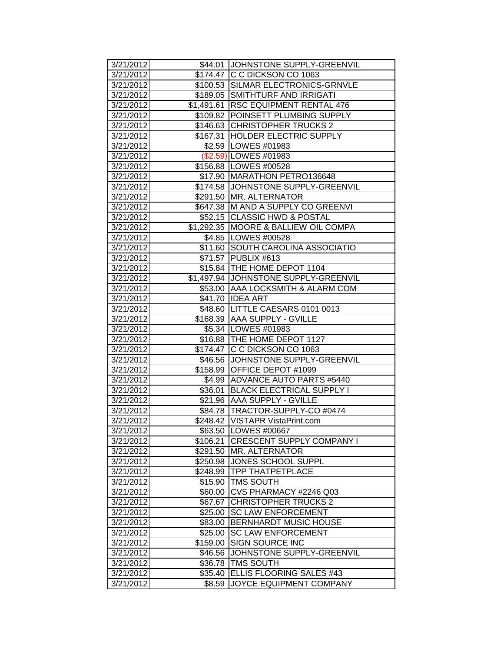| 3/21/2012 |          | \$44.01 JOHNSTONE SUPPLY-GREENVIL    |
|-----------|----------|--------------------------------------|
| 3/21/2012 |          | \$174.47 C C DICKSON CO 1063         |
| 3/21/2012 |          | \$100.53 SILMAR ELECTRONICS-GRNVLE   |
| 3/21/2012 |          | \$189.05 SMITHTURF AND IRRIGATI      |
| 3/21/2012 |          | \$1,491.61 RSC EQUIPMENT RENTAL 476  |
| 3/21/2012 |          | \$109.82 POINSETT PLUMBING SUPPLY    |
| 3/21/2012 |          | \$146.63 CHRISTOPHER TRUCKS 2        |
| 3/21/2012 |          | \$167.31 HOLDER ELECTRIC SUPPLY      |
| 3/21/2012 |          | \$2.59 LOWES #01983                  |
| 3/21/2012 |          | (\$2.59) LOWES #01983                |
| 3/21/2012 |          | \$156.88 LOWES #00528                |
| 3/21/2012 |          | \$17.90 MARATHON PETRO136648         |
| 3/21/2012 |          | \$174.58 JOHNSTONE SUPPLY-GREENVIL   |
| 3/21/2012 |          | \$291.50 MR. ALTERNATOR              |
| 3/21/2012 |          | \$647.38 M AND A SUPPLY CO GREENVI   |
| 3/21/2012 |          | \$52.15 CLASSIC HWD & POSTAL         |
| 3/21/2012 |          | \$1,292.35 MOORE & BALLIEW OIL COMPA |
| 3/21/2012 |          | \$4.85   LOWES #00528                |
| 3/21/2012 |          | \$11.60 SOUTH CAROLINA ASSOCIATIO    |
| 3/21/2012 |          | \$71.57 PUBLIX #613                  |
| 3/21/2012 |          | \$15.84   THE HOME DEPOT 1104        |
| 3/21/2012 |          | \$1,497.94 JOHNSTONE SUPPLY-GREENVIL |
| 3/21/2012 |          | \$53.00 AAA LOCKSMITH & ALARM COM    |
| 3/21/2012 |          | \$41.70 IDEA ART                     |
| 3/21/2012 |          | \$48.60 LITTLE CAESARS 0101 0013     |
| 3/21/2012 |          | \$168.39 AAA SUPPLY - GVILLE         |
| 3/21/2012 |          | \$5.34 LOWES #01983                  |
| 3/21/2012 |          | \$16.88   THE HOME DEPOT 1127        |
| 3/21/2012 |          | \$174.47 C C DICKSON CO 1063         |
| 3/21/2012 |          | \$46.56 JJOHNSTONE SUPPLY-GREENVIL   |
| 3/21/2012 |          | \$158.99 OFFICE DEPOT #1099          |
| 3/21/2012 |          | \$4.99 ADVANCE AUTO PARTS #5440      |
| 3/21/2012 | \$36.01  | <b>BLACK ELECTRICAL SUPPLY I</b>     |
| 3/21/2012 |          | \$21.96 AAA SUPPLY - GVILLE          |
| 3/21/2012 |          | \$84.78   TRACTOR-SUPPLY-CO #0474    |
| 3/21/2012 |          | \$248.42   VISTAPR VistaPrint.com    |
| 3/21/2012 |          | \$63.50 LOWES #00667                 |
| 3/21/2012 | \$106.21 | <b>CRESCENT SUPPLY COMPANY I</b>     |
| 3/21/2012 | \$291.50 | MR. ALTERNATOR                       |
| 3/21/2012 | \$250.98 | JONES SCHOOL SUPPL                   |
| 3/21/2012 | \$248.99 | <b>TPP THATPETPLACE</b>              |
| 3/21/2012 | \$15.90  | <b>TMS SOUTH</b>                     |
| 3/21/2012 | \$60.00  | CVS PHARMACY #2246 Q03               |
| 3/21/2012 | \$67.67  | <b>CHRISTOPHER TRUCKS 2</b>          |
| 3/21/2012 | \$25.00  | <b>SC LAW ENFORCEMENT</b>            |
| 3/21/2012 | \$83.00  | <b>BERNHARDT MUSIC HOUSE</b>         |
| 3/21/2012 | \$25.00  | <b>SC LAW ENFORCEMENT</b>            |
| 3/21/2012 | \$159.00 | <b>SIGN SOURCE INC</b>               |
| 3/21/2012 | \$46.56  | JOHNSTONE SUPPLY-GREENVIL            |
| 3/21/2012 | \$36.78  | TMS SOUTH                            |
| 3/21/2012 | \$35.40  | ELLIS FLOORING SALES #43             |
| 3/21/2012 | \$8.59   | JOYCE EQUIPMENT COMPANY              |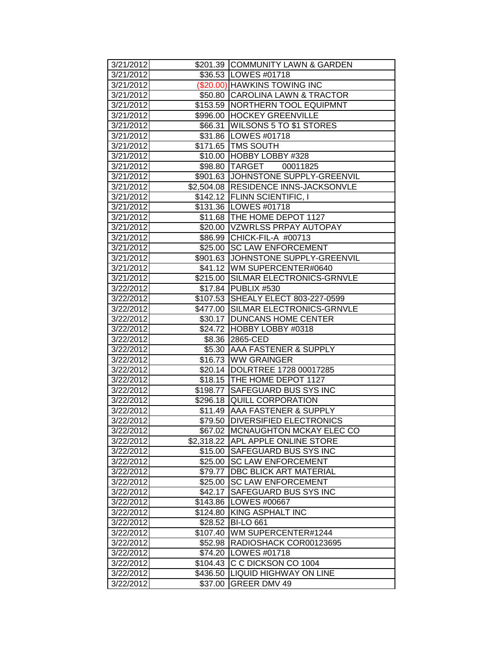| 3/21/2012              |                     | \$201.39 COMMUNITY LAWN & GARDEN                                |
|------------------------|---------------------|-----------------------------------------------------------------|
| 3/21/2012              |                     | \$36.53   LOWES #01718                                          |
| 3/21/2012              |                     | (\$20.00) HAWKINS TOWING INC                                    |
| 3/21/2012              |                     | \$50.80 CAROLINA LAWN & TRACTOR                                 |
| 3/21/2012              |                     | \$153.59   NORTHERN TOOL EQUIPMNT                               |
| 3/21/2012              |                     | \$996.00 HOCKEY GREENVILLE                                      |
| 3/21/2012              | \$66.31             | <b>WILSONS 5 TO \$1 STORES</b>                                  |
| 3/21/2012              |                     | \$31.86 LOWES #01718                                            |
| 3/21/2012              |                     | \$171.65 TMS SOUTH                                              |
| 3/21/2012              | \$10.00             | HOBBY LOBBY #328                                                |
| 3/21/2012              |                     | \$98.80 TARGET 00011825                                         |
| 3/21/2012              |                     | \$901.63 JJOHNSTONE SUPPLY-GREENVIL                             |
| 3/21/2012              |                     | \$2,504.08  RESIDENCE INNS-JACKSONVLE                           |
| 3/21/2012              |                     | \$142.12 FLINN SCIENTIFIC, I                                    |
| 3/21/2012              |                     | \$131.36   LOWES #01718                                         |
| 3/21/2012              |                     | \$11.68   THE HOME DEPOT 1127                                   |
| 3/21/2012              |                     | \$20.00 VZWRLSS PRPAY AUTOPAY                                   |
| 3/21/2012              |                     | \$86.99 CHICK-FIL-A #00713                                      |
| 3/21/2012              |                     | \$25.00 SC LAW ENFORCEMENT                                      |
| 3/21/2012              |                     | \$901.63 JJOHNSTONE SUPPLY-GREENVIL                             |
| 3/21/2012              |                     | \$41.12 WM SUPERCENTER#0640                                     |
| 3/21/2012              |                     | \$215.00 SILMAR ELECTRONICS-GRNVLE                              |
| 3/22/2012              |                     | \$17.84 PUBLIX #530                                             |
| 3/22/2012              |                     | \$107.53 SHEALY ELECT 803-227-0599                              |
| 3/22/2012              |                     | \$477.00 SILMAR ELECTRONICS-GRNVLE                              |
| 3/22/2012              |                     | \$30.17   DUNCANS HOME CENTER                                   |
| 3/22/2012              |                     | \$24.72 HOBBY LOBBY #0318                                       |
| 3/22/2012              |                     | \$8.36 2865-CED                                                 |
|                        |                     |                                                                 |
|                        |                     |                                                                 |
| 3/22/2012              |                     | \$5.30 AAA FASTENER & SUPPLY                                    |
| 3/22/2012<br>3/22/2012 |                     | \$16.73 WW GRAINGER<br>\$20.14  DOLRTREE 1728 00017285          |
|                        |                     |                                                                 |
| 3/22/2012<br>3/22/2012 |                     | \$18.15   THE HOME DEPOT 1127<br>\$198.77 SAFEGUARD BUS SYS INC |
| 3/22/2012              |                     | \$296.18 QUILL CORPORATION                                      |
| 3/22/2012              |                     | \$11.49 AAA FASTENER & SUPPLY                                   |
| 3/22/2012              |                     | \$79.50 DIVERSIFIED ELECTRONICS                                 |
| 3/22/2012              |                     | \$67.02 MCNAUGHTON MCKAY ELEC CO                                |
| 3/22/2012              |                     | \$2,318.22 APL APPLE ONLINE STORE                               |
| 3/22/2012              |                     | \$15.00 SAFEGUARD BUS SYS INC                                   |
| 3/22/2012              | \$25.00             | <b>SC LAW ENFORCEMENT</b>                                       |
| 3/22/2012              | \$79.77             | <b>DBC BLICK ART MATERIAL</b>                                   |
| 3/22/2012              | \$25.00             | <b>SC LAW ENFORCEMENT</b>                                       |
| 3/22/2012              | \$42.17             | SAFEGUARD BUS SYS INC                                           |
| 3/22/2012              | \$143.86            | <b>LOWES #00667</b>                                             |
| 3/22/2012              | \$124.80            | KING ASPHALT INC                                                |
| 3/22/2012              | \$28.52             | <b>BI-LO 661</b>                                                |
| 3/22/2012              | \$107.40            | <b>WM SUPERCENTER#1244</b>                                      |
| 3/22/2012              | \$52.98             | RADIOSHACK COR00123695                                          |
| 3/22/2012              | \$74.20             | LOWES #01718                                                    |
| 3/22/2012              | \$104.43            | C C DICKSON CO 1004                                             |
| 3/22/2012<br>3/22/2012 | \$436.50<br>\$37.00 | <b>LIQUID HIGHWAY ON LINE</b><br>GREER DMV 49                   |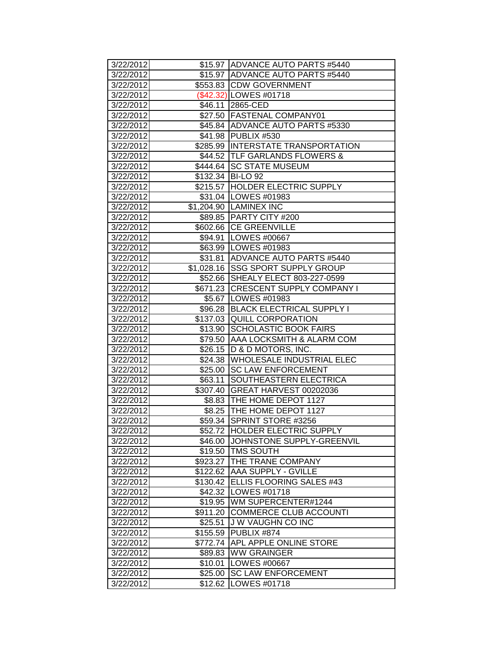| 3/22/2012              |                    | \$15.97 ADVANCE AUTO PARTS #5440                                  |
|------------------------|--------------------|-------------------------------------------------------------------|
| 3/22/2012              |                    | \$15.97 ADVANCE AUTO PARTS #5440                                  |
| 3/22/2012              |                    | \$553.83 CDW GOVERNMENT                                           |
| 3/22/2012              |                    | (\$42.32) LOWES #01718                                            |
| 3/22/2012              |                    | \$46.11 2865-CED                                                  |
| 3/22/2012              |                    | \$27.50 FASTENAL COMPANY01                                        |
| 3/22/2012              |                    | \$45.84 ADVANCE AUTO PARTS #5330                                  |
| 3/22/2012              |                    | \$41.98 PUBLIX #530                                               |
| 3/22/2012              |                    | \$285.99 INTERSTATE TRANSPORTATION                                |
| 3/22/2012              |                    | \$44.52 TLF GARLANDS FLOWERS &                                    |
| 3/22/2012              |                    | \$444.64 SC STATE MUSEUM                                          |
| 3/22/2012              |                    | \$132.34 BI-LO 92                                                 |
| 3/22/2012              |                    | \$215.57 HOLDER ELECTRIC SUPPLY                                   |
| 3/22/2012              |                    | \$31.04   LOWES #01983                                            |
| 3/22/2012              |                    | \$1,204.90 LAMINEX INC                                            |
| 3/22/2012              |                    | \$89.85 PARTY CITY #200                                           |
| 3/22/2012              |                    | \$602.66 CE GREENVILLE                                            |
| 3/22/2012              |                    | \$94.91  LOWES #00667                                             |
| 3/22/2012              |                    | \$63.99 LOWES #01983                                              |
| 3/22/2012              |                    | \$31.81 ADVANCE AUTO PARTS #5440                                  |
| 3/22/2012              |                    | \$1,028.16 SSG SPORT SUPPLY GROUP                                 |
| 3/22/2012              |                    | \$52.66 SHEALY ELECT 803-227-0599                                 |
| 3/22/2012              |                    | \$671.23 CRESCENT SUPPLY COMPANY I                                |
| 3/22/2012              |                    | \$5.67 LOWES #01983                                               |
| 3/22/2012              |                    | \$96.28 BLACK ELECTRICAL SUPPLY I                                 |
| 3/22/2012              |                    | \$137.03 QUILL CORPORATION                                        |
| 3/22/2012              | \$13.90            | <b>SCHOLASTIC BOOK FAIRS</b>                                      |
| 3/22/2012              | \$79.50            | AAA LOCKSMITH & ALARM COM                                         |
|                        |                    |                                                                   |
| 3/22/2012              |                    |                                                                   |
| 3/22/2012              | \$26.15<br>\$24.38 | <b>D &amp; D MOTORS, INC.</b><br><b>WHOLESALE INDUSTRIAL ELEC</b> |
| 3/22/2012              |                    | \$25.00 SC LAW ENFORCEMENT                                        |
| 3/22/2012              | \$63.11            | SOUTHEASTERN ELECTRICA                                            |
| 3/22/2012              | \$307.40           | GREAT HARVEST 00202036                                            |
| 3/22/2012              |                    | \$8.83   THE HOME DEPOT 1127                                      |
| 3/22/2012              |                    | \$8.25   THE HOME DEPOT 1127                                      |
| 3/22/2012              |                    | \$59.34 SPRINT STORE #3256                                        |
| 3/22/2012              |                    | \$52.72 HOLDER ELECTRIC SUPPLY                                    |
| 3/22/2012              |                    | \$46.00 JJOHNSTONE SUPPLY-GREENVIL                                |
| 3/22/2012              |                    | \$19.50 TMS SOUTH                                                 |
| 3/22/2012              |                    | \$923.27 THE TRANE COMPANY                                        |
| 3/22/2012              | \$122.62           | AAA SUPPLY - GVILLE                                               |
| 3/22/2012              |                    | \$130.42 ELLIS FLOORING SALES #43                                 |
| 3/22/2012              |                    | \$42.32   LOWES #01718                                            |
| 3/22/2012              | \$19.95            | WM SUPERCENTER#1244                                               |
| 3/22/2012              | \$911.20           | COMMERCE CLUB ACCOUNTI                                            |
| 3/22/2012              | \$25.51            | J W VAUGHN CO INC                                                 |
| 3/22/2012              | \$155.59           | PUBLIX #874                                                       |
| 3/22/2012              | \$772.74           | <b>APL APPLE ONLINE STORE</b>                                     |
| 3/22/2012              | \$89.83            | <b>WW GRAINGER</b>                                                |
| 3/22/2012              | \$10.01            | LOWES #00667                                                      |
| 3/22/2012<br>3/22/2012 | \$25.00<br>\$12.62 | <b>SC LAW ENFORCEMENT</b><br>LOWES #01718                         |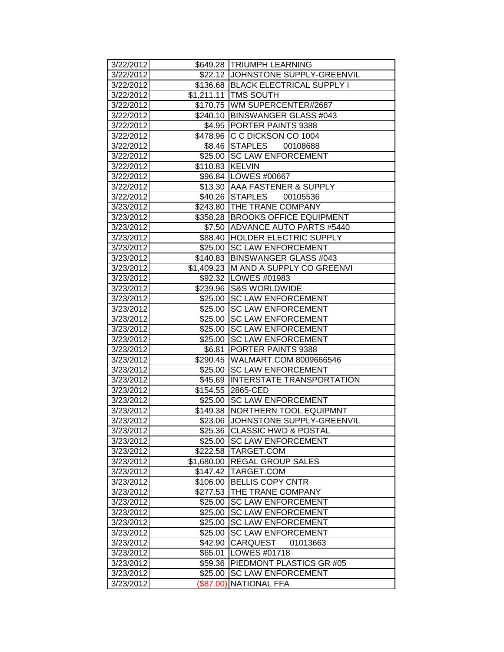| 3/22/2012              |                 | \$649.28 TRIUMPH LEARNING                                             |
|------------------------|-----------------|-----------------------------------------------------------------------|
| 3/22/2012              |                 | \$22.12 JOHNSTONE SUPPLY-GREENVIL                                     |
| 3/22/2012              |                 | \$136.68 BLACK ELECTRICAL SUPPLY I                                    |
| 3/22/2012              |                 | \$1,211.11 TMS SOUTH                                                  |
| 3/22/2012              |                 | \$170.75 WM SUPERCENTER#2687                                          |
| 3/22/2012              |                 | \$240.10 BINSWANGER GLASS #043                                        |
| 3/22/2012              |                 | \$4.95 PORTER PAINTS 9388                                             |
| 3/22/2012              |                 | \$478.96 C C DICKSON CO 1004                                          |
| 3/22/2012              |                 | \$8.46 STAPLES 00108688                                               |
| 3/22/2012              |                 | \$25.00 SC LAW ENFORCEMENT                                            |
| 3/22/2012              | \$110.83 KELVIN |                                                                       |
| 3/22/2012              |                 | \$96.84   LOWES #00667                                                |
| 3/22/2012              |                 | \$13.30 AAA FASTENER & SUPPLY                                         |
| 3/22/2012              |                 | \$40.26 STAPLES 00105536                                              |
| 3/23/2012              |                 | \$243.80 THE TRANE COMPANY                                            |
| 3/23/2012              |                 | \$358.28 BROOKS OFFICE EQUIPMENT                                      |
| 3/23/2012              |                 | \$7.50 ADVANCE AUTO PARTS #5440                                       |
| 3/23/2012              |                 | \$88.40 HOLDER ELECTRIC SUPPLY                                        |
| 3/23/2012              |                 | \$25.00 ISC LAW ENFORCEMENT                                           |
| 3/23/2012              |                 | \$140.83 BINSWANGER GLASS #043                                        |
| 3/23/2012              |                 | \$1,409.23 M AND A SUPPLY CO GREENVI                                  |
| 3/23/2012              |                 | \$92.32 LOWES #01983                                                  |
| 3/23/2012              |                 | \$239.96 S&S WORLDWIDE                                                |
| 3/23/2012              | \$25.00         | <b>SC LAW ENFORCEMENT</b>                                             |
| 3/23/2012              | \$25.00         | <b>SC LAW ENFORCEMENT</b>                                             |
| 3/23/2012              | \$25.00         | <b>SC LAW ENFORCEMENT</b>                                             |
| 3/23/2012              | \$25.00         | <b>ISC LAW ENFORCEMENT</b>                                            |
| 3/23/2012              |                 | \$25.00 SC LAW ENFORCEMENT                                            |
| 3/23/2012              | \$6.81          | <b>PORTER PAINTS 9388</b>                                             |
| 3/23/2012              |                 | \$290.45   WALMART.COM 8009666546                                     |
| 3/23/2012              |                 | \$25.00 SC LAW ENFORCEMENT                                            |
| 3/23/2012              |                 | \$45.69 INTERSTATE TRANSPORTATION                                     |
| 3/23/2012              |                 | \$154.55 2865-CED                                                     |
| 3/23/2012<br>3/23/2012 |                 | \$25.00 SC LAW ENFORCEMENT                                            |
| 3/23/2012              |                 | \$149.38 NORTHERN TOOL EQUIPMNT<br>\$23.06 JJOHNSTONE SUPPLY-GREENVIL |
| 3/23/2012              |                 | \$25.36 CLASSIC HWD & POSTAL                                          |
| 3/23/2012              | \$25.00         | <b>SC LAW ENFORCEMENT</b>                                             |
| 3/23/2012              |                 | \$222.58   TARGET.COM                                                 |
| 3/23/2012              | \$1,680.00      | <b>REGAL GROUP SALES</b>                                              |
| 3/23/2012              | \$147.42        | TARGET.COM                                                            |
| 3/23/2012              | \$106.00        | <b>BELLIS COPY CNTR</b>                                               |
| 3/23/2012              | \$277.53        | <b>THE TRANE COMPANY</b>                                              |
| 3/23/2012              | \$25.00         | <b>SC LAW ENFORCEMENT</b>                                             |
| 3/23/2012              | \$25.00         | <b>SC LAW ENFORCEMENT</b>                                             |
| 3/23/2012              | \$25.00         | <b>SC LAW ENFORCEMENT</b>                                             |
| 3/23/2012              | \$25.00         | <b>SC LAW ENFORCEMENT</b>                                             |
| 3/23/2012              | \$42.90         | <b>CARQUEST</b><br>01013663                                           |
| 3/23/2012              | \$65.01         | LOWES #01718                                                          |
| 3/23/2012              | \$59.36         | <b>PIEDMONT PLASTICS GR #05</b>                                       |
| 3/23/2012              | \$25.00         | <b>SC LAW ENFORCEMENT</b>                                             |
| 3/23/2012              | (\$87.00)       | <b>NATIONAL FFA</b>                                                   |
|                        |                 |                                                                       |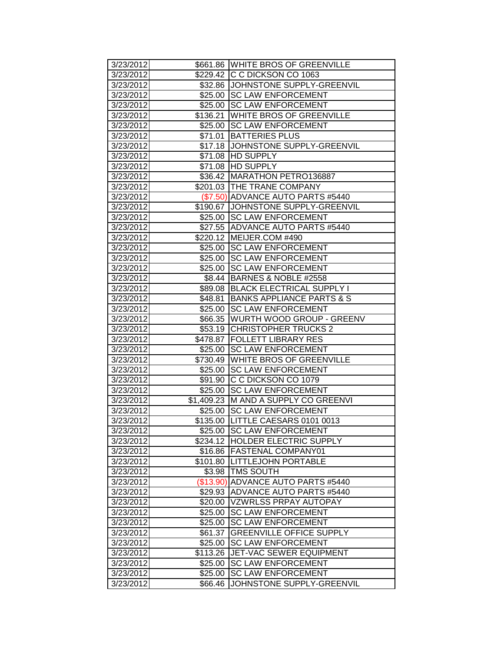| 3/23/2012 |          | \$661.86 WHITE BROS OF GREENVILLE    |
|-----------|----------|--------------------------------------|
| 3/23/2012 |          | \$229.42 C C DICKSON CO 1063         |
| 3/23/2012 |          | \$32.86 JJOHNSTONE SUPPLY-GREENVIL   |
| 3/23/2012 |          | \$25.00 SC LAW ENFORCEMENT           |
| 3/23/2012 |          | \$25.00 SC LAW ENFORCEMENT           |
| 3/23/2012 |          | \$136.21 WHITE BROS OF GREENVILLE    |
| 3/23/2012 |          | \$25.00 SC LAW ENFORCEMENT           |
| 3/23/2012 | \$71.01  | <b>BATTERIES PLUS</b>                |
| 3/23/2012 |          | \$17.18 JOHNSTONE SUPPLY-GREENVIL    |
| 3/23/2012 | \$71.08  | <b>HD SUPPLY</b>                     |
| 3/23/2012 |          | \$71.08 HD SUPPLY                    |
| 3/23/2012 |          | \$36.42 MARATHON PETRO136887         |
| 3/23/2012 |          | \$201.03 THE TRANE COMPANY           |
| 3/23/2012 |          | (\$7.50) ADVANCE AUTO PARTS #5440    |
| 3/23/2012 |          | \$190.67 JJOHNSTONE SUPPLY-GREENVIL  |
| 3/23/2012 |          | \$25.00 SC LAW ENFORCEMENT           |
| 3/23/2012 |          | \$27.55 ADVANCE AUTO PARTS #5440     |
| 3/23/2012 |          | \$220.12 MEIJER.COM #490             |
| 3/23/2012 |          | \$25.00 SC LAW ENFORCEMENT           |
| 3/23/2012 |          | \$25.00 SC LAW ENFORCEMENT           |
| 3/23/2012 |          | \$25.00 SC LAW ENFORCEMENT           |
| 3/23/2012 |          | \$8.44 BARNES & NOBLE #2558          |
| 3/23/2012 |          | \$89.08 BLACK ELECTRICAL SUPPLY I    |
| 3/23/2012 | \$48.81  | BANKS APPLIANCE PARTS & S            |
| 3/23/2012 | \$25.00  | <b>SC LAW ENFORCEMENT</b>            |
| 3/23/2012 | \$66.35  | <b>WURTH WOOD GROUP - GREENV</b>     |
| 3/23/2012 |          | \$53.19 CHRISTOPHER TRUCKS 2         |
| 3/23/2012 |          | \$478.87   FOLLETT LIBRARY RES       |
| 3/23/2012 |          | \$25.00 SC LAW ENFORCEMENT           |
| 3/23/2012 |          | \$730.49 WHITE BROS OF GREENVILLE    |
| 3/23/2012 |          | \$25.00 SC LAW ENFORCEMENT           |
| 3/23/2012 |          | \$91.90 C C DICKSON CO 1079          |
| 3/23/2012 | \$25.00  | <b>SC LAW ENFORCEMENT</b>            |
| 3/23/2012 |          | \$1,409.23 M AND A SUPPLY CO GREENVI |
| 3/23/2012 |          | \$25.00 SC LAW ENFORCEMENT           |
| 3/23/2012 |          | \$135.00   LITTLE CAESARS 0101 0013  |
| 3/23/2012 |          | \$25.00  SC LAW ENFORCEMENT          |
| 3/23/2012 |          | \$234.12 HOLDER ELECTRIC SUPPLY      |
| 3/23/2012 |          | \$16.86   FASTENAL COMPANY01         |
| 3/23/2012 |          | \$101.80  LITTLEJOHN PORTABLE        |
| 3/23/2012 | \$3.98   | <b>TMS SOUTH</b>                     |
| 3/23/2012 |          | (\$13.90) ADVANCE AUTO PARTS #5440   |
| 3/23/2012 | \$29.93  | ADVANCE AUTO PARTS #5440             |
| 3/23/2012 |          | \$20.00   VZWRLSS PRPAY AUTOPAY      |
| 3/23/2012 | \$25.00  | <b>SC LAW ENFORCEMENT</b>            |
| 3/23/2012 | \$25.00  | <b>SC LAW ENFORCEMENT</b>            |
| 3/23/2012 | \$61.37  | <b>GREENVILLE OFFICE SUPPLY</b>      |
| 3/23/2012 | \$25.00  | <b>SC LAW ENFORCEMENT</b>            |
| 3/23/2012 | \$113.26 | <b>JET-VAC SEWER EQUIPMENT</b>       |
| 3/23/2012 | \$25.00  | <b>SC LAW ENFORCEMENT</b>            |
| 3/23/2012 | \$25.00  | <b>SC LAW ENFORCEMENT</b>            |
| 3/23/2012 | \$66.46  | JOHNSTONE SUPPLY-GREENVIL            |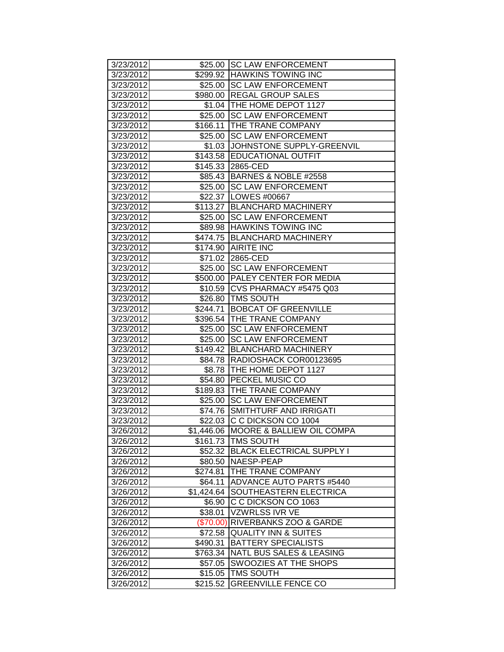| 3/23/2012              |                      | \$25.00 SC LAW ENFORCEMENT                                    |
|------------------------|----------------------|---------------------------------------------------------------|
| 3/23/2012              |                      | \$299.92 HAWKINS TOWING INC                                   |
| 3/23/2012              |                      | \$25.00 SC LAW ENFORCEMENT                                    |
| 3/23/2012              |                      | \$980.00 REGAL GROUP SALES                                    |
| 3/23/2012              |                      | \$1.04 THE HOME DEPOT 1127                                    |
| 3/23/2012              | \$25.00              | <b>SC LAW ENFORCEMENT</b>                                     |
| 3/23/2012              | $\overline{$}166.11$ | <b>THE TRANE COMPANY</b>                                      |
| 3/23/2012              | \$25.00              | <b>SC LAW ENFORCEMENT</b>                                     |
| 3/23/2012              | \$1.03               | JOHNSTONE SUPPLY-GREENVIL                                     |
| 3/23/2012              | \$143.58             | <b>EDUCATIONAL OUTFIT</b>                                     |
| 3/23/2012              | \$145.33             | 2865-CED                                                      |
| 3/23/2012              |                      | \$85.43 BARNES & NOBLE #2558                                  |
| 3/23/2012              |                      | \$25.00 SC LAW ENFORCEMENT                                    |
| 3/23/2012              |                      | \$22.37   LOWES #00667                                        |
| 3/23/2012              |                      | \$113.27 BLANCHARD MACHINERY                                  |
| 3/23/2012              | \$25.00              | <b>SC LAW ENFORCEMENT</b>                                     |
| 3/23/2012              |                      | \$89.98 HAWKINS TOWING INC                                    |
| 3/23/2012              |                      | \$474.75 BLANCHARD MACHINERY                                  |
| 3/23/2012              |                      | \$174.90 AIRITE INC                                           |
| 3/23/2012              |                      | \$71.02 2865-CED                                              |
| 3/23/2012              |                      | \$25.00 SC LAW ENFORCEMENT                                    |
| 3/23/2012              | \$500.00             | <b>PALEY CENTER FOR MEDIA</b>                                 |
| 3/23/2012              | \$10.59              | CVS PHARMACY #5475 Q03                                        |
| 3/23/2012              | \$26.80              | <b>TMS SOUTH</b>                                              |
| 3/23/2012              | \$244.71             | <b>BOBCAT OF GREENVILLE</b>                                   |
| 3/23/2012              | \$396.54             | <b>THE TRANE COMPANY</b>                                      |
| 3/23/2012              | \$25.00              | <b>ISC LAW ENFORCEMENT</b>                                    |
| 3/23/2012              | $\overline{$}25.00$  | <b>SC LAW ENFORCEMENT</b>                                     |
| 3/23/2012              | \$149.42             | <b>BLANCHARD MACHINERY</b>                                    |
| 3/23/2012              | \$84.78              | RADIOSHACK COR00123695                                        |
| 3/23/2012              | \$8.78               | THE HOME DEPOT 1127                                           |
| 3/23/2012              | \$54.80              | <b>PECKEL MUSIC CO</b>                                        |
| 3/23/2012              |                      | \$189.83 THE TRANE COMPANY                                    |
| 3/23/2012              | \$25.00              | <b>SC LAW ENFORCEMENT</b>                                     |
| 3/23/2012              | \$74.76              | <b>SMITHTURF AND IRRIGATI</b>                                 |
| 3/23/2012              |                      | \$22.03 C C DICKSON CO 1004                                   |
| 3/26/2012              |                      | \$1,446.06 MOORE & BALLIEW OIL COMPA                          |
| 3/26/2012              |                      | \$161.73 TMS SOUTH<br><b>BLACK ELECTRICAL SUPPLY I</b>        |
| 3/26/2012              | \$52.32              |                                                               |
| 3/26/2012              | \$80.50              | NAESP-PEAP                                                    |
| 3/26/2012              | \$274.81             | <b>THE TRANE COMPANY</b>                                      |
| 3/26/2012              | \$64.11              | ADVANCE AUTO PARTS #5440                                      |
| 3/26/2012              | \$1,424.64           | SOUTHEASTERN ELECTRICA<br>C C DICKSON CO 1063                 |
| 3/26/2012              | \$6.90               |                                                               |
| 3/26/2012              | \$38.01              | VZWRLSS IVR VE                                                |
| 3/26/2012              | (\$70.00)            | <b>RIVERBANKS ZOO &amp; GARDE</b>                             |
| 3/26/2012<br>3/26/2012 | \$72.58<br>\$490.31  | <b>QUALITY INN &amp; SUITES</b><br><b>BATTERY SPECIALISTS</b> |
|                        |                      | NATL BUS SALES & LEASING                                      |
| 3/26/2012<br>3/26/2012 | \$763.34             | <b>SWOOZIES AT THE SHOPS</b>                                  |
| 3/26/2012              | \$57.05<br>\$15.05   | <b>TMS SOUTH</b>                                              |
| 3/26/2012              | \$215.52             | <b>GREENVILLE FENCE CO</b>                                    |
|                        |                      |                                                               |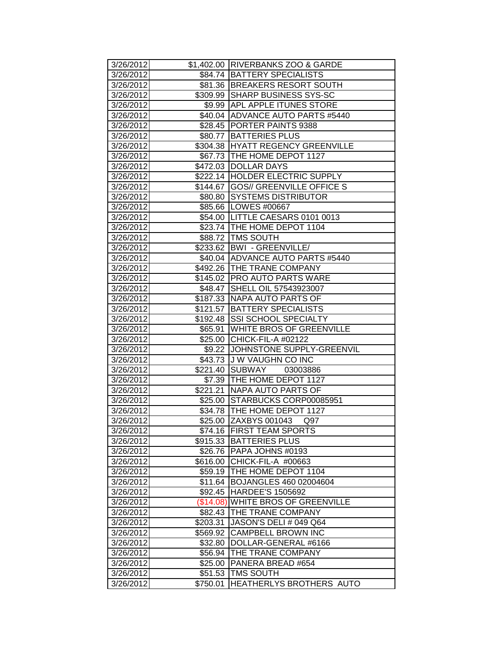| 3/26/2012              |                     | \$1,402.00 RIVERBANKS ZOO & GARDE     |
|------------------------|---------------------|---------------------------------------|
| 3/26/2012              |                     | \$84.74 BATTERY SPECIALISTS           |
| 3/26/2012              |                     | \$81.36 BREAKERS RESORT SOUTH         |
| 3/26/2012              |                     | \$309.99 SHARP BUSINESS SYS-SC        |
| 3/26/2012              |                     | \$9.99 APL APPLE ITUNES STORE         |
| 3/26/2012              |                     | \$40.04 ADVANCE AUTO PARTS #5440      |
| 3/26/2012              |                     | \$28.45 PORTER PAINTS 9388            |
| 3/26/2012              |                     | \$80.77 BATTERIES PLUS                |
| 3/26/2012              |                     | \$304.38 HYATT REGENCY GREENVILLE     |
| 3/26/2012              |                     | \$67.73 THE HOME DEPOT 1127           |
| 3/26/2012              |                     | \$472.03 DOLLAR DAYS                  |
| 3/26/2012              |                     | \$222.14 HOLDER ELECTRIC SUPPLY       |
| 3/26/2012              |                     | \$144.67 GOS// GREENVILLE OFFICE S    |
| 3/26/2012              |                     | \$80.80 SYSTEMS DISTRIBUTOR           |
| 3/26/2012              |                     | \$85.66   LOWES #00667                |
| 3/26/2012              |                     | \$54.00   LITTLE CAESARS 0101 0013    |
| 3/26/2012              |                     | \$23.74 THE HOME DEPOT 1104           |
| 3/26/2012              |                     | \$88.72   TMS SOUTH                   |
| 3/26/2012              |                     | \$233.62   BWI - GREENVILLE/          |
| 3/26/2012              |                     | \$40.04 ADVANCE AUTO PARTS #5440      |
| 3/26/2012              |                     | \$492.26 THE TRANE COMPANY            |
| 3/26/2012              |                     | \$145.02 PRO AUTO PARTS WARE          |
| 3/26/2012              |                     | \$48.47 SHELL OIL 57543923007         |
| 3/26/2012              |                     | \$187.33 NAPA AUTO PARTS OF           |
| 3/26/2012              |                     | \$121.57 BATTERY SPECIALISTS          |
| 3/26/2012              | \$192.48            | <b>SSI SCHOOL SPECIALTY</b>           |
| 3/26/2012              | \$65.91             | <b>WHITE BROS OF GREENVILLE</b>       |
| 3/26/2012              |                     | \$25.00 CHICK-FIL-A #02122            |
|                        |                     |                                       |
| 3/26/2012              |                     | \$9.22 JJOHNSTONE SUPPLY-GREENVIL     |
| 3/26/2012              |                     | \$43.73 J W VAUGHN CO INC             |
| 3/26/2012              |                     | \$221.40 SUBWAY<br>03003886           |
| 3/26/2012              |                     | \$7.39 THE HOME DEPOT 1127            |
| 3/26/2012              | \$221.21            | INAPA AUTO PARTS OF                   |
| 3/26/2012              |                     | \$25.00 STARBUCKS CORP00085951        |
| 3/26/2012              |                     | \$34.78 THE HOME DEPOT 1127           |
| 3/26/2012              |                     | \$25.00 ZAXBYS 001043 Q97             |
| 3/26/2012              |                     | \$74.16 FIRST TEAM SPORTS             |
| 3/26/2012              |                     | \$915.33 BATTERIES PLUS               |
| 3/26/2012              |                     | \$26.76 PAPA JOHNS #0193              |
| 3/26/2012              | \$616.00            | CHICK-FIL-A #00663                    |
| 3/26/2012              | \$59.19             | THE HOME DEPOT 1104                   |
| 3/26/2012              | \$11.64             | BOJANGLES 460 02004604                |
| 3/26/2012              | \$92.45             | <b>HARDEE'S 1505692</b>               |
| 3/26/2012              | (\$14.08)           | <b>WHITE BROS OF GREENVILLE</b>       |
| 3/26/2012              | \$82.43             | <b>THE TRANE COMPANY</b>              |
| 3/26/2012              | \$203.31            | JASON'S DELI # 049 Q64                |
| 3/26/2012              | \$569.92            | <b>CAMPBELL BROWN INC</b>             |
| 3/26/2012              | \$32.80             | DOLLAR-GENERAL #6166                  |
| 3/26/2012              | \$56.94             | THE TRANE COMPANY                     |
| 3/26/2012              | \$25.00             | <b>PANERA BREAD #654</b>              |
| 3/26/2012<br>3/26/2012 | \$51.53<br>\$750.01 | TMS SOUTH<br>HEATHERLYS BROTHERS AUTO |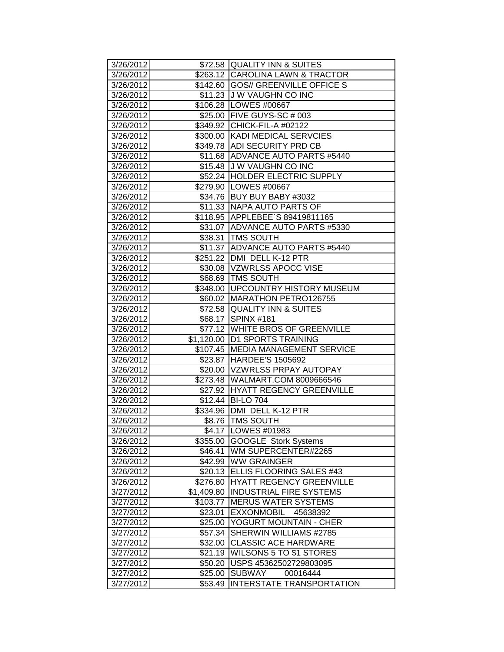| 3/26/2012 |            | \$72.58 QUALITY INN & SUITES        |
|-----------|------------|-------------------------------------|
| 3/26/2012 |            | \$263.12 CAROLINA LAWN & TRACTOR    |
| 3/26/2012 |            | \$142.60 GOS// GREENVILLE OFFICE S  |
| 3/26/2012 |            | \$11.23 J W VAUGHN CO INC           |
| 3/26/2012 |            | \$106.28 LOWES #00667               |
| 3/26/2012 |            | \$25.00 FIVE GUYS-SC # 003          |
| 3/26/2012 |            | \$349.92 CHICK-FIL-A #02122         |
| 3/26/2012 |            | \$300.00 KADI MEDICAL SERVCIES      |
| 3/26/2012 |            | \$349.78 ADI SECURITY PRD CB        |
| 3/26/2012 |            | \$11.68 ADVANCE AUTO PARTS #5440    |
| 3/26/2012 |            | \$15.48 J W VAUGHN CO INC           |
| 3/26/2012 |            | \$52.24 HOLDER ELECTRIC SUPPLY      |
| 3/26/2012 |            | \$279.90 LOWES #00667               |
| 3/26/2012 |            | \$34.76 BUY BUY BABY #3032          |
| 3/26/2012 |            | \$11.33 NAPA AUTO PARTS OF          |
| 3/26/2012 |            | \$118.95 APPLEBEE`S 89419811165     |
| 3/26/2012 |            | \$31.07 ADVANCE AUTO PARTS #5330    |
| 3/26/2012 |            | \$38.31   TMS SOUTH                 |
| 3/26/2012 |            | \$11.37 ADVANCE AUTO PARTS #5440    |
| 3/26/2012 |            | \$251.22 DMI DELL K-12 PTR          |
| 3/26/2012 |            | \$30.08  VZWRLSS APOCC VISE         |
| 3/26/2012 |            | \$68.69 TMS SOUTH                   |
| 3/26/2012 |            | \$348.00   UPCOUNTRY HISTORY MUSEUM |
| 3/26/2012 |            | \$60.02   MARATHON PETRO126755      |
| 3/26/2012 |            | \$72.58 QUALITY INN & SUITES        |
| 3/26/2012 |            | \$68.17 SPINX #181                  |
| 3/26/2012 |            | \$77.12 WHITE BROS OF GREENVILLE    |
| 3/26/2012 |            | \$1,120.00 D1 SPORTS TRAINING       |
| 3/26/2012 |            | \$107.45 MEDIA MANAGEMENT SERVICE   |
| 3/26/2012 |            | \$23.87 HARDEE'S 1505692            |
| 3/26/2012 |            | \$20.00 VZWRLSS PRPAY AUTOPAY       |
| 3/26/2012 |            | \$273.48   WALMART.COM 8009666546   |
| 3/26/2012 |            | \$27.92 HYATT REGENCY GREENVILLE    |
| 3/26/2012 |            | \$12.44 BI-LO 704                   |
| 3/26/2012 |            | \$334.96   DMI DELL K-12 PTR        |
| 3/26/2012 |            | \$8.76 TMS SOUTH                    |
| 3/26/2012 |            | \$4.17   LOWES #01983               |
| 3/26/2012 |            | \$355.00 GOOGLE Stork Systems       |
| 3/26/2012 |            | \$46.41   WM SUPERCENTER#2265       |
| 3/26/2012 |            | \$42.99 WW GRAINGER                 |
| 3/26/2012 |            | \$20.13 ELLIS FLOORING SALES #43    |
| 3/26/2012 | \$276.80   | <b>HYATT REGENCY GREENVILLE</b>     |
| 3/27/2012 | \$1,409.80 | <b>INDUSTRIAL FIRE SYSTEMS</b>      |
| 3/27/2012 | \$103.77   | <b>MERUS WATER SYSTEMS</b>          |
| 3/27/2012 | \$23.01    | <b>EXXONMOBIL</b><br>45638392       |
| 3/27/2012 | \$25.00    | YOGURT MOUNTAIN - CHER              |
| 3/27/2012 | \$57.34    | <b>SHERWIN WILLIAMS #2785</b>       |
| 3/27/2012 | \$32.00    | <b>CLASSIC ACE HARDWARE</b>         |
| 3/27/2012 | \$21.19    | <b>WILSONS 5 TO \$1 STORES</b>      |
| 3/27/2012 | \$50.20    | USPS 45362502729803095              |
| 3/27/2012 | \$25.00    | <b>SUBWAY</b><br>00016444           |
| 3/27/2012 | \$53.49    | <b>INTERSTATE TRANSPORTATION</b>    |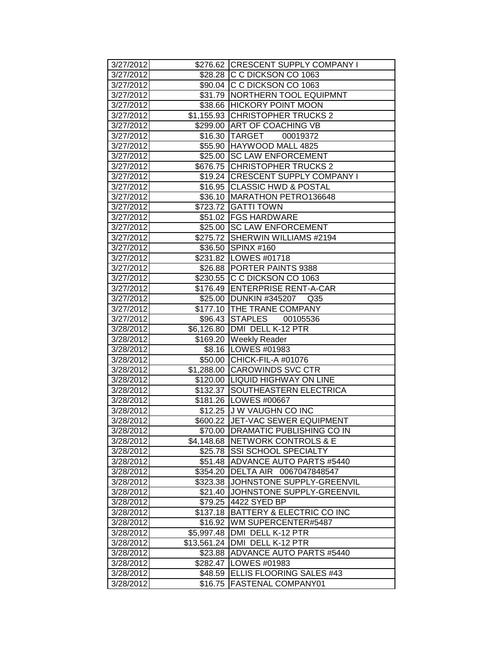| 3/27/2012              |             | \$276.62 CRESCENT SUPPLY COMPANY I                                 |
|------------------------|-------------|--------------------------------------------------------------------|
| 3/27/2012              |             | \$28.28 C C DICKSON CO 1063                                        |
| 3/27/2012              |             | \$90.04 C C DICKSON CO 1063                                        |
| 3/27/2012              |             | \$31.79   NORTHERN TOOL EQUIPMNT                                   |
| 3/27/2012              |             | \$38.66 HICKORY POINT MOON                                         |
| 3/27/2012              |             | \$1,155.93 CHRISTOPHER TRUCKS 2                                    |
| 3/27/2012              |             | \$299.00 ART OF COACHING VB                                        |
| 3/27/2012              |             | \$16.30 TARGET 00019372                                            |
| 3/27/2012              |             | \$55.90 HAYWOOD MALL 4825                                          |
| 3/27/2012              |             | \$25.00 SC LAW ENFORCEMENT                                         |
| 3/27/2012              |             | \$676.75 CHRISTOPHER TRUCKS 2                                      |
| 3/27/2012              |             | \$19.24 CRESCENT SUPPLY COMPANY I                                  |
| 3/27/2012              |             | \$16.95 CLASSIC HWD & POSTAL                                       |
| 3/27/2012              |             | \$36.10 MARATHON PETRO136648                                       |
| 3/27/2012              |             | \$723.72 GATTI TOWN                                                |
| 3/27/2012              |             | \$51.02   FGS HARDWARE                                             |
| 3/27/2012              |             | \$25.00 SC LAW ENFORCEMENT                                         |
| 3/27/2012              |             | \$275.72 SHERWIN WILLIAMS #2194                                    |
| 3/27/2012              |             | \$36.50 SPINX #160                                                 |
| 3/27/2012              |             | \$231.82 LOWES #01718                                              |
| 3/27/2012              |             | \$26.88 PORTER PAINTS 9388                                         |
| 3/27/2012              |             | \$230.55 C C DICKSON CO 1063                                       |
| 3/27/2012              |             | \$176.49 ENTERPRISE RENT-A-CAR                                     |
| 3/27/2012              |             | \$25.00 DUNKIN #345207 Q35                                         |
| 3/27/2012              |             | \$177.10 THE TRANE COMPANY                                         |
| 3/27/2012              |             | \$96.43 STAPLES 00105536                                           |
| 3/28/2012              |             | \$6,126.80 DMI DELL K-12 PTR                                       |
| 3/28/2012              |             | \$169.20 Weekly Reader                                             |
| 3/28/2012              |             | \$8.16   LOWES #01983                                              |
| 3/28/2012              |             | \$50.00 CHICK-FIL-A #01076                                         |
| 3/28/2012              |             | \$1,288.00 CAROWINDS SVC CTR                                       |
| 3/28/2012              |             | \$120.00 LIQUID HIGHWAY ON LINE<br>\$132.37 SOUTHEASTERN ELECTRICA |
| 3/28/2012<br>3/28/2012 |             | \$181.26   LOWES #00667                                            |
| 3/28/2012              |             | \$12.25 J W VAUGHN CO INC                                          |
| 3/28/2012              |             | \$600.22 JJET-VAC SEWER EQUIPMENT                                  |
| 3/28/2012              |             | \$70.00 DRAMATIC PUBLISHING CO IN                                  |
| 3/28/2012              |             | \$4,148.68 NETWORK CONTROLS & E                                    |
| 3/28/2012              | \$25.78     | <b>SSI SCHOOL SPECIALTY</b>                                        |
| 3/28/2012              | \$51.48     | ADVANCE AUTO PARTS #5440                                           |
| 3/28/2012              | \$354.20    | DELTA AIR 0067047848547                                            |
| 3/28/2012              | \$323.38    | JOHNSTONE SUPPLY-GREENVIL                                          |
| 3/28/2012              | \$21.40     | JOHNSTONE SUPPLY-GREENVIL                                          |
| 3/28/2012              | \$79.25     | 4422 SYED BP                                                       |
| 3/28/2012              | \$137.18    | BATTERY & ELECTRIC CO INC                                          |
| 3/28/2012              | \$16.92     | <b>WM SUPERCENTER#5487</b>                                         |
| 3/28/2012              | \$5,997.48  | DMI DELL K-12 PTR                                                  |
| 3/28/2012              | \$13,561.24 | DMI DELL K-12 PTR                                                  |
| 3/28/2012              | \$23.88     | <b>ADVANCE AUTO PARTS #5440</b>                                    |
| 3/28/2012              | \$282.47    | LOWES #01983                                                       |
| 3/28/2012              | \$48.59     | <b>ELLIS FLOORING SALES #43</b>                                    |
| 3/28/2012              | \$16.75     | <b>FASTENAL COMPANY01</b>                                          |
|                        |             |                                                                    |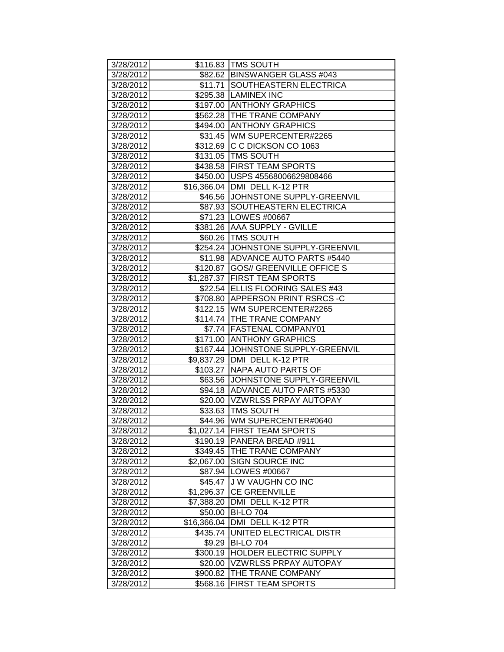| 3/28/2012 |                  | \$116.83   TMS SOUTH                |
|-----------|------------------|-------------------------------------|
| 3/28/2012 |                  | \$82.62 BINSWANGER GLASS #043       |
| 3/28/2012 |                  | \$11.71 SOUTHEASTERN ELECTRICA      |
| 3/28/2012 |                  | \$295.38  LAMINEX INC               |
| 3/28/2012 |                  | \$197.00 ANTHONY GRAPHICS           |
| 3/28/2012 |                  | \$562.28 THE TRANE COMPANY          |
| 3/28/2012 |                  | \$494.00 ANTHONY GRAPHICS           |
| 3/28/2012 |                  | \$31.45   WM SUPERCENTER#2265       |
| 3/28/2012 |                  | \$312.69 C C DICKSON CO 1063        |
| 3/28/2012 |                  | \$131.05 TMS SOUTH                  |
| 3/28/2012 |                  | \$438.58 FIRST TEAM SPORTS          |
| 3/28/2012 |                  | \$450.00 USPS 45568006629808466     |
| 3/28/2012 |                  | \$16,366.04 DMI DELL K-12 PTR       |
| 3/28/2012 |                  | \$46.56 JJOHNSTONE SUPPLY-GREENVIL  |
| 3/28/2012 |                  | \$87.93 SOUTHEASTERN ELECTRICA      |
| 3/28/2012 |                  | \$71.23   LOWES #00667              |
| 3/28/2012 |                  | \$381.26 AAA SUPPLY - GVILLE        |
| 3/28/2012 |                  | \$60.26   TMS SOUTH                 |
| 3/28/2012 |                  | \$254.24 JOHNSTONE SUPPLY-GREENVIL  |
| 3/28/2012 |                  | \$11.98 ADVANCE AUTO PARTS #5440    |
| 3/28/2012 |                  | \$120.87 GOS// GREENVILLE OFFICE S  |
| 3/28/2012 |                  | \$1,287.37 FIRST TEAM SPORTS        |
| 3/28/2012 |                  | \$22.54 ELLIS FLOORING SALES #43    |
| 3/28/2012 |                  | \$708.80 APPERSON PRINT RSRCS-C     |
| 3/28/2012 |                  | \$122.15   WM SUPERCENTER#2265      |
| 3/28/2012 |                  | \$114.74 THE TRANE COMPANY          |
| 3/28/2012 |                  | \$7.74   FASTENAL COMPANY01         |
| 3/28/2012 | $\sqrt{3}171.00$ | <b>ANTHONY GRAPHICS</b>             |
| 3/28/2012 |                  | \$167.44 JJOHNSTONE SUPPLY-GREENVIL |
| 3/28/2012 |                  | \$9,837.29 DMI DELL K-12 PTR        |
| 3/28/2012 | \$103.27         | <b>NAPA AUTO PARTS OF</b>           |
| 3/28/2012 |                  | \$63.56 JJOHNSTONE SUPPLY-GREENVIL  |
| 3/28/2012 |                  | \$94.18 ADVANCE AUTO PARTS #5330    |
| 3/28/2012 |                  | \$20.00 VZWRLSS PRPAY AUTOPAY       |
| 3/28/2012 |                  | \$33.63   TMS SOUTH                 |
| 3/28/2012 |                  | \$44.96 WM SUPERCENTER#0640         |
| 3/28/2012 |                  | \$1,027.14   FIRST TEAM SPORTS      |
| 3/28/2012 |                  | \$190.19   PANERA BREAD #911        |
| 3/28/2012 |                  | \$349.45   THE TRANE COMPANY        |
| 3/28/2012 | \$2,067.00       | <b>SIGN SOURCE INC</b>              |
| 3/28/2012 |                  | \$87.94   LOWES #00667              |
| 3/28/2012 | \$45.47          | J W VAUGHN CO INC                   |
| 3/28/2012 | \$1,296.37       | <b>CE GREENVILLE</b>                |
| 3/28/2012 | \$7,388.20       | DMI DELL K-12 PTR                   |
| 3/28/2012 | \$50.00          | <b>BI-LO 704</b>                    |
| 3/28/2012 | \$16,366.04      | DMI DELL K-12 PTR                   |
| 3/28/2012 | \$435.74         | UNITED ELECTRICAL DISTR             |
| 3/28/2012 | \$9.29           | <b>BI-LO 704</b>                    |
| 3/28/2012 | \$300.19         | <b>HOLDER ELECTRIC SUPPLY</b>       |
| 3/28/2012 | \$20.00          | VZWRLSS PRPAY AUTOPAY               |
| 3/28/2012 | \$900.82         | THE TRANE COMPANY                   |
| 3/28/2012 | \$568.16         | <b>FIRST TEAM SPORTS</b>            |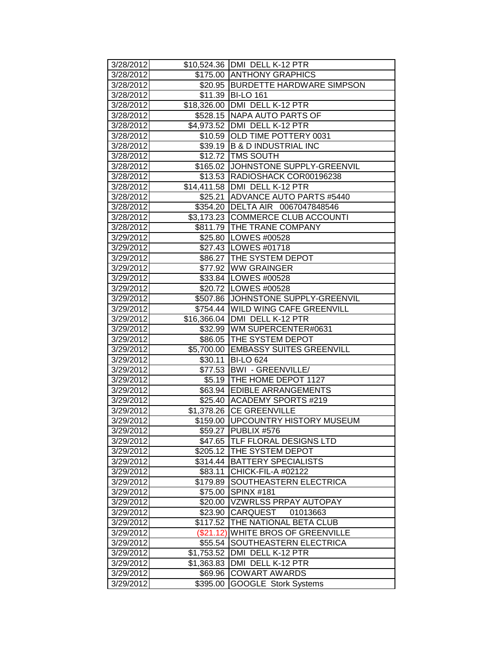| 3/28/2012 |            | \$10,524.36   DMI DELL K-12 PTR     |
|-----------|------------|-------------------------------------|
| 3/28/2012 |            | \$175.00 ANTHONY GRAPHICS           |
| 3/28/2012 |            | \$20.95 BURDETTE HARDWARE SIMPSON   |
| 3/28/2012 |            | \$11.39 BI-LO 161                   |
| 3/28/2012 |            | \$18,326.00 DMI DELL K-12 PTR       |
| 3/28/2012 |            | \$528.15 NAPA AUTO PARTS OF         |
| 3/28/2012 |            | \$4,973.52   DMI DELL K-12 PTR      |
| 3/28/2012 |            | \$10.59 OLD TIME POTTERY 0031       |
| 3/28/2012 |            | \$39.19 B & D INDUSTRIAL INC        |
| 3/28/2012 |            | \$12.72 TMS SOUTH                   |
| 3/28/2012 |            | \$165.02 JJOHNSTONE SUPPLY-GREENVIL |
| 3/28/2012 |            | \$13.53 RADIOSHACK COR00196238      |
| 3/28/2012 |            | \$14,411.58 DMI DELL K-12 PTR       |
| 3/28/2012 | \$25.21    | ADVANCE AUTO PARTS #5440            |
| 3/28/2012 |            | \$354.20 DELTA AIR 0067047848546    |
| 3/28/2012 |            | \$3,173.23 COMMERCE CLUB ACCOUNTI   |
| 3/28/2012 |            | \$811.79   THE TRANE COMPANY        |
| 3/29/2012 |            | \$25.80 LOWES #00528                |
| 3/29/2012 |            | \$27.43   LOWES #01718              |
| 3/29/2012 |            | \$86.27 THE SYSTEM DEPOT            |
| 3/29/2012 |            | \$77.92 WW GRAINGER                 |
| 3/29/2012 |            | \$33.84   LOWES #00528              |
| 3/29/2012 |            | \$20.72   LOWES #00528              |
| 3/29/2012 |            | \$507.86 JJOHNSTONE SUPPLY-GREENVIL |
| 3/29/2012 |            | \$754.44 WILD WING CAFE GREENVILL   |
| 3/29/2012 |            | \$16,366.04   DMI DELL K-12 PTR     |
| 3/29/2012 |            | \$32.99   WM SUPERCENTER#0631       |
| 3/29/2012 |            | \$86.05 THE SYSTEM DEPOT            |
| 3/29/2012 |            | \$5,700.00 EMBASSY SUITES GREENVILL |
| 3/29/2012 | \$30.11    | <b>BI-LO 624</b>                    |
| 3/29/2012 |            | \$77.53   BWI - GREENVILLE/         |
| 3/29/2012 | \$5.19     | THE HOME DEPOT 1127                 |
| 3/29/2012 | \$63.94    | <b>EDIBLE ARRANGEMENTS</b>          |
| 3/29/2012 |            | \$25.40 ACADEMY SPORTS #219         |
| 3/29/2012 | \$1,378.26 | <b>ICE GREENVILLE</b>               |
| 3/29/2012 |            | \$159.00 UPCOUNTRY HISTORY MUSEUM   |
| 3/29/2012 |            | \$59.27 PUBLIX #576                 |
| 3/29/2012 |            | \$47.65 TLF FLORAL DESIGNS LTD      |
| 3/29/2012 |            | \$205.12 THE SYSTEM DEPOT           |
| 3/29/2012 | \$314.44   | <b>BATTERY SPECIALISTS</b>          |
| 3/29/2012 | \$83.11    | CHICK-FIL-A #02122                  |
| 3/29/2012 | \$179.89   | <b>SOUTHEASTERN ELECTRICA</b>       |
| 3/29/2012 | \$75.00    | <b>SPINX #181</b>                   |
| 3/29/2012 | \$20.00    | <b>VZWRLSS PRPAY AUTOPAY</b>        |
| 3/29/2012 | \$23.90    | <b>CARQUEST</b><br>01013663         |
| 3/29/2012 | \$117.52   | <b>THE NATIONAL BETA CLUB</b>       |
| 3/29/2012 | (\$21.12)  | <b>WHITE BROS OF GREENVILLE</b>     |
| 3/29/2012 | \$55.54    | SOUTHEASTERN ELECTRICA              |
| 3/29/2012 | \$1,753.52 | DMI DELL K-12 PTR                   |
| 3/29/2012 | \$1,363.83 | DMI DELL K-12 PTR                   |
| 3/29/2012 | \$69.96    | <b>COWART AWARDS</b>                |
| 3/29/2012 | \$395.00   | <b>GOOGLE Stork Systems</b>         |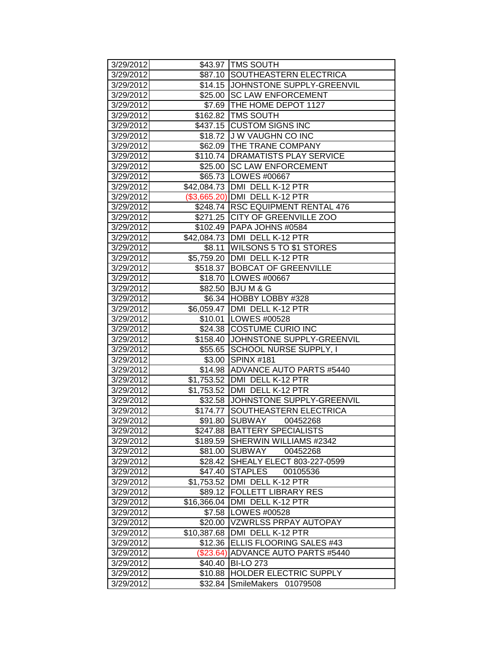| 3/29/2012              |                    | \$43.97 TMS SOUTH                              |
|------------------------|--------------------|------------------------------------------------|
| 3/29/2012              | \$87.10            | SOUTHEASTERN ELECTRICA                         |
| 3/29/2012              | \$14.15            | JOHNSTONE SUPPLY-GREENVIL                      |
| 3/29/2012              |                    | \$25.00 SC LAW ENFORCEMENT                     |
| 3/29/2012              |                    | \$7.69 THE HOME DEPOT 1127                     |
| 3/29/2012              |                    | \$162.82   TMS SOUTH                           |
| 3/29/2012              |                    | \$437.15 CUSTOM SIGNS INC                      |
| 3/29/2012              |                    | \$18.72 J W VAUGHN CO INC                      |
| 3/29/2012              |                    | \$62.09 THE TRANE COMPANY                      |
| 3/29/2012              |                    | \$110.74   DRAMATISTS PLAY SERVICE             |
| 3/29/2012              | \$25.00            | <b>SC LAW ENFORCEMENT</b>                      |
| 3/29/2012              |                    | \$65.73   LOWES #00667                         |
| 3/29/2012              |                    | \$42,084.73   DMI DELL K-12 PTR                |
| 3/29/2012              |                    | (\$3,665.20) DMI DELL K-12 PTR                 |
| 3/29/2012              |                    | \$248.74  RSC EQUIPMENT RENTAL 476             |
| 3/29/2012              |                    | \$271.25 CITY OF GREENVILLE ZOO                |
| 3/29/2012              | \$102.49           | PAPA JOHNS #0584                               |
| 3/29/2012              |                    | \$42,084.73   DMI DELL K-12 PTR                |
| 3/29/2012              | \$8.11             | <b>WILSONS 5 TO \$1 STORES</b>                 |
| 3/29/2012              |                    | \$5,759.20 DMI DELL K-12 PTR                   |
| 3/29/2012              |                    | \$518.37 BOBCAT OF GREENVILLE                  |
| 3/29/2012              |                    | \$18.70   LOWES #00667                         |
| 3/29/2012              | \$82.50            | <b>BJUM&amp;G</b>                              |
| 3/29/2012              | \$6.34             | HOBBY LOBBY #328                               |
| 3/29/2012              | \$6,059.47         | DMI DELL K-12 PTR                              |
| 3/29/2012              | \$10.01            | LOWES #00528                                   |
| 3/29/2012              | \$24.38            | <b>COSTUME CURIO INC</b>                       |
|                        |                    |                                                |
| 3/29/2012              | \$158.40           | JOHNSTONE SUPPLY-GREENVIL                      |
| 3/29/2012              | \$55.65            | SCHOOL NURSE SUPPLY, I                         |
| 3/29/2012              | \$3.00             | <b>SPINX #181</b>                              |
| 3/29/2012              | \$14.98            | <b>ADVANCE AUTO PARTS #5440</b>                |
| 3/29/2012              |                    | \$1,753.52 DMI DELL K-12 PTR                   |
| 3/29/2012              | \$1,753.52         | DMI DELL K-12 PTR                              |
| 3/29/2012              | \$32.58            | JOHNSTONE SUPPLY-GREENVIL                      |
| 3/29/2012              | \$174.77           | SOUTHEASTERN ELECTRICA                         |
| 3/29/2012              | \$91.80            | SUBWAY<br>00452268                             |
| 3/29/2012              |                    | \$247.88  BATTERY SPECIALISTS                  |
| 3/29/2012              | \$189.59           | SHERWIN WILLIAMS #2342                         |
| 3/29/2012              | \$81.00            | <b>SUBWAY</b><br>00452268                      |
| 3/29/2012              | \$28.42            | SHEALY ELECT 803-227-0599                      |
| 3/29/2012              | \$47.40            | <b>STAPLES</b><br>00105536                     |
| 3/29/2012              | \$1,753.52         | DMI DELL K-12 PTR                              |
| 3/29/2012              | \$89.12            | <b>FOLLETT LIBRARY RES</b>                     |
| 3/29/2012              | \$16,366.04        | DMI DELL K-12 PTR                              |
| 3/29/2012              | \$7.58             | LOWES #00528                                   |
| 3/29/2012              | \$20.00            | VZWRLSS PRPAY AUTOPAY                          |
| 3/29/2012              | \$10,387.68        | DMI DELL K-12 PTR                              |
| 3/29/2012              | \$12.36            | ELLIS FLOORING SALES #43                       |
| 3/29/2012              | (\$23.64)          | <b>ADVANCE AUTO PARTS #5440</b>                |
| 3/29/2012              | \$40.40            | <b>BI-LO 273</b>                               |
| 3/29/2012<br>3/29/2012 | \$10.88<br>\$32.84 | HOLDER ELECTRIC SUPPLY<br>SmileMakers 01079508 |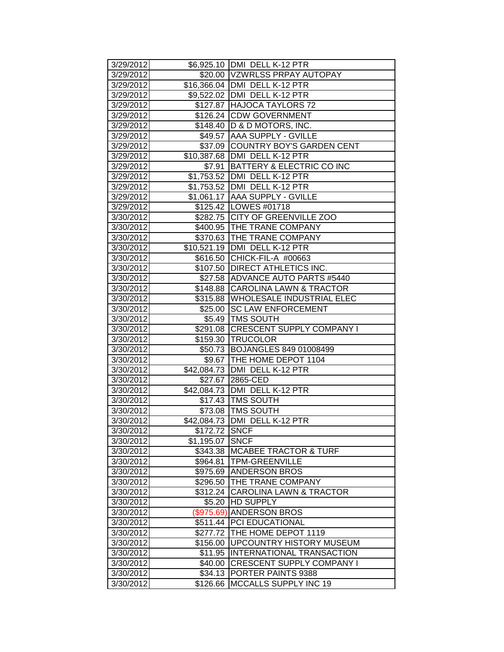| 3/29/2012 |               | \$6,925.10 DMI DELL K-12 PTR       |
|-----------|---------------|------------------------------------|
| 3/29/2012 |               | \$20.00 VZWRLSS PRPAY AUTOPAY      |
| 3/29/2012 |               | \$16,366.04 DMI DELL K-12 PTR      |
| 3/29/2012 |               | \$9,522.02   DMI DELL K-12 PTR     |
| 3/29/2012 |               | \$127.87 HAJOCA TAYLORS 72         |
| 3/29/2012 |               | \$126.24 CDW GOVERNMENT            |
| 3/29/2012 |               | \$148.40   D & D MOTORS, INC.      |
| 3/29/2012 |               | \$49.57 AAA SUPPLY - GVILLE        |
| 3/29/2012 |               | \$37.09 COUNTRY BOY'S GARDEN CENT  |
| 3/29/2012 |               | \$10,387.68   DMI DELL K-12 PTR    |
| 3/29/2012 | \$7.91        | BATTERY & ELECTRIC CO INC          |
| 3/29/2012 |               | \$1,753.52 DMI DELL K-12 PTR       |
| 3/29/2012 |               | \$1,753.52 DMI DELL K-12 PTR       |
| 3/29/2012 |               | \$1,061.17 AAA SUPPLY - GVILLE     |
| 3/29/2012 |               | \$125.42   LOWES #01718            |
| 3/30/2012 |               | \$282.75 CITY OF GREENVILLE ZOO    |
| 3/30/2012 |               | \$400.95 THE TRANE COMPANY         |
| 3/30/2012 |               | \$370.63 THE TRANE COMPANY         |
| 3/30/2012 |               | \$10,521.19   DMI DELL K-12 PTR    |
| 3/30/2012 |               | \$616.50 CHICK-FIL-A #00663        |
| 3/30/2012 |               | \$107.50 DIRECT ATHLETICS INC.     |
| 3/30/2012 |               | \$27.58 ADVANCE AUTO PARTS #5440   |
| 3/30/2012 |               | \$148.88 CAROLINA LAWN & TRACTOR   |
| 3/30/2012 |               | \$315.88 WHOLESALE INDUSTRIAL ELEC |
| 3/30/2012 | \$25.00       | <b>SC LAW ENFORCEMENT</b>          |
| 3/30/2012 |               | \$5.49 TMS SOUTH                   |
| 3/30/2012 |               | \$291.08 CRESCENT SUPPLY COMPANY I |
| 3/30/2012 |               | \$159.30 TRUCOLOR                  |
| 3/30/2012 |               | \$50.73 BOJANGLES 849 01008499     |
| 3/30/2012 |               | \$9.67   THE HOME DEPOT 1104       |
| 3/30/2012 |               | \$42,084.73 DMI DELL K-12 PTR      |
| 3/30/2012 |               | \$27.67 2865-CED                   |
| 3/30/2012 |               | \$42,084.73 DMI DELL K-12 PTR      |
| 3/30/2012 |               | \$17.43   TMS SOUTH                |
| 3/30/2012 |               | \$73.08 TMS SOUTH                  |
| 3/30/2012 |               | \$42,084.73   DMI DELL K-12 PTR    |
| 3/30/2012 | \$172.72 SNCF |                                    |
| 3/30/2012 | \$1,195.07    | <b>SNCF</b>                        |
| 3/30/2012 | \$343.38      | <b>MCABEE TRACTOR &amp; TURF</b>   |
| 3/30/2012 | \$964.81      | <b>TPM-GREENVILLE</b>              |
| 3/30/2012 | \$975.69      | <b>ANDERSON BROS</b>               |
| 3/30/2012 | \$296.50      | <b>THE TRANE COMPANY</b>           |
| 3/30/2012 | \$312.24      | <b>CAROLINA LAWN &amp; TRACTOR</b> |
| 3/30/2012 | \$5.20        | <b>HD SUPPLY</b>                   |
| 3/30/2012 | (\$975.69)    | <b>ANDERSON BROS</b>               |
| 3/30/2012 | \$511.44      | <b>PCI EDUCATIONAL</b>             |
| 3/30/2012 | \$277.72      | THE HOME DEPOT 1119                |
| 3/30/2012 | \$156.00      | <b>UPCOUNTRY HISTORY MUSEUM</b>    |
| 3/30/2012 | \$11.95       | INTERNATIONAL TRANSACTION          |
| 3/30/2012 | \$40.00       | <b>CRESCENT SUPPLY COMPANY I</b>   |
| 3/30/2012 | \$34.13       | <b>PORTER PAINTS 9388</b>          |
| 3/30/2012 | \$126.66      | IMCCALLS SUPPLY INC 19             |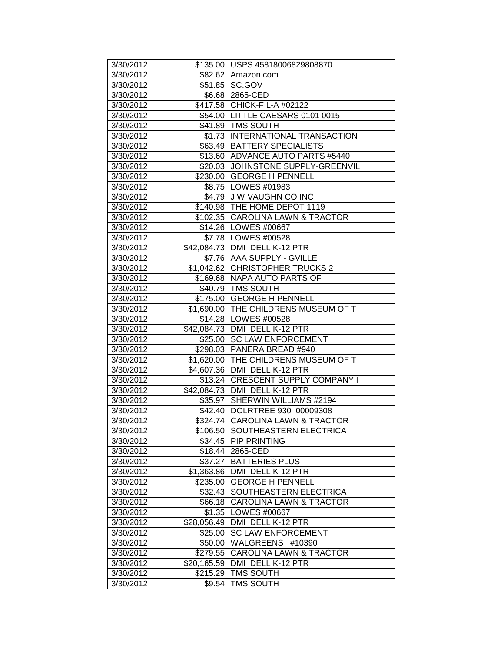| 3/30/2012              |                        | \$135.00 USPS 45818006829808870                   |
|------------------------|------------------------|---------------------------------------------------|
| 3/30/2012              |                        | \$82.62 Amazon.com                                |
| 3/30/2012              |                        | \$51.85 SC.GOV                                    |
| 3/30/2012              |                        | \$6.68 2865-CED                                   |
| 3/30/2012              |                        | \$417.58 CHICK-FIL-A #02122                       |
| 3/30/2012              |                        | \$54.00 LITTLE CAESARS 0101 0015                  |
| 3/30/2012              |                        | \$41.89 TMS SOUTH                                 |
| 3/30/2012              |                        | \$1.73 INTERNATIONAL TRANSACTION                  |
| 3/30/2012              |                        | \$63.49 BATTERY SPECIALISTS                       |
| 3/30/2012              | \$13.60                | ADVANCE AUTO PARTS #5440                          |
| 3/30/2012              |                        | \$20.03 JOHNSTONE SUPPLY-GREENVIL                 |
| 3/30/2012              |                        | \$230.00 GEORGE H PENNELL                         |
| 3/30/2012              |                        | \$8.75   LOWES #01983                             |
| 3/30/2012              |                        | \$4.79 J W VAUGHN CO INC                          |
| 3/30/2012              |                        | \$140.98   THE HOME DEPOT 1119                    |
| 3/30/2012              |                        | \$102.35 CAROLINA LAWN & TRACTOR                  |
| 3/30/2012              |                        | \$14.26   LOWES #00667                            |
| 3/30/2012              |                        | \$7.78  LOWES #00528                              |
| 3/30/2012              |                        | \$42,084.73 DMI DELL K-12 PTR                     |
| 3/30/2012              |                        | \$7.76 AAA SUPPLY - GVILLE                        |
| 3/30/2012              |                        | \$1,042.62 CHRISTOPHER TRUCKS 2                   |
| 3/30/2012              |                        | \$169.68 NAPA AUTO PARTS OF                       |
| 3/30/2012              |                        | \$40.79 TMS SOUTH                                 |
| 3/30/2012              |                        | \$175.00 GEORGE H PENNELL                         |
| 3/30/2012              |                        | \$1,690.00 THE CHILDRENS MUSEUM OF T              |
| 3/30/2012              |                        | \$14.28 LOWES #00528                              |
| 3/30/2012              |                        | \$42,084.73 DMI DELL K-12 PTR                     |
| 3/30/2012              | \$25.00                | <b>SC LAW ENFORCEMENT</b>                         |
| 3/30/2012              |                        | \$298.03 PANERA BREAD #940                        |
| 3/30/2012              |                        | \$1,620.00 THE CHILDRENS MUSEUM OF T              |
| 3/30/2012              |                        | \$4,607.36 DMI DELL K-12 PTR                      |
| 3/30/2012              |                        | \$13.24 CRESCENT SUPPLY COMPANY I                 |
| 3/30/2012              |                        | \$42,084.73 DMI DELL K-12 PTR                     |
| 3/30/2012              |                        | \$35.97 SHERWIN WILLIAMS #2194                    |
| 3/30/2012              |                        | \$42.40  DOLRTREE 930 00009308                    |
| 3/30/2012              |                        | \$324.74 CAROLINA LAWN & TRACTOR                  |
| 3/30/2012              |                        | \$106.50 SOUTHEASTERN ELECTRICA                   |
| 3/30/2012              |                        | \$34.45 PIP PRINTING                              |
| 3/30/2012              |                        | \$18.44 2865-CED                                  |
| 3/30/2012              | \$37.27                | <b>BATTERIES PLUS</b>                             |
| 3/30/2012              | \$1,363.86             | DMI DELL K-12 PTR                                 |
| 3/30/2012              | \$235.00               | <b>GEORGE H PENNELL</b><br>SOUTHEASTERN ELECTRICA |
| 3/30/2012<br>3/30/2012 | \$32.43                |                                                   |
|                        | \$66.18                | <b>CAROLINA LAWN &amp; TRACTOR</b>                |
| 3/30/2012              | \$1.35                 | LOWES #00667<br>DMI DELL K-12 PTR                 |
| 3/30/2012              | \$28,056.49<br>\$25.00 | <b>SC LAW ENFORCEMENT</b>                         |
| 3/30/2012              |                        | WALGREENS #10390                                  |
| 3/30/2012<br>3/30/2012 | \$50.00<br>\$279.55    | CAROLINA LAWN & TRACTOR                           |
| 3/30/2012              | \$20,165.59            | DMI DELL K-12 PTR                                 |
| 3/30/2012              | \$215.29               | TMS SOUTH                                         |
| 3/30/2012              | \$9.54                 | TMS SOUTH                                         |
|                        |                        |                                                   |